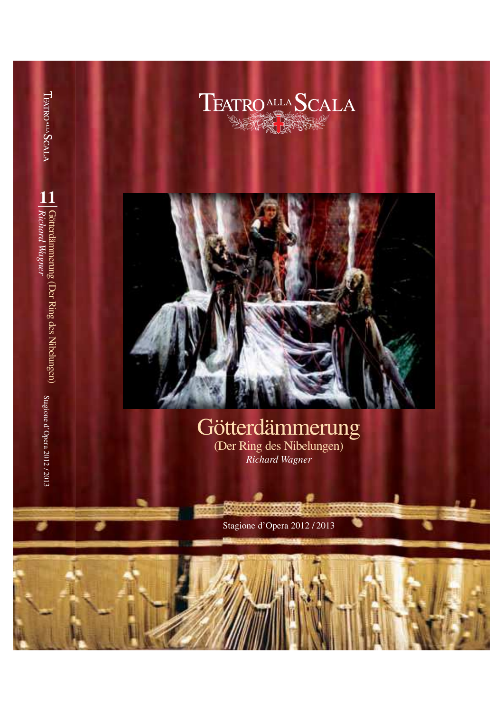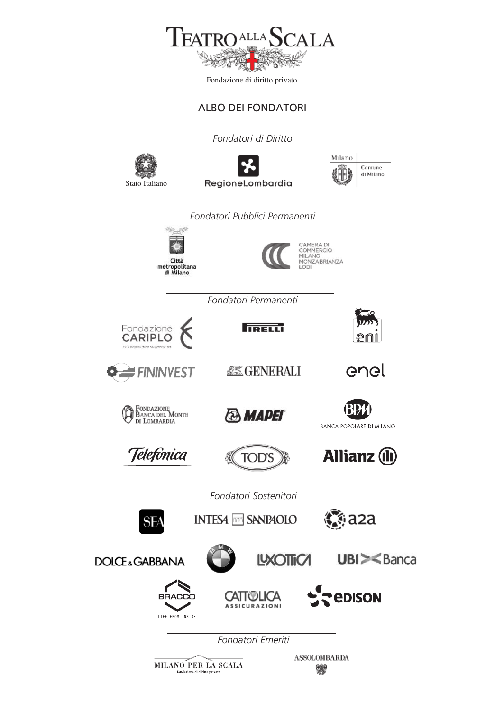

### ALBO DEI FONDATORI

*Fondatori di Diritto* Stato Italiano RegioneLombardia *Fondatori Pubblici Permanenti*Città metropolitana<br>di Milano



COMMERCIO MILANO<br>MONZABRIANZA

Milano

Comune di Milano

*Fondatori Permanenti*



**TRELL** 

**AS GENERALI** 



enel

**O** FININVEST



Telefònica



**TOD'S** 



**Allianz** (1)

*Fondatori Sostenitori*

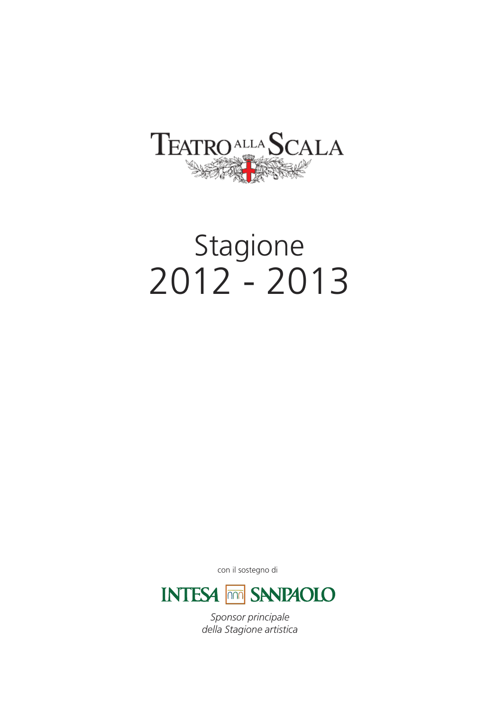

# Stagione 2012 - 2013

con il sostegno di



*Sponsor principale della Stagione artistica*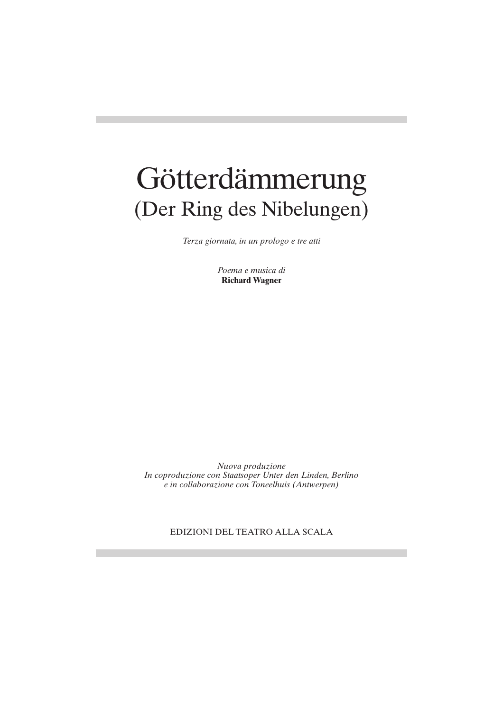# Götterdämmerung (Der Ring des Nibelungen)

*Terza giornata, in un prologo e tre atti*

*Poema e musica di* **Richard Wagner**

*Nuova produzione In coproduzione con Staatsoper Unter den Linden, Berlino e in collaborazione con Toneelhuis (Antwerpen)*

EDIZIONI DEL TEATRO ALLA SCALA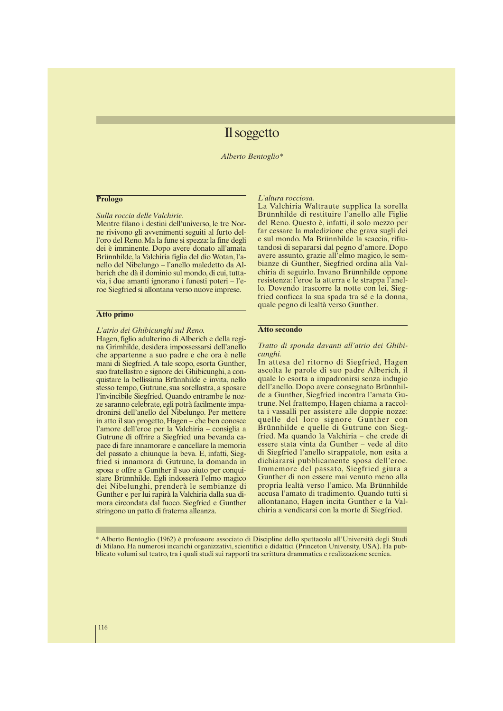## Il soggetto

*Alberto Bentoglio\**

#### **Prologo**

*Sulla roccia delle Valchirie.*

Mentre filano i destini dell'universo, le tre Norne rivivono gli avvenimenti seguiti al furto dell'oro del Reno. Ma la fune si spezza: la fine degli dei è imminente. Dopo avere donato all'amata Brünnhilde, la Valchiria figlia del dio Wotan, l'anello del Nibelungo – l'anello maledetto da Alberich che dà il dominio sul mondo, di cui, tuttavia, i due amanti ignorano i funesti poteri – l'eroe Siegfried si allontana verso nuove imprese.

#### **Atto primo**

#### *L'atrio dei Ghibicunghi sul Reno.*

Hagen, figlio adulterino di Alberich e della regina Grimhilde, desidera impossessarsi dell'anello che appartenne a suo padre e che ora è nelle mani di Siegfried. A tale scopo, esorta Gunther, suo fratellastro e signore dei Ghibicunghi, a conquistare la bellissima Brünnhilde e invita, nello stesso tempo, Gutrune, sua sorellastra, a sposare l'invincibile Siegfried. Quando entrambe le nozze saranno celebrate, egli potrà facilmente impadronirsi dell'anello del Nibelungo. Per mettere in atto il suo progetto, Hagen – che ben conosce l'amore dell'eroe per la Valchiria – consiglia a Gutrune di offrire a Siegfried una bevanda capace di fare innamorare e cancellare la memoria del passato a chiunque la beva. E, infatti, Siegfried si innamora di Gutrune, la domanda in sposa e offre a Gunther il suo aiuto per conquistare Brünnhilde. Egli indosserà l'elmo magico dei Nibelunghi, prenderà le sembianze di Gunther e per lui rapirà la Valchiria dalla sua dimora circondata dal fuoco. Siegfried e Gunther stringono un patto di fraterna alleanza.

#### *L'altura rocciosa.*

La Valchiria Waltraute supplica la sorella Brünnhilde di restituire l'anello alle Figlie del Reno. Questo è, infatti, il solo mezzo per far cessare la maledizione che grava sugli dei e sul mondo. Ma Brünnhilde la scaccia, rifiutandosi di separarsi dal pegno d'amore. Dopo avere assunto, grazie all'elmo magico, le sembianze di Gunther, Siegfried ordina alla Valchiria di seguirlo. Invano Brünnhilde oppone resistenza: l'eroe la atterra e le strappa l'anello. Dovendo trascorre la notte con lei, Siegfried conficca la sua spada tra sé e la donna, quale pegno di lealtà verso Gunther.

#### **Atto secondo**

#### *Tratto di sponda davanti all'atrio dei Ghibicunghi.*

In attesa del ritorno di Siegfried, Hagen ascolta le parole di suo padre Alberich, il quale lo esorta a impadronirsi senza indugio dell'anello. Dopo avere consegnato Brünnhilde a Gunther, Siegfried incontra l'amata Gutrune. Nel frattempo, Hagen chiama a raccolta i vassalli per assistere alle doppie nozze: quelle del loro signore Gunther con Brünnhilde e quelle di Gutrune con Siegfried. Ma quando la Valchiria – che crede di essere stata vinta da Gunther – vede al dito di Siegfried l'anello strappatole, non esita a dichiararsi pubblicamente sposa dell'eroe. Immemore del passato, Siegfried giura a Gunther di non essere mai venuto meno alla propria lealtà verso l'amico. Ma Brünnhilde accusa l'amato di tradimento. Quando tutti si allontanano, Hagen incita Gunther e la Valchiria a vendicarsi con la morte di Siegfried.

\* Alberto Bentoglio (1962) è professore associato di Discipline dello spettacolo all'Università degli Studi di Milano. Ha numerosi incarichi organizzativi, scientifici e didattici (Princeton University, USA). Ha pubblicato volumi sul teatro, tra i quali studi sui rapporti tra scrittura drammatica e realizzazione scenica.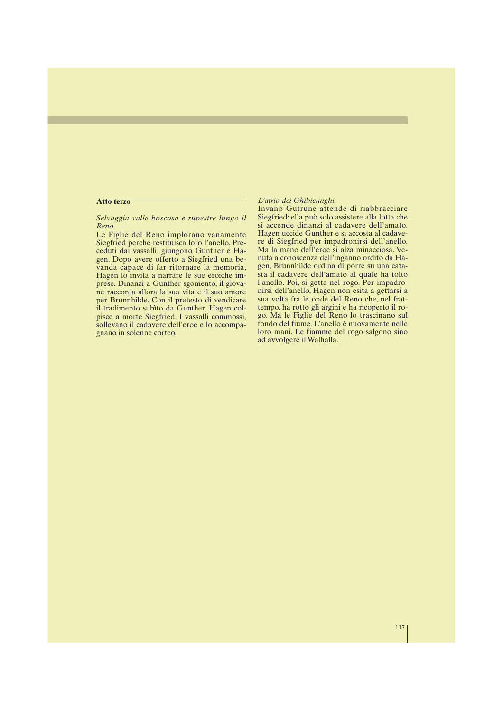#### **Atto terzo**

*Selvaggia valle boscosa e rupestre lungo il Reno.*

Le Figlie del Reno implorano vanamente Siegfried perché restituisca loro l'anello. Preceduti dai vassalli, giungono Gunther e Hagen. Dopo avere offerto a Siegfried una bevanda capace di far ritornare la memoria, Hagen lo invita a narrare le sue eroiche imprese. Dinanzi a Gunther sgomento, il giovane racconta allora la sua vita e il suo amore per Brünnhilde. Con il pretesto di vendicare il tradimento subìto da Gunther, Hagen colpisce a morte Siegfried. I vassalli commossi, sollevano il cadavere dell'eroe e lo accompagnano in solenne corteo.

#### *L'atrio dei Ghibicunghi.*

Invano Gutrune attende di riabbracciare Siegfried: ella può solo assistere alla lotta che si accende dinanzi al cadavere dell'amato. Hagen uccide Gunther e si accosta al cadavere di Siegfried per impadronirsi dell'anello. Ma la mano dell'eroe si alza minacciosa. Venuta a conoscenza dell'inganno ordito da Hagen, Brünnhilde ordina di porre su una catasta il cadavere dell'amato al quale ha tolto l'anello. Poi, si getta nel rogo. Per impadronirsi dell'anello, Hagen non esita a gettarsi a sua volta fra le onde del Reno che, nel frattempo, ha rotto gli argini e ha ricoperto il rogo. Ma le Figlie del Reno lo trascinano sul fondo del fiume. L'anello è nuovamente nelle loro mani. Le fiamme del rogo salgono sino ad avvolgere il Walhalla.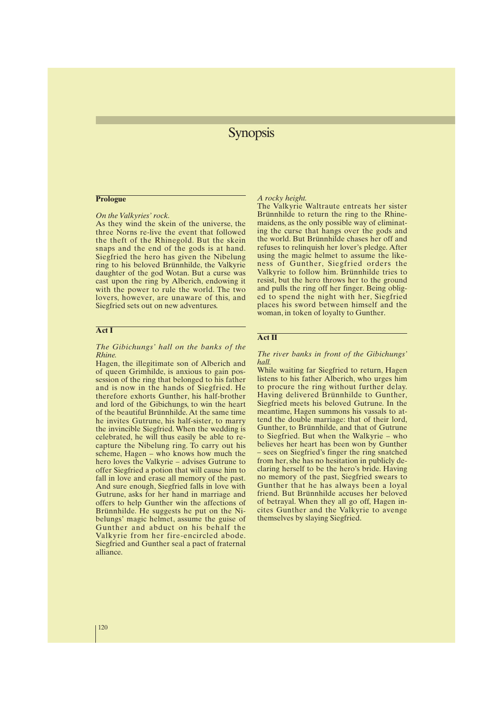## **Synopsis**

#### **Prologue**

*On the Valkyries' rock.*

As they wind the skein of the universe, the three Norns re-live the event that followed the theft of the Rhinegold. But the skein snaps and the end of the gods is at hand. Siegfried the hero has given the Nibelung ring to his beloved Brünnhilde, the Valkyrie daughter of the god Wotan. But a curse was cast upon the ring by Alberich, endowing it with the power to rule the world. The two lovers, however, are unaware of this, and Siegfried sets out on new adventures.

#### **Act I**

#### *The Gibichungs' hall on the banks of the Rhine.*

Hagen, the illegitimate son of Alberich and of queen Grimhilde, is anxious to gain possession of the ring that belonged to his father and is now in the hands of Siegfried. He therefore exhorts Gunther, his half-brother and lord of the Gibichungs, to win the heart of the beautiful Brünnhilde. At the same time he invites Gutrune, his half-sister, to marry the invincible Siegfried. When the wedding is celebrated, he will thus easily be able to recapture the Nibelung ring. To carry out his scheme, Hagen – who knows how much the hero loves the Valkyrie – advises Gutrune to offer Siegfried a potion that will cause him to fall in love and erase all memory of the past. And sure enough, Siegfried falls in love with Gutrune, asks for her hand in marriage and offers to help Gunther win the affections of Brünnhilde. He suggests he put on the Nibelungs' magic helmet, assume the guise of Gunther and abduct on his behalf the Valkyrie from her fire-encircled abode. Siegfried and Gunther seal a pact of fraternal alliance.

#### *A rocky height.*

The Valkyrie Waltraute entreats her sister Brünnhilde to return the ring to the Rhinemaidens, as the only possible way of eliminating the curse that hangs over the gods and the world. But Brünnhilde chases her off and refuses to relinquish her lover's pledge. After using the magic helmet to assume the likeness of Gunther, Siegfried orders the Valkyrie to follow him. Brünnhilde tries to resist, but the hero throws her to the ground and pulls the ring off her finger. Being obliged to spend the night with her, Siegfried places his sword between himself and the woman, in token of loyalty to Gunther.

#### **Act II**

*The river banks in front of the Gibichungs' hall.*

While waiting far Siegfried to return, Hagen listens to his father Alberich, who urges him to procure the ring without further delay. Having delivered Brünnhilde to Gunther, Siegfried meets his beloved Gutrune. In the meantime, Hagen summons his vassals to attend the double marriage: that of their lord, Gunther, to Brünnhilde, and that of Gutrune to Siegfried. But when the Walkyrie – who believes her heart has been won by Gunther – sees on Siegfried's finger the ring snatched from her, she has no hesitation in publicly declaring herself to be the hero's bride. Having no memory of the past, Siegfried swears to Gunther that he has always been a loyal friend. But Brünnhilde accuses her beloved of betrayal. When they all go off, Hagen incites Gunther and the Valkyrie to avenge themselves by slaying Siegfried.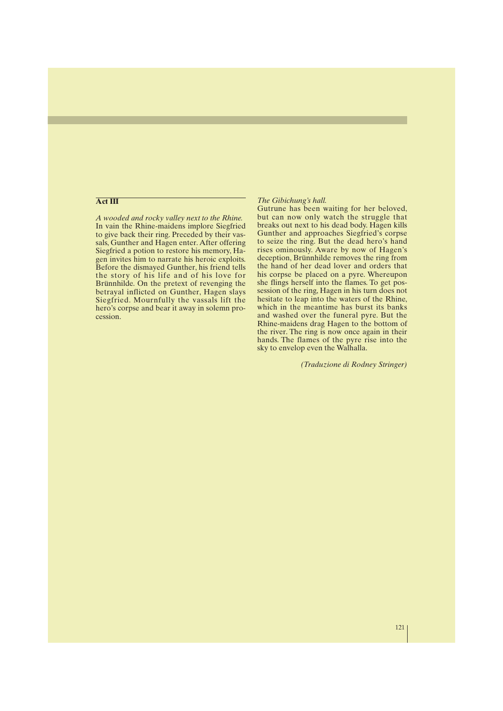#### **Act III**

*A wooded and rocky valley next to the Rhine.* In vain the Rhine-maidens implore Siegfried to give back their ring. Preceded by their vassals, Gunther and Hagen enter. After offering Siegfried a potion to restore his memory, Hagen invites him to narrate his heroic exploits. Before the dismayed Gunther, his friend tells the story of his life and of his love for Brünnhilde. On the pretext of revenging the betrayal inflicted on Gunther, Hagen slays Siegfried. Mournfully the vassals lift the hero's corpse and bear it away in solemn procession.

#### *The Gibichung's hall.*

Gutrune has been waiting for her beloved, but can now only watch the struggle that breaks out next to his dead body. Hagen kills Gunther and approaches Siegfried's corpse to seize the ring. But the dead hero's hand rises ominously. Aware by now of Hagen's deception, Brünnhilde removes the ring from the hand of her dead lover and orders that his corpse be placed on a pyre. Whereupon she flings herself into the flames. To get possession of the ring, Hagen in his turn does not hesitate to leap into the waters of the Rhine, which in the meantime has burst its banks and washed over the funeral pyre. But the Rhine-maidens drag Hagen to the bottom of the river. The ring is now once again in their hands. The flames of the pyre rise into the sky to envelop even the Walhalla.

*(Traduzione di Rodney Stringer)*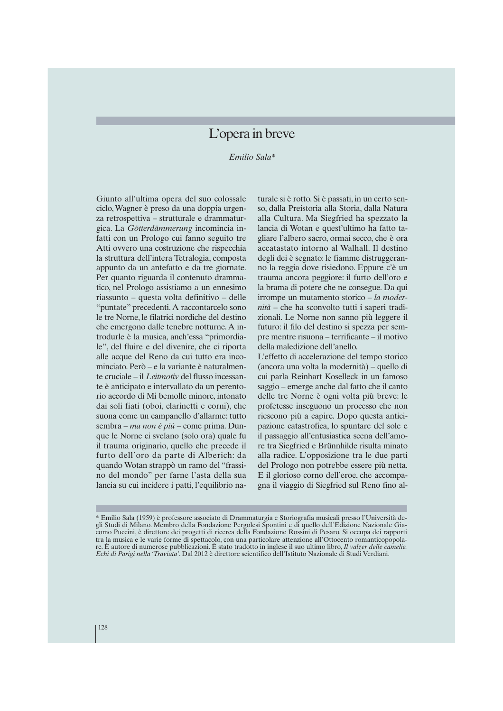## L'opera in breve

*Emilio Sala\**

Giunto all'ultima opera del suo colossale ciclo, Wagner è preso da una doppia urgenza retrospettiva – strutturale e drammaturgica. La *Götterdämmerung* incomincia infatti con un Prologo cui fanno seguito tre Atti ovvero una costruzione che rispecchia la struttura dell'intera Tetralogia, composta appunto da un antefatto e da tre giornate. Per quanto riguarda il contenuto drammatico, nel Prologo assistiamo a un ennesimo riassunto – questa volta definitivo – delle "puntate" precedenti. A raccontarcelo sono le tre Norne, le filatrici nordiche del destino che emergono dalle tenebre notturne. A introdurle è la musica, anch'essa "primordiale", del fluire e del divenire, che ci riporta alle acque del Reno da cui tutto era incominciato. Però – e la variante è naturalmente cruciale – il *Leitmotiv* del flusso incessante è anticipato e intervallato da un perentorio accordo di Mi bemolle minore, intonato dai soli fiati (oboi, clarinetti e corni), che suona come un campanello d'allarme: tutto sembra – *ma non è più* – come prima. Dunque le Norne ci svelano (solo ora) quale fu il trauma originario, quello che precede il furto dell'oro da parte di Alberich: da quando Wotan strappò un ramo del "frassino del mondo" per farne l'asta della sua lancia su cui incidere i patti, l'equilibrio na-

turale si è rotto. Si è passati, in un certo senso, dalla Preistoria alla Storia, dalla Natura alla Cultura. Ma Siegfried ha spezzato la lancia di Wotan e quest'ultimo ha fatto tagliare l'albero sacro, ormai secco, che è ora accatastato intorno al Walhall. Il destino degli dei è segnato: le fiamme distruggeranno la reggia dove risiedono. Eppure c'è un trauma ancora peggiore: il furto dell'oro e la brama di potere che ne consegue. Da qui irrompe un mutamento storico – *la modernità* – che ha sconvolto tutti i saperi tradizionali. Le Norne non sanno più leggere il futuro: il filo del destino si spezza per sempre mentre risuona – terrificante – il motivo della maledizione dell'anello.

L'effetto di accelerazione del tempo storico (ancora una volta la modernità) – quello di cui parla Reinhart Koselleck in un famoso saggio – emerge anche dal fatto che il canto delle tre Norne è ogni volta più breve: le profetesse inseguono un processo che non riescono più a capire. Dopo questa anticipazione catastrofica, lo spuntare del sole e il passaggio all'entusiastica scena dell'amore tra Siegfried e Brünnhilde risulta minato alla radice. L'opposizione tra le due parti del Prologo non potrebbe essere più netta. E il glorioso corno dell'eroe, che accompagna il viaggio di Siegfried sul Reno fino al-

<sup>\*</sup> Emilio Sala (1959) è professore associato di Drammaturgia e Storiografia musicali presso l'Università degli Studi di Milano. Membro della Fondazione Pergolesi Spontini e di quello dell'Edizione Nazionale Giacomo Puccini, è direttore dei progetti di ricerca della Fondazione Rossini di Pesaro. Si occupa dei rapporti tra la musica e le varie forme di spettacolo, con una particolare attenzione all'Ottocento romanticopopolare. È autore di numerose pubblicazioni. È stato tradotto in inglese il suo ultimo libro, *Il valzer delle camelie. Echi di Parigi nella 'Traviata'*. Dal 2012 è direttore scientifico dell'Istituto Nazionale di Studi Verdiani.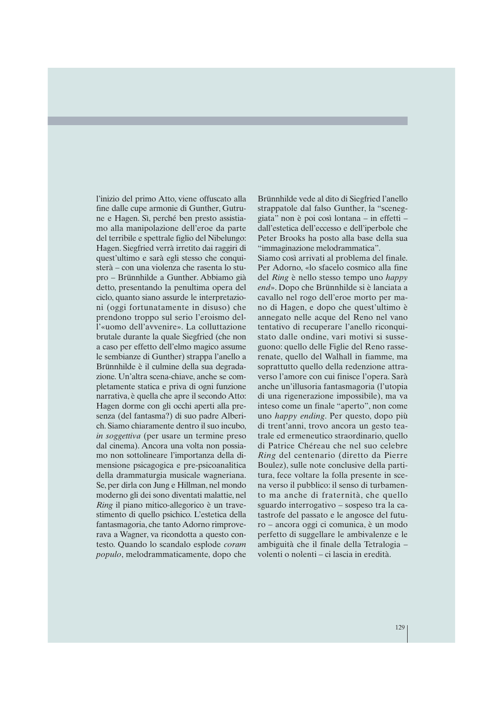l'inizio del primo Atto, viene offuscato alla fine dalle cupe armonie di Gunther, Gutrune e Hagen. Sì, perché ben presto assistiamo alla manipolazione dell'eroe da parte del terribile e spettrale figlio del Nibelungo: Hagen. Siegfried verrà irretito dai raggiri di quest'ultimo e sarà egli stesso che conquisterà – con una violenza che rasenta lo stupro – Brünnhilde a Gunther. Abbiamo già detto, presentando la penultima opera del ciclo, quanto siano assurde le interpretazioni (oggi fortunatamente in disuso) che prendono troppo sul serio l'eroismo dell'«uomo dell'avvenire». La colluttazione brutale durante la quale Siegfried (che non a caso per effetto dell'elmo magico assume le sembianze di Gunther) strappa l'anello a Brünnhilde è il culmine della sua degradazione. Un'altra scena-chiave, anche se completamente statica e priva di ogni funzione narrativa, è quella che apre il secondo Atto: Hagen dorme con gli occhi aperti alla presenza (del fantasma?) di suo padre Alberich. Siamo chiaramente dentro il suo incubo, *in soggettiva* (per usare un termine preso dal cinema). Ancora una volta non possiamo non sottolineare l'importanza della dimensione psicagogica e pre-psicoanalitica della drammaturgia musicale wagneriana. Se, per dirla con Jung e Hillman, nel mondo moderno gli dei sono diventati malattie, nel *Ring* il piano mitico-allegorico è un travestimento di quello psichico. L'estetica della fantasmagoria, che tanto Adorno rimproverava a Wagner, va ricondotta a questo contesto. Quando lo scandalo esplode *coram populo*, melodrammaticamente, dopo che

Brünnhilde vede al dito di Siegfried l'anello strappatole dal falso Gunther, la "sceneggiata" non è poi così lontana – in effetti – dall'estetica dell'eccesso e dell'iperbole che Peter Brooks ha posto alla base della sua "immaginazione melodrammatica".

Siamo così arrivati al problema del finale. Per Adorno, «lo sfacelo cosmico alla fine del *Ring* è nello stesso tempo uno *happy end*». Dopo che Brünnhilde si è lanciata a cavallo nel rogo dell'eroe morto per mano di Hagen, e dopo che quest'ultimo è annegato nelle acque del Reno nel vano tentativo di recuperare l'anello riconquistato dalle ondine, vari motivi si susseguono: quello delle Figlie del Reno rasserenate, quello del Walhall in fiamme, ma soprattutto quello della redenzione attraverso l'amore con cui finisce l'opera. Sarà anche un'illusoria fantasmagoria (l'utopia di una rigenerazione impossibile), ma va inteso come un finale "aperto", non come uno *happy ending*. Per questo, dopo più di trent'anni, trovo ancora un gesto teatrale ed ermeneutico straordinario, quello di Patrice Chéreau che nel suo celebre *Ring* del centenario (diretto da Pierre Boulez), sulle note conclusive della partitura, fece voltare la folla presente in scena verso il pubblico: il senso di turbamento ma anche di fraternità, che quello sguardo interrogativo – sospeso tra la catastrofe del passato e le angosce del futuro – ancora oggi ci comunica, è un modo perfetto di suggellare le ambivalenze e le ambiguità che il finale della Tetralogia – volenti o nolenti – ci lascia in eredità.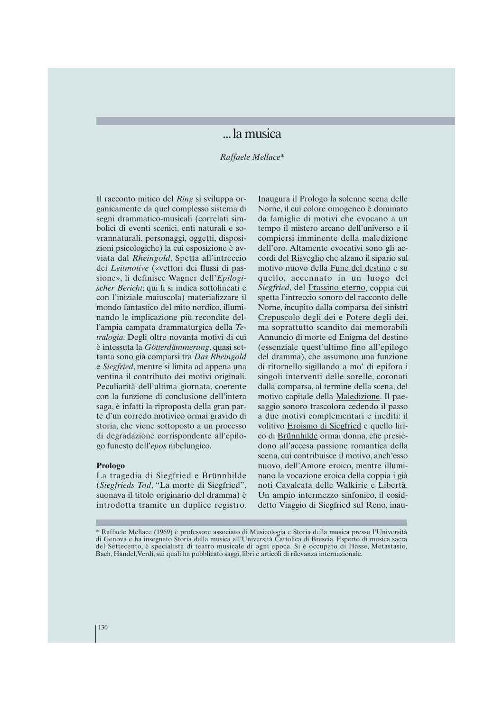## ...la musica

*Raffaele Mellace\**

Il racconto mitico del *Ring* si sviluppa organicamente da quel complesso sistema di segni drammatico-musicali (correlati simbolici di eventi scenici, enti naturali e sovrannaturali, personaggi, oggetti, disposizioni psicologiche) la cui esposizione è avviata dal *Rheingold*. Spetta all'intreccio dei *Leitmotive* («vettori dei flussi di passione», li definisce Wagner dell'*Epilogischer Bericht*; qui li si indica sottolineati e con l'iniziale maiuscola) materializzare il mondo fantastico del mito nordico, illuminando le implicazione più recondite dell'ampia campata drammaturgica della *Tetralogia*. Degli oltre novanta motivi di cui è intessuta la *Götterdämmerung*, quasi settanta sono già comparsi tra *Das Rheingold* e *Siegfried*, mentre si limita ad appena una ventina il contributo dei motivi originali. Peculiarità dell'ultima giornata, coerente con la funzione di conclusione dell'intera saga, è infatti la riproposta della gran parte d'un corredo motivico ormai gravido di storia, che viene sottoposto a un processo di degradazione corrispondente all'epilogo funesto dell'*epos* nibelungico.

#### **Prologo**

La tragedia di Siegfried e Brünnhilde (*Siegfrieds Tod*, "La morte di Siegfried", suonava il titolo originario del dramma) è introdotta tramite un duplice registro. Inaugura il Prologo la solenne scena delle Norne, il cui colore omogeneo è dominato da famiglie di motivi che evocano a un tempo il mistero arcano dell'universo e il compiersi imminente della maledizione dell'oro. Altamente evocativi sono gli accordi del Risveglio che alzano il sipario sul motivo nuovo della Fune del destino e su quello, accennato in un luogo del *Siegfried*, del Frassino eterno, coppia cui spetta l'intreccio sonoro del racconto delle Norne, incupito dalla comparsa dei sinistri Crepuscolo degli dei e Potere degli dei, ma soprattutto scandito dai memorabili Annuncio di morte ed Enigma del destino (essenziale quest'ultimo fino all'epilogo del dramma), che assumono una funzione di ritornello sigillando a mo' di epifora i singoli interventi delle sorelle, coronati dalla comparsa, al termine della scena, del motivo capitale della Maledizione. Il paesaggio sonoro trascolora cedendo il passo a due motivi complementari e inediti: il volitivo Eroismo di Siegfried e quello lirico di Brünnhilde ormai donna, che presiedono all'accesa passione romantica della scena, cui contribuisce il motivo, anch'esso nuovo, dell'Amore eroico, mentre illuminano la vocazione eroica della coppia i già noti Cavalcata delle Walkirie e Libertà. Un ampio intermezzo sinfonico, il cosiddetto Viaggio di Siegfried sul Reno, inau-

<sup>\*</sup> Raffaele Mellace (1969) è professore associato di Musicologia e Storia della musica presso l'Università di Genova e ha insegnato Storia della musica all'Università Cattolica di Brescia. Esperto di musica sacra del Settecento, è specialista di teatro musicale di ogni epoca. Si è occupato di Hasse, Metastasio, Bach, Händel,Verdi, sui quali ha pubblicato saggi, libri e articoli di rilevanza internazionale.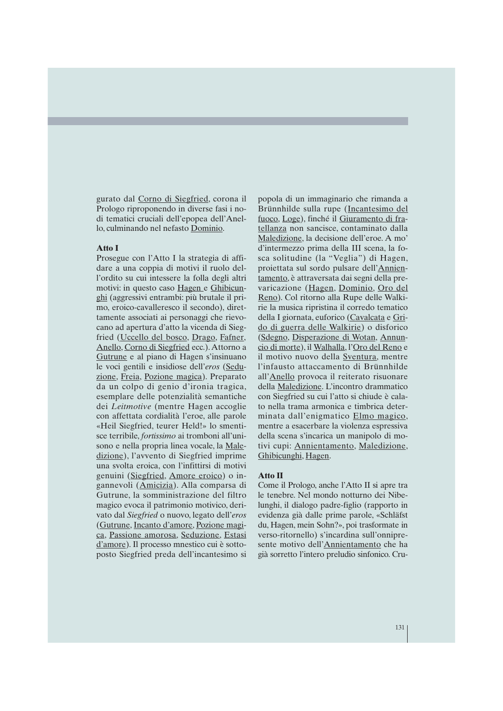gurato dal Corno di Siegfried, corona il Prologo riproponendo in diverse fasi i nodi tematici cruciali dell'epopea dell'Anello, culminando nel nefasto Dominio.

#### **Atto I**

Prosegue con l'Atto I la strategia di affidare a una coppia di motivi il ruolo dell'ordito su cui intessere la folla degli altri motivi: in questo caso Hagen e Ghibicunghi (aggressivi entrambi: più brutale il primo, eroico-cavalleresco il secondo), direttamente associati ai personaggi che rievocano ad apertura d'atto la vicenda di Siegfried (Uccello del bosco, Drago, Fafner, Anello, Corno di Siegfried ecc.). Attorno a Gutrune e al piano di Hagen s'insinuano le voci gentili e insidiose dell'*eros* (Seduzione, Freia, Pozione magica). Preparato da un colpo di genio d'ironia tragica, esemplare delle potenzialità semantiche dei *Leitmotive* (mentre Hagen accoglie con affettata cordialità l'eroe, alle parole «Heil Siegfried, teurer Held!» lo smentisce terribile, *fortissimo* ai tromboni all'unisono e nella propria linea vocale, la Maledizione), l'avvento di Siegfried imprime una svolta eroica, con l'infittirsi di motivi genuini (Siegfried, Amore eroico) o ingannevoli (Amicizia). Alla comparsa di Gutrune, la somministrazione del filtro magico evoca il patrimonio motivico, derivato dal *Siegfried* o nuovo, legato dell'*eros* (Gutrune, Incanto d'amore, Pozione magica, Passione amorosa, Seduzione, Estasi d'amore). Il processo mnestico cui è sottoposto Siegfried preda dell'incantesimo si popola di un immaginario che rimanda a Brünnhilde sulla rupe (Incantesimo del fuoco, Loge), finché il Giuramento di fratellanza non sancisce, contaminato dalla Maledizione, la decisione dell'eroe. A mo' d'intermezzo prima della III scena, la fosca solitudine (la "Veglia") di Hagen, proiettata sul sordo pulsare dell'Annientamento, è attraversata dai segni della prevaricazione (Hagen, Dominio, Oro del Reno). Col ritorno alla Rupe delle Walkirie la musica ripristina il corredo tematico della I giornata, euforico (Cavalcata e Grido di guerra delle Walkirie) o disforico (Sdegno, Disperazione di Wotan, Annuncio di morte), il Walhalla, l'Oro del Reno e il motivo nuovo della Sventura, mentre l'infausto attaccamento di Brünnhilde all'Anello provoca il reiterato risuonare della Maledizione. L'incontro drammatico con Siegfried su cui l'atto si chiude è calato nella trama armonica e timbrica determinata dall'enigmatico Elmo magico, mentre a esacerbare la violenza espressiva della scena s'incarica un manipolo di motivi cupi: Annientamento, Maledizione, Ghibicunghi, Hagen.

#### **Atto II**

Come il Prologo, anche l'Atto II si apre tra le tenebre. Nel mondo notturno dei Nibelunghi, il dialogo padre-figlio (rapporto in evidenza già dalle prime parole, «Schläfst du, Hagen, mein Sohn?», poi trasformate in verso-ritornello) s'incardina sull'onnipresente motivo dell'Annientamento che ha già sorretto l'intero preludio sinfonico. Cru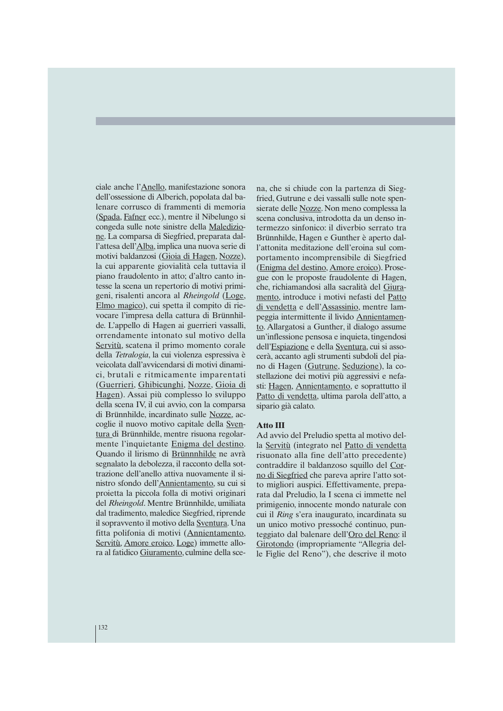ciale anche l'Anello, manifestazione sonora dell'ossessione di Alberich, popolata dal balenare corrusco di frammenti di memoria (Spada, Fafner ecc.), mentre il Nibelungo si congeda sulle note sinistre della Maledizione. La comparsa di Siegfried, preparata dall'attesa dell'Alba, implica una nuova serie di motivi baldanzosi (Gioia di Hagen, Nozze), la cui apparente giovialità cela tuttavia il piano fraudolento in atto; d'altro canto intesse la scena un repertorio di motivi primigeni, risalenti ancora al *Rheingold* (Loge, Elmo magico), cui spetta il compito di rievocare l'impresa della cattura di Brünnhilde. L'appello di Hagen ai guerrieri vassalli, orrendamente intonato sul motivo della Servitù, scatena il primo momento corale della *Tetralogia*, la cui violenza espressiva è veicolata dall'avvicendarsi di motivi dinamici, brutali e ritmicamente imparentati (Guerrieri, Ghibicunghi, Nozze, Gioia di Hagen). Assai più complesso lo sviluppo della scena IV, il cui avvio, con la comparsa di Brünnhilde, incardinato sulle Nozze, accoglie il nuovo motivo capitale della Sventura di Brünnhilde, mentre risuona regolarmente l'inquietante Enigma del destino. Quando il lirismo di Brünnnhilde ne avrà segnalato la debolezza, il racconto della sottrazione dell'anello attiva nuovamente il sinistro sfondo dell'Annientamento, su cui si proietta la piccola folla di motivi originari del *Rheingold*. Mentre Brünnhilde, umiliata dal tradimento, maledice Siegfried, riprende il sopravvento il motivo della Sventura. Una fitta polifonia di motivi (Annientamento, Servitù, Amore eroico, Loge) immette allora al fatidico Giuramento, culmine della sce-

na, che si chiude con la partenza di Siegfried, Gutrune e dei vassalli sulle note spensierate delle Nozze. Non meno complessa la scena conclusiva, introdotta da un denso intermezzo sinfonico: il diverbio serrato tra Brünnhilde, Hagen e Gunther è aperto dall'attonita meditazione dell'eroina sul comportamento incomprensibile di Siegfried (Enigma del destino, Amore eroico). Prosegue con le proposte fraudolente di Hagen, che, richiamandosi alla sacralità del Giuramento, introduce i motivi nefasti del Patto di vendetta e dell'Assassinio, mentre lampeggia intermittente il livido Annientamento. Allargatosi a Gunther, il dialogo assume un'inflessione pensosa e inquieta, tingendosi dell'Espiazione e della Sventura, cui si assocerà, accanto agli strumenti subdoli del piano di Hagen (Gutrune, Seduzione), la costellazione dei motivi più aggressivi e nefasti: Hagen, Annientamento, e soprattutto il Patto di vendetta, ultima parola dell'atto, a sipario già calato.

#### **Atto III**

Ad avvio del Preludio spetta al motivo della Servitù (integrato nel Patto di vendetta risuonato alla fine dell'atto precedente) contraddire il baldanzoso squillo del Corno di Siegfried che pareva aprire l'atto sotto migliori auspici. Effettivamente, preparata dal Preludio, la I scena ci immette nel primigenio, innocente mondo naturale con cui il *Ring* s'era inaugurato, incardinata su un unico motivo pressoché continuo, punteggiato dal balenare dell'Oro del Reno: il Girotondo (impropriamente "Allegria delle Figlie del Reno"), che descrive il moto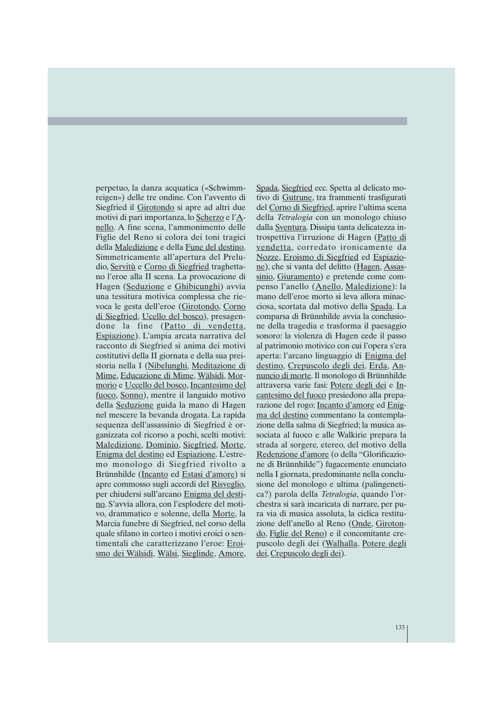perpetuo, la danza acquatica («Schwimmreigen») delle tre ondine. Con l'avvento di Siegfried il Girotondo si apre ad altri due motivi di pari importanza, lo Scherzo e l'Anello. A fine scena, l'ammonimento delle Figlie del Reno si colora dei toni tragici della Maledizione e della Fune del destino. Simmetricamente all'apertura del Preludio, Servitù e Corno di Siegfried traghettano l'eroe alla II scena. La provocazione di Hagen (Seduzione e Ghibicunghi) avvia una tessitura motivica complessa che rievoca le gesta dell'eroe (Girotondo, Corno di Siegfried, Ucello del bosco), presagendone la fine (Patto di vendetta, Espiazione). L'ampia arcata narrativa del racconto di Siegfried si anima dei motivi costitutivi della II giornata e della sua preistoria nella I (Nibelunghi, Meditazione di Mime, Educazione di Mime, Wälsidi, Mormorio e Uccello del bosco, Incantesimo del fuoco, Sonno), mentre il languido motivo della Seduzione guida la mano di Hagen nel mescere la bevanda drogata. La rapida sequenza dell'assassinio di Siegfried è organizzata col ricorso a pochi, scelti motivi: Maledizione, Dominio, Siegfried, Morte, Enigma del destino ed Espiazione. L'estremo monologo di Siegfried rivolto a Brünnhilde (Incanto ed Estasi d'amore) si apre commosso sugli accordi del Risveglio, per chiudersi sull'arcano Enigma del destino. S'avvia allora, con l'esplodere del motivo, drammatico e solenne, della Morte, la Marcia funebre di Siegfried, nel corso della quale sfilano in corteo i motivi eroici o sentimentali che caratterizzano l'eroe: Eroismo dei Wälsidi, Wälsi, Sieglinde, Amore,

Spada, Siegfried ecc. Spetta al delicato motivo di Gutrune, tra frammenti trasfigurati del Corno di Siegfried, aprire l'ultima scena della *Tetralogia* con un monologo chiuso dalla Sventura. Dissipa tanta delicatezza introspettiva l'irruzione di Hagen (Patto di vendetta, corredato ironicamente da Nozze, Eroismo di Siegfried ed Espiazione), che si vanta del delitto (Hagen, Assassinio, Giuramento) e pretende come compenso l'anello (Anello, Maledizione): la mano dell'eroe morto si leva allora minacciosa, scortata dal motivo della Spada. La comparsa di Brünnhilde avvia la conclusione della tragedia e trasforma il paesaggio sonoro: la violenza di Hagen cede il passo al patrimonio motivico con cui l'opera s'era aperta: l'arcano linguaggio di Enigma del destino, Crepuscolo degli dei, Erda, Annuncio di morte. Il monologo di Brünnhilde attraversa varie fasi: Potere degli dei e Incantesimo del fuoco presiedono alla preparazione del rogo; Incanto d'amore ed Enigma del destino commentano la contemplazione della salma di Siegfried; la musica associata al fuoco e alle Walkirie prepara la strada al sorgere, etereo, del motivo della Redenzione d'amore (o della "Glorificazione di Brünnhilde") fugacemente enunciato nella I giornata, predominante nella conclusione del monologo e ultima (palingenetica?) parola della *Tetralogia*, quando l'orchestra si sarà incaricata di narrare, per pura via di musica assoluta, la ciclica restituzione dell'anello al Reno (Onde, Girotondo, Figlie del Reno) e il concomitante crepuscolo degli dei (Walhalla, Potere degli dei, Crepuscolo degli dei).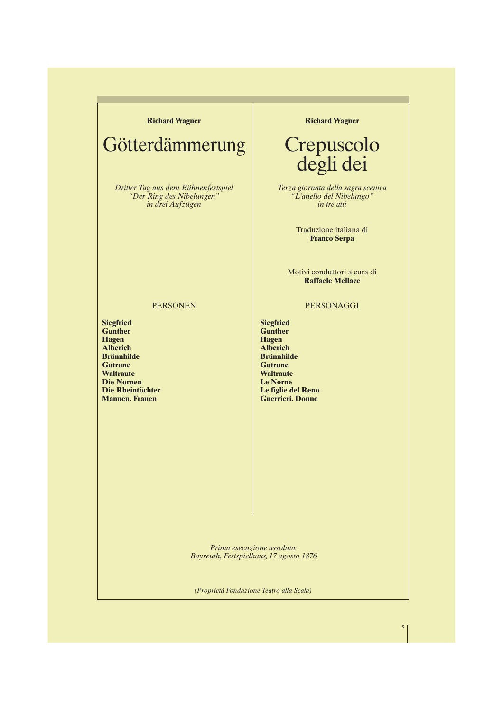#### **Richard Wagner**

## Götterdämmerung

*Dritter Tag aus dem Bühnenfestspiel "Der Ring des Nibelungen" in drei Aufzügen*

PERSONEN

**Richard Wagner**

## Crepuscolo degli dei

*Terza giornata della sagra scenica "L'anello del Nibelungo" in tre atti*

> Traduzione italiana di **Franco Serpa**

Motivi conduttori a cura di **Raffaele Mellace**

PERSONAGGI

**Siegfried Gunther Hagen Alberich Brünnhilde Gutrune Waltraute Die Nornen Die Rheintöchter Mannen. Frauen**

**Gunther Hagen Alberich Brünnhilde Gutrune Waltraute Le Norne Le figlie del Reno Guerrieri. Donne**

**Siegfried**

*Prima esecuzione assoluta: Bayreuth, Festspielhaus, 17 agosto 1876*

*(Proprietà Fondazione Teatro alla Scala)*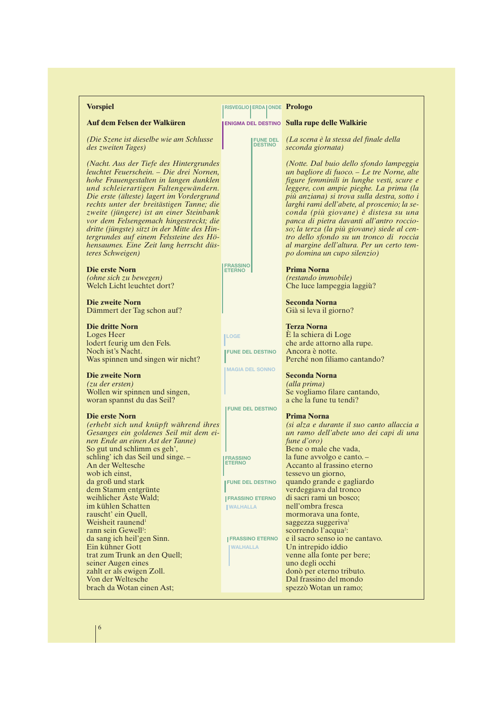| <b>Vorspiel</b>                                                                                                                                                                                                                                                                                                                                                                                                                                                                                               | <b>IRISVEGLIO ERDA ONDE Prologo</b>                                                    |                                                                                                                                                                                                                                                                                                                                                                                                                                                                                                                                         |
|---------------------------------------------------------------------------------------------------------------------------------------------------------------------------------------------------------------------------------------------------------------------------------------------------------------------------------------------------------------------------------------------------------------------------------------------------------------------------------------------------------------|----------------------------------------------------------------------------------------|-----------------------------------------------------------------------------------------------------------------------------------------------------------------------------------------------------------------------------------------------------------------------------------------------------------------------------------------------------------------------------------------------------------------------------------------------------------------------------------------------------------------------------------------|
| Auf dem Felsen der Walküren                                                                                                                                                                                                                                                                                                                                                                                                                                                                                   |                                                                                        | <b>ENIGMA DEL DESTINO Sulla rupe delle Walkirie</b>                                                                                                                                                                                                                                                                                                                                                                                                                                                                                     |
| (Die Szene ist dieselbe wie am Schlusse<br>des zweiten Tages)                                                                                                                                                                                                                                                                                                                                                                                                                                                 | <b>FUNE DEL</b><br><b>DESTINO</b>                                                      | (La scena è la stessa del finale della<br>seconda giornata)                                                                                                                                                                                                                                                                                                                                                                                                                                                                             |
| (Nacht. Aus der Tiefe des Hintergrundes<br>leuchtet Feuerschein. – Die drei Nornen,<br>hohe Frauengestalten in langen dunklen<br>und schleierartigen Faltengewändern.<br>Die erste (älteste) lagert im Vordergrund<br>rechts unter der breitästigen Tanne; die<br>zweite (jüngere) ist an einer Steinbank<br>vor dem Felsengemach hingestreckt; die<br>dritte (jüngste) sitzt in der Mitte des Hin-<br>tergrundes auf einem Felssteine des Hö-<br>hensaumes. Eine Zeit lang herrscht düs-<br>teres Schweigen) |                                                                                        | (Notte. Dal buio dello sfondo lampeggia<br>un bagliore di fuoco. – Le tre Norne, alte<br>figure femminili in lunghe vesti, scure e<br>leggere, con ampie pieghe. La prima (la<br>più anziana) si trova sulla destra, sotto i<br>larghi rami dell'abete, al proscenio; la se-<br>conda (più giovane) è distesa su una<br>panca di pietra davanti all'antro roccio-<br>so; la terza (la più giovane) siede al cen-<br>tro dello sfondo su un tronco di roccia<br>al margine dell'altura. Per un certo tem-<br>po domina un cupo silenzio) |
| Die erste Norn<br>(ohne sich zu bewegen)<br>Welch Licht leuchtet dort?                                                                                                                                                                                                                                                                                                                                                                                                                                        | <b>FRASSINO</b><br><b>ETERNO</b>                                                       | <b>Prima Norna</b><br>(restando immobile)<br>Che luce lampeggia laggiù?                                                                                                                                                                                                                                                                                                                                                                                                                                                                 |
| <b>Die zweite Norn</b><br>Dämmert der Tag schon auf?                                                                                                                                                                                                                                                                                                                                                                                                                                                          |                                                                                        | <b>Seconda Norna</b><br>Già si leva il giorno?                                                                                                                                                                                                                                                                                                                                                                                                                                                                                          |
| <b>Die dritte Norn</b><br>Loges Heer<br>lodert feurig um den Fels.<br>Noch ist's Nacht.<br>Was spinnen und singen wir nicht?                                                                                                                                                                                                                                                                                                                                                                                  | <b>LOGE</b><br><b>FUNE DEL DESTINO</b>                                                 | <b>Terza Norna</b><br>È la schiera di Loge<br>che arde attorno alla rupe.<br>Ancora è notte.<br>Perché non filiamo cantando?                                                                                                                                                                                                                                                                                                                                                                                                            |
| <b>Die zweite Norn</b><br>$(zu \, der \,ersten)$<br>Wollen wir spinnen und singen,<br>woran spannst du das Seil?                                                                                                                                                                                                                                                                                                                                                                                              | <b>MAGIA DEL SONNO</b>                                                                 | <b>Seconda Norna</b><br>(alla prima)<br>Se vogliamo filare cantando,<br>a che la fune tu tendi?                                                                                                                                                                                                                                                                                                                                                                                                                                         |
| Die erste Norn<br>(erhebt sich und knüpft während ihres<br>Gesanges ein goldenes Seil mit dem ei-<br>nen Ende an einen Ast der Tanne)<br>So gut und schlimm es geh',<br>schling' ich das Seil und singe. -<br>An der Weltesche<br>wob ich einst,<br>da groß und stark<br>dem Stamm entgrünte                                                                                                                                                                                                                  | <b>FUNE DEL DESTINO</b><br><b>FRASSINO</b><br><b>ETERNO</b><br><b>FUNE DEL DESTINO</b> | <b>Prima Norna</b><br>(si alza e durante il suo canto allaccia a<br>un ramo dell'abete uno dei capi di una<br>fune d'oro)<br>Bene o male che vada,<br>la fune avvolgo e canto. -<br>Accanto al frassino eterno<br>tessevo un giorno,<br>quando grande e gagliardo<br>verdeggiava dal tronco                                                                                                                                                                                                                                             |
| weihlicher Aste Wald;<br>im kühlen Schatten<br>rauscht' ein Quell,<br>Weisheit raunend <sup>1</sup><br>rann sein Gewell <sup>2</sup> :                                                                                                                                                                                                                                                                                                                                                                        | <b>FRASSINO ETERNO</b><br><b>WALHALLA</b>                                              | di sacri rami un bosco;<br>nell'ombra fresca<br>mormorava una fonte,<br>saggezza suggeriva <sup>1</sup><br>scorrendo l'acqua <sup>2</sup> :                                                                                                                                                                                                                                                                                                                                                                                             |
| da sang ich heil'gen Sinn.<br>Ein kühner Gott<br>trat zum Trunk an den Quell;<br>seiner Augen eines<br>zahlt er als ewigen Zoll.<br>Von der Weltesche                                                                                                                                                                                                                                                                                                                                                         | <b>IFRASSINO ETERNO</b><br><b>WALHALLA</b>                                             | e il sacro senso io ne cantavo.<br>Un intrepido iddio<br>venne alla fonte per bere;<br>uno degli occhi<br>donò per eterno tributo.<br>Dal frassino del mondo                                                                                                                                                                                                                                                                                                                                                                            |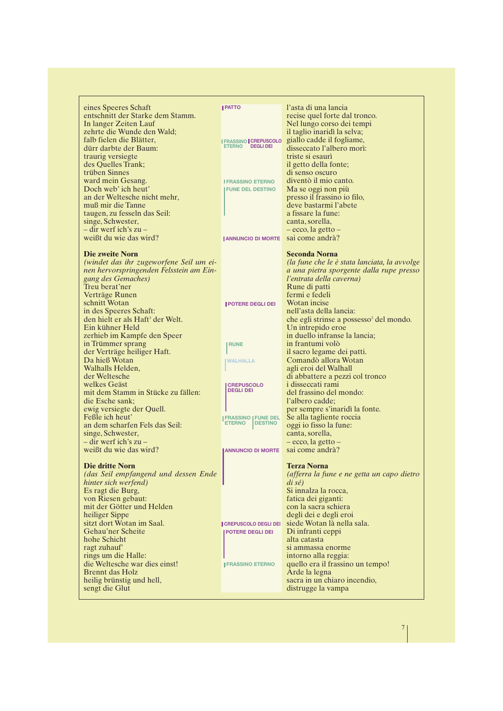| eines Speeres Schaft                         | <b>I PATTO</b>                                   | l'asta di una lancia                                |
|----------------------------------------------|--------------------------------------------------|-----------------------------------------------------|
| entschnitt der Starke dem Stamm.             |                                                  | recise quel forte dal tronco.                       |
| In langer Zeiten Lauf                        |                                                  | Nel lungo corso dei tempi                           |
| zehrte die Wunde den Wald;                   |                                                  | il taglio inaridì la selva;                         |
| falb fielen die Blätter,                     |                                                  | giallo cadde il fogliame,                           |
| dürr darbte der Baum:                        | <b>I FRASSINO CREPUSCOLO</b><br>ETERNO DEGLI DEI |                                                     |
|                                              |                                                  | disseccato l'albero morì:                           |
| traurig versiegte                            |                                                  | triste si esaurì                                    |
| des Quelles Trank;                           |                                                  | il getto della fonte;                               |
| trüben Sinnes                                |                                                  | di senso oscuro                                     |
| ward mein Gesang.                            | <b>I FRASSINO ETERNO</b>                         | diventò il mio canto.                               |
| Doch web' ich heut'                          | <b>FUNE DEL DESTINO</b>                          | Ma se oggi non più                                  |
| an der Weltesche nicht mehr,                 |                                                  | presso il frassino io filo,                         |
| muß mir die Tanne                            |                                                  | deve bastarmi l'abete                               |
| taugen, zu fesseln das Seil:                 |                                                  | a fissare la fune:                                  |
| singe, Schwester,                            |                                                  | canta, sorella,                                     |
| – dir werf ich's zu –                        |                                                  | – ecco, la getto –                                  |
| weißt du wie das wird?                       | <b>I ANNUNCIO DI MORTE</b>                       | sai come andrà?                                     |
|                                              |                                                  |                                                     |
| Die zweite Norn                              |                                                  | <b>Seconda Norna</b>                                |
| (windet das ihr zugeworfene Seil um ei-      |                                                  | (la fune che le è stata lanciata, la avvolge        |
| nen hervorspringenden Felsstein am Ein-      |                                                  | a una pietra sporgente dalla rupe presso            |
| gang des Gemaches)                           |                                                  | l'entrata della caverna)                            |
| Treu berat'ner                               |                                                  | Rune di patti                                       |
|                                              |                                                  | fermi e fedeli                                      |
| Verträge Runen                               |                                                  |                                                     |
| schnitt Wotan                                | <b>I POTERE DEGLI DEI</b>                        | Wotan incise                                        |
| in des Speeres Schaft:                       |                                                  | nell'asta della lancia:                             |
| den hielt er als Haft <sup>3</sup> der Welt. |                                                  | che egli strinse a possesso <sup>3</sup> del mondo. |
| Ein kühner Held                              |                                                  | Un intrepido eroe                                   |
| zerhieb im Kampfe den Speer                  |                                                  | in duello infranse la lancia;                       |
| in Trümmer sprang                            | <b>RUNE</b>                                      | in frantumi volò                                    |
| der Verträge heiliger Haft.                  |                                                  | il sacro legame dei patti.                          |
| Da hieß Wotan                                | <b>IWALHALLA</b>                                 | Comandò allora Wotan                                |
| Walhalls Helden,                             |                                                  | agli eroi del Walhall                               |
| der Weltesche                                |                                                  | di abbattere a pezzi col tronco                     |
| welkes Geäst                                 | <b>CREPUSCOLO</b>                                | i disseccati rami                                   |
| mit dem Stamm in Stücke zu fällen:           | <b>DEGLI DEI</b>                                 | del frassino del mondo:                             |
| die Esche sank;                              |                                                  | l'albero cadde;                                     |
| ewig versiegte der Quell.                    |                                                  | per sempre s'inaridì la fonte.                      |
| Feßle ich heut'                              | <b>FRASSINO   FUNE DEL</b>                       | Se alla tagliente roccia                            |
| an dem scharfen Fels das Seil:               | <b>DESTINO</b><br><b>ETERNO</b>                  | oggi io fisso la fune:                              |
| singe, Schwester,                            |                                                  | canta, sorella,                                     |
| – dir werf ich's zu –                        |                                                  | $-$ ecco, la getto $-$                              |
| weißt du wie das wird?                       | <b>JANNUNCIO DI MORTE</b>                        | sai come andrà?                                     |
|                                              |                                                  |                                                     |
| <b>Die dritte Norn</b>                       |                                                  | <b>Terza Norna</b>                                  |
| (das Seil empfangend und dessen Ende         |                                                  | (afferra la fune e ne getta un capo dietro          |
| hinter sich werfend)                         |                                                  | $di\ s\acute{e}$                                    |
| Es ragt die Burg,                            |                                                  | Si innalza la rocca,                                |
| von Riesen gebaut:                           |                                                  | fatica dei giganti:                                 |
| mit der Götter und Helden                    |                                                  | con la sacra schiera                                |
| heiliger Sippe                               |                                                  | degli dei e degli eroi                              |
| sitzt dort Wotan im Saal.                    |                                                  | siede Wotan là nella sala.                          |
| Gehau'ner Scheite                            | <b>CREPUSCOLO DEGLI DEI</b>                      |                                                     |
|                                              | <b>POTERE DEGLI DEI</b>                          | Di infranti ceppi                                   |
| hohe Schicht                                 |                                                  | alta catasta                                        |
| ragt zuhauf                                  |                                                  | si ammassa enorme                                   |
| rings um die Halle:                          |                                                  | intorno alla reggia:                                |
| die Weltesche war dies einst!                | <b>IFRASSINO ETERNO</b>                          | quello era il frassino un tempo!                    |
| <b>Brennt</b> das Holz                       |                                                  | Arde la legna                                       |
| heilig brünstig und hell,                    |                                                  | sacra in un chiaro incendio,                        |
| sengt die Glut                               |                                                  | distrugge la vampa                                  |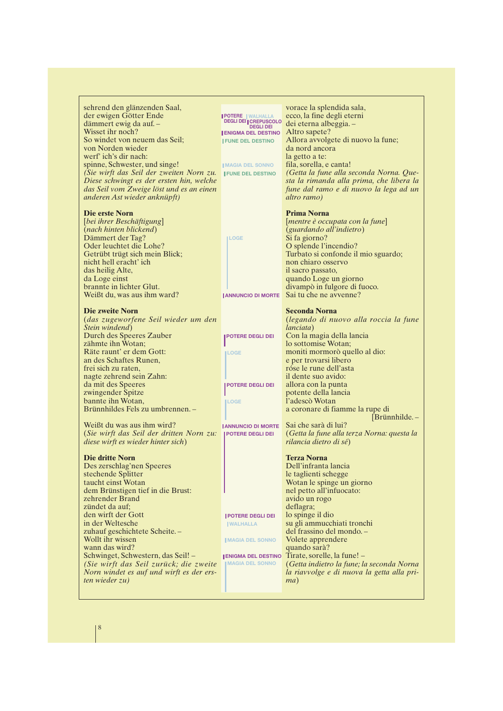| sehrend den glänzenden Saal,<br>der ewigen Götter Ende      |                                                                     | vorace la splendida sala,<br>ecco, la fine degli eterni |  |
|-------------------------------------------------------------|---------------------------------------------------------------------|---------------------------------------------------------|--|
| dämmert ewig da auf. -                                      | <b>  POTERE   WALHALLA<br/>DEGLI DEI   CREPUSCOLO<br/>DEGLI DEI</b> | dei eterna albeggia. -                                  |  |
| Wisset ihr noch?                                            | <b>ENIGMA DEL DESTINO</b>                                           | Altro sapete?                                           |  |
| So windet von neuem das Seil;                               | <b>IFUNE DEL DESTINO</b>                                            | Allora avvolgete di nuovo la fune;                      |  |
| von Norden wieder                                           |                                                                     | da nord ancora                                          |  |
| werf' ich's dir nach:                                       |                                                                     |                                                         |  |
|                                                             |                                                                     | la getto a te:                                          |  |
| spinne, Schwester, und singe!                               | <b>IMAGIA DEL SONNO</b>                                             | fila, sorella, e canta!                                 |  |
| (Sie wirft das Seil der zweiten Norn zu.   FUNE DEL DESTINO |                                                                     | (Getta la fune alla seconda Norna. Que-                 |  |
| Diese schwingt es der ersten hin, welche                    |                                                                     | sta la rimanda alla prima, che libera la                |  |
| das Seil vom Zweige löst und es an einen                    |                                                                     | fune dal ramo e di nuovo la lega ad un                  |  |
| anderen Ast wieder anknüpft)                                |                                                                     | altro ramo)                                             |  |
| Die erste Norn                                              |                                                                     | <b>Prima Norna</b>                                      |  |
| [bei ihrer Beschäftigung]                                   |                                                                     | [mentre è occupata con la fune]                         |  |
| (nach hinten blickend)                                      |                                                                     | (guardando all'indietro)                                |  |
| Dämmert der Tag?                                            | <b>ILOGE</b>                                                        | Si fa giorno?                                           |  |
| Oder leuchtet die Lohe?                                     |                                                                     | O splende l'incendio?                                   |  |
| Getrübt trügt sich mein Blick;                              |                                                                     | Turbato si confonde il mio sguardo;                     |  |
| nicht hell eracht' ich                                      |                                                                     | non chiaro osservo                                      |  |
| das heilig Alte,                                            |                                                                     | il sacro passato,                                       |  |
| da Loge einst                                               |                                                                     | quando Loge un giorno                                   |  |
| brannte in lichter Glut.                                    |                                                                     | divampò in fulgore di fuoco.                            |  |
| Weißt du, was aus ihm ward?                                 | <b>ANNUNCIO DI MORTE</b>                                            | Sai tu che ne avvenne?                                  |  |
|                                                             |                                                                     |                                                         |  |
| <b>Die zweite Norn</b>                                      |                                                                     | <b>Seconda Norna</b>                                    |  |
| (das zugeworfene Seil wieder um den                         |                                                                     | (legando di nuovo alla roccia la fune                   |  |
| Stein windend)                                              |                                                                     | <i>lanciata</i> )                                       |  |
| Durch des Speeres Zauber                                    | <b>POTERE DEGLI DEI</b>                                             | Con la magia della lancia                               |  |
| zähmte ihn Wotan;                                           |                                                                     | lo sottomise Wotan;                                     |  |
| Räte raunt' er dem Gott:                                    | <b>ILOGE</b>                                                        | moniti mormorò quello al dio:                           |  |
| an des Schaftes Runen,                                      |                                                                     | e per trovarsi libero                                   |  |
| frei sich zu raten,                                         |                                                                     | róse le rune dell'asta                                  |  |
| nagte zehrend sein Zahn:                                    |                                                                     | il dente suo avido:                                     |  |
| da mit des Speeres                                          | <b>POTERE DEGLI DEI</b>                                             | allora con la punta                                     |  |
| zwingender Spitze                                           |                                                                     | potente della lancia                                    |  |
| bannte ihn Wotan,                                           | <b>ILOGE</b>                                                        | l'adescò Wotan                                          |  |
| Brünnhildes Fels zu umbrennen. -                            |                                                                     | a coronare di fiamme la rupe di                         |  |
|                                                             |                                                                     | $[Brunnth1]0$                                           |  |
| Weißt du was aus ihm wird?                                  | <b>JANNUNCIO DI MORTE</b>                                           | Sai che sarà di lui?                                    |  |
| (Sie wirft das Seil der dritten Norn zu:                    | POTERE DEGLI DEI                                                    | (Getta la fune alla terza Norna: questa la              |  |
| diese wirft es wieder hinter sich)                          |                                                                     | rilancia dietro di sé)                                  |  |
| Die dritte Norn                                             |                                                                     | <b>Terza Norna</b>                                      |  |
| Des zerschlag'nen Speeres                                   |                                                                     | Dell'infranta lancia                                    |  |
| stechende Splitter                                          |                                                                     | le taglienti schegge                                    |  |
| taucht einst Wotan                                          |                                                                     | Wotan le spinge un giorno                               |  |
| dem Brünstigen tief in die Brust:                           |                                                                     | nel petto all'infuocato:                                |  |
| zehrender Brand                                             |                                                                     | avido un rogo                                           |  |
| zündet da auf;                                              |                                                                     | deflagra;                                               |  |
| den wirft der Gott                                          | <b>  POTERE DEGLI DEI</b>                                           | lo spinge il dio                                        |  |
| in der Weltesche                                            | <b>WALHALLA</b>                                                     | su gli ammucchiati tronchi                              |  |
| zuhauf geschichtete Scheite.-                               |                                                                     | del frassino del mondo. -                               |  |
| Wollt ihr wissen                                            | <b>IMAGIA DEL SONNO</b>                                             | Volete apprendere                                       |  |
| wann das wird?                                              |                                                                     | quando sarà?                                            |  |
| Schwinget, Schwestern, das Seil! -                          |                                                                     | <b>JENIGMA DEL DESTINO</b> Tirate, sorelle, la fune! -  |  |
| (Sie wirft das Seil zurück; die zweite                      | <b>MAGIA DEL SONNO</b>                                              | (Getta indietro la fune; la seconda Norna               |  |
| Norn windet es auf und wirft es der ers-                    |                                                                     | la riavvolge e di nuova la getta alla pri-              |  |
| <i>ten wieder zu</i> )                                      |                                                                     | ma)                                                     |  |
|                                                             |                                                                     |                                                         |  |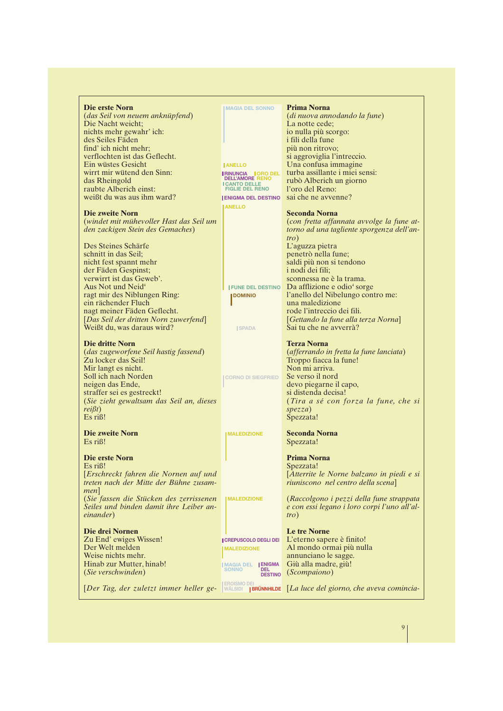| Die erste Norn                                                                                                                                                                                                                                                             | <b>IMAGIA DEL SONNO</b>                               | <b>Prima Norna</b>                                                                                                                                                                                                                                       |
|----------------------------------------------------------------------------------------------------------------------------------------------------------------------------------------------------------------------------------------------------------------------------|-------------------------------------------------------|----------------------------------------------------------------------------------------------------------------------------------------------------------------------------------------------------------------------------------------------------------|
| (das Seil von neuem anknüpfend)                                                                                                                                                                                                                                            |                                                       | (di nuova annodando la fune)                                                                                                                                                                                                                             |
| Die Nacht weicht;                                                                                                                                                                                                                                                          |                                                       | La notte cede;                                                                                                                                                                                                                                           |
| nichts mehr gewahr' ich:                                                                                                                                                                                                                                                   |                                                       | io nulla più scorgo:                                                                                                                                                                                                                                     |
| des Seiles Fäden                                                                                                                                                                                                                                                           |                                                       | i fili della fune                                                                                                                                                                                                                                        |
|                                                                                                                                                                                                                                                                            |                                                       |                                                                                                                                                                                                                                                          |
| find' ich nicht mehr:                                                                                                                                                                                                                                                      |                                                       | più non ritrovo;                                                                                                                                                                                                                                         |
| verflochten ist das Geflecht.                                                                                                                                                                                                                                              |                                                       | si aggroviglia l'intreccio.                                                                                                                                                                                                                              |
| Ein wüstes Gesicht                                                                                                                                                                                                                                                         | <b>JANELLO</b>                                        | Una confusa immagine                                                                                                                                                                                                                                     |
| wirrt mir wütend den Sinn:                                                                                                                                                                                                                                                 | <b>I RINUNCIA   ORO DEL</b><br><b>DELL'AMORE RENO</b> | turba assillante i miei sensi:                                                                                                                                                                                                                           |
| das Rheingold                                                                                                                                                                                                                                                              | <b>ICANTO DELLE</b>                                   | rubò Alberich un giorno                                                                                                                                                                                                                                  |
| raubte Alberich einst:                                                                                                                                                                                                                                                     | <b>FIGLIE DEL RENO</b>                                | l'oro del Reno:                                                                                                                                                                                                                                          |
| weißt du was aus ihm ward?                                                                                                                                                                                                                                                 | <b>ENIGMA DEL DESTINO</b>                             | sai che ne avvenne?                                                                                                                                                                                                                                      |
|                                                                                                                                                                                                                                                                            | <b>IANELLO</b>                                        |                                                                                                                                                                                                                                                          |
| Die zweite Norn                                                                                                                                                                                                                                                            |                                                       | <b>Seconda Norna</b>                                                                                                                                                                                                                                     |
| (windet mit mühevoller Hast das Seil um                                                                                                                                                                                                                                    |                                                       | (con fretta affannata avvolge la fune at-                                                                                                                                                                                                                |
| den zackigen Stein des Gemaches)                                                                                                                                                                                                                                           |                                                       | torno ad una tagliente sporgenza dell'an-<br>tro)                                                                                                                                                                                                        |
| Des Steines Schärfe                                                                                                                                                                                                                                                        |                                                       | L'aguzza pietra                                                                                                                                                                                                                                          |
| schnitt in das Seil:                                                                                                                                                                                                                                                       |                                                       | penetrò nella fune;                                                                                                                                                                                                                                      |
| nicht fest spannt mehr                                                                                                                                                                                                                                                     |                                                       | saldi più non si tendono                                                                                                                                                                                                                                 |
| der Fäden Gespinst;                                                                                                                                                                                                                                                        |                                                       | <i>i</i> nodi dei fili:                                                                                                                                                                                                                                  |
| verwirrt ist das Geweb'.                                                                                                                                                                                                                                                   |                                                       | sconnessa ne è la trama.                                                                                                                                                                                                                                 |
| Aus Not und Neid <sup>4</sup>                                                                                                                                                                                                                                              |                                                       | <b>IFUNE DEL DESTINO</b> Da afflizione e odio <sup>4</sup> sorge                                                                                                                                                                                         |
| ragt mir des Niblungen Ring:                                                                                                                                                                                                                                               | <b>IDOMINIO</b>                                       | l'anello del Nibelungo contro me:                                                                                                                                                                                                                        |
| ein rächender Fluch                                                                                                                                                                                                                                                        |                                                       | una maledizione                                                                                                                                                                                                                                          |
| nagt meiner Fäden Geflecht.                                                                                                                                                                                                                                                |                                                       | rode l'intreccio dei fili.                                                                                                                                                                                                                               |
| [Das Seil der dritten Norn zuwerfend]                                                                                                                                                                                                                                      |                                                       | [Gettando la fune alla terza Norna]                                                                                                                                                                                                                      |
| Weißt du, was daraus wird?                                                                                                                                                                                                                                                 | <b>ISPADA</b>                                         | Sai tu che ne avverrà?                                                                                                                                                                                                                                   |
|                                                                                                                                                                                                                                                                            |                                                       |                                                                                                                                                                                                                                                          |
| <b>Die dritte Norn</b><br><i>(das zugeworfene Seil hastig fassend)</i><br>Zu locker das Seil!<br>Mir langt es nicht.<br>Soll ich nach Norden<br>neigen das Ende,<br>straffer sei es gestreckt!<br>(Sie zieht gewaltsam das Seil an, dieses<br>reif(t)<br>$Es$ ri $\beta$ ! | <b>CORNO DI SIEGFRIED</b>                             | <b>Terza Norna</b><br>(afferrando in fretta la fune lanciata)<br>Troppo fiacca la fune!<br>Non mi arriva.<br>Se verso il nord<br>devo piegarne il capo,<br>si distenda decisa!<br>(Tira a sé con forza la fune, che si<br>$\textit{spezza}$<br>Spezzata! |
| Die zweite Norn                                                                                                                                                                                                                                                            | <b>IMALEDIZIONE</b>                                   | <b>Seconda Norna</b>                                                                                                                                                                                                                                     |
| $Es$ ri $\beta$ !                                                                                                                                                                                                                                                          |                                                       | Spezzata!                                                                                                                                                                                                                                                |
| Die erste Norn                                                                                                                                                                                                                                                             |                                                       | <b>Prima Norna</b>                                                                                                                                                                                                                                       |
| Es riß!                                                                                                                                                                                                                                                                    |                                                       | Spezzata!                                                                                                                                                                                                                                                |
| [Erschreckt fahren die Nornen auf und<br>treten nach der Mitte der Bühne zusam-                                                                                                                                                                                            |                                                       | [Atterrite le Norne balzano in piedi e si<br>riuniscono nel centro della scena]                                                                                                                                                                          |
| men                                                                                                                                                                                                                                                                        |                                                       |                                                                                                                                                                                                                                                          |
| (Sie fassen die Stücken des zerrissenen                                                                                                                                                                                                                                    | <b>IMALEDIZIONE</b>                                   | (Raccolgono i pezzi della fune strappata                                                                                                                                                                                                                 |
| Seiles und binden damit ihre Leiber an-                                                                                                                                                                                                                                    |                                                       | e con essi legano i loro corpi l'uno all'al-                                                                                                                                                                                                             |
| <i>einander</i> )                                                                                                                                                                                                                                                          |                                                       | tro)                                                                                                                                                                                                                                                     |
| Die drei Nornen                                                                                                                                                                                                                                                            |                                                       | <b>Le tre Norne</b>                                                                                                                                                                                                                                      |
| Zu End' ewiges Wissen!                                                                                                                                                                                                                                                     | <b>CREPUSCOLO DEGLI DEI</b>                           | L'eterno sapere è finito!                                                                                                                                                                                                                                |
| Der Welt melden                                                                                                                                                                                                                                                            | <b>MALEDIZIONE</b>                                    | Al mondo ormai più nulla                                                                                                                                                                                                                                 |
| Weise nichts mehr.                                                                                                                                                                                                                                                         |                                                       | annunciano le sagge.                                                                                                                                                                                                                                     |
| Hinab zur Mutter, hinab!                                                                                                                                                                                                                                                   | <b>IMAGIA DEL ENIGMA</b>                              | Giù alla madre, giù!                                                                                                                                                                                                                                     |
| (Sie verschwinden)                                                                                                                                                                                                                                                         | <b>DEL</b><br><b>SONNO</b>                            | (Scompaiono)                                                                                                                                                                                                                                             |
|                                                                                                                                                                                                                                                                            | <b>DESTINO</b>                                        |                                                                                                                                                                                                                                                          |
| [Der Tag, der zuletzt immer heller ge-  WÄLSIDI  BRÜNNHILDE [La luce del giorno, che aveva comincia-                                                                                                                                                                       |                                                       |                                                                                                                                                                                                                                                          |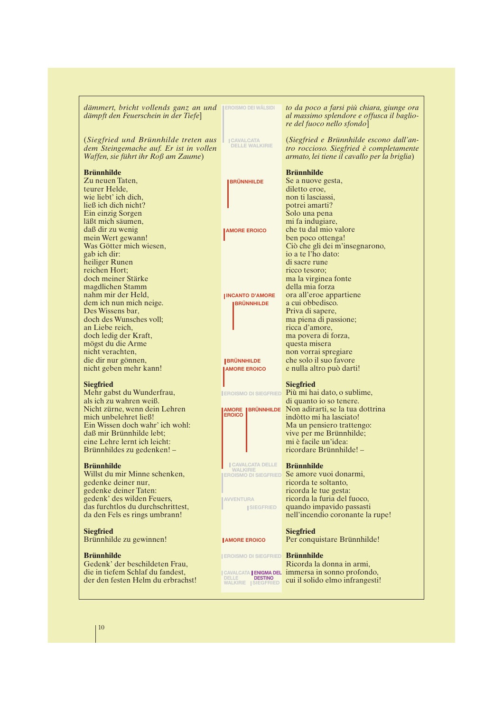| dämmert, bricht vollends ganz an und<br>dämpft den Feuerschein in der Tiefe]                                          | <b>EROISMO DEI WÄLSIDI</b>                     | to da poco a farsi più chiara, giunge ora<br>al massimo splendore e offusca il baglio-<br>re del fuoco nello sfondo]               |
|-----------------------------------------------------------------------------------------------------------------------|------------------------------------------------|------------------------------------------------------------------------------------------------------------------------------------|
| (Siegfried und Brünnhilde treten aus<br>dem Steingemache auf. Er ist in vollen<br>Waffen, sie führt ihr Roß am Zaume) | <b>CAVALCATA</b><br><b>DELLE WALKIRIE</b>      | (Siegfried e Brünnhilde escono dall'an-<br>tro roccioso. Siegfried è completamente<br>armato, lei tiene il cavallo per la briglia) |
| Brünnhilde<br>Zu neuen Taten,                                                                                         | <b>BRÜNNHILDE</b>                              | <b>Brünnhilde</b><br>Se a nuove gesta,                                                                                             |
| teurer Helde,<br>wie liebt' ich dich,                                                                                 |                                                | diletto eroe,<br>non ti lasciassi,                                                                                                 |
| ließ ich dich nicht?                                                                                                  |                                                | potrei amarti?                                                                                                                     |
| Ein einzig Sorgen<br>läßt mich säumen,                                                                                |                                                | Solo una pena<br>mi fa indugiare,                                                                                                  |
| daß dir zu wenig                                                                                                      | <b>JAMORE EROICO</b>                           | che tu dal mio valore                                                                                                              |
| mein Wert gewann!                                                                                                     |                                                | ben poco ottenga!                                                                                                                  |
| Was Götter mich wiesen,<br>gab ich dir:                                                                               |                                                | Ciò che gli dei m'insegnarono,<br>io a te l'ho dato:                                                                               |
| heiliger Runen                                                                                                        |                                                | di sacre rune                                                                                                                      |
| reichen Hort:                                                                                                         |                                                | ricco tesoro;                                                                                                                      |
| doch meiner Stärke<br>magdlichen Stamm                                                                                |                                                | ma la virginea fonte<br>della mia forza                                                                                            |
| nahm mir der Held,                                                                                                    | <b>INCANTO D'AMORE</b>                         | ora all'eroe appartiene                                                                                                            |
| dem ich nun mich neige.<br>Des Wissens bar,                                                                           | <b>BRÜNNHILDE</b>                              | a cui obbedisco.<br>Priva di sapere,                                                                                               |
| doch des Wunsches voll;                                                                                               |                                                | ma piena di passione;                                                                                                              |
| an Liebe reich,                                                                                                       |                                                | ricca d'amore,                                                                                                                     |
| doch ledig der Kraft,<br>mögst du die Arme                                                                            |                                                | ma povera di forza,<br>questa misera                                                                                               |
| nicht verachten,                                                                                                      |                                                | non vorrai spregiare                                                                                                               |
| die dir nur gönnen,                                                                                                   | <b>BRÜNNHILDE</b>                              | che solo il suo favore                                                                                                             |
| nicht geben mehr kann!                                                                                                | <b>AMORE EROICO</b>                            | e nulla altro può darti!                                                                                                           |
| <b>Siegfried</b>                                                                                                      |                                                | <b>Siegfried</b>                                                                                                                   |
| Mehr gabst du Wunderfrau,                                                                                             |                                                | <b>IEROISMO DI SIEGFRIED</b> Più mi hai dato, o sublime,                                                                           |
| als ich zu wahren weiß.<br>Nicht zürne, wenn dein Lehren                                                              |                                                | di quanto io so tenere.<br><b>AMORE IBRÜNNHILDE</b> Non adirarti, se la tua dottrina                                               |
| mich unbelehret ließ!                                                                                                 | <b>EROICO</b>                                  | indòtto mi ha lasciato!                                                                                                            |
| Ein Wissen doch wahr' ich wohl:                                                                                       |                                                | Ma un pensiero trattengo:                                                                                                          |
| daß mir Brünnhilde lebt;<br>eine Lehre lernt ich leicht:                                                              |                                                | vive per me Brünnhilde;<br>mi è facile un'idea:                                                                                    |
| Brünnhildes zu gedenken! -                                                                                            |                                                | ricordare Brünnhilde! -                                                                                                            |
| <b>Brünnhilde</b>                                                                                                     | <b>CAVALCATA DELLE</b>                         | <b>Brünnhilde</b>                                                                                                                  |
| Willst du mir Minne schenken,                                                                                         | <b>WALKIRIE</b><br><b>EROISMO DI SIEGFRIED</b> | Se amore vuoi donarmi,                                                                                                             |
| gedenke deiner nur,                                                                                                   |                                                | ricorda te soltanto,                                                                                                               |
| gedenke deiner Taten:                                                                                                 |                                                | ricorda le tue gesta:<br>ricorda la furia del fuoco,                                                                               |
| gedenk' des wilden Feuers,<br>das furchtlos du durchschrittest,                                                       | <b>AVVENTURA</b><br><b>SIEGFRIED</b>           | quando impavido passasti                                                                                                           |
| da den Fels es rings umbrann!                                                                                         |                                                | nell'incendio coronante la rupe!                                                                                                   |
| <b>Siegfried</b>                                                                                                      |                                                | <b>Siegfried</b>                                                                                                                   |
| Brünnhilde zu gewinnen!                                                                                               | <b>JAMORE EROICO</b>                           | Per conquistare Brünnhilde!                                                                                                        |
| <b>Brünnhilde</b>                                                                                                     | EROISMO DI SIEGFRIED Brünnhilde                |                                                                                                                                    |
| Gedenk' der beschildeten Frau,                                                                                        |                                                | Ricorda la donna in armi,                                                                                                          |
|                                                                                                                       |                                                |                                                                                                                                    |
| die in tiefem Schlaf du fandest,<br>der den festen Helm du erbrachst!                                                 | DELLE<br><b>DESTINO</b>                        | CAVALCATA JENIGMA DEL immersa in sonno profondo,<br>cui il solido elmo infrangesti!                                                |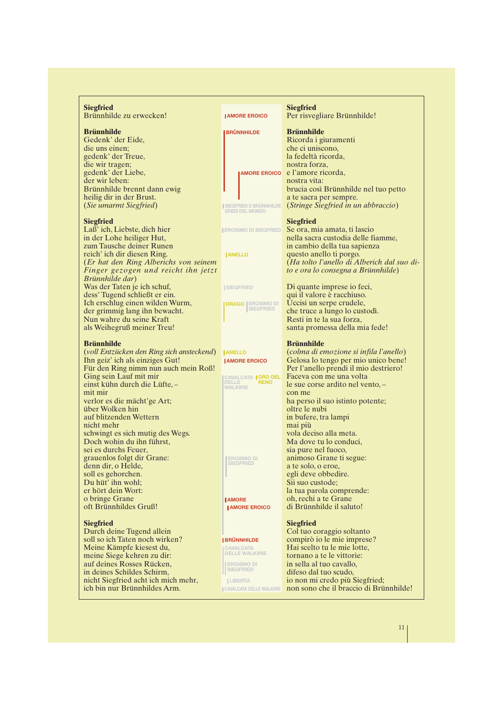| <b>Brünnhilde</b><br><b>Brünnhilde</b><br><b>BRÜNNHILDE</b><br>Gedenk' der Eide,<br>Ricorda i giuramenti<br>die uns einen;<br>che ci uniscono,<br>gedenk' der Treue,<br>la fedeltà ricorda,<br>die wir tragen;<br>nostra forza,<br>gedenk' der Liebe,<br>e l'amore ricorda,<br><b>AMORE EROICO</b><br>der wir leben:<br>nostra vita:<br>Brünnhilde brennt dann ewig<br>brucia così Brünnhilde nel tuo petto<br>heilig dir in der Brust.<br>a te sacra per sempre.<br>(Stringe Siegfried in un abbraccio)<br>(Sie umarmt Siegfried)<br>SIEGFRIED E BRÜNNHILDE<br><b>EREDI DEL MONDO</b><br><b>Siegfried</b><br><b>Siegfried</b><br>Laß' ich, Liebste, dich hier<br>Se ora, mia amata, ti lascio<br><b>EROISMO DI SIEGFRIED</b><br>nella sacra custodia delle fiamme,<br>in cambio della tua sapienza<br>questo anello ti porgo.<br><b>JANELLO</b><br>(Er hat den Ring Alberichs von seinem<br>(Ha tolto l'anello di Alberich dal suo di-<br>Finger gezogen und reicht ihn jetzt<br>to e ora lo consegna a Brünnhilde)<br>Brünnhilde dar)<br>Was der Taten je ich schuf,<br>Di quante imprese io feci,<br><b>ISIEGFRIED</b><br>dess' Tugend schließt er ein.<br>qui il valore è racchiuso.<br>Ich erschlug einen wilden Wurm,<br>Uccisi un serpe crudele,<br><b>DRAGO EROISMO DI</b><br><b>SIEGFRIED</b><br>che truce a lungo lo custodì.<br>der grimmig lang ihn bewacht.<br>Resti in te la sua forza,<br>als Weihegruß meiner Treu!<br>santa promessa della mia fede!<br><b>Brünnhilde</b><br><b>Brünnhilde</b><br>(voll Entzücken den Ring sich ansteckend)<br>(colma di emozione si infila l'anello)<br><b>JANELLO</b><br>Ihn geiz' ich als einziges Gut!<br>Gelosa lo tengo per mio unico bene!<br><b>JAMORE EROICO</b><br>Für den Ring nimm nun auch mein Roß!<br>Per l'anello prendi il mio destriero!<br>Ging sein Lauf mit mir<br>Faceva con me una volta<br>CAVALCATA <b>  ORO DEL</b><br>DELLE <b>RENO</b><br>le sue corse ardito nel vento, -<br><b>WALKIRIE</b><br>mit mir<br>con me<br>ha perso il suo istinto potente;<br>über Wolken hin<br>oltre le nubi<br>auf blitzenden Wettern<br>in bufere, tra lampi<br>nicht mehr<br>mai più<br>vola deciso alla meta.<br>schwingt es sich mutig des Wegs.<br>Doch wohin du ihn führst,<br>Ma dove tu lo conduci,<br>sei es durchs Feuer,<br>sia pure nel fuoco,<br>animoso Grane ti segue:<br>grauenlos folgt dir Grane:<br><b>EROISMO DI</b><br>denn dir, o Helde,<br><u> Eurric</u><br>a te solo, o eroe,<br>egli deve obbedire.<br>soll es gehorchen.<br>Sii suo custode;<br>la tua parola comprende:<br>oh, rechi a te Grane<br><b>JAMORE</b><br>oft Brünnhildes Gruß!<br>di Brünnhilde il saluto!<br><b>JAMORE EROICO</b><br><b>Siegfried</b><br><b>Siegfried</b><br>Durch deine Tugend allein<br>Col tuo coraggio soltanto<br>soll so ich Taten noch wirken?<br><b>IBRÜNNHILDE</b><br>compirò io le mie imprese?<br>Hai scelto tu le mie lotte,<br>Meine Kämpfe kiesest du,<br><b>CAVALCATA</b><br><b>DELLE WALKIRIE</b><br>tornano a te le vittorie:<br>in sella al tuo cavallo,<br><b>EROISMO DI</b><br><b>SIEGFRIED</b><br>difeso dal tuo scudo,<br>io non mi credo più Siegfried;<br><b>ILIBERTÀ</b><br>non sono che il braccio di Brünnhilde!<br><b>CAVALCATA DELLE WALKIRIE</b> | <b>Siegfried</b><br>Brünnhilde zu erwecken! | <b>JAMORE EROICO</b> | <b>Siegfried</b><br>Per risvegliare Brünnhilde! |
|----------------------------------------------------------------------------------------------------------------------------------------------------------------------------------------------------------------------------------------------------------------------------------------------------------------------------------------------------------------------------------------------------------------------------------------------------------------------------------------------------------------------------------------------------------------------------------------------------------------------------------------------------------------------------------------------------------------------------------------------------------------------------------------------------------------------------------------------------------------------------------------------------------------------------------------------------------------------------------------------------------------------------------------------------------------------------------------------------------------------------------------------------------------------------------------------------------------------------------------------------------------------------------------------------------------------------------------------------------------------------------------------------------------------------------------------------------------------------------------------------------------------------------------------------------------------------------------------------------------------------------------------------------------------------------------------------------------------------------------------------------------------------------------------------------------------------------------------------------------------------------------------------------------------------------------------------------------------------------------------------------------------------------------------------------------------------------------------------------------------------------------------------------------------------------------------------------------------------------------------------------------------------------------------------------------------------------------------------------------------------------------------------------------------------------------------------------------------------------------------------------------------------------------------------------------------------------------------------------------------------------------------------------------------------------------------------------------------------------------------------------------------------------------------------------------------------------------------------------------------------------------------------------------------------------------------------------------------------------------------------------------------------------------------------------------------------------------------------------------------------------------------------------------------------------------------------------------------------------------------------|---------------------------------------------|----------------------|-------------------------------------------------|
|                                                                                                                                                                                                                                                                                                                                                                                                                                                                                                                                                                                                                                                                                                                                                                                                                                                                                                                                                                                                                                                                                                                                                                                                                                                                                                                                                                                                                                                                                                                                                                                                                                                                                                                                                                                                                                                                                                                                                                                                                                                                                                                                                                                                                                                                                                                                                                                                                                                                                                                                                                                                                                                                                                                                                                                                                                                                                                                                                                                                                                                                                                                                                                                                                                                    |                                             |                      |                                                 |
|                                                                                                                                                                                                                                                                                                                                                                                                                                                                                                                                                                                                                                                                                                                                                                                                                                                                                                                                                                                                                                                                                                                                                                                                                                                                                                                                                                                                                                                                                                                                                                                                                                                                                                                                                                                                                                                                                                                                                                                                                                                                                                                                                                                                                                                                                                                                                                                                                                                                                                                                                                                                                                                                                                                                                                                                                                                                                                                                                                                                                                                                                                                                                                                                                                                    |                                             |                      |                                                 |
|                                                                                                                                                                                                                                                                                                                                                                                                                                                                                                                                                                                                                                                                                                                                                                                                                                                                                                                                                                                                                                                                                                                                                                                                                                                                                                                                                                                                                                                                                                                                                                                                                                                                                                                                                                                                                                                                                                                                                                                                                                                                                                                                                                                                                                                                                                                                                                                                                                                                                                                                                                                                                                                                                                                                                                                                                                                                                                                                                                                                                                                                                                                                                                                                                                                    |                                             |                      |                                                 |
|                                                                                                                                                                                                                                                                                                                                                                                                                                                                                                                                                                                                                                                                                                                                                                                                                                                                                                                                                                                                                                                                                                                                                                                                                                                                                                                                                                                                                                                                                                                                                                                                                                                                                                                                                                                                                                                                                                                                                                                                                                                                                                                                                                                                                                                                                                                                                                                                                                                                                                                                                                                                                                                                                                                                                                                                                                                                                                                                                                                                                                                                                                                                                                                                                                                    |                                             |                      |                                                 |
|                                                                                                                                                                                                                                                                                                                                                                                                                                                                                                                                                                                                                                                                                                                                                                                                                                                                                                                                                                                                                                                                                                                                                                                                                                                                                                                                                                                                                                                                                                                                                                                                                                                                                                                                                                                                                                                                                                                                                                                                                                                                                                                                                                                                                                                                                                                                                                                                                                                                                                                                                                                                                                                                                                                                                                                                                                                                                                                                                                                                                                                                                                                                                                                                                                                    |                                             |                      |                                                 |
|                                                                                                                                                                                                                                                                                                                                                                                                                                                                                                                                                                                                                                                                                                                                                                                                                                                                                                                                                                                                                                                                                                                                                                                                                                                                                                                                                                                                                                                                                                                                                                                                                                                                                                                                                                                                                                                                                                                                                                                                                                                                                                                                                                                                                                                                                                                                                                                                                                                                                                                                                                                                                                                                                                                                                                                                                                                                                                                                                                                                                                                                                                                                                                                                                                                    |                                             |                      |                                                 |
|                                                                                                                                                                                                                                                                                                                                                                                                                                                                                                                                                                                                                                                                                                                                                                                                                                                                                                                                                                                                                                                                                                                                                                                                                                                                                                                                                                                                                                                                                                                                                                                                                                                                                                                                                                                                                                                                                                                                                                                                                                                                                                                                                                                                                                                                                                                                                                                                                                                                                                                                                                                                                                                                                                                                                                                                                                                                                                                                                                                                                                                                                                                                                                                                                                                    |                                             |                      |                                                 |
|                                                                                                                                                                                                                                                                                                                                                                                                                                                                                                                                                                                                                                                                                                                                                                                                                                                                                                                                                                                                                                                                                                                                                                                                                                                                                                                                                                                                                                                                                                                                                                                                                                                                                                                                                                                                                                                                                                                                                                                                                                                                                                                                                                                                                                                                                                                                                                                                                                                                                                                                                                                                                                                                                                                                                                                                                                                                                                                                                                                                                                                                                                                                                                                                                                                    |                                             |                      |                                                 |
|                                                                                                                                                                                                                                                                                                                                                                                                                                                                                                                                                                                                                                                                                                                                                                                                                                                                                                                                                                                                                                                                                                                                                                                                                                                                                                                                                                                                                                                                                                                                                                                                                                                                                                                                                                                                                                                                                                                                                                                                                                                                                                                                                                                                                                                                                                                                                                                                                                                                                                                                                                                                                                                                                                                                                                                                                                                                                                                                                                                                                                                                                                                                                                                                                                                    |                                             |                      |                                                 |
|                                                                                                                                                                                                                                                                                                                                                                                                                                                                                                                                                                                                                                                                                                                                                                                                                                                                                                                                                                                                                                                                                                                                                                                                                                                                                                                                                                                                                                                                                                                                                                                                                                                                                                                                                                                                                                                                                                                                                                                                                                                                                                                                                                                                                                                                                                                                                                                                                                                                                                                                                                                                                                                                                                                                                                                                                                                                                                                                                                                                                                                                                                                                                                                                                                                    |                                             |                      |                                                 |
|                                                                                                                                                                                                                                                                                                                                                                                                                                                                                                                                                                                                                                                                                                                                                                                                                                                                                                                                                                                                                                                                                                                                                                                                                                                                                                                                                                                                                                                                                                                                                                                                                                                                                                                                                                                                                                                                                                                                                                                                                                                                                                                                                                                                                                                                                                                                                                                                                                                                                                                                                                                                                                                                                                                                                                                                                                                                                                                                                                                                                                                                                                                                                                                                                                                    |                                             |                      |                                                 |
|                                                                                                                                                                                                                                                                                                                                                                                                                                                                                                                                                                                                                                                                                                                                                                                                                                                                                                                                                                                                                                                                                                                                                                                                                                                                                                                                                                                                                                                                                                                                                                                                                                                                                                                                                                                                                                                                                                                                                                                                                                                                                                                                                                                                                                                                                                                                                                                                                                                                                                                                                                                                                                                                                                                                                                                                                                                                                                                                                                                                                                                                                                                                                                                                                                                    |                                             |                      |                                                 |
|                                                                                                                                                                                                                                                                                                                                                                                                                                                                                                                                                                                                                                                                                                                                                                                                                                                                                                                                                                                                                                                                                                                                                                                                                                                                                                                                                                                                                                                                                                                                                                                                                                                                                                                                                                                                                                                                                                                                                                                                                                                                                                                                                                                                                                                                                                                                                                                                                                                                                                                                                                                                                                                                                                                                                                                                                                                                                                                                                                                                                                                                                                                                                                                                                                                    | in der Lohe heiliger Hut,                   |                      |                                                 |
|                                                                                                                                                                                                                                                                                                                                                                                                                                                                                                                                                                                                                                                                                                                                                                                                                                                                                                                                                                                                                                                                                                                                                                                                                                                                                                                                                                                                                                                                                                                                                                                                                                                                                                                                                                                                                                                                                                                                                                                                                                                                                                                                                                                                                                                                                                                                                                                                                                                                                                                                                                                                                                                                                                                                                                                                                                                                                                                                                                                                                                                                                                                                                                                                                                                    | zum Tausche deiner Runen                    |                      |                                                 |
|                                                                                                                                                                                                                                                                                                                                                                                                                                                                                                                                                                                                                                                                                                                                                                                                                                                                                                                                                                                                                                                                                                                                                                                                                                                                                                                                                                                                                                                                                                                                                                                                                                                                                                                                                                                                                                                                                                                                                                                                                                                                                                                                                                                                                                                                                                                                                                                                                                                                                                                                                                                                                                                                                                                                                                                                                                                                                                                                                                                                                                                                                                                                                                                                                                                    | reich' ich dir diesen Ring.                 |                      |                                                 |
|                                                                                                                                                                                                                                                                                                                                                                                                                                                                                                                                                                                                                                                                                                                                                                                                                                                                                                                                                                                                                                                                                                                                                                                                                                                                                                                                                                                                                                                                                                                                                                                                                                                                                                                                                                                                                                                                                                                                                                                                                                                                                                                                                                                                                                                                                                                                                                                                                                                                                                                                                                                                                                                                                                                                                                                                                                                                                                                                                                                                                                                                                                                                                                                                                                                    |                                             |                      |                                                 |
|                                                                                                                                                                                                                                                                                                                                                                                                                                                                                                                                                                                                                                                                                                                                                                                                                                                                                                                                                                                                                                                                                                                                                                                                                                                                                                                                                                                                                                                                                                                                                                                                                                                                                                                                                                                                                                                                                                                                                                                                                                                                                                                                                                                                                                                                                                                                                                                                                                                                                                                                                                                                                                                                                                                                                                                                                                                                                                                                                                                                                                                                                                                                                                                                                                                    |                                             |                      |                                                 |
|                                                                                                                                                                                                                                                                                                                                                                                                                                                                                                                                                                                                                                                                                                                                                                                                                                                                                                                                                                                                                                                                                                                                                                                                                                                                                                                                                                                                                                                                                                                                                                                                                                                                                                                                                                                                                                                                                                                                                                                                                                                                                                                                                                                                                                                                                                                                                                                                                                                                                                                                                                                                                                                                                                                                                                                                                                                                                                                                                                                                                                                                                                                                                                                                                                                    |                                             |                      |                                                 |
|                                                                                                                                                                                                                                                                                                                                                                                                                                                                                                                                                                                                                                                                                                                                                                                                                                                                                                                                                                                                                                                                                                                                                                                                                                                                                                                                                                                                                                                                                                                                                                                                                                                                                                                                                                                                                                                                                                                                                                                                                                                                                                                                                                                                                                                                                                                                                                                                                                                                                                                                                                                                                                                                                                                                                                                                                                                                                                                                                                                                                                                                                                                                                                                                                                                    |                                             |                      |                                                 |
|                                                                                                                                                                                                                                                                                                                                                                                                                                                                                                                                                                                                                                                                                                                                                                                                                                                                                                                                                                                                                                                                                                                                                                                                                                                                                                                                                                                                                                                                                                                                                                                                                                                                                                                                                                                                                                                                                                                                                                                                                                                                                                                                                                                                                                                                                                                                                                                                                                                                                                                                                                                                                                                                                                                                                                                                                                                                                                                                                                                                                                                                                                                                                                                                                                                    |                                             |                      |                                                 |
|                                                                                                                                                                                                                                                                                                                                                                                                                                                                                                                                                                                                                                                                                                                                                                                                                                                                                                                                                                                                                                                                                                                                                                                                                                                                                                                                                                                                                                                                                                                                                                                                                                                                                                                                                                                                                                                                                                                                                                                                                                                                                                                                                                                                                                                                                                                                                                                                                                                                                                                                                                                                                                                                                                                                                                                                                                                                                                                                                                                                                                                                                                                                                                                                                                                    |                                             |                      |                                                 |
|                                                                                                                                                                                                                                                                                                                                                                                                                                                                                                                                                                                                                                                                                                                                                                                                                                                                                                                                                                                                                                                                                                                                                                                                                                                                                                                                                                                                                                                                                                                                                                                                                                                                                                                                                                                                                                                                                                                                                                                                                                                                                                                                                                                                                                                                                                                                                                                                                                                                                                                                                                                                                                                                                                                                                                                                                                                                                                                                                                                                                                                                                                                                                                                                                                                    | Nun wahre du seine Kraft                    |                      |                                                 |
|                                                                                                                                                                                                                                                                                                                                                                                                                                                                                                                                                                                                                                                                                                                                                                                                                                                                                                                                                                                                                                                                                                                                                                                                                                                                                                                                                                                                                                                                                                                                                                                                                                                                                                                                                                                                                                                                                                                                                                                                                                                                                                                                                                                                                                                                                                                                                                                                                                                                                                                                                                                                                                                                                                                                                                                                                                                                                                                                                                                                                                                                                                                                                                                                                                                    |                                             |                      |                                                 |
|                                                                                                                                                                                                                                                                                                                                                                                                                                                                                                                                                                                                                                                                                                                                                                                                                                                                                                                                                                                                                                                                                                                                                                                                                                                                                                                                                                                                                                                                                                                                                                                                                                                                                                                                                                                                                                                                                                                                                                                                                                                                                                                                                                                                                                                                                                                                                                                                                                                                                                                                                                                                                                                                                                                                                                                                                                                                                                                                                                                                                                                                                                                                                                                                                                                    |                                             |                      |                                                 |
|                                                                                                                                                                                                                                                                                                                                                                                                                                                                                                                                                                                                                                                                                                                                                                                                                                                                                                                                                                                                                                                                                                                                                                                                                                                                                                                                                                                                                                                                                                                                                                                                                                                                                                                                                                                                                                                                                                                                                                                                                                                                                                                                                                                                                                                                                                                                                                                                                                                                                                                                                                                                                                                                                                                                                                                                                                                                                                                                                                                                                                                                                                                                                                                                                                                    |                                             |                      |                                                 |
|                                                                                                                                                                                                                                                                                                                                                                                                                                                                                                                                                                                                                                                                                                                                                                                                                                                                                                                                                                                                                                                                                                                                                                                                                                                                                                                                                                                                                                                                                                                                                                                                                                                                                                                                                                                                                                                                                                                                                                                                                                                                                                                                                                                                                                                                                                                                                                                                                                                                                                                                                                                                                                                                                                                                                                                                                                                                                                                                                                                                                                                                                                                                                                                                                                                    |                                             |                      |                                                 |
|                                                                                                                                                                                                                                                                                                                                                                                                                                                                                                                                                                                                                                                                                                                                                                                                                                                                                                                                                                                                                                                                                                                                                                                                                                                                                                                                                                                                                                                                                                                                                                                                                                                                                                                                                                                                                                                                                                                                                                                                                                                                                                                                                                                                                                                                                                                                                                                                                                                                                                                                                                                                                                                                                                                                                                                                                                                                                                                                                                                                                                                                                                                                                                                                                                                    |                                             |                      |                                                 |
|                                                                                                                                                                                                                                                                                                                                                                                                                                                                                                                                                                                                                                                                                                                                                                                                                                                                                                                                                                                                                                                                                                                                                                                                                                                                                                                                                                                                                                                                                                                                                                                                                                                                                                                                                                                                                                                                                                                                                                                                                                                                                                                                                                                                                                                                                                                                                                                                                                                                                                                                                                                                                                                                                                                                                                                                                                                                                                                                                                                                                                                                                                                                                                                                                                                    |                                             |                      |                                                 |
|                                                                                                                                                                                                                                                                                                                                                                                                                                                                                                                                                                                                                                                                                                                                                                                                                                                                                                                                                                                                                                                                                                                                                                                                                                                                                                                                                                                                                                                                                                                                                                                                                                                                                                                                                                                                                                                                                                                                                                                                                                                                                                                                                                                                                                                                                                                                                                                                                                                                                                                                                                                                                                                                                                                                                                                                                                                                                                                                                                                                                                                                                                                                                                                                                                                    | einst kühn durch die Lüfte,-                |                      |                                                 |
|                                                                                                                                                                                                                                                                                                                                                                                                                                                                                                                                                                                                                                                                                                                                                                                                                                                                                                                                                                                                                                                                                                                                                                                                                                                                                                                                                                                                                                                                                                                                                                                                                                                                                                                                                                                                                                                                                                                                                                                                                                                                                                                                                                                                                                                                                                                                                                                                                                                                                                                                                                                                                                                                                                                                                                                                                                                                                                                                                                                                                                                                                                                                                                                                                                                    |                                             |                      |                                                 |
|                                                                                                                                                                                                                                                                                                                                                                                                                                                                                                                                                                                                                                                                                                                                                                                                                                                                                                                                                                                                                                                                                                                                                                                                                                                                                                                                                                                                                                                                                                                                                                                                                                                                                                                                                                                                                                                                                                                                                                                                                                                                                                                                                                                                                                                                                                                                                                                                                                                                                                                                                                                                                                                                                                                                                                                                                                                                                                                                                                                                                                                                                                                                                                                                                                                    | verlor es die mächt'ge Art;                 |                      |                                                 |
|                                                                                                                                                                                                                                                                                                                                                                                                                                                                                                                                                                                                                                                                                                                                                                                                                                                                                                                                                                                                                                                                                                                                                                                                                                                                                                                                                                                                                                                                                                                                                                                                                                                                                                                                                                                                                                                                                                                                                                                                                                                                                                                                                                                                                                                                                                                                                                                                                                                                                                                                                                                                                                                                                                                                                                                                                                                                                                                                                                                                                                                                                                                                                                                                                                                    |                                             |                      |                                                 |
|                                                                                                                                                                                                                                                                                                                                                                                                                                                                                                                                                                                                                                                                                                                                                                                                                                                                                                                                                                                                                                                                                                                                                                                                                                                                                                                                                                                                                                                                                                                                                                                                                                                                                                                                                                                                                                                                                                                                                                                                                                                                                                                                                                                                                                                                                                                                                                                                                                                                                                                                                                                                                                                                                                                                                                                                                                                                                                                                                                                                                                                                                                                                                                                                                                                    |                                             |                      |                                                 |
|                                                                                                                                                                                                                                                                                                                                                                                                                                                                                                                                                                                                                                                                                                                                                                                                                                                                                                                                                                                                                                                                                                                                                                                                                                                                                                                                                                                                                                                                                                                                                                                                                                                                                                                                                                                                                                                                                                                                                                                                                                                                                                                                                                                                                                                                                                                                                                                                                                                                                                                                                                                                                                                                                                                                                                                                                                                                                                                                                                                                                                                                                                                                                                                                                                                    |                                             |                      |                                                 |
|                                                                                                                                                                                                                                                                                                                                                                                                                                                                                                                                                                                                                                                                                                                                                                                                                                                                                                                                                                                                                                                                                                                                                                                                                                                                                                                                                                                                                                                                                                                                                                                                                                                                                                                                                                                                                                                                                                                                                                                                                                                                                                                                                                                                                                                                                                                                                                                                                                                                                                                                                                                                                                                                                                                                                                                                                                                                                                                                                                                                                                                                                                                                                                                                                                                    |                                             |                      |                                                 |
|                                                                                                                                                                                                                                                                                                                                                                                                                                                                                                                                                                                                                                                                                                                                                                                                                                                                                                                                                                                                                                                                                                                                                                                                                                                                                                                                                                                                                                                                                                                                                                                                                                                                                                                                                                                                                                                                                                                                                                                                                                                                                                                                                                                                                                                                                                                                                                                                                                                                                                                                                                                                                                                                                                                                                                                                                                                                                                                                                                                                                                                                                                                                                                                                                                                    |                                             |                      |                                                 |
|                                                                                                                                                                                                                                                                                                                                                                                                                                                                                                                                                                                                                                                                                                                                                                                                                                                                                                                                                                                                                                                                                                                                                                                                                                                                                                                                                                                                                                                                                                                                                                                                                                                                                                                                                                                                                                                                                                                                                                                                                                                                                                                                                                                                                                                                                                                                                                                                                                                                                                                                                                                                                                                                                                                                                                                                                                                                                                                                                                                                                                                                                                                                                                                                                                                    |                                             |                      |                                                 |
|                                                                                                                                                                                                                                                                                                                                                                                                                                                                                                                                                                                                                                                                                                                                                                                                                                                                                                                                                                                                                                                                                                                                                                                                                                                                                                                                                                                                                                                                                                                                                                                                                                                                                                                                                                                                                                                                                                                                                                                                                                                                                                                                                                                                                                                                                                                                                                                                                                                                                                                                                                                                                                                                                                                                                                                                                                                                                                                                                                                                                                                                                                                                                                                                                                                    |                                             |                      |                                                 |
|                                                                                                                                                                                                                                                                                                                                                                                                                                                                                                                                                                                                                                                                                                                                                                                                                                                                                                                                                                                                                                                                                                                                                                                                                                                                                                                                                                                                                                                                                                                                                                                                                                                                                                                                                                                                                                                                                                                                                                                                                                                                                                                                                                                                                                                                                                                                                                                                                                                                                                                                                                                                                                                                                                                                                                                                                                                                                                                                                                                                                                                                                                                                                                                                                                                    |                                             |                      |                                                 |
|                                                                                                                                                                                                                                                                                                                                                                                                                                                                                                                                                                                                                                                                                                                                                                                                                                                                                                                                                                                                                                                                                                                                                                                                                                                                                                                                                                                                                                                                                                                                                                                                                                                                                                                                                                                                                                                                                                                                                                                                                                                                                                                                                                                                                                                                                                                                                                                                                                                                                                                                                                                                                                                                                                                                                                                                                                                                                                                                                                                                                                                                                                                                                                                                                                                    | Du hüt' ihn wohl;                           |                      |                                                 |
|                                                                                                                                                                                                                                                                                                                                                                                                                                                                                                                                                                                                                                                                                                                                                                                                                                                                                                                                                                                                                                                                                                                                                                                                                                                                                                                                                                                                                                                                                                                                                                                                                                                                                                                                                                                                                                                                                                                                                                                                                                                                                                                                                                                                                                                                                                                                                                                                                                                                                                                                                                                                                                                                                                                                                                                                                                                                                                                                                                                                                                                                                                                                                                                                                                                    | er hört dein Wort:                          |                      |                                                 |
|                                                                                                                                                                                                                                                                                                                                                                                                                                                                                                                                                                                                                                                                                                                                                                                                                                                                                                                                                                                                                                                                                                                                                                                                                                                                                                                                                                                                                                                                                                                                                                                                                                                                                                                                                                                                                                                                                                                                                                                                                                                                                                                                                                                                                                                                                                                                                                                                                                                                                                                                                                                                                                                                                                                                                                                                                                                                                                                                                                                                                                                                                                                                                                                                                                                    | o bringe Grane                              |                      |                                                 |
|                                                                                                                                                                                                                                                                                                                                                                                                                                                                                                                                                                                                                                                                                                                                                                                                                                                                                                                                                                                                                                                                                                                                                                                                                                                                                                                                                                                                                                                                                                                                                                                                                                                                                                                                                                                                                                                                                                                                                                                                                                                                                                                                                                                                                                                                                                                                                                                                                                                                                                                                                                                                                                                                                                                                                                                                                                                                                                                                                                                                                                                                                                                                                                                                                                                    |                                             |                      |                                                 |
|                                                                                                                                                                                                                                                                                                                                                                                                                                                                                                                                                                                                                                                                                                                                                                                                                                                                                                                                                                                                                                                                                                                                                                                                                                                                                                                                                                                                                                                                                                                                                                                                                                                                                                                                                                                                                                                                                                                                                                                                                                                                                                                                                                                                                                                                                                                                                                                                                                                                                                                                                                                                                                                                                                                                                                                                                                                                                                                                                                                                                                                                                                                                                                                                                                                    |                                             |                      |                                                 |
|                                                                                                                                                                                                                                                                                                                                                                                                                                                                                                                                                                                                                                                                                                                                                                                                                                                                                                                                                                                                                                                                                                                                                                                                                                                                                                                                                                                                                                                                                                                                                                                                                                                                                                                                                                                                                                                                                                                                                                                                                                                                                                                                                                                                                                                                                                                                                                                                                                                                                                                                                                                                                                                                                                                                                                                                                                                                                                                                                                                                                                                                                                                                                                                                                                                    |                                             |                      |                                                 |
|                                                                                                                                                                                                                                                                                                                                                                                                                                                                                                                                                                                                                                                                                                                                                                                                                                                                                                                                                                                                                                                                                                                                                                                                                                                                                                                                                                                                                                                                                                                                                                                                                                                                                                                                                                                                                                                                                                                                                                                                                                                                                                                                                                                                                                                                                                                                                                                                                                                                                                                                                                                                                                                                                                                                                                                                                                                                                                                                                                                                                                                                                                                                                                                                                                                    |                                             |                      |                                                 |
|                                                                                                                                                                                                                                                                                                                                                                                                                                                                                                                                                                                                                                                                                                                                                                                                                                                                                                                                                                                                                                                                                                                                                                                                                                                                                                                                                                                                                                                                                                                                                                                                                                                                                                                                                                                                                                                                                                                                                                                                                                                                                                                                                                                                                                                                                                                                                                                                                                                                                                                                                                                                                                                                                                                                                                                                                                                                                                                                                                                                                                                                                                                                                                                                                                                    |                                             |                      |                                                 |
|                                                                                                                                                                                                                                                                                                                                                                                                                                                                                                                                                                                                                                                                                                                                                                                                                                                                                                                                                                                                                                                                                                                                                                                                                                                                                                                                                                                                                                                                                                                                                                                                                                                                                                                                                                                                                                                                                                                                                                                                                                                                                                                                                                                                                                                                                                                                                                                                                                                                                                                                                                                                                                                                                                                                                                                                                                                                                                                                                                                                                                                                                                                                                                                                                                                    | meine Siege kehren zu dir:                  |                      |                                                 |
|                                                                                                                                                                                                                                                                                                                                                                                                                                                                                                                                                                                                                                                                                                                                                                                                                                                                                                                                                                                                                                                                                                                                                                                                                                                                                                                                                                                                                                                                                                                                                                                                                                                                                                                                                                                                                                                                                                                                                                                                                                                                                                                                                                                                                                                                                                                                                                                                                                                                                                                                                                                                                                                                                                                                                                                                                                                                                                                                                                                                                                                                                                                                                                                                                                                    | auf deines Rosses Rücken,                   |                      |                                                 |
|                                                                                                                                                                                                                                                                                                                                                                                                                                                                                                                                                                                                                                                                                                                                                                                                                                                                                                                                                                                                                                                                                                                                                                                                                                                                                                                                                                                                                                                                                                                                                                                                                                                                                                                                                                                                                                                                                                                                                                                                                                                                                                                                                                                                                                                                                                                                                                                                                                                                                                                                                                                                                                                                                                                                                                                                                                                                                                                                                                                                                                                                                                                                                                                                                                                    | in deines Schildes Schirm,                  |                      |                                                 |
|                                                                                                                                                                                                                                                                                                                                                                                                                                                                                                                                                                                                                                                                                                                                                                                                                                                                                                                                                                                                                                                                                                                                                                                                                                                                                                                                                                                                                                                                                                                                                                                                                                                                                                                                                                                                                                                                                                                                                                                                                                                                                                                                                                                                                                                                                                                                                                                                                                                                                                                                                                                                                                                                                                                                                                                                                                                                                                                                                                                                                                                                                                                                                                                                                                                    | nicht Siegfried acht ich mich mehr,         |                      |                                                 |
|                                                                                                                                                                                                                                                                                                                                                                                                                                                                                                                                                                                                                                                                                                                                                                                                                                                                                                                                                                                                                                                                                                                                                                                                                                                                                                                                                                                                                                                                                                                                                                                                                                                                                                                                                                                                                                                                                                                                                                                                                                                                                                                                                                                                                                                                                                                                                                                                                                                                                                                                                                                                                                                                                                                                                                                                                                                                                                                                                                                                                                                                                                                                                                                                                                                    | ich bin nur Brünnhildes Arm.                |                      |                                                 |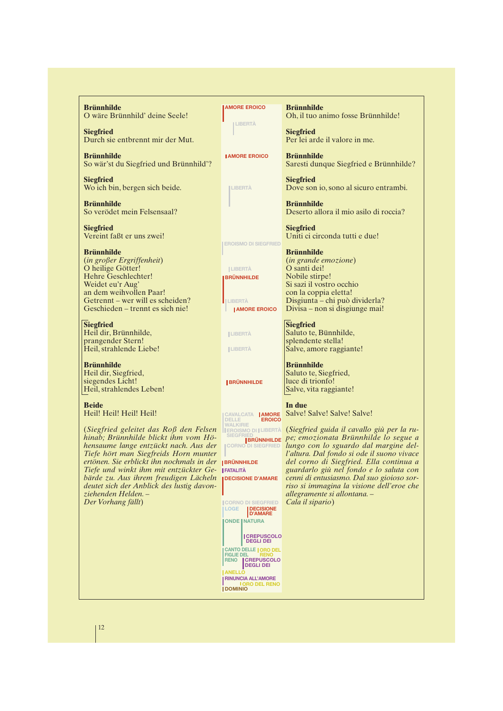**Brünnhilde** O wäre Brünnhild' deine Seele!

**Siegfried** Durch sie entbrennt mir der Mut.

**Brünnhilde** So wär'st du Siegfried und Brünnhild'?

**Siegfried** Wo ich bin, bergen sich beide.

**Brünnhilde** So verödet mein Felsensaal?

**Siegfried** Vereint faßt er uns zwei!

**Brünnhilde** (*in großer Ergriffenheit*) O heilige Götter! Hehre Geschlechter! Weidet eu'r Aug' an dem weihvollen Paar! Getrennt – wer will es scheiden? Geschieden – trennt es sich nie!

**Siegfried** Heil dir, Brünnhilde, prangender Stern! Heil, strahlende Liebe!

**Brünnhilde** Heil dir, Siegfried, siegendes Licht! Heil, strahlendes Leben!

**Beide** Heil! Heil! Heil! Heil!

**BRÜNNHILDE** *ertönen. Sie erblickt ihn nochmals in der*  $Tiefe$  *und winkt ihm mit entzückter Ge-* | FATALITÀ (*Siegfried geleitet das Roß den Felsen hinab; Brünnhilde blickt ihm vom Höhensaume lange entzückt nach. Aus der Tiefe hört man Siegfreids Horn munter bärde zu. Aus ihrem freudigen Lächeln deutet sich der Anblick des lustig davonziehenden Helden. – Der Vorhang fällt*)

**AMORE EROICO**

**LIBERTÀ**

**I AMORE EROICO** 

**LIBERTÀ**

**EROISMO DI SIEGFRIED**

**LIBERTÀ BRÜNNHILDE**

**LIBERTÀ AMORE EROICO** 

**LIBERTÀ**

**LIBERTÀ**

**BRÜNNHILDE**

**AMORE EROICO CAVALCATA DELLE WALKIRIE LIBERTÀ EROISMO DI**

**CORNO DI SIEGFRIED**

**DECISIONE D'AMARE**

**CORNO DI SIEGFRIED LOGE DECISIONE D'AMARE ONDE | NATURA ORO DEL RENO CREPUSCOLO DEGLI DEI RINUNCIA ALL'AMORE ANELLO CREPUSCOLO DEGLI DEI CANTO DELLE FIGLIE DEL RENO**

**DOMINIO ORO DEL RENO**

**Brünnhilde** Oh, il tuo animo fosse Brünnhilde!

**Siegfried** Per lei arde il valore in me.

**Brünnhilde** Saresti dunque Siegfried e Brünnhilde?

**Siegfried** Dove son io, sono al sicuro entrambi.

**Brünnhilde** Deserto allora il mio asilo di roccia?

**Siegfried** Uniti ci circonda tutti e due!

#### **Brünnhilde**

(*in grande emozione*) O santi dei! Nobile stirpe! Si sazi il vostro occhio con la coppia eletta! Disgiunta – chi può dividerla? Divisa – non si disgiunge mai!

**Siegfried** Saluto te, Bünnhilde, splendente stella! Salve, amore raggiante!

#### **Brünnhilde**

Saluto te, Siegfried, luce di trionfo! Salve, vita raggiante!

#### **In due**

Salve! Salve! Salve! Salve!

(*Siegfried guida il cavallo giù per la rupe; emozionata Brünnhilde lo segue a* **lungo con lo se peter de la primalide lo segue a<br>conno di sieg<del>rnied</del> lungo con lo sguardo dal margine del***l'altura. Dal fondo si ode il suono vivace del corno di Siegfried. Ella continua a guardarlo giù nel fondo e lo saluta con cenni di entusiasmo. Dal suo gioioso sorriso si immagina la visione dell'eroe che allegramente si allontana. – Cala il sipario*)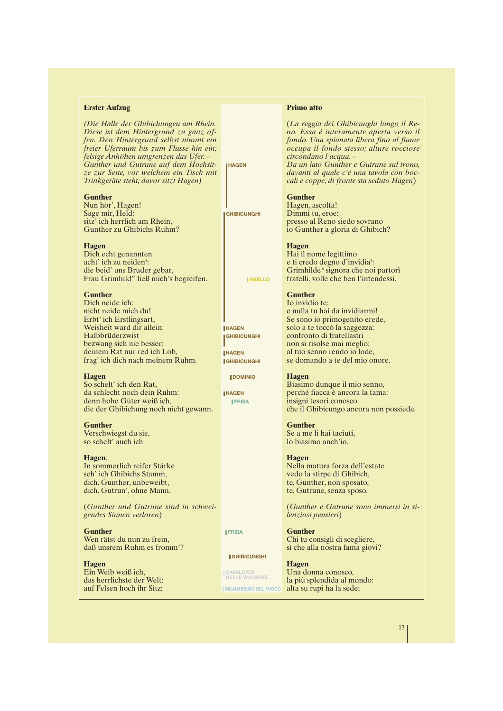#### **Erster Aufzug**

*(Die Halle der Ghibichungen am Rhein. Diese ist dem Hintergrund zu ganz offen. Den Hintergrund selbst nimmt ein freier Uferraum bis zum Flusse hin ein; felsige Anhöhen umgrenzen das Ufer. – Gunther und Gutrune auf dem Hochsitze zur Seite, vor welchem ein Tisch mit Trinkgeräte steht; davor sitzt Hagen)*

#### **Gunther**

Nun hör', Hagen! Sage mir, Held: sitz' ich herrlich am Rhein. Gunther zu Ghibichs Ruhm?

#### **Hagen**

Dich echt genannten acht' ich zu neiden<sup>5</sup>: die beid' uns Brüder gebar, Frau Grimhild'<sup>6</sup> ließ mich's begreifen.

#### **Gunther**

Dich neide ich: nicht neide mich du! Erbt' ich Erstlingsart, Weisheit ward dir allein: Halbbrüderzwist bezwang sich nie besser; deinem Rat nur red ich Lob, frag' ich dich nach meinem Ruhm.

#### **Hagen**

So schelt' ich den Rat, da schlecht noch dein Ruhm: denn hohe Güter weiß ich, die der Ghibichung noch nicht gewann.

#### **Gunther**

Verschwiegst du sie, so schelt' auch ich.

#### **Hagen**.

In sommerlich reifer Stärke seh' ich Ghibichs Stamm, dich, Gunther, unbeweibt, dich, Gutrun', ohne Mann.

(*Gunther und Gutrune sind in schweigendes Sinnen verloren*)

**Gunther** Wen rätst du nun zu frein, daß unsrem Ruhm es fromm'?

**Hagen** Ein Weib weiß ich, das herrlichste der Welt: auf Felsen hoch ihr Sitz;

**FREIA**

#### **GHIBICUNGHI**

**CAVALCATA DELLE WALKIRIE INCANTESIMO DEL FUOCO**

#### **Primo atto**

(*La reggia dei Ghibicunghi lungo il Reno. Essa è interamente aperta verso il fondo. Una spianata libera fino al fiume occupa il fondo stesso; alture rocciose circondano l'acqua. – Da un lato Gunther e Gutrune sul trono, davanti al quale c'è una tavola con boccali e coppe; di fronte sta seduto Hagen*)

#### **Gunther**

**HAGEN**

**GHIBICUNGHI**

**HAGEN GHIBICUNGHI**

**HAGEN**

**GHIBICUNGHI DOMINIO**

**HAGEN**

**FREIA**

**ANELLO**

Hagen, ascolta! Dimmi tu, eroe: presso al Reno siedo sovrano io Gunther a gloria di Ghibich?

#### **Hagen**

Hai il nome legittimo e ti credo degno d'invidia<sup>5</sup>: Grimhilde<sup>6</sup> signora che noi partorì fratelli, volle che ben l'intendessi.

### **Gunther**

Io invidio te: e nulla tu hai da invidiarmi! Se sono io primogenito erede, solo a te toccò la saggezza: confronto di fratellastri non si risolse mai meglio; al tuo senno rendo io lode, se domando a te del mio onore.

#### **Hagen**

Biasimo dunque il mio senno, perché fiacca è ancora la fama: insigni tesori conosco che il Ghibicungo ancora non possiede.

#### **Gunther** Se a me li hai taciuti, lo biasimo anch'io.

**Hagen** Nella matura forza dell'estate vedo la stirpe di Ghibich, te, Gunther, non sposato, te, Gutrune, senza sposo.

(*Gunther e Gutrune sono immersi in silenziosi pensieri*)

**Gunther** Chi tu consigli di scegliere, sì che alla nostra fama giovi?

#### **Hagen** Una donna conosco, la più splendida al mondo: alta su rupi ha la sede;

13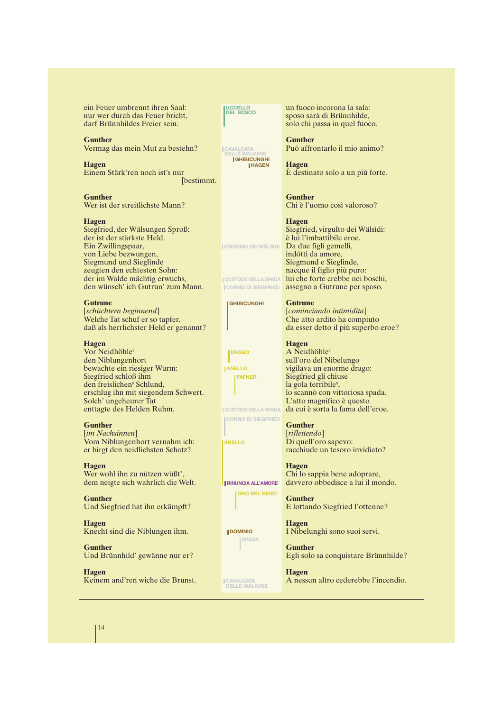ein Feuer umbrennt ihren Saal: nur wer durch das Feuer bricht, darf Brünnhildes Freier sein.

**Gunther** Vermag das mein Mut zu bestehn?

**Hagen** Einem Stärk'ren noch ist's nur [bestimmt.

**Gunther** Wer ist der streitlichste Mann?

**Hagen**

Siegfried, der Wälsungen Sproß: der ist der stärkste Held. Ein Zwillingspaar, von Liebe bezwungen, Siegmund und Sieglinde zeugten den echtesten Sohn: der im Walde mächtig erwuchs, den wünsch' ich Gutrun' zum Mann.

**Gutrune**

[*schüchtern beginnend*] Welche Tat schuf er so tapfer, daß als herrlichster Held er genannt?

**Hagen**

Vor Neidhöhle<sup>7</sup> den Niblungenhort bewachte ein riesiger Wurm: Siegfried schloß ihm den freislichen<sup>8</sup> Schlund, erschlug ihn mit siegendem Schwert. Solch' ungeheurer Tat enttagte des Helden Ruhm.

**Gunther**

[*im Nachsinnen*] Vom Niblungenhort vernahm ich: er birgt den neidlichsten Schatz?

**Hagen** Wer wohl ihn zu nützen wüßt', dem neigte sich wahrlich die Welt.

**Gunther** Und Siegfried hat ihn erkämpft?

**Hagen** Knecht sind die Niblungen ihm.

**Gunther** Und Brünnhild' gewänne nur er?

**Hagen** Keinem and'ren wiche die Brunst. **UCCELLO DEL BOSCO**

**CAVALCATA DELLE WALKIRIE GHIBICUNGHI HAGEN**

**EROISMO DEI WÄLSIDI**

**CUSTODE DELLA SPADA**

**GHIBICUNGHI**

**DRAGO ANELLO FAFNER**

un fuoco incorona la sala: sposo sarà di Brünnhilde, solo chi passa in quel fuoco.

**Gunther**

Può affrontarlo il mio animo? **Hagen**

È destinato solo a un più forte.

**Gunther** Chi è l'uomo così valoroso?

**Hagen** Siegfried, virgulto dei Wälsìdi: è lui l'imbattibile eroe. Da due figli gemelli, indótti da amore, Siegmund e Sieglinde, nacque il figlio più puro: lui che forte crebbe nei boschi, CORNO DI SIEGFRIED **assegno a Gutrune per sposo.** 

> **Gutrune** [*cominciando intimidita*] Che atto ardito ha compiuto da esser detto il più superbo eroe?

**Hagen** A Neidhöhle<sup>7</sup> sull'oro del Nibelungo vigilava un enorme drago: Siegfried gli chiuse la gola terribile<sup>8</sup>, lo scannò con vittoriosa spada. L'atto magnifico è questo da cui è sorta la fama dell'eroe.

**Gunther** [*riflettendo*] Di quell'oro sapevo: racchiude un tesoro invidiato?

**Hagen** Chi lo sappia bene adoprare, davvero obbedisce a lui il mondo.

**Gunther** E lottando Siegfried l'ottenne?

**Hagen** I Nibelunghi sono suoi servi.

**Gunther** Egli solo sa conquistare Brünnhilde?

**Hagen** A nessun altro cederebbe l'incendio.

14

**CUSTODE DELLA SPADA**

**CORNO DI SIEGFRIED**

*ANELLO* 

**RINUNCIA ALL'AMORE**

**ORO DEL RENO**

**DOMINIO**

**SPADA**

**CAVALCATA DELLE WALKIRIE**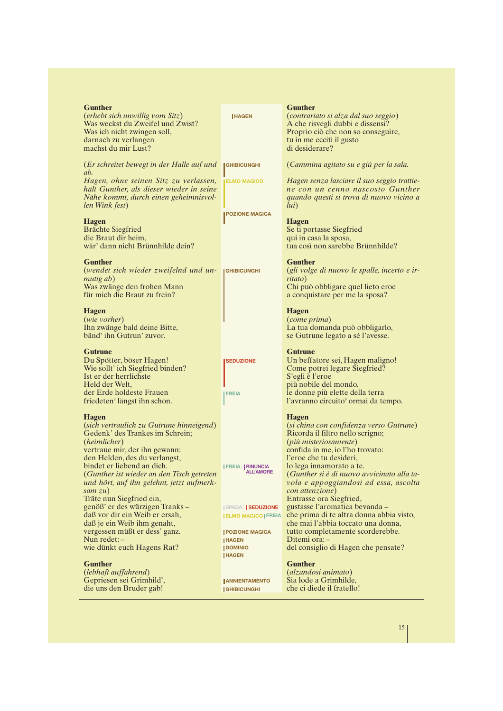| <b>Gunther</b><br>(erhebt sich unwillig vom Sitz)<br>Was weckst du Zweifel und Zwist?<br>Was ich nicht zwingen soll,<br>darnach zu verlangen<br>machst du mir Lust?                                                                                                                                                                                                                                                                                                                                                                 | <b>IHAGEN</b>                                                                                                                                           | <b>Gunther</b><br>(contrariato si alza dal suo seggio)<br>A che risvegli dubbi e dissensi?<br>Proprio ciò che non so conseguire,<br>tu in me ecciti il gusto<br>di desiderare?                                                                                                                                                                                                                                                                                                                                                                                      |
|-------------------------------------------------------------------------------------------------------------------------------------------------------------------------------------------------------------------------------------------------------------------------------------------------------------------------------------------------------------------------------------------------------------------------------------------------------------------------------------------------------------------------------------|---------------------------------------------------------------------------------------------------------------------------------------------------------|---------------------------------------------------------------------------------------------------------------------------------------------------------------------------------------------------------------------------------------------------------------------------------------------------------------------------------------------------------------------------------------------------------------------------------------------------------------------------------------------------------------------------------------------------------------------|
| (Er schreitet bewegt in der Halle auf und                                                                                                                                                                                                                                                                                                                                                                                                                                                                                           | <b>GHIBICUNGHI</b>                                                                                                                                      | (Cammina agitato su e giù per la sala.                                                                                                                                                                                                                                                                                                                                                                                                                                                                                                                              |
| ab.<br>Hagen, ohne seinen Sitz zu verlassen,<br>hält Gunther, als dieser wieder in seine<br>Nähe kommt, durch einen geheimnisvol-<br>len Wink fest)                                                                                                                                                                                                                                                                                                                                                                                 | <b>ELMO MAGICO</b>                                                                                                                                      | Hagen senza lasciare il suo seggio trattie-<br>ne con un cenno nascosto Gunther<br>quando questi si trova di nuovo vicino a<br>lui)                                                                                                                                                                                                                                                                                                                                                                                                                                 |
| <b>Hagen</b><br><b>Brächte Siegfried</b><br>die Braut dir heim,<br>wär' dann nicht Brünnhilde dein?                                                                                                                                                                                                                                                                                                                                                                                                                                 | <b>POZIONE MAGICA</b>                                                                                                                                   | <b>Hagen</b><br>Se ti portasse Siegfried<br>qui in casa la sposa,<br>tua così non sarebbe Brünnhilde?                                                                                                                                                                                                                                                                                                                                                                                                                                                               |
| <b>Gunther</b><br>(wendet sich wieder zweifelnd und un-<br><i>mutig ab</i> )<br>Was zwänge den frohen Mann<br>für mich die Braut zu frein?                                                                                                                                                                                                                                                                                                                                                                                          | <b>GHIBICUNGHI</b>                                                                                                                                      | <b>Gunther</b><br>(gli volge di nuovo le spalle, incerto e ir-<br>ritato)<br>Chi può obbligare quel lieto eroe<br>a conquistare per me la sposa?                                                                                                                                                                                                                                                                                                                                                                                                                    |
| <b>Hagen</b><br>( <i>wie vorher</i> )<br>Ihn zwänge bald deine Bitte,<br>bänd' ihn Gutrun' zuvor.                                                                                                                                                                                                                                                                                                                                                                                                                                   |                                                                                                                                                         | <b>Hagen</b><br><i>(come prima)</i><br>La tua domanda può obbligarlo,<br>se Gutrune legato a sé l'avesse.                                                                                                                                                                                                                                                                                                                                                                                                                                                           |
| <b>Gutrune</b><br>Du Spötter, böser Hagen!<br>Wie sollt' ich Siegfried binden?<br>Ist er der herrlichste<br>Held der Welt,<br>der Erde holdeste Frauen<br>friedeten <sup>9</sup> längst ihn schon.                                                                                                                                                                                                                                                                                                                                  | <b>SEDUZIONE</b><br><b>FREIA</b>                                                                                                                        | <b>Gutrune</b><br>Un beffatore sei, Hagen maligno!<br>Come potrei legare Siegfried?<br>S'egli è l'eroe<br>più nobile del mondo,<br>le donne più elette della terra<br>l'avranno circuito <sup>9</sup> ormai da tempo.                                                                                                                                                                                                                                                                                                                                               |
| <b>Hagen</b><br>(sich vertraulich zu Gutrune hinneigend)<br>Gedenk' des Trankes im Schrein;<br>(heimlicher)<br>vertraue mir, der ihn gewann:<br>den Helden, des du verlangst,<br>bindet er liebend an dich.<br>(Gunther ist wieder an den Tisch getreten<br>und hört, auf ihn gelehnt, jetzt aufmerk-<br>sam $zu$ )<br>Träte nun Siegfried ein,<br>genöß' er des würzigen Tranks-<br>daß vor dir ein Weib er ersah,<br>daß je ein Weib ihm genaht,<br>vergessen müßt er dess' ganz.<br>Nun redet: $-$<br>wie dünkt euch Hagens Rat? | <b>FREIA RINUNCIA</b><br><b>ISPADA SEDUZIONE</b><br><b>ELMO MAGICO FREIA</b><br><b>POZIONE MAGICA</b><br><b>HAGEN</b><br><b>DOMINIO</b><br><b>HAGEN</b> | <b>Hagen</b><br>(si china con confidenza verso Gutrune)<br>Ricorda il filtro nello scrigno;<br>(più misteriosamente)<br>confida in me, io l'ho trovato:<br>l'eroe che tu desideri,<br>lo lega innamorato a te.<br>(Gunther si è di nuovo avvicinato alla ta-<br>vola e appoggiandosi ad essa, ascolta<br>con attenzione)<br>Entrasse ora Siegfried,<br>gustasse l'aromatica bevanda –<br>che prima di te altra donna abbia visto,<br>che mai l'abbia toccato una donna,<br>tutto completamente scorderebbe.<br>Ditemi ora: -<br>del consiglio di Hagen che pensate? |
| <b>Gunther</b><br>(lebhaft auffahrend)<br>Gepriesen sei Grimhild',<br>die uns den Bruder gab!                                                                                                                                                                                                                                                                                                                                                                                                                                       | <b>JANNIENTAMENTO</b><br><b>GHIBICUNGHI</b>                                                                                                             | <b>Gunther</b><br>(alzandosi animato)<br>Sia lode a Grimhilde,<br>che ci diede il fratello!                                                                                                                                                                                                                                                                                                                                                                                                                                                                         |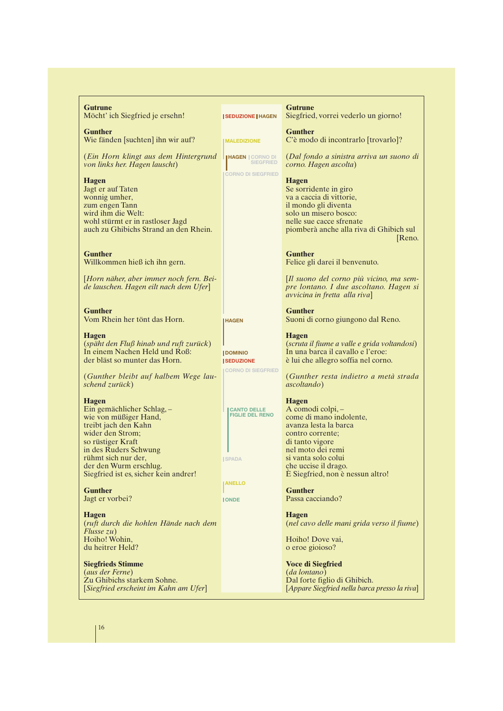| <b>Gutrune</b><br>Möcht' ich Siegfried je ersehn!                                                                                                                                                                                                      | <b>I SEDUZIONE   HAGEN</b>                                                      | <b>Gutrune</b><br>Siegfried, vorrei vederlo un giorno!                                                                                                                                                                               |
|--------------------------------------------------------------------------------------------------------------------------------------------------------------------------------------------------------------------------------------------------------|---------------------------------------------------------------------------------|--------------------------------------------------------------------------------------------------------------------------------------------------------------------------------------------------------------------------------------|
| <b>Gunther</b><br>Wie fänden [suchten] ihn wir auf?                                                                                                                                                                                                    | <b>MALEDIZIONE</b>                                                              | <b>Gunther</b><br>C'è modo di incontrarlo [trovarlo]?                                                                                                                                                                                |
| (Ein Horn klingt aus dem Hintergrund<br>von links her. Hagen lauscht)                                                                                                                                                                                  | <b>HAGEN</b> CORNO DI<br><b>SIEGFRIED</b>                                       | (Dal fondo a sinistra arriva un suono di<br>corno. Hagen ascolta)                                                                                                                                                                    |
| <b>Hagen</b><br>Jagt er auf Taten<br>wonnig umher,<br>zum engen Tann<br>wird ihm die Welt:<br>wohl stürmt er in rastloser Jagd<br>auch zu Ghibichs Strand an den Rhein.                                                                                | <b>CORNO DI SIEGFRIED</b>                                                       | <b>Hagen</b><br>Se sorridente in giro<br>va a caccia di vittorie,<br>il mondo gli diventa<br>solo un misero bosco:<br>nelle sue cacce sfrenate<br>piomberà anche alla riva di Ghibich sul<br>Reno.                                   |
| <b>Gunther</b><br>Willkommen hieß ich ihn gern.                                                                                                                                                                                                        |                                                                                 | <b>Gunther</b><br>Felice gli darei il benvenuto.                                                                                                                                                                                     |
| [Horn näher, aber immer noch fern. Bei-<br>de lauschen. Hagen eilt nach dem Ufer]                                                                                                                                                                      |                                                                                 | [Il suono del corno più vicino, ma sem-<br>pre lontano. I due ascoltano. Hagen si<br>avvicina in fretta alla riva]                                                                                                                   |
| <b>Gunther</b><br>Vom Rhein her tönt das Horn.                                                                                                                                                                                                         | <b>HAGEN</b>                                                                    | <b>Gunther</b><br>Suoni di corno giungono dal Reno.                                                                                                                                                                                  |
| <b>Hagen</b><br>(späht den Fluß hinab und ruft zurück)<br>In einem Nachen Held und Roß:<br>der bläst so munter das Horn.                                                                                                                               | <b>JDOMINIO</b><br><b>SEDUZIONE</b><br><b>CORNO DI SIEGFRIED</b>                | <b>Hagen</b><br>(scruta il fiume a valle e grida voltandosi)<br>In una barca il cavallo e l'eroe:<br>è lui che allegro soffia nel corno.                                                                                             |
| (Gunther bleibt auf halbem Wege lau-<br>schend zurück)                                                                                                                                                                                                 |                                                                                 | (Gunther resta indietro a metà strada<br><i>ascoltando</i> )                                                                                                                                                                         |
| <b>Hagen</b><br>Ein gemächlicher Schlag,-<br>wie von müßiger Hand,<br>treibt jach den Kahn<br>wider den Strom;<br>so rüstiger Kraft<br>in des Ruders Schwung<br>rühmt sich nur der,<br>der den Wurm erschlug.<br>Siegfried ist es, sicher kein andrer! | <b>CANTO DELLE</b><br><b>FIGLIE DEL RENO</b><br><b>ISPADA</b><br><b>IANELLO</b> | <b>Hagen</b><br>A comodi colpi, -<br>come di mano indolente,<br>avanza lesta la barca<br>contro corrente;<br>di tanto vigore<br>nel moto dei remi<br>si vanta solo colui<br>che uccise il drago.<br>E Siegfried, non è nessun altro! |
| <b>Gunther</b><br>Jagt er vorbei?                                                                                                                                                                                                                      | <b>JONDE</b>                                                                    | <b>Gunther</b><br>Passa cacciando?                                                                                                                                                                                                   |
| <b>Hagen</b><br>(ruft durch die hohlen Hände nach dem<br>Flusse zu)<br>Hoiho! Wohin,<br>du heitrer Held?                                                                                                                                               |                                                                                 | <b>Hagen</b><br>(nel cavo delle mani grida verso il fiume)<br>Hoiho! Dove vai,<br>o eroe gioioso?                                                                                                                                    |
| <b>Siegfrieds Stimme</b><br>(aus der Ferne)<br>Zu Ghibichs starkem Sohne.<br>[Siegfried erscheint im Kahn am Ufer]                                                                                                                                     |                                                                                 | <b>Voce di Siegfried</b><br><i>(da lontano)</i><br>Dal forte figlio di Ghibich.<br>[Appare Siegfried nella barca presso la riva]                                                                                                     |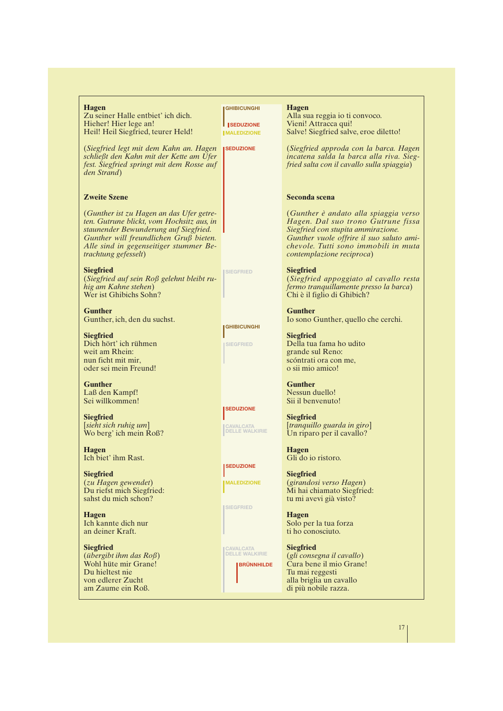| <b>Hagen</b><br>Zu seiner Halle entbiet' ich dich.<br>Hieher! Hier lege an!<br>Heil! Heil Siegfried, teurer Held!                                                                                                                                  | <b>GHIBICUNGHI</b><br><b>SEDUZIONE</b><br><b>IMALEDIZIONE</b> | <b>Hagen</b><br>Alla sua reggia io ti convoco.<br>Vieni! Attracca qui!<br>Salve! Siegfried salve, eroe diletto!                                                                                                                    |
|----------------------------------------------------------------------------------------------------------------------------------------------------------------------------------------------------------------------------------------------------|---------------------------------------------------------------|------------------------------------------------------------------------------------------------------------------------------------------------------------------------------------------------------------------------------------|
| (Siegfried legt mit dem Kahn an. Hagen<br>schließt den Kahn mit der Kette am Ufer<br>fest. Siegfried springt mit dem Rosse auf<br>den Strand)                                                                                                      | <b>SEDUZIONE</b>                                              | (Siegfried approda con la barca. Hagen<br>incatena salda la barca alla riva. Sieg-<br>fried salta con il cavallo sulla spiaggia)                                                                                                   |
| <b>Zweite Szene</b>                                                                                                                                                                                                                                |                                                               | Seconda scena                                                                                                                                                                                                                      |
| (Gunther ist zu Hagen an das Ufer getre-<br>ten. Gutrune blickt, vom Hochsitz aus, in<br>staunender Bewunderung auf Siegfried.<br>Gunther will freundlichen Gruß bieten.<br>Alle sind in gegenseitiger stummer Be-<br><i>trachtung gefesselt</i> ) |                                                               | (Gunther è andato alla spiaggia verso<br>Hagen. Dal suo trono Gutrune fissa<br>Siegfried con stupita ammirazione.<br>Gunther vuole offrire il suo saluto ami-<br>chevole. Tutti sono immobili in muta<br>contemplazione reciproca) |
| <b>Siegfried</b><br>(Siegfried auf sein Roß gelehnt bleibt ru-<br>hig am Kahne stehen)<br>Wer ist Ghibichs Sohn?                                                                                                                                   | <b>SIEGFRIED</b>                                              | <b>Siegfried</b><br>(Siegfried appoggiato al cavallo resta<br>fermo tranquillamente presso la barca)<br>Chi è il figlio di Ghibich?                                                                                                |
| <b>Gunther</b><br>Gunther, ich, den du suchst.                                                                                                                                                                                                     |                                                               | <b>Gunther</b><br>Io sono Gunther, quello che cerchi.                                                                                                                                                                              |
| <b>Siegfried</b><br>Dich hört' ich rühmen<br>weit am Rhein:<br>nun ficht mit mir,<br>oder sei mein Freund!                                                                                                                                         | <b>GHIBICUNGHI</b><br><b>SIEGFRIED</b>                        | <b>Siegfried</b><br>Della tua fama ho udito<br>grande sul Reno:<br>scóntrati ora con me,<br>o sii mio amico!                                                                                                                       |
| <b>Gunther</b><br>Laß den Kampf!<br>Sei willkommen!                                                                                                                                                                                                |                                                               | <b>Gunther</b><br>Nessun duello!<br>Sii il benvenuto!                                                                                                                                                                              |
| <b>Siegfried</b><br>$\left[$ <i>sieht sich ruhig um</i> $\right]$<br>Wo berg' ich mein Roß?                                                                                                                                                        | <b>SEDUZIONE</b><br><b>CAVALCATA</b><br><b>DELLE WALKIRIE</b> | <b>Siegfried</b><br>[tranquillo guarda in giro]<br>Un riparo per il cavallo?                                                                                                                                                       |
| <b>Hagen</b><br>Ich biet' ihm Rast.                                                                                                                                                                                                                | <b>ISEDUZIONE</b>                                             | <b>Hagen</b><br>Gli do io ristoro.                                                                                                                                                                                                 |
| <b>Siegfried</b><br>(zu Hagen gewendet)<br>Du riefst mich Siegfried:<br>sahst du mich schon?                                                                                                                                                       | <b>MALEDIZIONE</b>                                            | <b>Siegfried</b><br>(girandosi verso Hagen)<br>Mi hai chiamato Siegfried:<br>tu mi avevi già visto?                                                                                                                                |
| <b>Hagen</b><br>Ich kannte dich nur<br>an deiner Kraft.                                                                                                                                                                                            | <b>SIEGFRIED</b>                                              | <b>Hagen</b><br>Solo per la tua forza<br>ti ho conosciuto.                                                                                                                                                                         |
| <b>Siegfried</b><br>( <i>übergibt ihm das <math>Ro\beta</math></i> )<br>Wohl hüte mir Grane!<br>Du hieltest nie<br>von edlerer Zucht<br>am Zaume ein Roß.                                                                                          | CAVALCATA<br>DELLE WALKIRIE<br><b>BRÜNNHILDE</b>              | <b>Siegfried</b><br>(gli consegna il cavallo)<br>Cura bene il mio Grane!<br>Tu mai reggesti<br>alla briglia un cavallo<br>di più nobile razza.                                                                                     |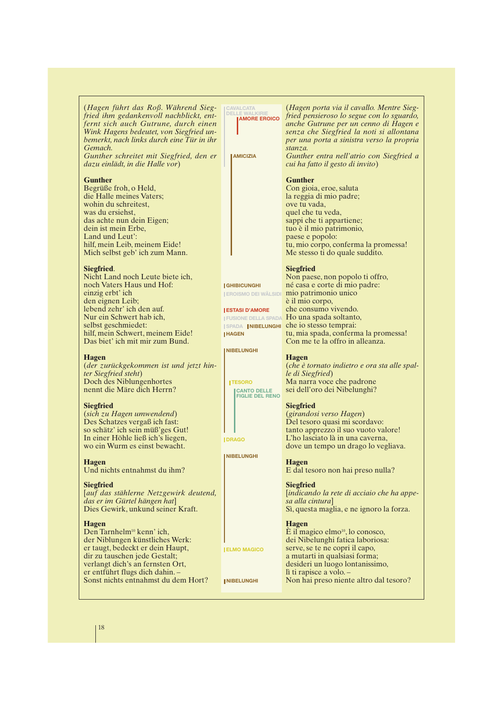(*Hagen führt das Roß. Während Siegfried ihm gedankenvoll nachblickt, entfernt sich auch Gutrune, durch einen Wink Hagens bedeutet, von Siegfried unbemerkt, nach links durch eine Tür in ihr Gemach.*

*Gunther schreitet mit Siegfried, den er dazu einlädt, in die Halle vor*)

#### **Gunther**

Begrüße froh, o Held, die Halle meines Vaters; wohin du schreitest, was du ersiehst das achte nun dein Eigen; dein ist mein Erbe, Land und Leut': hilf, mein Leib, meinem Eide! Mich selbst geb' ich zum Mann.

#### **Siegfried**.

Nicht Land noch Leute biete ich, noch Vaters Haus und Hof: einzig erbt' ich den eignen Leib; lebend zehr' ich den auf. Nur ein Schwert hab ich, selbst geschmiedet: hilf, mein Schwert, meinem Eide! Das biet' ich mit mir zum Bund.

#### **Hagen**

(*der zurückgekommen ist und jetzt hinter Siegfried steht*) Doch des Niblungenhortes nennt die Märe dich Herrn?

#### **Siegfried**

(*sich zu Hagen umwendend*) Des Schatzes vergaß ich fast: so schätz' ich sein müß'ges Gut! In einer Höhle ließ ich's liegen, wo ein Wurm es einst bewacht.

#### **Hagen**

Und nichts entnahmst du ihm?

#### **Siegfried**

[*auf das stählerne Netzgewirk deutend, das er im Gürtel hängen hat*] Dies Gewirk, unkund seiner Kraft.

#### **Hagen**

Den Tarnhelm<sup>10</sup> kenn' ich, der Niblungen künstliches Werk: er taugt, bedeckt er dein Haupt, dir zu tauschen jede Gestalt; verlangt dich's an fernsten Ort, er entführt flugs dich dahin. – Sonst nichts entnahmst du dem Hort?

**CAVALCATA DELLE WALKIRIE AMORE EROICO**

**AMICIZIA**

**GHIBICUNGHI EROISMO DEI WÄLSIDI**

**ESTASI D'AMORE FUSIONE DELLA SPADA**

**HAGEN**

**NIBELUNGHI**

**TESORO**

**DRAGO**

**NIBELUNGHI**

**ELMO MAGICO**

**NIBELUNGHI**

**CANTO DELLE FIGLIE DEL RENO**

(*Hagen porta via il cavallo. Mentre Siegfried pensieroso lo segue con lo sguardo, anche Gutrune per un cenno di Hagen e senza che Siegfried la noti si allontana per una porta a sinistra verso la propria stanza.*

*Gunther entra nell'atrio con Siegfried a cui ha fatto il gesto di invito*)

#### **Gunther**

Con gioia, eroe, saluta la reggia di mio padre; ove tu vada, quel che tu veda, sappi che ti appartiene; tuo è il mio patrimonio, paese e popolo: tu, mio corpo, conferma la promessa! Me stesso ti do quale suddito.

#### **Siegfried**

Non paese, non popolo ti offro, né casa e corte di mio padre: mio patrimonio unico è il mio corpo, che consumo vivendo. Ho una spada soltanto, SPADA **| NIBELUNGHI** che io stesso temprai: tu, mia spada, conferma la promessa! Con me te la offro in alleanza.

#### **Hagen**

(*che è tornato indietro e ora sta alle spalle di Siegfried*) Ma narra voce che padrone sei dell'oro dei Nibelunghi?

#### **Siegfried**

(*girandosi verso Hagen*) Del tesoro quasi mi scordavo: tanto apprezzo il suo vuoto valore! L'ho lasciato là in una caverna, dove un tempo un drago lo vegliava.

#### **Hagen**

E dal tesoro non hai preso nulla?

#### **Siegfried**

[*indicando la rete di acciaio che ha appesa alla cintura*] Sì, questa maglia, e ne ignoro la forza.

#### **Hagen**

 $\hat{E}$  il magico elmo<sup>10</sup>, lo conosco, dei Nibelunghi fatica laboriosa: serve, se te ne copri il capo, a mutarti in qualsiasi forma; desideri un luogo lontanissimo, lì ti rapisce a volo. – Non hai preso niente altro dal tesoro?

#### 18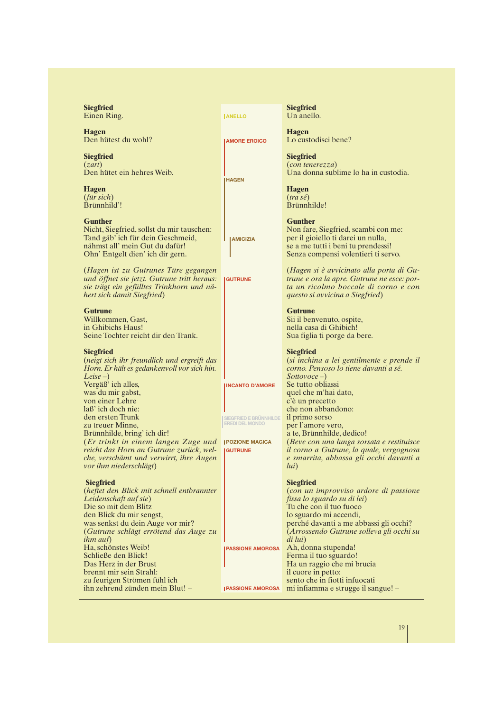| <b>Siegfried</b><br>Einen Ring.                                                                                                                                                                                                                                                                                                                                               | <b>IANELLO</b>                                                                                                         | <b>Siegfried</b><br>Un anello.                                                                                                                                                                                                                                                                                                                                                      |
|-------------------------------------------------------------------------------------------------------------------------------------------------------------------------------------------------------------------------------------------------------------------------------------------------------------------------------------------------------------------------------|------------------------------------------------------------------------------------------------------------------------|-------------------------------------------------------------------------------------------------------------------------------------------------------------------------------------------------------------------------------------------------------------------------------------------------------------------------------------------------------------------------------------|
| <b>Hagen</b><br>Den hütest du wohl?                                                                                                                                                                                                                                                                                                                                           | <b>AMORE EROICO</b>                                                                                                    | <b>Hagen</b><br>Lo custodisci bene?                                                                                                                                                                                                                                                                                                                                                 |
| <b>Siegfried</b><br>(zart)<br>Den hütet ein hehres Weib.                                                                                                                                                                                                                                                                                                                      | <b>HAGEN</b>                                                                                                           | <b>Siegfried</b><br>$(con$ tenerezza $)$<br>Una donna sublime lo ha in custodia.                                                                                                                                                                                                                                                                                                    |
| <b>Hagen</b><br>$(fiir \, sich)$<br>Brünnhild'!                                                                                                                                                                                                                                                                                                                               |                                                                                                                        | <b>Hagen</b><br>$(tra s\acute{e})$<br>Brünnhilde!                                                                                                                                                                                                                                                                                                                                   |
| <b>Gunther</b><br>Nicht, Siegfried, sollst du mir tauschen:<br>Tand gäb' ich für dein Geschmeid,<br>nähmst all' mein Gut du dafür!<br>Ohn' Entgelt dien' ich dir gern.                                                                                                                                                                                                        | <b>I AMICIZIA</b>                                                                                                      | <b>Gunther</b><br>Non fare, Siegfried, scambi con me:<br>per il gioiello ti darei un nulla,<br>se a me tutti i beni tu prendessi!<br>Senza compensi volentieri ti servo.                                                                                                                                                                                                            |
| (Hagen ist zu Gutrunes Türe gegangen<br>und öffnet sie jetzt. Gutrune tritt heraus:<br>sie trägt ein gefülltes Trinkhorn und nä-<br>hert sich damit Siegfried)                                                                                                                                                                                                                | <b>GUTRUNE</b>                                                                                                         | (Hagen si è avvicinato alla porta di Gu-<br>trune e ora la apre. Gutrune ne esce: por-<br>ta un ricolmo boccale di corno e con<br>questo si avvicina a Siegfried)                                                                                                                                                                                                                   |
| <b>Gutrune</b><br>Willkommen, Gast,<br>in Ghibichs Haus!<br>Seine Tochter reicht dir den Trank.                                                                                                                                                                                                                                                                               |                                                                                                                        | <b>Gutrune</b><br>Sii il benvenuto, ospite,<br>nella casa di Ghibich!<br>Sua figlia ti porge da bere.                                                                                                                                                                                                                                                                               |
| <b>Siegfried</b><br>(neigt sich ihr freundlich und ergreift das<br>Horn. Er hält es gedankenvoll vor sich hin.                                                                                                                                                                                                                                                                |                                                                                                                        | <b>Siegfried</b><br>(si inchina a lei gentilmente e prende il<br>corno. Pensoso lo tiene davanti a sé.                                                                                                                                                                                                                                                                              |
| $Leise-$<br>Vergäß' ich alles,<br>was du mir gabst,<br>von einer Lehre<br>laß' ich doch nie:<br>den ersten Trunk<br>zu treuer Minne,<br>Brünnhilde, bring' ich dir!<br>(Er trinkt in einem langen Zuge und<br>reicht das Horn an Gutrune zurück, wel-<br>che, verschämt und verwirrt, ihre Augen<br>vor ihm niederschlägt)                                                    | <b>INCANTO D'AMORE</b><br>SIEGFRIED E BRÜNNHILDE<br><b>EREDI DEL MONDO</b><br><b>POZIONE MAGICA</b><br><b>IGUTRUNE</b> | Sottovoc <sub>e</sub><br>Se tutto obliassi<br>quel che m'hai dato,<br>c'è un precetto<br>che non abbandono:<br>il primo sorso<br>per l'amore vero,<br>a te, Brünnhilde, dedico!<br>(Beve con una lunga sorsata e restituisce<br>il corno a Gutrune, la quale, vergognosa<br>e smarrita, abbassa gli occhi davanti a<br>lui)                                                         |
| <b>Siegfried</b><br>(heftet den Blick mit schnell entbrannter<br>Leidenschaft auf sie)<br>Die so mit dem Blitz<br>den Blick du mir sengst,<br>was senkst du dein Auge vor mir?<br>(Gutrune schlägt errötend das Auge zu<br><i>ihm auf</i> )<br>Ha, schönstes Weib!<br>Schließe den Blick!<br>Das Herz in der Brust<br>brennt mir sein Strahl:<br>zu feurigen Strömen fühl ich | <b>PASSIONE AMOROSA</b>                                                                                                | <b>Siegfried</b><br>(con un improvviso ardore di passione<br>fissa lo sguardo su di lei)<br>Tu che con il tuo fuoco<br>lo sguardo mi accendi,<br>perché davanti a me abbassi gli occhi?<br>(Arrossendo Gutrune solleva gli occhi su<br>di lui)<br>Ah, donna stupenda!<br>Ferma il tuo sguardo!<br>Ha un raggio che mi brucia<br>il cuore in petto:<br>sento che in fiotti infuocati |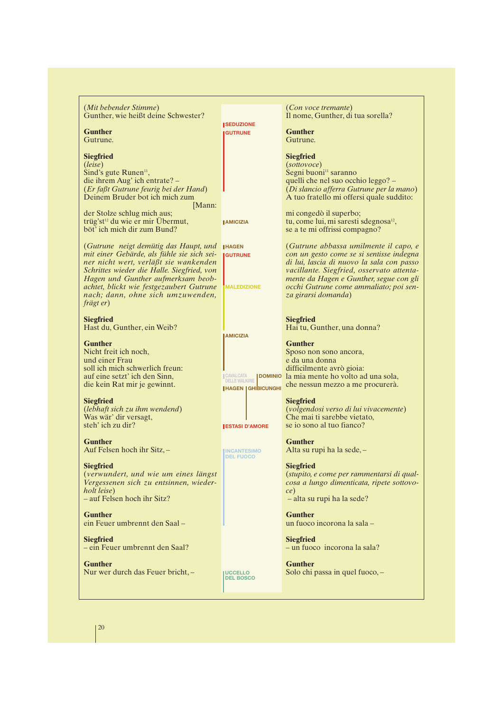| (Mit bebender Stimme)<br>Gunther, wie heißt deine Schwester?                                                                      |                                                       | (Con voce tremante)<br>Il nome, Gunther, di tua sorella?                                                                           |
|-----------------------------------------------------------------------------------------------------------------------------------|-------------------------------------------------------|------------------------------------------------------------------------------------------------------------------------------------|
| <b>Gunther</b>                                                                                                                    | <b>I SEDUZIONE</b><br><b>GUTRUNE</b>                  | <b>Gunther</b>                                                                                                                     |
| Gutrune.                                                                                                                          |                                                       | Gutrune.                                                                                                                           |
| <b>Siegfried</b>                                                                                                                  |                                                       | <b>Siegfried</b>                                                                                                                   |
| (leise)<br>Sind's gute Runen <sup>11</sup> ,                                                                                      |                                                       | (sottovoce)<br>Segni buoni <sup>11</sup> saranno                                                                                   |
| die ihrem Aug' ich entrate? -                                                                                                     |                                                       | quelli che nel suo occhio leggo? -                                                                                                 |
| (Er faßt Gutrune feurig bei der Hand)<br>Deinem Bruder bot ich mich zum<br>[Mann:                                                 |                                                       | (Di slancio afferra Gutrune per la mano)<br>A tuo fratello mi offersi quale suddito:                                               |
| der Stolze schlug mich aus;                                                                                                       |                                                       | mi congedò il superbo;                                                                                                             |
| trüg'st <sup>12</sup> du wie er mir Übermut,<br>böt' ich mich dir zum Bund?                                                       | <b>AMICIZIA</b>                                       | tu, come lui, mi saresti sdegnosa <sup>12</sup> ,<br>se a te mi offrissi compagno?                                                 |
| (Gutrune neigt demütig das Haupt, und                                                                                             | <b>IHAGEN</b>                                         | (Gutrune abbassa umilmente il capo, e                                                                                              |
| mit einer Gebärde, als fühle sie sich sei-<br>ner nicht wert, verläßt sie wankenden<br>Schrittes wieder die Halle. Siegfried, von | <b>GUTRUNE</b>                                        | con un gesto come se si sentisse indegna<br>di lui, lascia di nuovo la sala con passo<br>vacillante. Siegfried, osservato attenta- |
| Hagen und Gunther aufmerksam beob-                                                                                                | <b>MALEDIZIONE</b>                                    | mente da Hagen e Gunther, segue con gli                                                                                            |
| achtet, blickt wie festgezaubert Gutrune<br>nach; dann, ohne sich umzuwenden,                                                     |                                                       | occhi Gutrune come ammaliato; poi sen-<br>za girarsi domanda)                                                                      |
| frägt er)                                                                                                                         |                                                       |                                                                                                                                    |
| <b>Siegfried</b><br>Hast du, Gunther, ein Weib?                                                                                   |                                                       | <b>Siegfried</b><br>Hai tu, Gunther, una donna?                                                                                    |
|                                                                                                                                   | <b>AMICIZIA</b>                                       |                                                                                                                                    |
| <b>Gunther</b><br>Nicht freit ich noch,                                                                                           |                                                       | <b>Gunther</b><br>Sposo non sono ancora,                                                                                           |
| und einer Frau                                                                                                                    |                                                       | e da una donna                                                                                                                     |
| soll ich mich schwerlich freun:<br>auf eine setzt' ich den Sinn,                                                                  | <b>CAVALCATA</b>                                      | difficilmente avrò gioia:<br>DOMINIO la mia mente ho volto ad una sola,                                                            |
| die kein Rat mir je gewinnt.                                                                                                      | <b>DELLE WALKIRIE</b><br><b>I HAGEN   GHIBICUNGHI</b> | che nessun mezzo a me procurerà.                                                                                                   |
| <b>Siegfried</b>                                                                                                                  |                                                       | <b>Siegfried</b>                                                                                                                   |
| (lebhaft sich zu ihm wendend)<br>Was wär' dir versagt,                                                                            |                                                       | (volgendosi verso di lui vivacemente)<br>Che mai ti sarebbe vietato,                                                               |
| steh' ich zu dir?                                                                                                                 | <b>ESTASI D'AMORE</b>                                 | se jo sono al tuo fianco?                                                                                                          |
| <b>Gunther</b>                                                                                                                    |                                                       | <b>Gunther</b><br>Alta su rupi ha la sede, -                                                                                       |
| Auf Felsen hoch ihr Sitz, -                                                                                                       | <b>INCANTESIMO</b><br><b>DEL FUOCO</b>                |                                                                                                                                    |
| <b>Siegfried</b><br>(verwundert, und wie um eines längst                                                                          |                                                       | <b>Siegfried</b><br>(stupito, e come per rammentarsi di qual-                                                                      |
| Vergessenen sich zu entsinnen, wieder-                                                                                            |                                                       | cosa a lungo dimenticata, ripete sottovo-                                                                                          |
| holt leise)<br>- auf Felsen hoch ihr Sitz?                                                                                        |                                                       | ce)<br>- alta su rupi ha la sede?                                                                                                  |
| <b>Gunther</b><br>ein Feuer umbrennt den Saal-                                                                                    |                                                       | <b>Gunther</b><br>un fuoco incorona la sala -                                                                                      |
| <b>Siegfried</b>                                                                                                                  |                                                       | <b>Siegfried</b>                                                                                                                   |
| - ein Feuer umbrennt den Saal?                                                                                                    |                                                       | - un fuoco incorona la sala?                                                                                                       |
| <b>Gunther</b><br>Nur wer durch das Feuer bricht, -                                                                               |                                                       | <b>Gunther</b><br>Solo chi passa in quel fuoco, -                                                                                  |
|                                                                                                                                   | <b>UCCELLO</b><br><b>DEL BOSCO</b>                    |                                                                                                                                    |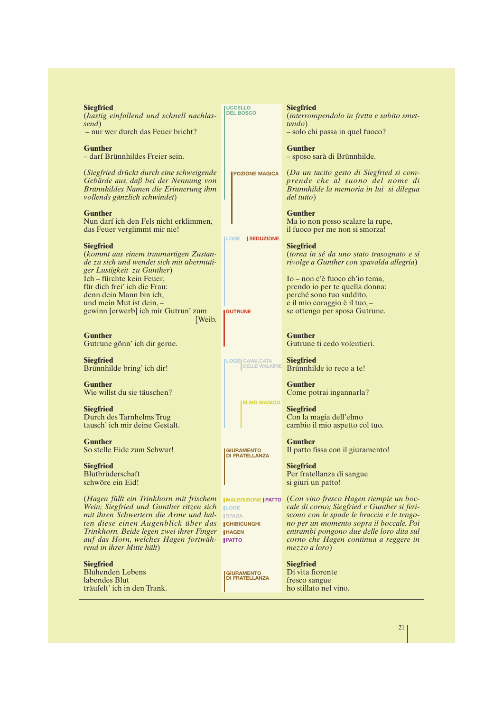| <b>Siegfried</b>                                                                                                                                                                                                                                                                     | <b>UCCELLO</b><br><b>DEL BOSCO</b>                                                                                    | <b>Siegfried</b>                                                                                                                                                                                                                                                                    |
|--------------------------------------------------------------------------------------------------------------------------------------------------------------------------------------------------------------------------------------------------------------------------------------|-----------------------------------------------------------------------------------------------------------------------|-------------------------------------------------------------------------------------------------------------------------------------------------------------------------------------------------------------------------------------------------------------------------------------|
| (hastig einfallend und schnell nachlas-<br>send)                                                                                                                                                                                                                                     |                                                                                                                       | (interrompendolo in fretta e subito smet-<br><i>tendo</i> )                                                                                                                                                                                                                         |
| - nur wer durch das Feuer bricht?                                                                                                                                                                                                                                                    |                                                                                                                       | - solo chi passa in quel fuoco?                                                                                                                                                                                                                                                     |
| <b>Gunther</b><br>- darf Brünnhildes Freier sein.                                                                                                                                                                                                                                    |                                                                                                                       | <b>Gunther</b><br>- sposo sarà di Brünnhilde.                                                                                                                                                                                                                                       |
| (Siegfried drückt durch eine schweigende<br>Gebärde aus, daß bei der Nennung von<br>Brünnhildes Namen die Erinnerung ihm<br>vollends gänzlich schwindet)                                                                                                                             | <b>POZIONE MAGICA</b>                                                                                                 | (Da un tacito gesto di Siegfried si com-<br>prende che al suono del nome di<br>Brünnhilde la memoria in lui si dilegua<br>del tutto)                                                                                                                                                |
| <b>Gunther</b><br>Nun darf ich den Fels nicht erklimmen,<br>das Feuer verglimmt mir nie!                                                                                                                                                                                             |                                                                                                                       | <b>Gunther</b><br>Ma io non posso scalare la rupe,<br>il fuoco per me non si smorza!                                                                                                                                                                                                |
| <b>Siegfried</b><br>(kommt aus einem traumartigen Zustan-<br>de zu sich und wendet sich mit übermüti-<br>ger Lustigkeit zu Gunther)                                                                                                                                                  | <b>ILOGE SEDUZIONE</b>                                                                                                | <b>Siegfried</b><br>(torna in sé da uno stato trasognato e si<br>rivolge a Gunther con spavalda allegria)                                                                                                                                                                           |
| Ich – fürchte kein Feuer,<br>für dich frei' ich die Frau:<br>denn dein Mann bin ich,<br>und mein Mut ist dein, -<br>gewinn [erwerb] ich mir Gutrun' zum<br>Weib.                                                                                                                     | <b>IGUTRUNE</b>                                                                                                       | Io – non c'è fuoco ch'io tema,<br>prendo io per te quella donna:<br>perché sono tuo suddito,<br>e il mio coraggio è il tuo, -<br>se ottengo per sposa Gutrune.                                                                                                                      |
| <b>Gunther</b><br>Gutrune gönn' ich dir gerne.                                                                                                                                                                                                                                       |                                                                                                                       | <b>Gunther</b><br>Gutrune ti cedo volentieri.                                                                                                                                                                                                                                       |
| <b>Siegfried</b><br>Brünnhilde bring' ich dir!                                                                                                                                                                                                                                       | <b>LOGE CAVALCATA</b><br><b>DELLE WALKIRIE</b>                                                                        | <b>Siegfried</b><br>Brünnhilde io reco a te!                                                                                                                                                                                                                                        |
| <b>Gunther</b><br>Wie willst du sie täuschen?                                                                                                                                                                                                                                        |                                                                                                                       | <b>Gunther</b><br>Come potrai ingannarla?                                                                                                                                                                                                                                           |
| <b>Siegfried</b><br>Durch des Tarnhelms Trug<br>tausch' ich mir deine Gestalt.                                                                                                                                                                                                       | <b>ELMO MAGICO</b>                                                                                                    | <b>Siegfried</b><br>Con la magia dell'elmo<br>cambio il mio aspetto col tuo.                                                                                                                                                                                                        |
| <b>Gunther</b><br>So stelle Eide zum Schwur!                                                                                                                                                                                                                                         | <b>GIURAMENTO</b><br><b>DI FRATELLANZA</b>                                                                            | <b>Gunther</b><br>Il patto fissa con il giuramento!                                                                                                                                                                                                                                 |
| <b>Siegfried</b><br>Blutbrüderschaft<br>schwöre ein Eid!                                                                                                                                                                                                                             |                                                                                                                       | <b>Siegfried</b><br>Per fratellanza di sangue<br>si giuri un patto!                                                                                                                                                                                                                 |
| (Hagen füllt ein Trinkhorn mit frischem<br>Wein; Siegfried und Gunther ritzen sich<br>mit ihren Schwertern die Arme und hal-<br>ten diese einen Augenblick über das<br>Trinkhorn. Beide legen zwei ihrer Finger<br>auf das Horn, welches Hagen fortwäh-<br>rend in ihrer Mitte hält) | <b>IMALEDIZIONE   PATTO</b><br><b>ILOGE</b><br><b>ISPADA</b><br><b>IGHIBICUNGHI</b><br><b>IHAGEN</b><br><b>IPATTO</b> | (Con vino fresco Hagen riempie un boc-<br>cale di corno; Siegfried e Gunther si feri-<br>scono con le spade le braccia e le tengo-<br>no per un momento sopra il boccale. Poi<br>entrambi pongono due delle loro dita sul<br>corno che Hagen continua a reggere in<br>mezzo a loro) |
| <b>Siegfried</b><br><b>Blühenden Lebens</b><br>labendes Blut<br>träufelt' ich in den Trank.                                                                                                                                                                                          | <b>GIURAMENTO</b><br><b>DI FRATELLANZA</b>                                                                            | <b>Siegfried</b><br>Di vita fiorente<br>fresco sangue<br>ho stillato nel vino.                                                                                                                                                                                                      |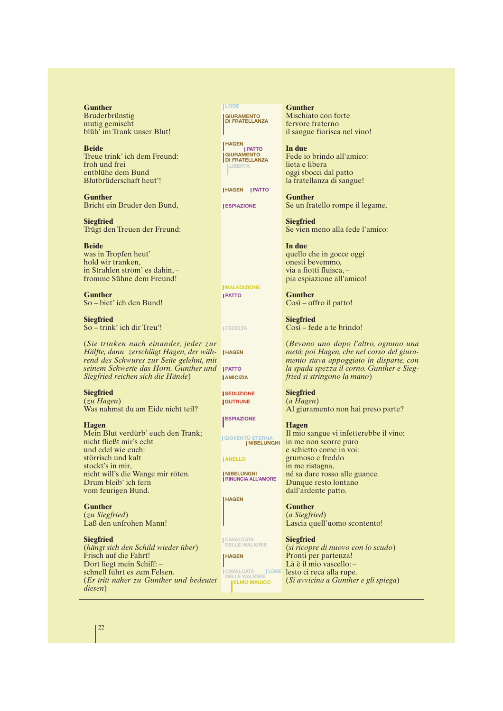**Gunther** Bruderbrünstig mutig gemischt blüh' im Trank unser Blut!

**Beide** Treue trink' ich dem Freund: froh und frei entblühe dem Bund Blutbrüderschaft heut'!

**Gunther** Bricht ein Bruder den Bund,

**Siegfried** Trügt den Treuen der Freund:

**Beide** was in Tropfen heut' hold wir tranken, in Strahlen ström' es dahin, – fromme Sühne dem Freund!

**Gunther** So – biet' ich den Bund!

**Siegfried** So – trink' ich dir Treu'!

(*Sie trinken nach einander, jeder zur*  $H$ älfte; dann zerschlägt Hagen, der wäh- **HAGEN** *rend des Schwures zur Seite gelehnt, mit seinem Schwerte das Horn. Gunther und* **PATTO** *Siegfried reichen sich die Hände*)

**Siegfried** (*zu Hagen*) Was nahmst du am Eide nicht teil?

**Hagen**

Mein Blut verdürb' euch den Trank; nicht fließt mir's echt und edel wie euch: störrisch und kalt stockt's in mir, nicht will's die Wange mir röten. Drum bleib' ich fern vom feurigen Bund.

**Gunther** (*zu Siegfried*) Laß den unfrohen Mann!

**Siegfried** (*hängt sich den Schild wieder über*) Frisch auf die Fahrt! Dort liegt mein Schiff: – schnell führt es zum Felsen. (*Er tritt näher zu Gunther und bedeutet diesen*)

**GIURAMENTO DI FRATELLANZA LOGE**

**GIURAMENTO DI FRATELLANZA HAGEN PATTO LIBERTÀ**

**HAGEN PATTO**

**ESPIAZIONE** 

**PATTO MALEDIZIONE**

**FEDELTA**

**AMICIZIA**

**ISEDUZIONE GUTRUNE**

**ESPIAZIONE**

**GIOVENTÙ ETERNA NIBELUNGHI**

**ANELLO**

**NIBELUNGHI RINUNCIA ALL'AMORE**

**HAGEN**

**CAVALCATA DELLE WALKIRIE**

**HAGEN**

**LOGE CAVALCATA DELLE WALKIRIE ELMO MAGICO**

**Gunther** Mischiato con forte fervore fraterno il sangue fiorisca nel vino!

**In due** Fede io brindo all'amico: lieta e libera oggi sbocci dal patto la fratellanza di sangue!

**Gunther** Se un fratello rompe il legame,

**Siegfried** Se vien meno alla fede l'amico:

**In due** quello che in gocce oggi onesti bevemmo, via a fiotti fluisca, – pia espiazione all'amico!

**Gunther** Così – offro il patto!

**Siegfried** Così – fede a te brindo!

(*Bevono uno dopo l'altro, ognuno una metà; poi Hagen, che nel corso del giuramento stava appoggiato in disparte, con la spada spezza il corno. Gunther e Siegfried si stringono la mano*)

**Siegfried** (*a Hagen*) Al giuramento non hai preso parte?

#### **Hagen**

Il mio sangue vi infetterebbe il vino; in me non scorre puro e schietto come in voi: grumoso e freddo in me ristagna, né sa dare rosso alle guance. Dunque resto lontano dall'ardente patto.

**Gunther** (*a Siegfried*) Lascia quell'uomo scontento!

**Siegfried** (*si ricopre di nuovo con lo scudo*) Pronti per partenza! Là è il mio vascello: – lesto ci reca alla rupe. (*Si avvicina a Gunther e gli spiega*)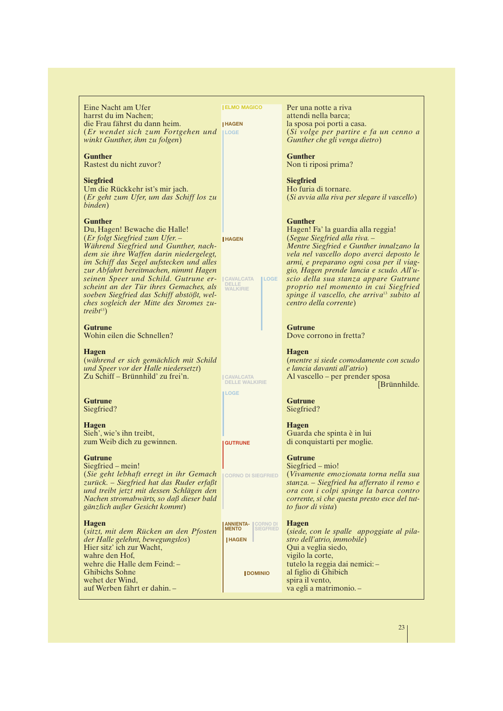| Eine Nacht am Ufer<br>harrst du im Nachen;<br>die Frau fährst du dann heim.<br>$(Er$ wendet sich zum Fortgehen und $\Box$<br>winkt Gunther, ihm zu folgen)                                                                                                                                                                                                                                                                                             | <b>ELMO MAGICO</b><br><b>HAGEN</b>                                            | Per una notte a riva<br>attendi nella barca;<br>la sposa poi porti a casa.<br>(Si volge per partire e fa un cenno a<br>Gunther che gli venga dietro)                                                                                                                                                                                                                                                                                     |
|--------------------------------------------------------------------------------------------------------------------------------------------------------------------------------------------------------------------------------------------------------------------------------------------------------------------------------------------------------------------------------------------------------------------------------------------------------|-------------------------------------------------------------------------------|------------------------------------------------------------------------------------------------------------------------------------------------------------------------------------------------------------------------------------------------------------------------------------------------------------------------------------------------------------------------------------------------------------------------------------------|
| <b>Gunther</b><br>Rastest du nicht zuvor?                                                                                                                                                                                                                                                                                                                                                                                                              |                                                                               | <b>Gunther</b><br>Non ti riposi prima?                                                                                                                                                                                                                                                                                                                                                                                                   |
| <b>Siegfried</b><br>Um die Rückkehr ist's mir jach.<br>(Er geht zum Ufer, um das Schiff los zu<br>binden)                                                                                                                                                                                                                                                                                                                                              |                                                                               | <b>Siegfried</b><br>Ho furia di tornare.<br>(Si avvia alla riva per slegare il vascello)                                                                                                                                                                                                                                                                                                                                                 |
| <b>Gunther</b><br>Du, Hagen! Bewache die Halle!<br>(Er folgt Siegfried zum Ufer. –<br>Während Siegfried und Gunther, nach-<br>dem sie ihre Waffen darin niedergelegt,<br>im Schiff das Segel aufstecken und alles<br>zur Abfahrt bereitmachen, nimmt Hagen<br>seinen Speer und Schild. Gutrune er-<br>scheint an der Tür ihres Gemaches, als<br>soeben Siegfried das Schiff abstößt, wel-<br>ches sogleich der Mitte des Stromes zu-<br>$treibt^{13})$ | <b>HAGEN</b><br><b>CAVALCATA</b><br><b>ILOGE</b><br>DELLE<br><b>WALKIRIE</b>  | <b>Gunther</b><br>Hagen! Fa' la guardia alla reggia!<br>(Segue Siegfried alla riva. –<br>Mentre Siegfried e Gunther innalzano la<br>vela nel vascello dopo averci deposto le<br>armi, e preparano ogni cosa per il viag-<br>gio, Hagen prende lancia e scudo. All'u-<br>scio della sua stanza appare Gutrune<br>proprio nel momento in cui Siegfried<br>spinge il vascello, che arriva <sup>13</sup> subito al<br>centro della corrente) |
| <b>Gutrune</b><br>Wohin eilen die Schnellen?                                                                                                                                                                                                                                                                                                                                                                                                           |                                                                               | <b>Gutrune</b><br>Dove corrono in fretta?                                                                                                                                                                                                                                                                                                                                                                                                |
| <b>Hagen</b><br>(während er sich gemächlich mit Schild<br>und Speer vor der Halle niedersetzt)<br>Zu Schiff – Brünnhild' zu frei'n.                                                                                                                                                                                                                                                                                                                    | <b>CAVALCATA</b><br><b>DELLE WALKIRIE</b>                                     | <b>Hagen</b><br>(mentre si siede comodamente con scudo<br>e lancia davanti all'atrio)<br>Al vascello – per prender sposa<br>[Brünnhilde.                                                                                                                                                                                                                                                                                                 |
| <b>Gutrune</b><br>Siegfried?                                                                                                                                                                                                                                                                                                                                                                                                                           | <b>LOGE</b>                                                                   | <b>Gutrune</b><br>Siegfried?                                                                                                                                                                                                                                                                                                                                                                                                             |
| <b>Hagen</b><br>Sieh', wie's ihn treibt,<br>zum Weib dich zu gewinnen.                                                                                                                                                                                                                                                                                                                                                                                 | <b>GUTRUNE</b>                                                                | <b>Hagen</b><br>Guarda che spinta è in lui<br>di conquistarti per moglie.                                                                                                                                                                                                                                                                                                                                                                |
| <b>Gutrune</b><br>Siegfried – mein!<br>(Sie geht lebhaft erregt in ihr Gemach<br>zurück. - Siegfried hat das Ruder erfaßt<br>und treibt jetzt mit dessen Schlägen den<br>Nachen stromabwärts, so daß dieser bald<br>gänzlich außer Gesicht kommt)                                                                                                                                                                                                      | <b>CORNO DI SIEGFRIED</b>                                                     | <b>Gutrune</b><br>Siegfried – mio!<br>(Vivamente emozionata torna nella sua<br>stanza. - Siegfried ha afferrato il remo e<br>ora con i colpi spinge la barca contro<br>corrente, sì che questa presto esce del tut-<br>to fuor di vista)                                                                                                                                                                                                 |
| <b>Hagen</b><br>(sitzt, mit dem Rücken an den Pfosten<br>der Halle gelehnt, bewegungslos)<br>Hier sitz' ich zur Wacht,<br>wahre den Hof,                                                                                                                                                                                                                                                                                                               | <b>ANNIENTA- CORNO DI</b><br><b>MENTO</b><br><b>SIEGFRIED</b><br><b>HAGEN</b> | <b>Hagen</b><br>(siede, con le spalle appoggiate al pila-<br>stro dell'atrio, immobile)<br>Qui a veglia siedo,<br>vigilo la corte,                                                                                                                                                                                                                                                                                                       |
| wehre die Halle dem Feind:-<br><b>Ghibichs Sohne</b><br>wehet der Wind,<br>auf Werben fährt er dahin. -                                                                                                                                                                                                                                                                                                                                                | <b>JDOMINIO</b>                                                               | tutelo la reggia dai nemici:-<br>al figlio di Ghibich<br>spira il vento,<br>va egli a matrimonio.-                                                                                                                                                                                                                                                                                                                                       |

23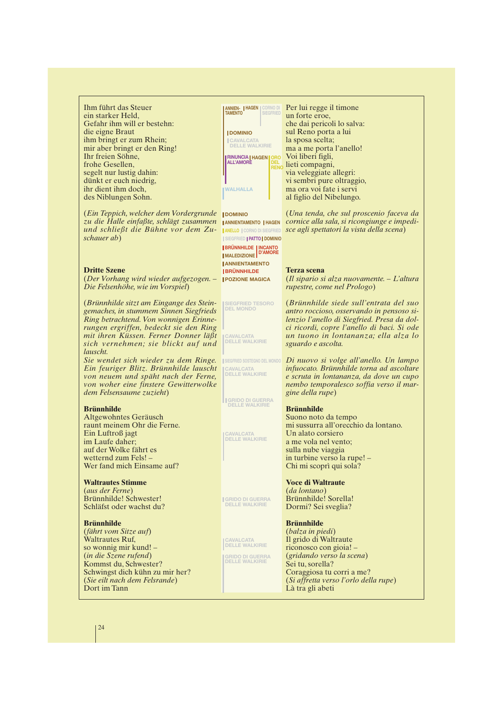Ihm führt das Steuer ein starker Held, Gefahr ihm will er bestehn: die eigne Braut ihm bringt er zum Rhein; mir aber bringt er den Ring! Ihr freien Söhne, frohe Gesellen, segelt nur lustig dahin: dünkt er euch niedrig, ihr dient ihm doch, des Niblungen Sohn.

(*Ein Teppich, welcher dem Vordergrunde* **DOMINIO** *zu die Halle einfaßte, schlägt zusammen und schließt die Bühne vor dem Zuschauer ab*)

#### **Dritte Szene**

(*Der Vorhang wird wieder aufgezogen. – Die Felsenhöhe, wie im Vorspiel*)

(*Brünnhilde sitzt am Eingange des Steingemaches, in stummem Sinnen Siegfrieds Ring betrachtend. Von wonnigen Erinnerungen ergriffen, bedeckt sie den Ring mit ihren Küssen. Ferner Donner läßt sich vernehmen; sie blickt auf und lauscht.*

*Sie wendet sich wieder zu dem Ringe. Ein feuriger Blitz. Brünnhilde lauscht von neuem und späht nach der Ferne, von woher eine finstere Gewitterwolke dem Felsensaume zuzieht*)

#### **Brünnhilde**

Altgewohntes Geräusch raunt meinem Ohr die Ferne. Ein Luftroß jagt im Laufe daher; auf der Wolke fährt es wetternd zum Fels! – Wer fand mich Einsame auf?

#### **Waltrautes Stimme**

(*aus der Ferne*) Brünnhilde! Schwester! Schläfst oder wachst du?

#### **Brünnhilde**

(*fährt vom Sitze auf*) Waltrautes Ruf, so wonnig mir kund! – (*in die Szene rufend*) Kommst du, Schwester? Schwingst dich kühn zu mir her? (*Sie eilt nach dem Felsrande*) Dort im Tann



**ANNIENTAMENTO | HAGEN DOMINIO SIEGFRIED PATTO ANELLO** CORNO DI SIEGFRIED **BRÜNNHILDE INCANTO D'AMORE MALEDIZIONE ANNIENTAMENTO BRÜNNHILDE IPOZIONE MAGICA** 

**SIEGFRIED TESORO DEL MONDO**

**CAVALCATA DELLE WALKIRIE**

**CAVALCATA DELLE WALKIRIE SIEGFRIED SOSTEGNO DEL MONDO**

**GRIDO DI GUERRA DELLE WALKIRIE**

**CAVALCATA DELLE WALKIRIE**

**GRIDO DI GUERRA DELLE WALKIRIE**

**CAVALCATA DELLE WALKIRIE**

**GRIDO DI GUERRA DELLE WALKIRIE**

Per lui regge il timone un forte eroe, che dai pericoli lo salva: sul Reno porta a lui la sposa scelta; ma a me porta l'anello! Voi liberi figli, lieti compagni, via veleggiate allegri: vi sembri pure oltraggio, ma ora voi fate i servi al figlio del Nibelungo.

(*Una tenda, che sul proscenio faceva da cornice alla sala, si ricongiunge e impedisce agli spettatori la vista della scena*)

#### **Terza scena**

(*Il sipario si alza nuovamente. – L'altura rupestre, come nel Prologo*)

(*Brünnhilde siede sull'entrata del suo antro roccioso, osservando in pensoso silenzio l'anello di Siegfried. Presa da dolci ricordi, copre l'anello di baci. Si ode un tuono in lontananza; ella alza lo sguardo e ascolta.*

*Di nuovo si volge all'anello. Un lampo infuocato. Brünnhilde torna ad ascoltare e scruta in lontananza, da dove un cupo nembo temporalesco soffia verso il margine della rupe*)

#### **Brünnhilde**

Suono noto da tempo mi sussurra all'orecchio da lontano. Un alato corsiero a me vola nel vento; sulla nube viaggia in turbine verso la rupe! – Chi mi scoprì qui sola?

#### **Voce di Waltraute**

(*da lontano*) Brünnhilde! Sorella! Dormi? Sei sveglia?

#### **Brünnhilde**

(*balza in piedi*) Il grido di Waltraute riconosco con gioia! – (*gridando verso la scena*) Sei tu, sorella? Coraggiosa tu corri a me? (*Si affretta verso l'orlo della rupe*) Là tra gli abeti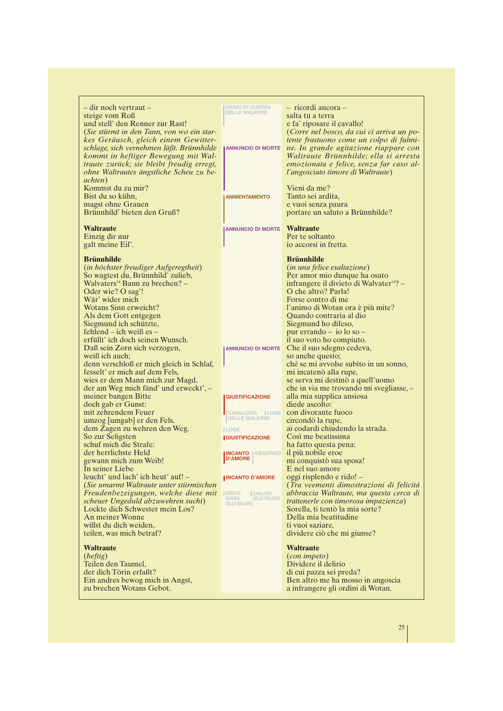| – dir noch vertraut –                                      | <b>GRIDO DI GUERRA<br/>DELLE WALKIRIE</b>         | - ricordi ancora -                                        |
|------------------------------------------------------------|---------------------------------------------------|-----------------------------------------------------------|
| steige vom Roß                                             |                                                   | salta tu a terra                                          |
| und stell' den Renner zur Rast!                            |                                                   | e fa' riposare il cavallo!                                |
| (Sie stürmt in den Tann, von wo ein star-                  |                                                   | (Corre nel bosco, da cui ci arriva un po-                 |
| kes Geräusch, gleich einem Gewitter-                       |                                                   | tente frastuono come un colpo di fulmi-                   |
| schlage, sich vernehmen läßt. Brünnhilde                   | <b>ANNUNCIO DI MORTE</b>                          | ne. In grande agitazione riappare con                     |
| kommt in heftiger Bewegung mit Wal-                        |                                                   | Waltraute Brünnhilde; ella si arresta                     |
| traute zurück; sie bleibt freudig erregt,                  |                                                   | emozionata e felice, senza far caso al-                   |
| ohne Waltrautes ängstliche Scheu zu be-                    |                                                   | l'angosciato timore di Waltraute)                         |
| <i>achten</i> )<br>Kommst du zu mir?                       |                                                   | Vieni da me?                                              |
| Bist du so kühn,                                           | <b>ANNIENTAMENTO</b>                              | Tanto sei ardita,                                         |
| magst ohne Grauen                                          |                                                   | e vuoi senza paura                                        |
| Brünnhild' bieten den Gruß?                                |                                                   | portare un saluto a Brünnhilde?                           |
|                                                            |                                                   |                                                           |
| <b>Waltraute</b>                                           | <b>ANNUNCIO DI MORTE Waltraute</b>                |                                                           |
| Einzig dir nur                                             |                                                   | Per te soltanto                                           |
| galt meine Eil'.                                           |                                                   | io accorsi in fretta.                                     |
| <b>Brünnhilde</b>                                          |                                                   | <b>Brünnhilde</b>                                         |
| (in höchster freudiger Aufgeregtheit)                      |                                                   | (in una felice esaltazione)                               |
| So wagtest du, Brünnhild' zulieb,                          |                                                   | Per amor mio dunque ha osato                              |
| Walvaters <sup>14</sup> Bann zu brechen? -                 |                                                   | infrangere il divieto di Walvater <sup>14</sup> ? –       |
| Oder wie? O sag'!                                          |                                                   | O che altro? Parla!                                       |
| Wär' wider mich                                            |                                                   | Forse contro di me                                        |
| Wotans Sinn erweicht?                                      |                                                   | l'animo di Wotan ora è più mite?                          |
| Als dem Gott entgegen                                      |                                                   | Quando contraria al dio                                   |
| Siegmund ich schützte,                                     |                                                   | Siegmund ho difeso,                                       |
| fehlend – ich weiß es –                                    |                                                   | pur errando $-$ io lo so $-$                              |
| erfüllt' ich doch seinen Wunsch.                           |                                                   | il suo voto ho compiuto.                                  |
| Daß sein Zorn sich verzogen,                               | <b>ANNUNCIO DI MORTE</b>                          | Che il suo sdegno cedeva,                                 |
| weiß ich auch;<br>denn verschloß er mich gleich in Schlaf, |                                                   | so anche questo;<br>ché se mi avvolse subito in un sonno, |
| fesselt' er mich auf dem Fels,                             |                                                   | mi incatenò alla rupe,                                    |
| wies er dem Mann mich zur Magd,                            |                                                   | se serva mi destinò a quell'uomo                          |
| der am Weg mich fänd' und erweckt', -                      |                                                   | che in via me trovando mi svegliasse, -                   |
| meiner bangen Bitte                                        | <b>GIUSTIFICAZIONE</b>                            | alla mia supplica ansiosa                                 |
| doch gab er Gunst:                                         |                                                   | diede ascolto:                                            |
| mit zehrendem Feuer                                        | CAVALCATA  LOGE                                   | con divorante fuoco                                       |
| umzog [umgab] er den Fels,                                 | <b>DELLE WALKIRIE</b>                             | circondò la rupe,                                         |
| dem Zagen zu wehren den Weg.                               | <b>ILOGE</b>                                      | ai codardi chiudendo la strada.                           |
| So zur Seligsten                                           | <b>GIUSTIFICAZIONE</b>                            | Così me beatissima                                        |
| schuf mich die Strafe:                                     |                                                   | ha fatto questa pena:                                     |
| der herrlichste Held<br>gewann mich zum Weib!              | <b>INCANTO SEGFRIED</b><br><b>D'AMORE</b>         | il più nobile eroe<br>mi conquistò sua sposa!             |
| In seiner Liebe                                            |                                                   | E nel suo amore                                           |
| leucht' und lach' ich heut' auf! -                         | <b>INCANTO D'AMORE</b>                            | oggi risplendo e rido! –                                  |
| (Sie umarmt Waltraute unter stürmischen                    |                                                   | (Tra veementi dimostrazioni di felicità                   |
| Freudenbezeigungen, welche diese mit                       | GRIDO DI<br><b>CAVALCATA</b>                      | abbraccia Waltraute, ma questa cerca di                   |
| scheuer Ungeduld abzuwehren sucht)                         | GUERRA<br>DELLE WALKIRIE<br><b>DELLE WALKIRIE</b> | <i>trattenerle con timorosa impazienza</i> )              |
| Lockte dich Schwester mein Los?                            |                                                   | Sorella, ti tentò la mia sorte?                           |
| An meiner Wonne                                            |                                                   | Della mia beatitudine                                     |
| willst du dich weiden,                                     |                                                   | ti vuoi saziare,                                          |
| teilen, was mich betraf?                                   |                                                   | dividere ciò che mi giunse?                               |
| <b>Waltraute</b>                                           |                                                   | <b>Waltraute</b>                                          |
| (heftig)                                                   |                                                   | (con impeto)                                              |
| Teilen den Taumel,                                         |                                                   | Dividere il delirio                                       |
| der dich Törin erfaßt?                                     |                                                   | di cui pazza sei preda?                                   |
| Ein andres bewog mich in Angst,                            |                                                   | Ben altro me ha mosso in angoscia                         |
| zu brechen Wotans Gebot.                                   |                                                   | a infrangere gli ordini di Wotan.                         |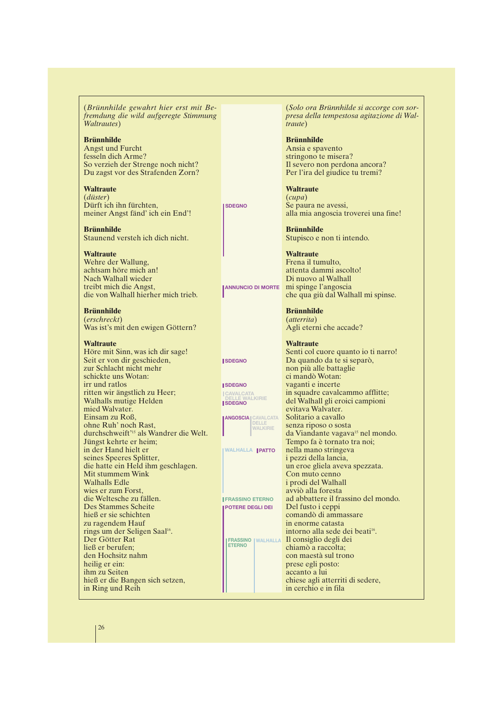(*Brünnhilde gewahrt hier erst mit Befremdung die wild aufgeregte Stimmung Waltrautes*)

**Brünnhilde**

Angst und Furcht fesseln dich Arme? So verzieh der Strenge noch nicht? Du zagst vor des Strafenden Zorn?

**Waltraute** (*düster*) Dürft ich ihn fürchten, meiner Angst fänd' ich ein End'!

**Brünnhilde** Staunend versteh ich dich nicht.

**Waltraute**

Wehre der Wallung, achtsam höre mich an! Nach Walhall wieder treibt mich die Angst, die von Walhall hierher mich trieb.

**Brünnhilde** (*erschreckt*) Was ist's mit den ewigen Göttern?

**Waltraute** Höre mit Sinn, was ich dir sage! Seit er von dir geschieden, zur Schlacht nicht mehr schickte uns Wotan: irr und ratlos ritten wir ängstlich zu Heer; Walhalls mutige Helden mied Walvater. Einsam zu Roß, ohne Ruh' noch Rast, durchschweift'<sup>15</sup> als Wandrer die Welt. Jüngst kehrte er heim; in der Hand hielt er seines Speeres Splitter, die hatte ein Held ihm geschlagen. Mit stummem Wink Walhalls Edle wies er zum Forst, die Weltesche zu fällen. Des Stammes Scheite hieß er sie schichten zu ragendem Hauf rings um der Seligen Saal<sup>16</sup>. Der Götter Rat ließ er berufen; den Hochsitz nahm heilig er ein: ihm zu Seiten hieß er die Bangen sich setzen, in Ring und Reih

(*Solo ora Brünnhilde si accorge con sorpresa della tempestosa agitazione di Waltraute*)

**Brünnhilde** Ansia e spavento stringono te misera? Il severo non perdona ancora? Per l'ira del giudice tu tremi?

**Waltraute** (*cupa*) Se paura ne avessi, alla mia angoscia troverei una fine!

**Brünnhilde** Stupisco e non ti intendo.

**SDEGNO**

**SDEGNO**

**SDEGNO**

**SDEGNO**

**Waltraute** Frena il tumulto, attenta dammi ascolto! Di nuovo al Walhall mi spinge l'angoscia che qua giù dal Walhall mi spinse. **ANNUNCIO DI MORTE**

> **Brünnhilde** (*atterrita*) Agli eterni che accade?

**Waltraute** Senti col cuore quanto io ti narro! Da quando da te si separò, non più alle battaglie ci mandò Wotan: vaganti e incerte in squadre cavalcammo afflitte; del Walhall gli eroici campioni evitava Walvater. Solitario a cavallo senza riposo o sosta da Viandante vagava<sup>15</sup> nel mondo. Tempo fa è tornato tra noi; nella mano stringeva i pezzi della lancia, un eroe gliela aveva spezzata. Con muto cenno i prodi del Walhall avviò alla foresta ad abbattere il frassino del mondo. Del fusto i ceppi comandò di ammassare in enorme catasta intorno alla sede dei beati<sup>16</sup>. Il consiglio degli dei chiamò a raccolta; con maestà sul trono prese egli posto: accanto a lui chiese agli atterriti di sedere, in cerchio e in fila **CAVALCATA ALKIRIE ANGOSCIA CAVALCATA DELLE WALKIRIE WALHALLA PATTO FRASSINO ETERNO POTERE DEGLI DEI FRASSINO ETERNO WALHALLA**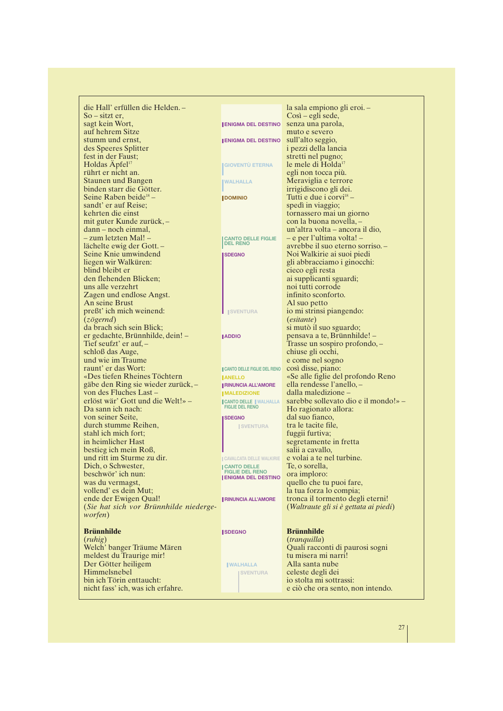die Hall' erfüllen die Helden. – So – sitzt er, sagt kein Wort, auf hehrem Sitze stumm und ernst, des Speeres Splitter fest in der Faust; Holdas Äpfel<sup>17</sup> rührt er nicht an. Staunen und Bangen binden starr die Götter. Seine Raben beide<sup>18</sup> sandt' er auf Reise; kehrten die einst mit guter Kunde zurück, – dann – noch einmal, – zum letzten Mal! – lächelte ewig der Gott. – Seine Knie umwindend liegen wir Walküren: blind bleibt er den flehenden Blicken; uns alle verzehrt Zagen und endlose Angst. An seine Brust preßt' ich mich weinend: (*zögernd*) da brach sich sein Blick; er gedachte, Brünnhilde, dein! – Tief seufzt' er auf, – schloß das Auge, und wie im Traume raunt' er das Wort: «Des tiefen Rheines Töchtern gäbe den Ring sie wieder zurück, – von des Fluches Last – erlöst wär' Gott und die Welt!» – Da sann ich nach: von seiner Seite, durch stumme Reihen, stahl ich mich fort; in heimlicher Hast bestieg ich mein Roß, und ritt im Sturme zu dir. Dich, o Schwester, beschwör' ich nun: was du vermagst, vollend' es dein Mut; ende der Ewigen Qual! (*Sie hat sich vor Brünnhilde niedergeworfen*) **Brünnhilde** (*ruhig*) Welch' banger Träume Mären meldest du Traurige mir! Der Götter heiligem Himmelsnebel bin ich Törin enttaucht:

nicht fass' ich, was ich erfahre.

|                                                     | la sala empiono gli eroi. –<br>Così – egli sede,                          |
|-----------------------------------------------------|---------------------------------------------------------------------------|
| <b>ENIGMA DEL DESTINO</b>                           | senza una parola,                                                         |
|                                                     | muto e severo                                                             |
| <b>ENIGMA DEL DESTINO</b>                           | sull'alto seggio,                                                         |
|                                                     | i pezzi della lancia<br>stretti nel pugno;                                |
| <b>GIOVENTÙ ETERNA</b>                              | le mele di Holda <sup>17</sup>                                            |
|                                                     | egli non tocca più.                                                       |
| <b>WALHALLA</b>                                     | Meraviglia e terrore                                                      |
|                                                     | irrigidiscono gli dei.                                                    |
| <b>DOMINIO</b>                                      | Tutti e due i corvi <sup>18</sup> -                                       |
|                                                     | spedì in viaggio;                                                         |
|                                                     | tornassero mai un giorno<br>con la buona novella, –                       |
|                                                     | un'altra volta – ancora il dio,                                           |
| <b>CANTO DELLE FIGLIE</b>                           | – e per l'ultima volta! –                                                 |
| <b>DEL RENO</b>                                     | avrebbe il suo eterno sorriso. –                                          |
| <b>SDEGNO</b>                                       | Noi Walkirie ai suoi piedi                                                |
|                                                     | gli abbracciamo i ginocchi:                                               |
|                                                     | cieco egli resta<br>ai supplicanti sguardi;                               |
|                                                     | noi tutti corrode                                                         |
|                                                     | infinito sconforto.                                                       |
|                                                     | Al suo petto                                                              |
| <b>ISVENTURA</b>                                    | io mi strinsi piangendo:                                                  |
|                                                     | <i>(esitante)</i>                                                         |
|                                                     | si mutò il suo sguardo;                                                   |
| <b>ADDIO</b>                                        | pensava a te, Brünnhilde! –<br>Trasse un sospiro profondo, –              |
|                                                     | chiuse gli occhi,                                                         |
|                                                     | e come nel sogno                                                          |
| CANTO DELLE FIGLIE DEL RENO                         | così disse, piano:                                                        |
| <b>JANELLO</b>                                      | «Se alle figlie del profondo Reno                                         |
| <b>RINUNCIA ALL'AMORE</b>                           | ella rendesse l'anello,-<br>dalla maledizione –                           |
| <b>MALEDIZIONE</b><br><b>CANTO DELLE   WALHALLA</b> | sarebbe sollevato dio e il mondo!» –                                      |
| <b>FIGLIE DEL RENO</b>                              | Ho ragionato allora:                                                      |
| <b>I SDEGNO</b>                                     | dal suo fianco,                                                           |
| <b>SVENTURA</b>                                     | tra le tacite file,                                                       |
|                                                     | fuggii furtiva;                                                           |
|                                                     | segretamente in fretta                                                    |
| CAVALCATA DELLE WALKIRIE                            | salii a cavallo,<br>e volai a te nel turbine.                             |
| <b>CANTO DELLE</b>                                  | Te, o sorella,                                                            |
| <b>FIGLIE DEL RENO</b><br><b>ENIGMA DEL DESTINO</b> | ora imploro:                                                              |
|                                                     | quello che tu puoi fare,                                                  |
|                                                     | la tua forza lo compia;                                                   |
| <b>RINUNCIA ALL'AMORE</b>                           | tronca il tormento degli eterni!<br>(Waltraute gli si è gettata ai piedi) |
|                                                     |                                                                           |
|                                                     |                                                                           |
| <b>SDEGNO</b>                                       | <b>Brünnhilde</b>                                                         |
|                                                     | (tranquilla)                                                              |
|                                                     | Quali racconti di paurosi sogni                                           |
|                                                     | tu misera mi narri!<br>Alla santa nube                                    |
| <b>WALHALLA</b><br><b>SVENTURA</b>                  | celeste degli dei                                                         |
|                                                     | io stolta mi sottrassi:                                                   |
|                                                     | e ciò che ora sento, non intendo.                                         |
|                                                     |                                                                           |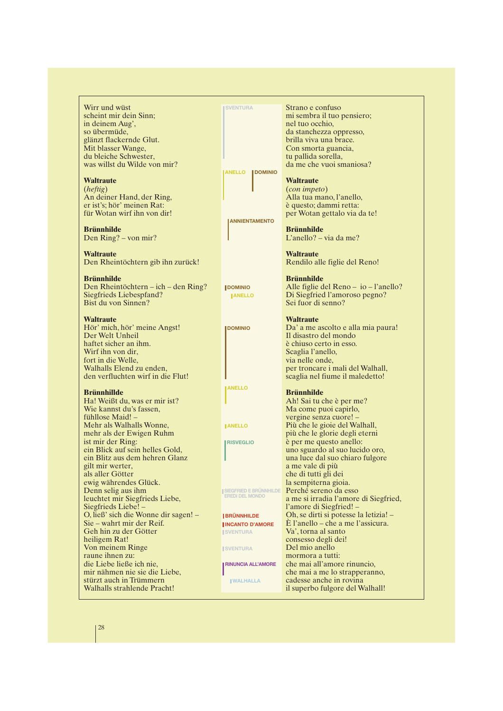Wirr und wüst scheint mir dein Sinn; in deinem Aug', so übermüde, glänzt flackernde Glut. Mit blasser Wange, du bleiche Schwester, was willst du Wilde von mir? **Waltraute** (*heftig*) An deiner Hand, der Ring, er ist's; hör' meinen Rat: für Wotan wirf ihn von dir! **Brünnhilde** Den Ring? – von mir? **Waltraute** Den Rheintöchtern gib ihn zurück! **Brünnhilde** Den Rheintöchtern – ich – den Ring? Siegfrieds Liebespfand? Bist du von Sinnen? **Waltraute** Hör' mich, hör' meine Angst! Der Welt Unheil haftet sicher an ihm. Wirf ihn von dir, fort in die Welle, Walhalls Elend zu enden, den verfluchten wirf in die Flut! **Brünnhillde** Ha! Weißt du, was er mir ist? Wie kannst du's fassen, fühllose Maid! – Mehr als Walhalls Wonne, mehr als der Ewigen Ruhm ist mir der Ring: ein Blick auf sein helles Gold, ein Blitz aus dem hehren Glanz gilt mir werter, als aller Götter ewig währendes Glück. Denn selig aus ihm leuchtet mir Siegfrieds Liebe, Siegfrieds Liebe! – O, ließ' sich die Wonne dir sagen! – Sie – wahrt mir der Reif. Geh hin zu der Götter heiligem Rat! Von meinem Ringe raune ihnen zu: die Liebe ließe ich nie, mir nähmen nie sie die Liebe, stürzt auch in Trümmern Walhalls strahlende Pracht! Strano e confuso nel tuo occhio, brilla viva una brace. Con smorta guancia, tu pallida sorella, **Waltraute** (*con impeto*) è questo; dammi retta: **Brünnhilde** L'anello? – via da me? **Waltraute Brünnhilde** Sei fuor di senno? **Waltraute** Il disastro del mondo è chiuso certo in esso. Scaglia l'anello, via nelle onde, **Brünnhilde** vergine senza cuore! – a me vale di più che di tutti gli dei la sempiterna gioia. Perché sereno da esso l'amore di Siegfried! – Va', torna al santo consesso degli dei! Del mio anello mormora a tutti: **SVENTURA ANELLO DOMINIO ANNIENTAMENTO DOMINIO DOMINIO ANELLO ANELLO ANELLO RISVEGLIO SIEGFRIED E BRÜNNHILDE EREDI DEL MONDO BRÜNNHILDE INCANTO D'AMORE ISVENTURA ISVENTURA RINUNCIA ALL'AMORE WALHALLA**

mi sembra il tuo pensiero; da stanchezza oppresso, da me che vuoi smaniosa? Alla tua mano, l'anello, per Wotan gettalo via da te! Rendilo alle figlie del Reno! Alle figlie del Reno – io – l'anello? Di Siegfried l'amoroso pegno? Da' a me ascolto e alla mia paura! per troncare i mali del Walhall, scaglia nel fiume il maledetto! Ah! Sai tu che è per me? Ma come puoi capirlo, Più che le gioie del Walhall, più che le glorie degli eterni è per me questo anello: uno sguardo al suo lucido oro, una luce dal suo chiaro fulgore a me si irradia l'amore di Siegfried, Oh, se dirti si potesse la letizia! – È l'anello – che a me l'assicura. che mai all'amore rinuncio, che mai a me lo strapperanno, cadesse anche in rovina il superbo fulgore del Walhall!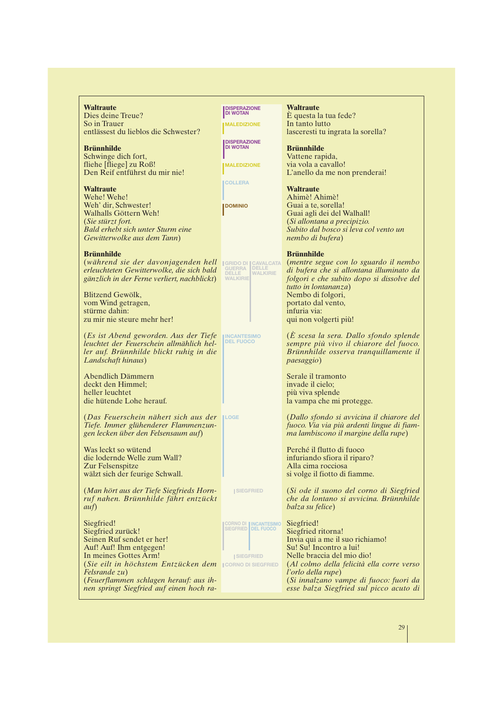**Waltraute** Dies deine Treue? So in Trauer entlässest du lieblos die Schwester?

**Brünnhilde** Schwinge dich fort, fliehe [fliege] zu Roß! Den Reif entführst du mir nie!

#### **Waltraute**

Wehe! Wehe! Weh' dir, Schwester! Walhalls Göttern Weh! (*Sie stürzt fort. Bald erhebt sich unter Sturm eine Gewitterwolke aus dem Tann*)

#### **Brünnhilde**

(*während sie der davonjagenden hell erleuchteten Gewitterwolke, die sich bald gänzlich in der Ferne verliert, nachblickt*)

Blitzend Gewölk, vom Wind getragen, stürme dahin: zu mir nie steure mehr her!

(*Es ist Abend geworden. Aus der Tiefe leuchtet der Feuerschein allmählich heller auf. Brünnhilde blickt ruhig in die Landschaft hinaus*)

Abendlich Dämmern deckt den Himmel; heller leuchtet die hütende Lohe herauf.

(*Das Feuerschein nähert sich aus der Tiefe. Immer glühenderer Flammenzungen lecken über den Felsensaum auf*) **LOGE**

Was leckt so wütend die lodernde Welle zum Wall? Zur Felsenspitze wälzt sich der feurige Schwall.

(*Man hört aus der Tiefe Siegfrieds Hornruf nahen. Brünnhilde fährt entzückt auf*)

Siegfried! Siegfried zurück! Seinen Ruf sendet er her! Auf! Auf! Ihm entgegen! In meines Gottes Arm!  $\left( \textit{Sie}\ \textit{eilt}\ \textit{in}\ \textit{höchstem}\ \textit{Entzücken}\ \textit{dem}\ \textcolor{red}{\right|$ icorno di siegfried *Felsrande zu*) (*Feuerflammen schlagen herauf: aus ihnen springt Siegfried auf einen hoch ra-*

**DISPERAZIONE DI WOTAN MALEDIZIONE**

**DISPERAZIONE DI WOTAN MALEDIZIONE**

**COLLERA**

**DOMINIO**

**GRIDO DI GUERRA DELLE WALKIRIE**

**INCANTESIMO DEL FUOCO**

**ISIEGERIED** 

**CAVALCATA DELLE WALKIRIE**

#### **Waltraute**

È questa la tua fede? In tanto lutto lasceresti tu ingrata la sorella?

#### **Brünnhilde**

Vattene rapida, via vola a cavallo! L'anello da me non prenderai!

#### **Waltraute**

Ahimè! Ahimè! Guai a te, sorella! Guai agli dei del Walhall! (*Si allontana a precipizio. Subito dal bosco si leva col vento un nembo di bufera*)

#### **Brünnhilde**

(*mentre segue con lo sguardo il nembo di bufera che si allontana illuminato da folgori e che subito dopo si dissolve del tutto in lontananza*) Nembo di folgori, portato dal vento, infuria via: qui non volgerti più!

(*È scesa la sera. Dallo sfondo splende sempre più vivo il chiarore del fuoco. Brünnhilde osserva tranquillamente il paesaggio*)

Serale il tramonto invade il cielo; più viva splende la vampa che mi protegge.

(*Dallo sfondo si avvicina il chiarore del fuoco. Via via più ardenti lingue di fiamma lambiscono il margine della rupe*)

Perché il flutto di fuoco infuriando sfiora il riparo? Alla cima rocciosa si volge il fiotto di fiamme.

(*Si ode il suono del corno di Siegfried che da lontano si avvicina. Brünnhilde balza su felice*)

Siegfried! Siegfried ritorna! Invia qui a me il suo richiamo! Su! Su! Incontro a lui! Nelle braccia del mio dio! (*Al colmo della felicità ella corre verso l'orlo della rupe*) (*Si innalzano vampe di fuoco: fuori da esse balza Siegfried sul picco acuto di* **SIEGFRIED CORNO DI SIEGFRIED INCANTESIMO DEL FUOCO**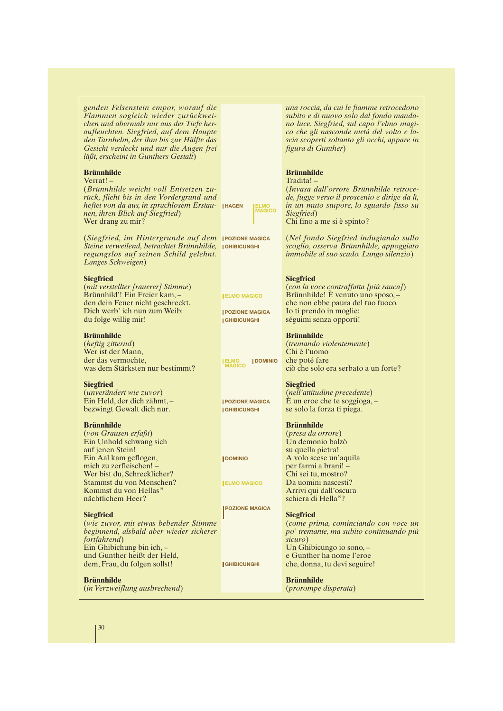*genden Felsenstein empor, worauf die Flammen sogleich wieder zurückweichen und abermals nur aus der Tiefe heraufleuchten. Siegfried, auf dem Haupte den Tarnhelm, der ihm bis zur Hälfte das Gesicht verdeckt und nur die Augen frei läßt, erscheint in Gunthers Gestalt*) **Brünnhilde** Verrat! – (*Brünnhilde weicht voll Entsetzen zurück, flieht bis in den Vordergrund und heftet von da aus, in sprachlosem Erstau-***HAGEN ELMO** *nen, ihren Blick auf Siegfried*) Wer drang zu mir? (*Siegfried, im Hintergrunde auf dem* **POZIONE MAGICA** *Steine verweilend, betrachtet Brünnhilde,* IGнівісимані *regungslos auf seinen Schild gelehnt. Langes Schweigen*) **Siegfried** (*mit verstellter [rauerer] Stimme*) Brünnhild'! Ein Freier kam, – den dein Feuer nicht geschreckt. Dich werb' ich nun zum Weib: du folge willig mir! **Brünnhilde** (*heftig zitternd*) Wer ist der Mann, der das vermochte, was dem Stärksten nur bestimmt? **Siegfried** (*unverändert wie zuvor*) Ein Held, der dich zähmt, – bezwingt Gewalt dich nur. **Brünnhilde** (*von Grausen erfaßt*) Ein Unhold schwang sich auf jenen Stein! Ein Aal kam geflogen, mich zu zerfleischen! – Wer bist du, Schrecklicher? Stammst du von Menschen? Kommst du von Hellas<sup>19</sup> nächtlichem Heer? **Siegfried** (*wie zuvor, mit etwas bebender Stimme beginnend, alsbald aber wieder sicherer fortfahrend*) Ein Ghibichung bin ich, – und Gunther heißt der Held, dem, Frau, du folgen sollst! **Brünnhilde** (*in Verzweiflung ausbrechend*) *una roccia, da cui le fiamme retrocedono subito e di nuovo solo dal fondo mandano luce. Siegfried, sul capo l'elmo magico che gli nasconde metà del volto e lascia scoperti soltanto gli occhi, appare in figura di Gunther*) **Brünnhilde** Tradita! – (*Invasa dall'orrore Brünnhilde retrocede, fugge verso il proscenio e dirige da lì, in un muto stupore, lo sguardo fisso su Siegfried*) Chi fino a me si è spinto? (*Nel fondo Siegfried indugiando sullo scoglio, osserva Brünnhilde, appoggiato immobile al suo scudo. Lungo silenzio*) **Siegfried** (*con la voce contraffatta [più rauca]*) Brünnhilde! È venuto uno sposo, – che non ebbe paura del tuo fuoco. Io ti prendo in moglie: séguimi senza opporti! **Brünnhilde** (*tremando violentemente*) Chi è l'uomo che poté fare ciò che solo era serbato a un forte? **Siegfried** (*nell'attitudine precedente*) È un eroe che te soggioga, – se solo la forza ti piega. **Brünnhilde** (*presa da orrore*) Un demonio balzò su quella pietra! A volo scese un'aquila per farmi a brani! – Chi sei tu, mostro? Da uomini nascesti? Arrivi qui dall'oscura schiera di Hella<sup>19</sup>? **Siegfried** (*come prima, cominciando con voce un po' tremante, ma subito continuando più sicuro*) Un Ghibicungo io sono, – e Gunther ha nome l'eroe che, donna, tu devi seguire! **Brünnhilde** (*prorompe disperata*) **LMU**<br>IAGICO **ELMO MAGICO ELMO MAGICO POZIONE MAGICA GHIBICUNGHI POZIONE MAGICA GHIBICUNGHI DOMINIO DOMINIO ELMO MAGICO POZIONE MAGICA GHIBICUNGHI**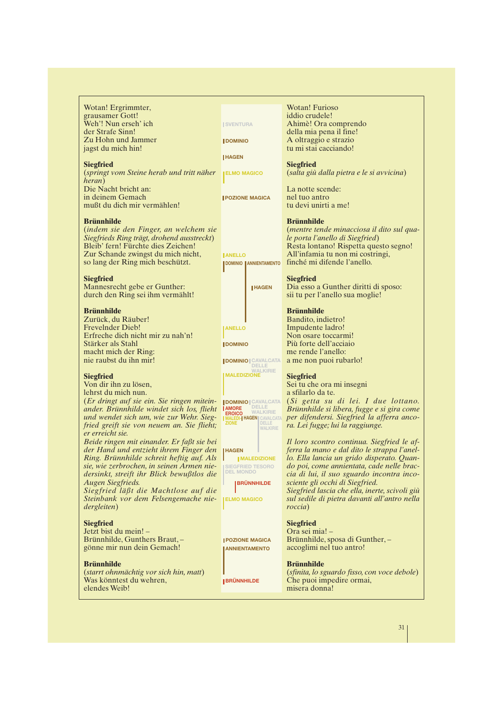Wotan! Ergrimmter, grausamer Gott! Weh'! Nun erseh' ich der Strafe Sinn! Zu Hohn und Jammer jagst du mich hin!

#### **Siegfried**

(*springt vom Steine herab und tritt näher heran*) Die Nacht bricht an: in deinem Gemach mußt du dich mir vermählen!

#### **Brünnhilde**

(*indem sie den Finger, an welchem sie Siegfrieds Ring trägt, drohend ausstreckt*) Bleib' fern! Fürchte dies Zeichen! Zur Schande zwingst du mich nicht, so lang der Ring mich beschützt.

#### **Siegfried**

Mannesrecht gebe er Gunther: durch den Ring sei ihm vermählt!

#### **Brünnhilde**

Zurück, du Räuber! Frevelnder Dieb! Erfreche dich nicht mir zu nah'n! Stärker als Stahl macht mich der Ring: nie raubst du ihn mir!

#### **Siegfried**

Von dir ihn zu lösen, lehrst du mich nun.

(*Er dringt auf sie ein. Sie ringen mitein-***DOMINIO CAVALCATA** *ander. Brünnhilde windet sich los, flieht und wendet sich um, wie zur Wehr. Siegfried greift sie von neuem an. Sie flieht; er erreicht sie.*

*Beide ringen mit einander. Er faßt sie bei der Hand und entzieht ihrem Finger den Ring. Brünnhilde schreit heftig auf. Als sie, wie zerbrochen, in seinen Armen niedersinkt, streift ihr Blick bewußtlos die Augen Siegfrieds.*

*Siegfried läßt die Machtlose auf die Steinbank vor dem Felsengemache niedergleiten*)

#### **Siegfried**

Jetzt bist du mein! – Brünnhilde, Gunthers Braut, – gönne mir nun dein Gemach!

#### **Brünnhilde**

(*starrt ohnmächtig vor sich hin, matt*) Was könntest du wehren, elendes Weib!

**ISVENTURA DOMINIO**

**HAGEN**

**ELMO MAGICO**

**POZIONE MAGICA**

**ANELLO**

**DOMINIO ANNIENTAMENTO**



**DOMINIO CAVALCATA DELLE**

**WALKIRIE MALEDIZIONE**

**DELLE WALKIRIE HAGEN** CAVALCATA **DELLE WALKIRIE MALEDI-ZIONE** *AMORE* **EROICO**

**HAGEN**

**SIEGFRIED TESORO DEL MONDO**

**ELMO MAGICO**

**POZIONE MAGICA** *ANNIENTAMENTO* 

**BRÜNNHILDE**

Wotan! Furioso iddio crudele! Ahimè! Ora comprendo della mia pena il fine! A oltraggio e strazio tu mi stai cacciando!

#### **Siegfried**

(*salta giù dalla pietra e le si avvicina*)

La notte scende: nel tuo antro tu devi unirti a me!

#### **Brünnhilde**

(*mentre tende minacciosa il dito sul quale porta l'anello di Siegfried*) Resta lontano! Rispetta questo segno! All'infamia tu non mi costringi, finché mi difende l'anello.

**Siegfried**

Dia esso a Gunther diritti di sposo: sii tu per l'anello sua moglie!

#### **Brünnhilde**

Bandito, indietro! Impudente ladro! Non osare toccarmi! Più forte dell'acciaio me rende l'anello: a me non puoi rubarlo!

#### **Siegfried**

Sei tu che ora mi insegni a sfilarlo da te. (*Si getta su di lei. I due lottano. Brünnhilde si libera, fugge e si gira come per difendersi. Siegfried la afferra anco-*

*ra. Lei fugge; lui la raggiunge.*

*Il loro scontro continua. Siegfried le afferra la mano e dal dito le strappa l'anello. Ella lancia un grido disperato. Quando poi, come annientata, cade nelle braccia di lui, il suo sguardo incontra incosciente gli occhi di Siegfried.*

*Siegfried lascia che ella, inerte, scivoli giù sul sedile di pietra davanti all'antro nella roccia*)

#### **Siegfried**

Ora sei mia! – Brünnhilde, sposa di Gunther, – accoglimi nel tuo antro!

#### **Brünnhilde**

(*sfinita, lo sguardo fisso, con voce debole*) Che puoi impedire ormai, misera donna!

31

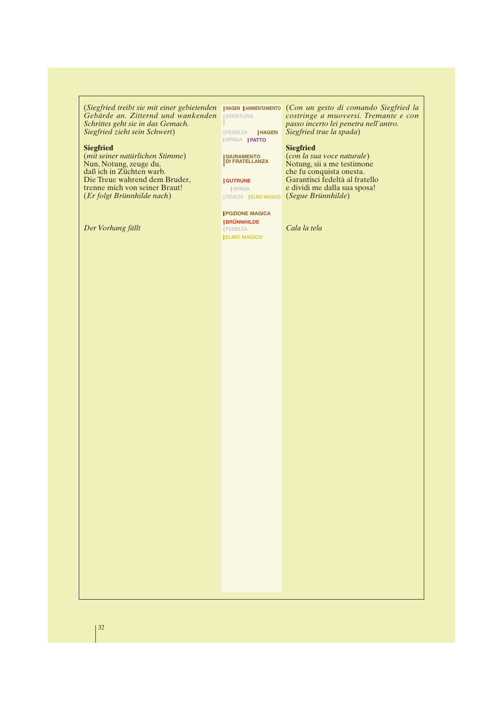*Gebärde an. Zitternd und wankenden* **SVENTURA** *Schrittes geht sie in das Gemach. Siegfried zieht sein Schwert*)

#### **Siegfried**

(*mit seiner natürlichen Stimme*) Nun, Notung, zeuge du, daß ich in Züchten warb. Die Treue wahrend dem Bruder, trenne mich von seiner Braut! (*Er folgt Brünnhilde nach*)

*Der Vorhang fällt*

**SPADA PATTO**

**GIURAMENTO DI FRATELLANZA**

## **GUTRUNE**

**SPADA** 

#### **POZIONE MAGICA BRÜNNHILDE**

**FEDELTA ELMO MAGICO**

(*Siegfried treibt sie mit einer gebietenden* (*Con un gesto di comando Siegfried la* **HAGEN ANNIENTAMENTO** *costringe a muoversi. Tremante e con passo incerto lei penetra nell'antro.* **FEDELTA HAGEN** Siegfried trae la spada)

#### **Siegfried**

(*con la sua voce naturale*) Notung, sii a me testimone che fu conquista onesta. Garantisci fedeltà al fratello e dividi me dalla sua sposa! (*Segue Brünnhilde*) **FEDELTA ELMO MAGICO**

*Cala la tela*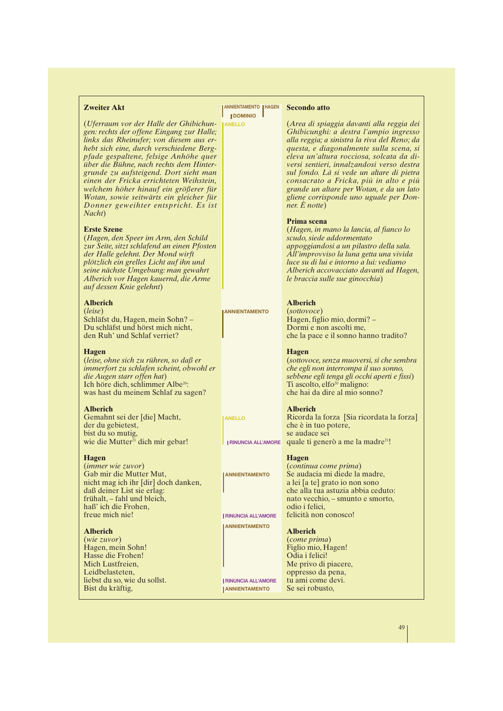## **Zweiter Akt**

(*Uferraum vor der Halle der Ghibichungen: rechts der offene Eingang zur Halle; links das Rheinufer; von diesem aus erhebt sich eine, durch verschiedene Bergpfade gespaltene, felsige Anhöhe quer über die Bühne, nach rechts dem Hintergrunde zu aufsteigend. Dort sieht man einen der Fricka errichteten Weihstein, welchem höher hinauf ein größerer für Wotan, sowie seitwärts ein gleicher für Donner geweihter entspricht. Es ist Nacht*)

#### **Erste Szene**

(*Hagen, den Speer im Arm, den Schild zur Seite, sitzt schlafend an einen Pfosten der Halle gelehnt. Der Mond wirft plötzlich ein grelles Licht auf ihn und seine nächste Umgebung: man gewahrt Alberich vor Hagen kauernd, die Arme auf dessen Knie gelehnt*)

#### **Alberich**

(*leise*) Schläfst du, Hagen, mein Sohn? – Du schläfst und hörst mich nicht, den Ruh' und Schlaf verriet?

#### **Hagen**

(*leise, ohne sich zu rühren, so daß er immerfort zu schlafen scheint, obwohl er die Augen starr offen hat*) Ich höre dich, schlimmer Albe<sup>20</sup>: was hast du meinem Schlaf zu sagen?

#### **Alberich**

Gemahnt sei der [die] Macht, der du gebietest, bist du so mutig, wie die Mutter $21$  dich mir gebar!

#### **Hagen**

(*immer wie zuvor*) Gab mir die Mutter Mut, nicht mag ich ihr [dir] doch danken, daß deiner List sie erlag: frühalt, – fahl und bleich, haß' ich die Frohen, freue mich nie!

#### **Alberich**

(*wie zuvor*) Hagen, mein Sohn! Hasse die Frohen! Mich Lustfreien, Leidbelasteten liebst du so, wie du sollst. Bist du kräftig,

**ANNIENTAMENTO HAGEN DOMINIO** 

**ANELLO**

#### **Secondo atto**

(*Area di spiaggia davanti alla reggia dei Ghibicunghi: a destra l'ampio ingresso alla reggia; a sinistra la riva del Reno; da questa, e diagonalmente sulla scena, si eleva un'altura rocciosa, solcata da diversi sentieri, innalzandosi verso destra sul fondo. Là si vede un altare di pietra consacrato a Fricka, più in alto e più grande un altare per Wotan, e da un lato gliene corrisponde uno uguale per Donner. È notte*)

#### **Prima scena**

(*Hagen, in mano la lancia, al fianco lo scudo, siede addormentato appoggiandosi a un pilastro della sala. All'improvviso la luna getta una vivida luce su di lui e intorno a lui: vediamo Alberich accovacciato davanti ad Hagen, le braccia sulle sue ginocchia*)

#### **Alberich**

(*sottovoce*) Hagen, figlio mio, dormi? – Dormi e non ascolti me, che la pace e il sonno hanno tradito?

**Hagen**

(*sottovoce, senza muoversi, sì che sembra che egli non interrompa il suo sonno, sebbene egli tenga gli occhi aperti e fissi*) Ti ascolto, elfo<sup>20</sup> maligno: che hai da dire al mio sonno?

#### **Alberich**

Ricorda la forza [Sia ricordata la forza] che è in tuo potere, se audace sei RINUNCIA ALL'AMORE quale ti generò a me la madre<sup>21</sup>!

## **Hagen**

(*continua come prima*) Se audacia mi diede la madre, a lei [a te] grato io non sono che alla tua astuzia abbia ceduto: nato vecchio, – smunto e smorto, odio i felici, felicità non conosco!

#### **Alberich**

(*come prima*) Figlio mio, Hagen! Odia i felici! Me privo di piacere, oppresso da pena, tu ami come devi. Se sei robusto,

49

**ANELLO**

**ANNIENTAMENTO**

**ANNIENTAMENTO**

**RINUNCIA ALL'AMORE**

**ANNIENTAMENTO**

**RINUNCIA ALL'AMORE**

**ANNIENTAMENTO**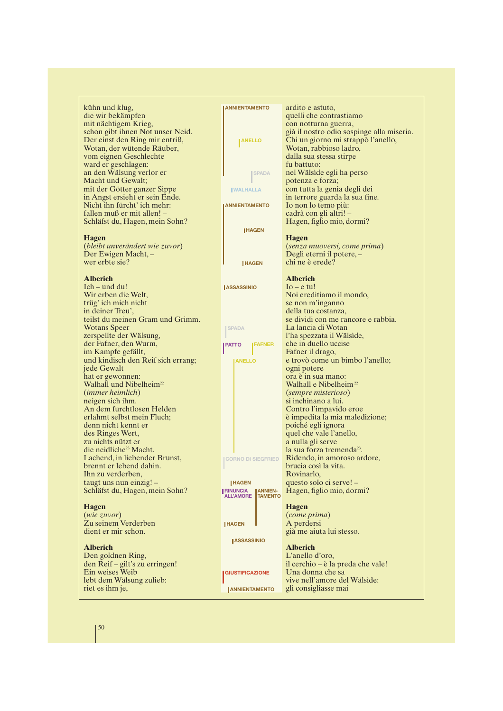kühn und klug, die wir bekämpfen mit nächtigem Krieg, schon gibt ihnen Not unser Neid. Der einst den Ring mir entriß, Wotan, der wütende Räuber, vom eignen Geschlechte ward er geschlagen: an den Wälsung verlor er Macht und Gewalt; mit der Götter ganzer Sippe in Angst ersieht er sein Ende. Nicht ihn fürcht' ich mehr: fallen muß er mit allen! – Schläfst du, Hagen, mein Sohn?

#### **Hagen**

(*bleibt unverändert wie zuvor*) Der Ewigen Macht, – wer erbte sie?

#### **Alberich**

Ich – und du! Wir erben die Welt, trüg' ich mich nicht in deiner Treu', teilst du meinen Gram und Grimm. Wotans Speer zerspellte der Wälsung, der Fafner, den Wurm, im Kampfe gefällt, und kindisch den Reif sich errang; jede Gewalt hat er gewonnen: Walhall und Nibelheim<sup>22</sup> (*immer heimlich*) neigen sich ihm. An dem furchtlosen Helden erlahmt selbst mein Fluch; denn nicht kennt er des Ringes Wert, zu nichts nützt er die neidliche<sup>23</sup> Macht. Lachend, in liebender Brunst, brennt er lebend dahin. Ihn zu verderben, taugt uns nun einzig! – Schläfst du, Hagen, mein Sohn?

#### **Hagen**

(*wie zuvor*) Zu seinem Verderben dient er mir schon.

#### **Alberich**

Den goldnen Ring, den Reif – gilt's zu erringen! Ein weises Weib lebt dem Wälsung zulieb: riet es ihm je,

| <b>ANNIENTAMENTO</b>               | ardito e astuto,                                                                |
|------------------------------------|---------------------------------------------------------------------------------|
|                                    | quelli che contrastiamo                                                         |
|                                    | con notturna guerra,                                                            |
| <b>ANELLO</b>                      | già il nostro odio sospinge alla miseria.<br>Chi un giorno mi strappò l'anello, |
|                                    | Wotan, rabbioso ladro,                                                          |
|                                    | dalla sua stessa stirpe                                                         |
|                                    | fu battuto:                                                                     |
| <b>SPADA</b>                       | nel Wälside egli ha perso                                                       |
|                                    | potenza e forza;                                                                |
| <b>WALHALLA</b>                    | con tutta la genia degli dei                                                    |
|                                    | in terrore guarda la sua fine.                                                  |
| <b>ANNIENTAMENTO</b>               | Io non lo temo più:                                                             |
|                                    | cadrà con gli altri! -                                                          |
|                                    | Hagen, figlio mio, dormi?                                                       |
| <b>HAGEN</b>                       |                                                                                 |
|                                    | <b>Hagen</b>                                                                    |
|                                    | (senza muoversi, come prima)                                                    |
|                                    | Degli eterni il potere, -                                                       |
| <b>HAGEN</b>                       | chi ne è erede?                                                                 |
|                                    |                                                                                 |
|                                    | <b>Alberich</b>                                                                 |
| <b>ASSASSINIO</b>                  | $I_0$ – e tu!                                                                   |
|                                    | Noi ereditiamo il mondo,                                                        |
|                                    | se non m'inganno                                                                |
|                                    | della tua costanza,                                                             |
|                                    | se dividi con me rancore e rabbia.                                              |
| <b>SPADA</b>                       | La lancia di Wotan                                                              |
|                                    | l'ha spezzata il Wälside,                                                       |
| <b>FAFNER</b><br>PATTO             | che in duello uccise                                                            |
|                                    | Fafner il drago,                                                                |
| <b>ANELLO</b>                      | e trovò come un bimbo l'anello;                                                 |
|                                    | ogni potere<br>ora è in sua mano:                                               |
|                                    | Walhall e Nibelheim <sup>22</sup>                                               |
|                                    | <i>(sempre misterioso)</i>                                                      |
|                                    | si inchinano a lui.                                                             |
|                                    | Contro l'impavido eroe                                                          |
|                                    | è impedita la mia maledizione;                                                  |
|                                    | poiché egli ignora                                                              |
|                                    | quel che vale l'anello,                                                         |
|                                    | a nulla gli serve                                                               |
|                                    | la sua forza tremenda <sup>23</sup> .                                           |
| <b>CORNO DI SIEGFRIED</b>          | Ridendo, in amoroso ardore,                                                     |
|                                    | brucia così la vita.                                                            |
|                                    | Rovinarlo,                                                                      |
| <b>HAGEN</b>                       | questo solo ci serve! –                                                         |
| <b>RINUNCIA</b><br><b>ANNIEN-</b>  | Hagen, figlio mio, dormi?                                                       |
| <b>ALL'AMORE</b><br><b>TAMENTO</b> |                                                                                 |
|                                    | <b>Hagen</b>                                                                    |
|                                    | (come prima)                                                                    |
| <b>HAGEN</b>                       | A perdersi                                                                      |
|                                    | già me aiuta lui stesso.                                                        |
| <b>ASSASSINIO</b>                  |                                                                                 |
|                                    | <b>Alberich</b>                                                                 |
|                                    | L'anello d'oro,                                                                 |
|                                    | il cerchio – è la preda che vale!                                               |
| <b>GIUSTIFICAZIONE</b>             | Una donna che sa                                                                |
|                                    | vive nell'amore del Wälside:                                                    |
| <b>ANNIENTAMENTO</b>               | gli consigliasse mai                                                            |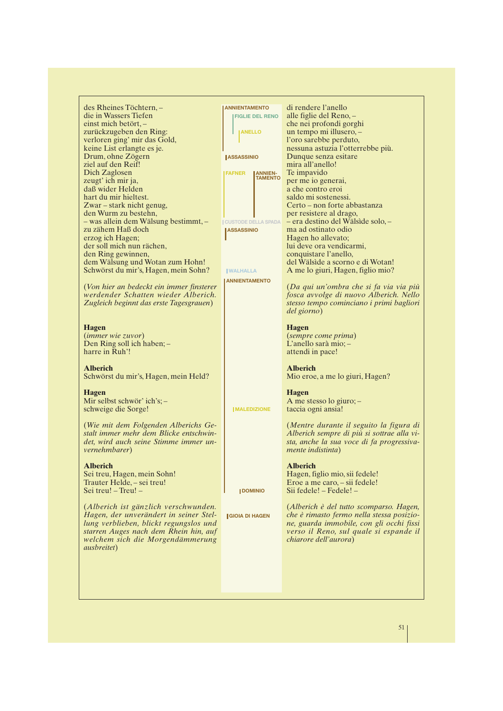des Rheines Töchtern, – die in Wassers Tiefen einst mich betört, – zurückzugeben den Ring: verloren ging' mir das Gold, keine List erlangte es je. Drum, ohne Zögern ziel auf den Reif! Dich Zaglosen zeugt' ich mir ja, daß wider Helden hart du mir hieltest. Zwar – stark nicht genug, den Wurm zu bestehn, – was allein dem Wälsung bestimmt, – zu zähem Haß doch erzog ich Hagen; der soll mich nun rächen, den Ring gewinnen, dem Wälsung und Wotan zum Hohn! Schwörst du mir's, Hagen, mein Sohn? (*Von hier an bedeckt ein immer finsterer werdender Schatten wieder Alberich. Zugleich beginnt das erste Tagesgrauen*)

#### **Hagen**

(*immer wie zuvor*) Den Ring soll ich haben; – harre in Ruh'!

#### **Alberich**

Schwörst du mir's, Hagen, mein Held?

#### **Hagen**

Mir selbst schwör' ich's; – schweige die Sorge!

(*Wie mit dem Folgenden Alberichs Gestalt immer mehr dem Blicke entschwindet, wird auch seine Stimme immer unvernehmbarer*)

#### **Alberich**

Sei treu, Hagen, mein Sohn! Trauter Helde, – sei treu! Sei treu! – Treu! –

(*Alberich ist gänzlich verschwunden. Hagen, der unverändert in seiner Stellung verblieben, blickt regungslos und starren Auges nach dem Rhein hin, auf welchem sich die Morgendämmerung ausbreitet*)

| <b>ANNIENTAMENTO</b>       |                        | di rendere l'anello                                                                   |
|----------------------------|------------------------|---------------------------------------------------------------------------------------|
|                            | <b>FIGLIE DEL RENO</b> | alle figlie del Reno,-                                                                |
|                            |                        | che nei profondi gorghi                                                               |
| <b>ANELLO</b>              |                        | un tempo mi illusero, -                                                               |
|                            |                        | l'oro sarebbe perduto,<br>nessuna astuzia l'otterrebbe più.                           |
| <b>ASSASSINIO</b>          |                        | Dunque senza esitare                                                                  |
|                            |                        | mira all'anello!                                                                      |
| <b>FAFNER</b>              | <b>ANNIEN-</b>         | Te impavido                                                                           |
|                            | <b>TAMENTO</b>         | per me io generai,                                                                    |
|                            |                        | a che contro eroi                                                                     |
|                            |                        | saldo mi sostenessi.<br>Certo – non forte abbastanza                                  |
|                            |                        | per resistere al drago,                                                               |
| <b>CUSTODE DELLA SPADA</b> |                        | – era destino del Wälside solo, –                                                     |
| <b>ASSASSINIO</b>          |                        | ma ad ostinato odio                                                                   |
|                            |                        | Hagen ho allevato;                                                                    |
|                            |                        | lui deve ora vendicarmi,                                                              |
|                            |                        | conquistare l'anello,<br>del Wälside a scorno e di Wotan!                             |
| <b>WALHALLA</b>            |                        | A me lo giuri, Hagen, figlio mio?                                                     |
| <b>ANNIENTAMENTO</b>       |                        |                                                                                       |
|                            |                        | (Da qui un'ombra che si fa via via più                                                |
|                            |                        | fosca avvolge di nuovo Alberich. Nello                                                |
|                            |                        | stesso tempo cominciano i primi bagliori                                              |
|                            |                        | del giorno)                                                                           |
|                            |                        | <b>Hagen</b>                                                                          |
|                            |                        | <i>(sempre come prima)</i>                                                            |
|                            |                        | L'anello sarà mio; $-$                                                                |
|                            |                        | attendi in pace!                                                                      |
|                            |                        |                                                                                       |
|                            |                        | <b>Alberich</b>                                                                       |
|                            |                        | Mio eroe, a me lo giuri, Hagen?                                                       |
|                            |                        | <b>Hagen</b>                                                                          |
|                            |                        | A me stesso lo giuro; -                                                               |
| <b>IMALEDIZIONE</b>        |                        | taccia ogni ansia!                                                                    |
|                            |                        |                                                                                       |
|                            |                        | (Mentre durante il seguito la figura di<br>Alberich sempre di più si sottrae alla vi- |
|                            |                        | sta, anche la sua voce di fa progressiva-                                             |
|                            |                        | <i>mente indistinta</i> )                                                             |
|                            |                        |                                                                                       |
|                            |                        | <b>Alberich</b>                                                                       |
|                            |                        | Hagen, figlio mio, sii fedele!                                                        |
| <b>IDOMINIO</b>            |                        | Eroe a me caro, – sii fedele!<br>Sii fedele! – Fedele! –                              |
|                            |                        |                                                                                       |
|                            |                        | (Alberich è del tutto scomparso. Hagen,                                               |
| <b>GIOIA DI HAGEN</b>      |                        | che è rimasto fermo nella stessa posizio-                                             |
|                            |                        | ne, guarda immobile, con gli occhi fissi                                              |
|                            |                        | verso il Reno, sul quale si espande il                                                |
|                            |                        | chiarore dell'aurora)                                                                 |
|                            |                        |                                                                                       |
|                            |                        |                                                                                       |
|                            |                        |                                                                                       |
|                            |                        |                                                                                       |
|                            |                        |                                                                                       |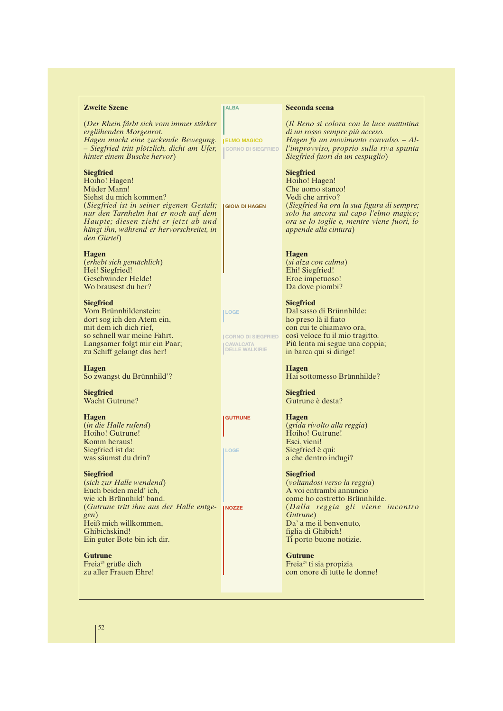#### **Zweite Szene**

(*Der Rhein färbt sich vom immer stärker erglühenden Morgenrot. Hagen macht eine zuckende Bewegung.* **ELMO MAGICO** *– Siegfried tritt plötzlich, dicht am Ufer, hinter einem Busche hervor*)

#### **Siegfried**

Hoiho! Hagen! Müder Mann! Siehst du mich kommen? (*Siegfried ist in seiner eigenen Gestalt;* **GIOIA DI HAGEN** *nur den Tarnhelm hat er noch auf dem Haupte; diesen zieht er jetzt ab und hängt ihn, während er hervorschreitet, in den Gürtel*)

#### **Hagen**

(*erhebt sich gemächlich*) Hei! Siegfried! Geschwinder Helde! Wo brausest du her?

#### **Siegfried**

Vom Brünnhildenstein: dort sog ich den Atem ein, mit dem ich dich rief, so schnell war meine Fahrt. Langsamer folgt mir ein Paar; zu Schiff gelangt das her!

#### **Hagen**

So zwangst du Brünnhild'?

**Siegfried** Wacht Gutrune?

#### **Hagen**

(*in die Halle rufend*) Hoiho! Gutrune! Komm heraus! Siegfried ist da: was säumst du drin?

#### **Siegfried**

(*sich zur Halle wendend*) Euch beiden meld' ich, wie ich Brünnhild' band. (*Gutrune tritt ihm aus der Halle entge-***NOZZE***gen*) Heiß mich willkommen, Ghibichskind! Ein guter Bote bin ich dir.

**Gutrune** Freia<sup>24</sup> grüße dich zu aller Frauen Ehre!

#### **ALBA**

**CORNO DI SIEGFRIED**

**LOGE**

**GUTRUNE**

**LOGE**

**CORNO DI SIEGFRIED CAVALCATA DELLE WALKIRIE**

(*Siegfried ha ora la sua figura di sempre; solo ha ancora sul capo l'elmo magico; ora se lo toglie e, mentre viene fuori, lo*

## **Hagen**

(*si alza con calma*) Ehi! Siegfried! Eroe impetuoso! Da dove piombi?

*appende alla cintura*)

**Seconda scena**

**Siegfried** Hoiho! Hagen! Che uomo stanco! Vedi che arrivo?

(*Il Reno si colora con la luce mattutina*

*Hagen fa un movimento convulso. – All'improvviso, proprio sulla riva spunta*

*di un rosso sempre più acceso.*

*Siegfried fuori da un cespuglio*)

#### **Siegfried** Dal sasso di Brünnhilde:

ho preso là il fiato con cui te chiamavo ora, così veloce fu il mio tragitto. Più lenta mi segue una coppia; in barca qui si dirige!

# **Hagen**

Hai sottomesso Brünnhilde?

**Siegfried** Gutrune è desta?

#### **Hagen**

(*grida rivolto alla reggia*) Hoiho! Gutrune! Esci, vieni! Siegfried è qui: a che dentro indugi?

#### **Siegfried**

(*voltandosi verso la reggia*) A voi entrambi annuncio come ho costretto Brünnhilde. (*Dalla reggia gli viene incontro Gutrune*) Da' a me il benvenuto, figlia di Ghibich! Ti porto buone notizie.

#### **Gutrune**

Freia<sup>24</sup> ti sia propizia con onore di tutte le donne!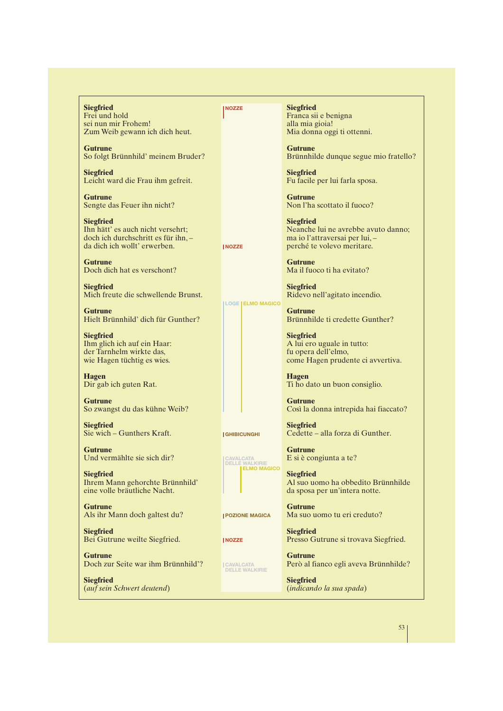**Siegfried** Frei und hold sei nun mir Frohem! Zum Weib gewann ich dich heut.

**Gutrune** So folgt Brünnhild' meinem Bruder?

**Siegfried** Leicht ward die Frau ihm gefreit.

**Gutrune** Sengte das Feuer ihn nicht?

**Siegfried** Ihn hätt' es auch nicht versehrt; doch ich durchschritt es für ihn, – da dich ich wollt' erwerben.

**Gutrune** Doch dich hat es verschont?

**Siegfried** Mich freute die schwellende Brunst.

**Gutrune** Hielt Brünnhild' dich für Gunther?

**Siegfried** Ihm glich ich auf ein Haar: der Tarnhelm wirkte das, wie Hagen tüchtig es wies.

**Hagen** Dir gab ich guten Rat.

**Gutrune** So zwangst du das kühne Weib?

**Siegfried** Sie wich – Gunthers Kraft.

**Gutrune** Und vermählte sie sich dir?

**Siegfried** Ihrem Mann gehorchte Brünnhild' eine volle bräutliche Nacht.

**Gutrune** Als ihr Mann doch galtest du?

**Siegfried** Bei Gutrune weilte Siegfried.

**Gutrune** Doch zur Seite war ihm Brünnhild'?

**Siegfried** (*auf sein Schwert deutend*) **Siegfried** Franca sii e benigna alla mia gioia! Mia donna oggi ti ottenni.

**Gutrune** Brünnhilde dunque segue mio fratello?

**Siegfried** Fu facile per lui farla sposa.

**Gutrune** Non l'ha scottato il fuoco?

**Siegfried** Neanche lui ne avrebbe avuto danno; ma io l'attraversai per lui, – perché te volevo meritare.

**Gutrune** Ma il fuoco ti ha evitato?

**Siegfried** Ridevo nell'agitato incendio.

**Gutrune** Brünnhilde ti credette Gunther?

**Siegfried** A lui ero uguale in tutto: fu opera dell'elmo, come Hagen prudente ci avvertiva.

**Hagen** Ti ho dato un buon consiglio.

**Gutrune** Così la donna intrepida hai fiaccato?

**Siegfried** Cedette – alla forza di Gunther.

**Gutrune** E si è congiunta a te?

**Siegfried** Al suo uomo ha obbedito Brünnhilde da sposa per un'intera notte.

**Gutrune** Ma suo uomo tu eri creduto?

**Siegfried** Presso Gutrune si trovava Siegfried.

**Gutrune** Però al fianco egli aveva Brünnhilde?

**Siegfried** (*indicando la sua spada*)



**GHIBICUNGHI**

**NOZZE**

**NOZZE**

**LOGE ELMO MAGICO**



**POZIONE MAGICA**

**NOZZE**

**CAVALCATA DELLE WALKIRIE**

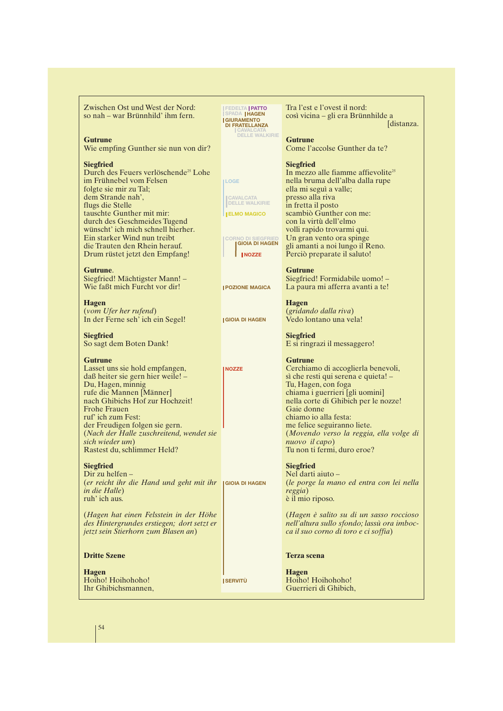Zwischen Ost und West der Nord: so nah – war Brünnhild' ihm fern.

#### **Gutrune**

Wie empfing Gunther sie nun von dir?

#### **Siegfried**

Durch des Feuers verlöschende<sup>25</sup> Lohe im Frühnebel vom Felsen folgte sie mir zu Tal; dem Strande nah', flugs die Stelle tauschte Gunther mit mir: durch des Geschmeides Tugend wünscht' ich mich schnell hierher. Ein starker Wind nun treibt die Trauten den Rhein herauf. Drum rüstet jetzt den Empfang!

#### **Gutrune**.

Siegfried! Mächtigster Mann! – Wie faßt mich Furcht vor dir!

**Hagen** (*vom Ufer her rufend*) In der Ferne seh' ich ein Segel!

**Siegfried** So sagt dem Boten Dank!

#### **Gutrune** Lasset uns sie hold empfangen, daß heiter sie gern hier weile! – Du, Hagen, minnig rufe die Mannen [Männer] nach Ghibichs Hof zur Hochzeit! Frohe Frauen ruf' ich zum Fest: der Freudigen folgen sie gern. (*Nach der Halle zuschreitend, wendet sie sich wieder um*) Rastest du, schlimmer Held?

**Siegfried**

Dir zu helfen – (*er reicht ihr die Hand und geht mit ihr* **GIOIA DI HAGEN** *in die Halle*) ruh' ich aus.

(*Hagen hat einen Felsstein in der Höhe des Hintergrundes erstiegen; dort setzt er jetzt sein Stierhorn zum Blasen an*)

#### **Dritte Szene**

**Hagen** Hoiho! Hoihohoho! Ihr Ghibichsmannen, **FEDELTA PATTO SPADA HAGEN GIURAMENTO DI FRATELLANZA CAVALCATA DELLE WALKIRIE**

**CAVALCATA DELLE WALKIRIE ELMO MAGICO**

**CORNO DI SIEGFRIED GIOIA DI HAGEN NOZZE**

**POZIONE MAGICA**

**GIOIA DI HAGEN**

**NOZZE**

**SERVITÙ**

**LOGE**

Tra l'est e l'ovest il nord: così vicina – gli era Brünnhilde a [distanza.

#### **Gutrune**

Come l'accolse Gunther da te?

#### **Siegfried**

In mezzo alle fiamme affievolite<sup>25</sup> nella bruma dell'alba dalla rupe ella mi seguì a valle; presso alla riva in fretta il posto scambiò Gunther con me: con la virtù dell'elmo volli rapido trovarmi qui. Un gran vento ora spinge gli amanti a noi lungo il Reno. Perciò preparate il saluto!

#### **Gutrune**

Siegfried! Formidabile uomo! – La paura mi afferra avanti a te!

**Hagen** (*gridando dalla riva*) Vedo lontano una vela!

**Siegfried** E si ringrazi il messaggero!

#### **Gutrune**

Cerchiamo di accoglierla benevoli, sì che resti qui serena e quieta! – Tu, Hagen, con foga chiama i guerrieri [gli uomini] nella corte di Ghibich per le nozze! Gaie donne chiamo io alla festa: me felice seguiranno liete. (*Movendo verso la reggia, ella volge di nuovo il capo*) Tu non ti fermi, duro eroe?

#### **Siegfried**

Nel darti aiuto – (*le porge la mano ed entra con lei nella reggia*) è il mio riposo.

(*Hagen è salito su di un sasso roccioso nell'altura sullo sfondo; lassù ora imbocca il suo corno di toro e ci soffia*)

#### **Terza scena**

**Hagen** Hoiho! Hoihohoho! Guerrieri di Ghibich,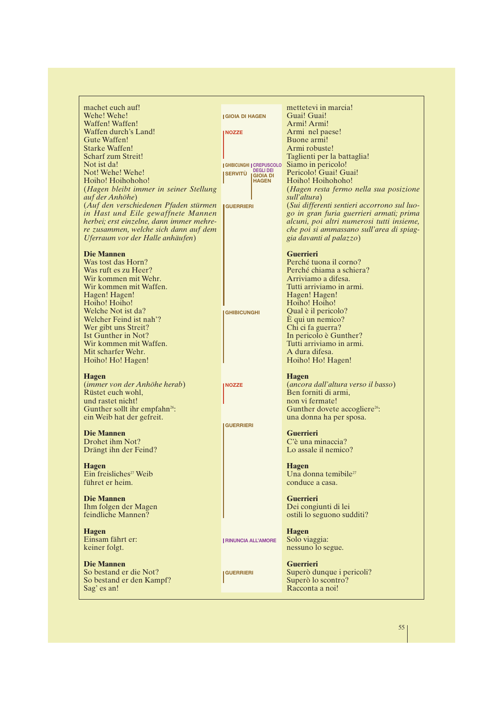| machet euch auf!                          |                                                    | mettetevi in marcia!                        |
|-------------------------------------------|----------------------------------------------------|---------------------------------------------|
| Wehe! Wehe!                               | <b>IGIOIA DI HAGEN</b>                             | Guai! Guai!                                 |
| Waffen! Waffen!                           |                                                    | Armi! Armi!                                 |
| Waffen durch's Land!                      | <b>INOZZE</b>                                      | Armi nel paese!                             |
| Gute Waffen!                              |                                                    | Buone armi!                                 |
| <b>Starke Waffen!</b>                     |                                                    | Armi robuste!                               |
| Scharf zum Streit!                        |                                                    | Taglienti per la battaglia!                 |
| Not ist da!                               |                                                    | Siamo in pericolo!                          |
| Not! Wehe! Wehe!                          | <b>GHIBICUNGHI CREPUSCOLO</b><br><b>DEGLI DEI</b>  | Pericolo! Guai! Guai!                       |
|                                           | <b>SERVITÙ</b><br><b>IGIOIA DI</b><br><b>HAGEN</b> |                                             |
| Hoiho! Hoihohoho!                         |                                                    | Hoiho! Hoihohoho!                           |
| (Hagen bleibt immer in seiner Stellung    |                                                    | (Hagen resta fermo nella sua posizione      |
| auf der Anhöhe)                           |                                                    | sull'altura)                                |
| (Auf den verschiedenen Pfaden stürmen     | <b>I GUERRIERI</b>                                 | (Sui differenti sentieri accorrono sul luo- |
| in Hast und Eile gewaffnete Mannen        |                                                    | go in gran furia guerrieri armati; prima    |
| herbei; erst einzelne, dann immer mehre-  |                                                    | alcuni, poi altri numerosi tutti insieme,   |
| re zusammen, welche sich dann auf dem     |                                                    | che poi si ammassano sull'area di spiag-    |
| Uferraum vor der Halle anhäufen)          |                                                    | gia davanti al palazzo)                     |
|                                           |                                                    |                                             |
| <b>Die Mannen</b>                         |                                                    | <b>Guerrieri</b>                            |
| Was tost das Horn?                        |                                                    | Perché tuona il corno?                      |
| Was ruft es zu Heer?                      |                                                    | Perché chiama a schiera?                    |
| Wir kommen mit Wehr.                      |                                                    | Arriviamo a difesa.                         |
| Wir kommen mit Waffen.                    |                                                    | Tutti arriviamo in armi.                    |
| Hagen! Hagen!                             |                                                    | Hagen! Hagen!                               |
| Hoiho! Hoiho!                             |                                                    | Hoiho! Hoiho!                               |
| Welche Not ist da?                        |                                                    | Qual è il pericolo?                         |
| Welcher Feind ist nah'?                   | <b>GHIBICUNGHI</b>                                 |                                             |
|                                           |                                                    | E qui un nemico?                            |
| Wer gibt uns Streit?                      |                                                    | Chi ci fa guerra?                           |
| Ist Gunther in Not?                       |                                                    | In pericolo è Gunther?                      |
| Wir kommen mit Waffen.                    |                                                    | Tutti arriviamo in armi.                    |
| Mit scharfer Wehr.                        |                                                    | A dura difesa.                              |
| Hoiho! Ho! Hagen!                         |                                                    | Hoiho! Ho! Hagen!                           |
|                                           |                                                    |                                             |
| <b>Hagen</b>                              |                                                    | <b>Hagen</b>                                |
| (immer von der Anhöhe herab)              | <b>NOZZE</b>                                       | (ancora dall'altura verso il basso)         |
| Rüstet euch wohl,                         |                                                    | Ben forniti di armi,                        |
| und rastet nicht!                         |                                                    | non vi fermate!                             |
| Gunther sollt ihr empfahn <sup>26</sup> : |                                                    | Gunther dovete accogliere <sup>26</sup> :   |
| ein Weib hat der gefreit.                 |                                                    | una donna ha per sposa.                     |
|                                           | <b>GUERRIERI</b>                                   |                                             |
| <b>Die Mannen</b>                         |                                                    | <b>Guerrieri</b>                            |
| Drohet ihm Not?                           |                                                    | C'è una minaccia?                           |
| Drängt ihn der Feind?                     |                                                    | Lo assale il nemico?                        |
|                                           |                                                    |                                             |
| <b>Hagen</b>                              |                                                    | <b>Hagen</b>                                |
| Ein freisliches <sup>27</sup> Weib        |                                                    | Una donna temibile <sup>27</sup>            |
| führet er heim.                           |                                                    | conduce a casa.                             |
|                                           |                                                    |                                             |
| <b>Die Mannen</b>                         |                                                    | <b>Guerrieri</b>                            |
| Ihm folgen der Magen                      |                                                    | Dei congiunti di lei                        |
| feindliche Mannen?                        |                                                    | ostili lo seguono sudditi?                  |
|                                           |                                                    |                                             |
|                                           |                                                    |                                             |
| <b>Hagen</b>                              |                                                    | <b>Hagen</b>                                |
| Einsam fährt er:                          | <b>RINUNCIA ALL'AMORE</b>                          | Solo viaggia:                               |
| keiner folgt.                             |                                                    | nessuno lo segue.                           |
|                                           |                                                    |                                             |
| <b>Die Mannen</b>                         |                                                    | <b>Guerrieri</b>                            |
| So bestand er die Not?                    | <b>GUERRIERI</b>                                   | Superò dunque i pericoli?                   |
| So bestand er den Kampf?                  |                                                    | Superò lo scontro?                          |
| Sag' es an!                               |                                                    | Racconta a noi!                             |
|                                           |                                                    |                                             |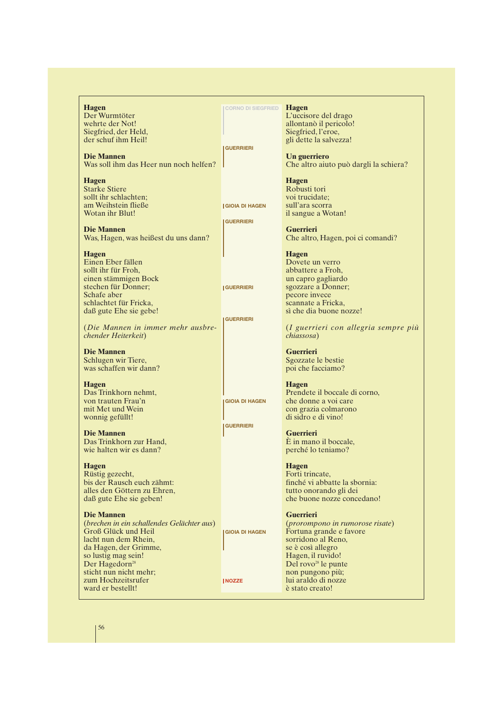**Hagen** Der Wurmtöter wehrte der Not! Siegfried, der Held, der schuf ihm Heil!

**Die Mannen** Was soll ihm das Heer nun noch helfen?

**Hagen** Starke Stiere sollt ihr schlachten; am Weihstein fließe Wotan ihr Blut!

**Die Mannen** Was, Hagen, was heißest du uns dann?

**Hagen**

Einen Eber fällen sollt ihr für Froh, einen stämmigen Bock stechen für Donner; Schafe aber schlachtet für Fricka, daß gute Ehe sie gebe!

(*Die Mannen in immer mehr ausbrechender Heiterkeit*)

**Die Mannen** Schlugen wir Tiere, was schaffen wir dann?

**Hagen** Das Trinkhorn nehmt, von trauten Frau'n mit Met und Wein wonnig gefüllt!

**Die Mannen** Das Trinkhorn zur Hand, wie halten wir es dann?

**Hagen** Rüstig gezecht, bis der Rausch euch zähmt: alles den Göttern zu Ehren, daß gute Ehe sie geben!

**Die Mannen** (*brechen in ein schallendes Gelächter aus*) Groß Glück und Heil lacht nun dem Rhein, da Hagen, der Grimme, so lustig mag sein! Der Hagedorn<sup>28</sup> sticht nun nicht mehr; zum Hochzeitsrufer ward er bestellt! **GIOIA DI HAGEN NOZZE**

**Hagen CORNO DI SIEGFRIED**

**GUERRIERI**

**GIOIA DI HAGEN GUERRIERI**

**GUERRIERI**

**GUERRIERI**

**GIOIA DI HAGEN**

**GUERRIERI**

L'uccisore del drago allontanò il pericolo! Siegfried, l'eroe, gli dette la salvezza!

**Un guerriero** Che altro aiuto può dargli la schiera?

**Hagen** Robusti tori voi trucidate; sull'ara scorra il sangue a Wotan!

**Guerrieri** Che altro, Hagen, poi ci comandi?

**Hagen** Dovete un verro abbattere a Froh, un capro gagliardo sgozzare a Donner; pecore invece scannate a Fricka, sì che dia buone nozze!

(*I guerrieri con allegria sempre più chiassosa*)

**Guerrieri** Sgozzate le bestie poi che facciamo?

**Hagen** Prendete il boccale di corno, che donne a voi care con grazia colmarono di sidro e di vino!

**Guerrieri** È in mano il boccale, perché lo teniamo?

**Hagen** Forti trincate, finché vi abbatte la sbornia: tutto onorando gli dei che buone nozze concedano!

**Guerrieri** (*prorompono in rumorose risate*) Fortuna grande e favore sorridono al Reno, se è così allegro Hagen, il ruvido! Del rovo<sup>28</sup> le punte non pungono più; lui araldo di nozze è stato creato!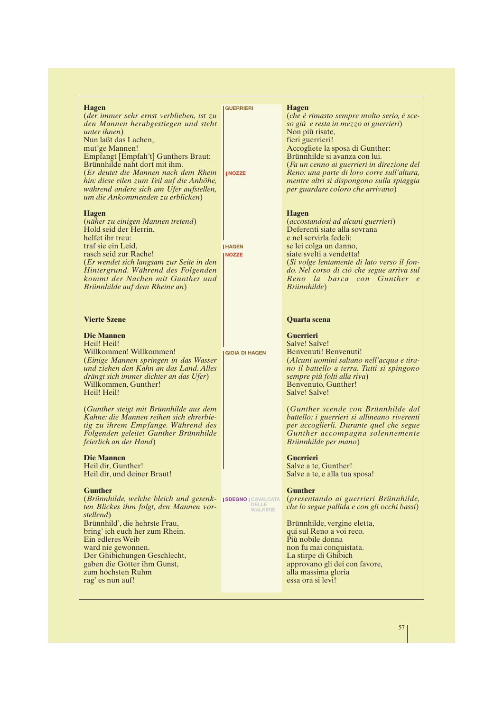#### **Hagen**

(*der immer sehr ernst verblieben, ist zu den Mannen herabgestiegen und steht unter ihnen*) Nun laßt das Lachen, mut'ge Mannen! Empfangt [Empfah't] Gunthers Braut: Brünnhilde naht dort mit ihm. (*Er deutet die Mannen nach dem Rhein hin: diese eilen zum Teil auf die Anhöhe, während andere sich am Ufer aufstellen, um die Ankommenden zu erblicken*) **NOZZE**

#### **Hagen**

(*näher zu einigen Mannen tretend*) Hold seid der Herrin, helfet ihr treu: traf sie ein Leid, rasch seid zur Rache! (*Er wendet sich langsam zur Seite in den Hintergrund. Während des Folgenden kommt der Nachen mit Gunther und Brünnhilde auf dem Rheine an*)

#### **Vierte Szene**

**Die Mannen** Heil! Heil! Willkommen! Willkommen! (*Einige Mannen springen in das Wasser und ziehen den Kahn an das Land. Alles drängt sich immer dichter an das Ufer*) Willkommen, Gunther! Heil! Heil!

(*Gunther steigt mit Brünnhilde aus dem Kahne: die Mannen reihen sich ehrerbietig zu ihrem Empfange. Während des Folgenden geleitet Gunther Brünnhilde feierlich an der Hand*)

**Die Mannen** Heil dir, Gunther! Heil dir, und deiner Braut!

#### **Gunther**

(*Brünnhilde, welche bleich und gesenk-***SDEGNO CAVALCATA** *ten Blickes ihm folgt, den Mannen vorstellend*) Brünnhild', die hehrste Frau, bring' ich euch her zum Rhein. Ein edleres Weib ward nie gewonnen. Der Ghibichungen Geschlecht, gaben die Götter ihm Gunst, zum höchsten Ruhm rag' es nun auf!

#### **GUERRIERI**

(*che è rimasto sempre molto serio, è sceso giù e resta in mezzo ai guerrieri*) Non più risate, fieri guerrieri! Accogliete la sposa di Gunther: Brünnhilde si avanza con lui. (*Fa un cenno ai guerrieri in direzione del Reno: una parte di loro corre sull'altura, mentre altri si dispongono sulla spiaggia per guardare coloro che arrivano*)

#### **Hagen**

**Hagen**

(*accostandosi ad alcuni guerrieri*) Deferenti siate alla sovrana e nel servirla fedeli: se lei colga un danno, siate svelti a vendetta! (*Si volge lentamente di lato verso il fondo. Nel corso di ciò che segue arriva sul Reno la barca con Gunther e Brünnhilde*)

#### **Quarta scena**

**Guerrieri** Salve! Salve! Benvenuti! Benvenuti! (*Alcuni uomini saltano nell'acqua e tirano il battello a terra. Tutti si spingono sempre più folti alla riva*) Benvenuto, Gunther! Salve! Salve!

(*Gunther scende con Brünnhilde dal battello: i guerrieri si allineano riverenti per accoglierli. Durante quel che segue Gunther accompagna solennemente Brünnhilde per mano*)

**Guerrieri** Salve a te, Gunther! Salve a te, e alla tua sposa!

#### **Gunther**

**DELLE WALKIRIE**

(*presentando ai guerrieri Brünnhilde, che lo segue pallida e con gli occhi bassi*)

Brünnhilde, vergine eletta, qui sul Reno a voi reco. Più nobile donna non fu mai conquistata. La stirpe di Ghibich approvano gli dei con favore, alla massima gloria essa ora si levi!

#### **GIOIA DI HAGEN**

**HAGEN NOZZE**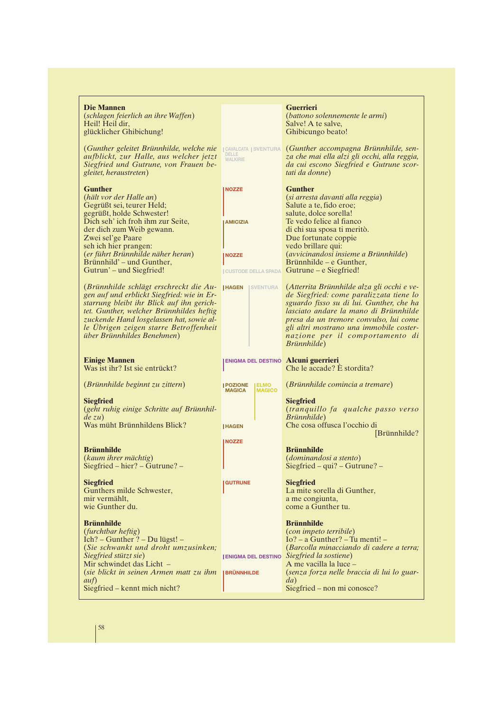| Die Mannen<br>(schlagen feierlich an ihre Waffen)<br><i>(battono solennemente le armi)</i><br>Heil! Heil dir,<br>Salve! A te salve,<br>glücklicher Ghibichung!<br>Ghibicungo beato!<br>(Gunther geleitet Brünnhilde, welche nie<br>(Gunther accompagna Brünnhilde, sen-<br>CAVALCATA SVENTURA<br>DELLE<br>aufblickt, zur Halle, aus welcher jetzt<br>za che mai ella alzi gli occhi, alla reggia,<br><b>WALKIRIE</b><br>Siegfried und Gutrune, von Frauen be-<br>da cui escono Siegfried e Gutrune scor-<br>gleitet, heraustreten)<br>tati da donne)<br><b>Gunther</b><br><b>Gunther</b><br><b>NOZZE</b><br>(hält vor der Halle an)<br>(si arresta davanti alla reggia)<br>Gegrüßt sei, teurer Held;<br>Salute a te, fido eroe;<br>gegrüßt, holde Schwester!<br>salute, dolce sorella!<br>Dich seh' ich froh ihm zur Seite,<br>Te vedo felice al fianco<br><b>AMICIZIA</b><br>der dich zum Weib gewann.<br>di chi sua sposa ti meritò.<br>Zwei sel'ge Paare<br>Due fortunate coppie<br>seh ich hier prangen:<br>vedo brillare qui:<br>(er führt Brünnhilde näher heran)<br>(avvicinandosi insieme a Brünnhilde)<br><b>NOZZE</b><br>Brünnhild' – und Gunther,<br>Brünnhilde – e Gunther,<br>Gutrun' – und Siegfried!<br><b>JCUSTODE DELLA SPADA</b> Gutrune - e Siegfried!<br>(Brünnhilde schlägt erschreckt die Au- IHAGEN<br>(Atterrita Brünnhilde alza gli occhi e ve-<br><b>ISVENTURA</b><br>gen auf und erblickt Siegfried: wie in Er-<br>de Siegfried: come paralizzata tiene lo<br>starrung bleibt ihr Blick auf ihn gerich-<br>sguardo fisso su di lui. Gunther, che ha<br>tet. Gunther, welcher Brünnhildes heftig<br>lasciato andare la mano di Brünnhilde<br>zuckende Hand losgelassen hat, sowie al-<br>presa da un tremore convulso, lui come<br>le Ubrigen zeigen starre Betroffenheit<br>gli altri mostrano una immobile coster-<br>über Brünnhildes Benehmen)<br>nazione per il comportamento di<br>Brünnhilde)<br><b>Einige Mannen</b><br><b>ENIGMA DEL DESTINO Alcuni guerrieri</b><br>Was ist ihr? Ist sie entrückt?<br>Che le accade? È stordita?<br>(Brünnhilde beginnt zu zittern)<br>(Brünnhilde comincia a tremare)<br><b>  POZIONE<br/>MAGICA</b><br><b>ELMO</b><br>MAGICO<br><b>Siegfried</b><br><b>Siegfried</b><br>(geht ruhig einige Schritte auf Brünnhil-<br><i>(tranquillo fa qualche passo verso</i><br>$de\ zu)$<br><i>Brünnhilde</i> )<br>Was müht Brünnhildens Blick?<br>Che cosa offusca l'occhio di<br><b>HAGEN</b><br>[Brünnhilde?]<br><b>NOZZE</b><br><b>Brünnhilde</b><br><b>Brünnhilde</b><br>(kaum ihrer mächtig)<br><i>(dominandosi a stento)</i><br>$Siegfried - hier? - Gutrune? -$<br>$Siegfried - qui? - Gutrune? -$<br><b>Siegfried</b><br><b>Siegfried</b><br><b>GUTRUNE</b><br>Gunthers milde Schwester,<br>La mite sorella di Gunther,<br>mir vermählt.<br>a me congiunta,<br>wie Gunther du.<br>come a Gunther tu.<br><b>Brünnhilde</b><br><b>Brünnhilde</b><br>(furchtbar heftig)<br>(con impeto terribile)<br>Ich? – Gunther? – Du lügst! –<br>$Io? - a Gunther? - Tu menti! -$<br>(Sie schwankt und droht umzusinken;<br>(Barcolla minacciando di cadere a terra;<br>Siegfried stützt sie)<br>Siegfried la sostiene)<br><b>JENIGMA DEL DESTINO</b><br>Mir schwindet das Licht -<br>A me vacilla la luce -<br>(sie blickt in seinen Armen matt zu ihm  BRÜNNHILDE<br>(senza forza nelle braccia di lui lo guar-<br>$\alpha$ uf)<br>da)<br>Siegfried – non mi conosce? |                               |  |                  |
|-----------------------------------------------------------------------------------------------------------------------------------------------------------------------------------------------------------------------------------------------------------------------------------------------------------------------------------------------------------------------------------------------------------------------------------------------------------------------------------------------------------------------------------------------------------------------------------------------------------------------------------------------------------------------------------------------------------------------------------------------------------------------------------------------------------------------------------------------------------------------------------------------------------------------------------------------------------------------------------------------------------------------------------------------------------------------------------------------------------------------------------------------------------------------------------------------------------------------------------------------------------------------------------------------------------------------------------------------------------------------------------------------------------------------------------------------------------------------------------------------------------------------------------------------------------------------------------------------------------------------------------------------------------------------------------------------------------------------------------------------------------------------------------------------------------------------------------------------------------------------------------------------------------------------------------------------------------------------------------------------------------------------------------------------------------------------------------------------------------------------------------------------------------------------------------------------------------------------------------------------------------------------------------------------------------------------------------------------------------------------------------------------------------------------------------------------------------------------------------------------------------------------------------------------------------------------------------------------------------------------------------------------------------------------------------------------------------------------------------------------------------------------------------------------------------------------------------------------------------------------------------------------------------------------------------------------------------------------------------------------------------------------------------------------------------------------------------------------------------------------------------------------------------------------------------------------------------------------------------------------------------------------------------------------------------------------------------------------------------------------------------------------------------------------------|-------------------------------|--|------------------|
|                                                                                                                                                                                                                                                                                                                                                                                                                                                                                                                                                                                                                                                                                                                                                                                                                                                                                                                                                                                                                                                                                                                                                                                                                                                                                                                                                                                                                                                                                                                                                                                                                                                                                                                                                                                                                                                                                                                                                                                                                                                                                                                                                                                                                                                                                                                                                                                                                                                                                                                                                                                                                                                                                                                                                                                                                                                                                                                                                                                                                                                                                                                                                                                                                                                                                                                                                                                                                             |                               |  | <b>Guerrieri</b> |
|                                                                                                                                                                                                                                                                                                                                                                                                                                                                                                                                                                                                                                                                                                                                                                                                                                                                                                                                                                                                                                                                                                                                                                                                                                                                                                                                                                                                                                                                                                                                                                                                                                                                                                                                                                                                                                                                                                                                                                                                                                                                                                                                                                                                                                                                                                                                                                                                                                                                                                                                                                                                                                                                                                                                                                                                                                                                                                                                                                                                                                                                                                                                                                                                                                                                                                                                                                                                                             |                               |  |                  |
|                                                                                                                                                                                                                                                                                                                                                                                                                                                                                                                                                                                                                                                                                                                                                                                                                                                                                                                                                                                                                                                                                                                                                                                                                                                                                                                                                                                                                                                                                                                                                                                                                                                                                                                                                                                                                                                                                                                                                                                                                                                                                                                                                                                                                                                                                                                                                                                                                                                                                                                                                                                                                                                                                                                                                                                                                                                                                                                                                                                                                                                                                                                                                                                                                                                                                                                                                                                                                             |                               |  |                  |
|                                                                                                                                                                                                                                                                                                                                                                                                                                                                                                                                                                                                                                                                                                                                                                                                                                                                                                                                                                                                                                                                                                                                                                                                                                                                                                                                                                                                                                                                                                                                                                                                                                                                                                                                                                                                                                                                                                                                                                                                                                                                                                                                                                                                                                                                                                                                                                                                                                                                                                                                                                                                                                                                                                                                                                                                                                                                                                                                                                                                                                                                                                                                                                                                                                                                                                                                                                                                                             |                               |  |                  |
|                                                                                                                                                                                                                                                                                                                                                                                                                                                                                                                                                                                                                                                                                                                                                                                                                                                                                                                                                                                                                                                                                                                                                                                                                                                                                                                                                                                                                                                                                                                                                                                                                                                                                                                                                                                                                                                                                                                                                                                                                                                                                                                                                                                                                                                                                                                                                                                                                                                                                                                                                                                                                                                                                                                                                                                                                                                                                                                                                                                                                                                                                                                                                                                                                                                                                                                                                                                                                             |                               |  |                  |
|                                                                                                                                                                                                                                                                                                                                                                                                                                                                                                                                                                                                                                                                                                                                                                                                                                                                                                                                                                                                                                                                                                                                                                                                                                                                                                                                                                                                                                                                                                                                                                                                                                                                                                                                                                                                                                                                                                                                                                                                                                                                                                                                                                                                                                                                                                                                                                                                                                                                                                                                                                                                                                                                                                                                                                                                                                                                                                                                                                                                                                                                                                                                                                                                                                                                                                                                                                                                                             |                               |  |                  |
|                                                                                                                                                                                                                                                                                                                                                                                                                                                                                                                                                                                                                                                                                                                                                                                                                                                                                                                                                                                                                                                                                                                                                                                                                                                                                                                                                                                                                                                                                                                                                                                                                                                                                                                                                                                                                                                                                                                                                                                                                                                                                                                                                                                                                                                                                                                                                                                                                                                                                                                                                                                                                                                                                                                                                                                                                                                                                                                                                                                                                                                                                                                                                                                                                                                                                                                                                                                                                             |                               |  |                  |
|                                                                                                                                                                                                                                                                                                                                                                                                                                                                                                                                                                                                                                                                                                                                                                                                                                                                                                                                                                                                                                                                                                                                                                                                                                                                                                                                                                                                                                                                                                                                                                                                                                                                                                                                                                                                                                                                                                                                                                                                                                                                                                                                                                                                                                                                                                                                                                                                                                                                                                                                                                                                                                                                                                                                                                                                                                                                                                                                                                                                                                                                                                                                                                                                                                                                                                                                                                                                                             |                               |  |                  |
|                                                                                                                                                                                                                                                                                                                                                                                                                                                                                                                                                                                                                                                                                                                                                                                                                                                                                                                                                                                                                                                                                                                                                                                                                                                                                                                                                                                                                                                                                                                                                                                                                                                                                                                                                                                                                                                                                                                                                                                                                                                                                                                                                                                                                                                                                                                                                                                                                                                                                                                                                                                                                                                                                                                                                                                                                                                                                                                                                                                                                                                                                                                                                                                                                                                                                                                                                                                                                             |                               |  |                  |
|                                                                                                                                                                                                                                                                                                                                                                                                                                                                                                                                                                                                                                                                                                                                                                                                                                                                                                                                                                                                                                                                                                                                                                                                                                                                                                                                                                                                                                                                                                                                                                                                                                                                                                                                                                                                                                                                                                                                                                                                                                                                                                                                                                                                                                                                                                                                                                                                                                                                                                                                                                                                                                                                                                                                                                                                                                                                                                                                                                                                                                                                                                                                                                                                                                                                                                                                                                                                                             |                               |  |                  |
|                                                                                                                                                                                                                                                                                                                                                                                                                                                                                                                                                                                                                                                                                                                                                                                                                                                                                                                                                                                                                                                                                                                                                                                                                                                                                                                                                                                                                                                                                                                                                                                                                                                                                                                                                                                                                                                                                                                                                                                                                                                                                                                                                                                                                                                                                                                                                                                                                                                                                                                                                                                                                                                                                                                                                                                                                                                                                                                                                                                                                                                                                                                                                                                                                                                                                                                                                                                                                             |                               |  |                  |
|                                                                                                                                                                                                                                                                                                                                                                                                                                                                                                                                                                                                                                                                                                                                                                                                                                                                                                                                                                                                                                                                                                                                                                                                                                                                                                                                                                                                                                                                                                                                                                                                                                                                                                                                                                                                                                                                                                                                                                                                                                                                                                                                                                                                                                                                                                                                                                                                                                                                                                                                                                                                                                                                                                                                                                                                                                                                                                                                                                                                                                                                                                                                                                                                                                                                                                                                                                                                                             |                               |  |                  |
|                                                                                                                                                                                                                                                                                                                                                                                                                                                                                                                                                                                                                                                                                                                                                                                                                                                                                                                                                                                                                                                                                                                                                                                                                                                                                                                                                                                                                                                                                                                                                                                                                                                                                                                                                                                                                                                                                                                                                                                                                                                                                                                                                                                                                                                                                                                                                                                                                                                                                                                                                                                                                                                                                                                                                                                                                                                                                                                                                                                                                                                                                                                                                                                                                                                                                                                                                                                                                             |                               |  |                  |
|                                                                                                                                                                                                                                                                                                                                                                                                                                                                                                                                                                                                                                                                                                                                                                                                                                                                                                                                                                                                                                                                                                                                                                                                                                                                                                                                                                                                                                                                                                                                                                                                                                                                                                                                                                                                                                                                                                                                                                                                                                                                                                                                                                                                                                                                                                                                                                                                                                                                                                                                                                                                                                                                                                                                                                                                                                                                                                                                                                                                                                                                                                                                                                                                                                                                                                                                                                                                                             |                               |  |                  |
|                                                                                                                                                                                                                                                                                                                                                                                                                                                                                                                                                                                                                                                                                                                                                                                                                                                                                                                                                                                                                                                                                                                                                                                                                                                                                                                                                                                                                                                                                                                                                                                                                                                                                                                                                                                                                                                                                                                                                                                                                                                                                                                                                                                                                                                                                                                                                                                                                                                                                                                                                                                                                                                                                                                                                                                                                                                                                                                                                                                                                                                                                                                                                                                                                                                                                                                                                                                                                             |                               |  |                  |
|                                                                                                                                                                                                                                                                                                                                                                                                                                                                                                                                                                                                                                                                                                                                                                                                                                                                                                                                                                                                                                                                                                                                                                                                                                                                                                                                                                                                                                                                                                                                                                                                                                                                                                                                                                                                                                                                                                                                                                                                                                                                                                                                                                                                                                                                                                                                                                                                                                                                                                                                                                                                                                                                                                                                                                                                                                                                                                                                                                                                                                                                                                                                                                                                                                                                                                                                                                                                                             |                               |  |                  |
|                                                                                                                                                                                                                                                                                                                                                                                                                                                                                                                                                                                                                                                                                                                                                                                                                                                                                                                                                                                                                                                                                                                                                                                                                                                                                                                                                                                                                                                                                                                                                                                                                                                                                                                                                                                                                                                                                                                                                                                                                                                                                                                                                                                                                                                                                                                                                                                                                                                                                                                                                                                                                                                                                                                                                                                                                                                                                                                                                                                                                                                                                                                                                                                                                                                                                                                                                                                                                             |                               |  |                  |
|                                                                                                                                                                                                                                                                                                                                                                                                                                                                                                                                                                                                                                                                                                                                                                                                                                                                                                                                                                                                                                                                                                                                                                                                                                                                                                                                                                                                                                                                                                                                                                                                                                                                                                                                                                                                                                                                                                                                                                                                                                                                                                                                                                                                                                                                                                                                                                                                                                                                                                                                                                                                                                                                                                                                                                                                                                                                                                                                                                                                                                                                                                                                                                                                                                                                                                                                                                                                                             |                               |  |                  |
|                                                                                                                                                                                                                                                                                                                                                                                                                                                                                                                                                                                                                                                                                                                                                                                                                                                                                                                                                                                                                                                                                                                                                                                                                                                                                                                                                                                                                                                                                                                                                                                                                                                                                                                                                                                                                                                                                                                                                                                                                                                                                                                                                                                                                                                                                                                                                                                                                                                                                                                                                                                                                                                                                                                                                                                                                                                                                                                                                                                                                                                                                                                                                                                                                                                                                                                                                                                                                             |                               |  |                  |
|                                                                                                                                                                                                                                                                                                                                                                                                                                                                                                                                                                                                                                                                                                                                                                                                                                                                                                                                                                                                                                                                                                                                                                                                                                                                                                                                                                                                                                                                                                                                                                                                                                                                                                                                                                                                                                                                                                                                                                                                                                                                                                                                                                                                                                                                                                                                                                                                                                                                                                                                                                                                                                                                                                                                                                                                                                                                                                                                                                                                                                                                                                                                                                                                                                                                                                                                                                                                                             |                               |  |                  |
|                                                                                                                                                                                                                                                                                                                                                                                                                                                                                                                                                                                                                                                                                                                                                                                                                                                                                                                                                                                                                                                                                                                                                                                                                                                                                                                                                                                                                                                                                                                                                                                                                                                                                                                                                                                                                                                                                                                                                                                                                                                                                                                                                                                                                                                                                                                                                                                                                                                                                                                                                                                                                                                                                                                                                                                                                                                                                                                                                                                                                                                                                                                                                                                                                                                                                                                                                                                                                             |                               |  |                  |
|                                                                                                                                                                                                                                                                                                                                                                                                                                                                                                                                                                                                                                                                                                                                                                                                                                                                                                                                                                                                                                                                                                                                                                                                                                                                                                                                                                                                                                                                                                                                                                                                                                                                                                                                                                                                                                                                                                                                                                                                                                                                                                                                                                                                                                                                                                                                                                                                                                                                                                                                                                                                                                                                                                                                                                                                                                                                                                                                                                                                                                                                                                                                                                                                                                                                                                                                                                                                                             |                               |  |                  |
|                                                                                                                                                                                                                                                                                                                                                                                                                                                                                                                                                                                                                                                                                                                                                                                                                                                                                                                                                                                                                                                                                                                                                                                                                                                                                                                                                                                                                                                                                                                                                                                                                                                                                                                                                                                                                                                                                                                                                                                                                                                                                                                                                                                                                                                                                                                                                                                                                                                                                                                                                                                                                                                                                                                                                                                                                                                                                                                                                                                                                                                                                                                                                                                                                                                                                                                                                                                                                             |                               |  |                  |
|                                                                                                                                                                                                                                                                                                                                                                                                                                                                                                                                                                                                                                                                                                                                                                                                                                                                                                                                                                                                                                                                                                                                                                                                                                                                                                                                                                                                                                                                                                                                                                                                                                                                                                                                                                                                                                                                                                                                                                                                                                                                                                                                                                                                                                                                                                                                                                                                                                                                                                                                                                                                                                                                                                                                                                                                                                                                                                                                                                                                                                                                                                                                                                                                                                                                                                                                                                                                                             |                               |  |                  |
|                                                                                                                                                                                                                                                                                                                                                                                                                                                                                                                                                                                                                                                                                                                                                                                                                                                                                                                                                                                                                                                                                                                                                                                                                                                                                                                                                                                                                                                                                                                                                                                                                                                                                                                                                                                                                                                                                                                                                                                                                                                                                                                                                                                                                                                                                                                                                                                                                                                                                                                                                                                                                                                                                                                                                                                                                                                                                                                                                                                                                                                                                                                                                                                                                                                                                                                                                                                                                             |                               |  |                  |
|                                                                                                                                                                                                                                                                                                                                                                                                                                                                                                                                                                                                                                                                                                                                                                                                                                                                                                                                                                                                                                                                                                                                                                                                                                                                                                                                                                                                                                                                                                                                                                                                                                                                                                                                                                                                                                                                                                                                                                                                                                                                                                                                                                                                                                                                                                                                                                                                                                                                                                                                                                                                                                                                                                                                                                                                                                                                                                                                                                                                                                                                                                                                                                                                                                                                                                                                                                                                                             |                               |  |                  |
|                                                                                                                                                                                                                                                                                                                                                                                                                                                                                                                                                                                                                                                                                                                                                                                                                                                                                                                                                                                                                                                                                                                                                                                                                                                                                                                                                                                                                                                                                                                                                                                                                                                                                                                                                                                                                                                                                                                                                                                                                                                                                                                                                                                                                                                                                                                                                                                                                                                                                                                                                                                                                                                                                                                                                                                                                                                                                                                                                                                                                                                                                                                                                                                                                                                                                                                                                                                                                             |                               |  |                  |
|                                                                                                                                                                                                                                                                                                                                                                                                                                                                                                                                                                                                                                                                                                                                                                                                                                                                                                                                                                                                                                                                                                                                                                                                                                                                                                                                                                                                                                                                                                                                                                                                                                                                                                                                                                                                                                                                                                                                                                                                                                                                                                                                                                                                                                                                                                                                                                                                                                                                                                                                                                                                                                                                                                                                                                                                                                                                                                                                                                                                                                                                                                                                                                                                                                                                                                                                                                                                                             |                               |  |                  |
|                                                                                                                                                                                                                                                                                                                                                                                                                                                                                                                                                                                                                                                                                                                                                                                                                                                                                                                                                                                                                                                                                                                                                                                                                                                                                                                                                                                                                                                                                                                                                                                                                                                                                                                                                                                                                                                                                                                                                                                                                                                                                                                                                                                                                                                                                                                                                                                                                                                                                                                                                                                                                                                                                                                                                                                                                                                                                                                                                                                                                                                                                                                                                                                                                                                                                                                                                                                                                             |                               |  |                  |
|                                                                                                                                                                                                                                                                                                                                                                                                                                                                                                                                                                                                                                                                                                                                                                                                                                                                                                                                                                                                                                                                                                                                                                                                                                                                                                                                                                                                                                                                                                                                                                                                                                                                                                                                                                                                                                                                                                                                                                                                                                                                                                                                                                                                                                                                                                                                                                                                                                                                                                                                                                                                                                                                                                                                                                                                                                                                                                                                                                                                                                                                                                                                                                                                                                                                                                                                                                                                                             |                               |  |                  |
|                                                                                                                                                                                                                                                                                                                                                                                                                                                                                                                                                                                                                                                                                                                                                                                                                                                                                                                                                                                                                                                                                                                                                                                                                                                                                                                                                                                                                                                                                                                                                                                                                                                                                                                                                                                                                                                                                                                                                                                                                                                                                                                                                                                                                                                                                                                                                                                                                                                                                                                                                                                                                                                                                                                                                                                                                                                                                                                                                                                                                                                                                                                                                                                                                                                                                                                                                                                                                             |                               |  |                  |
|                                                                                                                                                                                                                                                                                                                                                                                                                                                                                                                                                                                                                                                                                                                                                                                                                                                                                                                                                                                                                                                                                                                                                                                                                                                                                                                                                                                                                                                                                                                                                                                                                                                                                                                                                                                                                                                                                                                                                                                                                                                                                                                                                                                                                                                                                                                                                                                                                                                                                                                                                                                                                                                                                                                                                                                                                                                                                                                                                                                                                                                                                                                                                                                                                                                                                                                                                                                                                             |                               |  |                  |
|                                                                                                                                                                                                                                                                                                                                                                                                                                                                                                                                                                                                                                                                                                                                                                                                                                                                                                                                                                                                                                                                                                                                                                                                                                                                                                                                                                                                                                                                                                                                                                                                                                                                                                                                                                                                                                                                                                                                                                                                                                                                                                                                                                                                                                                                                                                                                                                                                                                                                                                                                                                                                                                                                                                                                                                                                                                                                                                                                                                                                                                                                                                                                                                                                                                                                                                                                                                                                             |                               |  |                  |
|                                                                                                                                                                                                                                                                                                                                                                                                                                                                                                                                                                                                                                                                                                                                                                                                                                                                                                                                                                                                                                                                                                                                                                                                                                                                                                                                                                                                                                                                                                                                                                                                                                                                                                                                                                                                                                                                                                                                                                                                                                                                                                                                                                                                                                                                                                                                                                                                                                                                                                                                                                                                                                                                                                                                                                                                                                                                                                                                                                                                                                                                                                                                                                                                                                                                                                                                                                                                                             |                               |  |                  |
|                                                                                                                                                                                                                                                                                                                                                                                                                                                                                                                                                                                                                                                                                                                                                                                                                                                                                                                                                                                                                                                                                                                                                                                                                                                                                                                                                                                                                                                                                                                                                                                                                                                                                                                                                                                                                                                                                                                                                                                                                                                                                                                                                                                                                                                                                                                                                                                                                                                                                                                                                                                                                                                                                                                                                                                                                                                                                                                                                                                                                                                                                                                                                                                                                                                                                                                                                                                                                             |                               |  |                  |
|                                                                                                                                                                                                                                                                                                                                                                                                                                                                                                                                                                                                                                                                                                                                                                                                                                                                                                                                                                                                                                                                                                                                                                                                                                                                                                                                                                                                                                                                                                                                                                                                                                                                                                                                                                                                                                                                                                                                                                                                                                                                                                                                                                                                                                                                                                                                                                                                                                                                                                                                                                                                                                                                                                                                                                                                                                                                                                                                                                                                                                                                                                                                                                                                                                                                                                                                                                                                                             |                               |  |                  |
|                                                                                                                                                                                                                                                                                                                                                                                                                                                                                                                                                                                                                                                                                                                                                                                                                                                                                                                                                                                                                                                                                                                                                                                                                                                                                                                                                                                                                                                                                                                                                                                                                                                                                                                                                                                                                                                                                                                                                                                                                                                                                                                                                                                                                                                                                                                                                                                                                                                                                                                                                                                                                                                                                                                                                                                                                                                                                                                                                                                                                                                                                                                                                                                                                                                                                                                                                                                                                             |                               |  |                  |
|                                                                                                                                                                                                                                                                                                                                                                                                                                                                                                                                                                                                                                                                                                                                                                                                                                                                                                                                                                                                                                                                                                                                                                                                                                                                                                                                                                                                                                                                                                                                                                                                                                                                                                                                                                                                                                                                                                                                                                                                                                                                                                                                                                                                                                                                                                                                                                                                                                                                                                                                                                                                                                                                                                                                                                                                                                                                                                                                                                                                                                                                                                                                                                                                                                                                                                                                                                                                                             |                               |  |                  |
|                                                                                                                                                                                                                                                                                                                                                                                                                                                                                                                                                                                                                                                                                                                                                                                                                                                                                                                                                                                                                                                                                                                                                                                                                                                                                                                                                                                                                                                                                                                                                                                                                                                                                                                                                                                                                                                                                                                                                                                                                                                                                                                                                                                                                                                                                                                                                                                                                                                                                                                                                                                                                                                                                                                                                                                                                                                                                                                                                                                                                                                                                                                                                                                                                                                                                                                                                                                                                             |                               |  |                  |
|                                                                                                                                                                                                                                                                                                                                                                                                                                                                                                                                                                                                                                                                                                                                                                                                                                                                                                                                                                                                                                                                                                                                                                                                                                                                                                                                                                                                                                                                                                                                                                                                                                                                                                                                                                                                                                                                                                                                                                                                                                                                                                                                                                                                                                                                                                                                                                                                                                                                                                                                                                                                                                                                                                                                                                                                                                                                                                                                                                                                                                                                                                                                                                                                                                                                                                                                                                                                                             |                               |  |                  |
|                                                                                                                                                                                                                                                                                                                                                                                                                                                                                                                                                                                                                                                                                                                                                                                                                                                                                                                                                                                                                                                                                                                                                                                                                                                                                                                                                                                                                                                                                                                                                                                                                                                                                                                                                                                                                                                                                                                                                                                                                                                                                                                                                                                                                                                                                                                                                                                                                                                                                                                                                                                                                                                                                                                                                                                                                                                                                                                                                                                                                                                                                                                                                                                                                                                                                                                                                                                                                             |                               |  |                  |
|                                                                                                                                                                                                                                                                                                                                                                                                                                                                                                                                                                                                                                                                                                                                                                                                                                                                                                                                                                                                                                                                                                                                                                                                                                                                                                                                                                                                                                                                                                                                                                                                                                                                                                                                                                                                                                                                                                                                                                                                                                                                                                                                                                                                                                                                                                                                                                                                                                                                                                                                                                                                                                                                                                                                                                                                                                                                                                                                                                                                                                                                                                                                                                                                                                                                                                                                                                                                                             |                               |  |                  |
|                                                                                                                                                                                                                                                                                                                                                                                                                                                                                                                                                                                                                                                                                                                                                                                                                                                                                                                                                                                                                                                                                                                                                                                                                                                                                                                                                                                                                                                                                                                                                                                                                                                                                                                                                                                                                                                                                                                                                                                                                                                                                                                                                                                                                                                                                                                                                                                                                                                                                                                                                                                                                                                                                                                                                                                                                                                                                                                                                                                                                                                                                                                                                                                                                                                                                                                                                                                                                             |                               |  |                  |
|                                                                                                                                                                                                                                                                                                                                                                                                                                                                                                                                                                                                                                                                                                                                                                                                                                                                                                                                                                                                                                                                                                                                                                                                                                                                                                                                                                                                                                                                                                                                                                                                                                                                                                                                                                                                                                                                                                                                                                                                                                                                                                                                                                                                                                                                                                                                                                                                                                                                                                                                                                                                                                                                                                                                                                                                                                                                                                                                                                                                                                                                                                                                                                                                                                                                                                                                                                                                                             |                               |  |                  |
|                                                                                                                                                                                                                                                                                                                                                                                                                                                                                                                                                                                                                                                                                                                                                                                                                                                                                                                                                                                                                                                                                                                                                                                                                                                                                                                                                                                                                                                                                                                                                                                                                                                                                                                                                                                                                                                                                                                                                                                                                                                                                                                                                                                                                                                                                                                                                                                                                                                                                                                                                                                                                                                                                                                                                                                                                                                                                                                                                                                                                                                                                                                                                                                                                                                                                                                                                                                                                             |                               |  |                  |
|                                                                                                                                                                                                                                                                                                                                                                                                                                                                                                                                                                                                                                                                                                                                                                                                                                                                                                                                                                                                                                                                                                                                                                                                                                                                                                                                                                                                                                                                                                                                                                                                                                                                                                                                                                                                                                                                                                                                                                                                                                                                                                                                                                                                                                                                                                                                                                                                                                                                                                                                                                                                                                                                                                                                                                                                                                                                                                                                                                                                                                                                                                                                                                                                                                                                                                                                                                                                                             |                               |  |                  |
|                                                                                                                                                                                                                                                                                                                                                                                                                                                                                                                                                                                                                                                                                                                                                                                                                                                                                                                                                                                                                                                                                                                                                                                                                                                                                                                                                                                                                                                                                                                                                                                                                                                                                                                                                                                                                                                                                                                                                                                                                                                                                                                                                                                                                                                                                                                                                                                                                                                                                                                                                                                                                                                                                                                                                                                                                                                                                                                                                                                                                                                                                                                                                                                                                                                                                                                                                                                                                             |                               |  |                  |
|                                                                                                                                                                                                                                                                                                                                                                                                                                                                                                                                                                                                                                                                                                                                                                                                                                                                                                                                                                                                                                                                                                                                                                                                                                                                                                                                                                                                                                                                                                                                                                                                                                                                                                                                                                                                                                                                                                                                                                                                                                                                                                                                                                                                                                                                                                                                                                                                                                                                                                                                                                                                                                                                                                                                                                                                                                                                                                                                                                                                                                                                                                                                                                                                                                                                                                                                                                                                                             |                               |  |                  |
|                                                                                                                                                                                                                                                                                                                                                                                                                                                                                                                                                                                                                                                                                                                                                                                                                                                                                                                                                                                                                                                                                                                                                                                                                                                                                                                                                                                                                                                                                                                                                                                                                                                                                                                                                                                                                                                                                                                                                                                                                                                                                                                                                                                                                                                                                                                                                                                                                                                                                                                                                                                                                                                                                                                                                                                                                                                                                                                                                                                                                                                                                                                                                                                                                                                                                                                                                                                                                             |                               |  |                  |
|                                                                                                                                                                                                                                                                                                                                                                                                                                                                                                                                                                                                                                                                                                                                                                                                                                                                                                                                                                                                                                                                                                                                                                                                                                                                                                                                                                                                                                                                                                                                                                                                                                                                                                                                                                                                                                                                                                                                                                                                                                                                                                                                                                                                                                                                                                                                                                                                                                                                                                                                                                                                                                                                                                                                                                                                                                                                                                                                                                                                                                                                                                                                                                                                                                                                                                                                                                                                                             |                               |  |                  |
|                                                                                                                                                                                                                                                                                                                                                                                                                                                                                                                                                                                                                                                                                                                                                                                                                                                                                                                                                                                                                                                                                                                                                                                                                                                                                                                                                                                                                                                                                                                                                                                                                                                                                                                                                                                                                                                                                                                                                                                                                                                                                                                                                                                                                                                                                                                                                                                                                                                                                                                                                                                                                                                                                                                                                                                                                                                                                                                                                                                                                                                                                                                                                                                                                                                                                                                                                                                                                             |                               |  |                  |
|                                                                                                                                                                                                                                                                                                                                                                                                                                                                                                                                                                                                                                                                                                                                                                                                                                                                                                                                                                                                                                                                                                                                                                                                                                                                                                                                                                                                                                                                                                                                                                                                                                                                                                                                                                                                                                                                                                                                                                                                                                                                                                                                                                                                                                                                                                                                                                                                                                                                                                                                                                                                                                                                                                                                                                                                                                                                                                                                                                                                                                                                                                                                                                                                                                                                                                                                                                                                                             |                               |  |                  |
|                                                                                                                                                                                                                                                                                                                                                                                                                                                                                                                                                                                                                                                                                                                                                                                                                                                                                                                                                                                                                                                                                                                                                                                                                                                                                                                                                                                                                                                                                                                                                                                                                                                                                                                                                                                                                                                                                                                                                                                                                                                                                                                                                                                                                                                                                                                                                                                                                                                                                                                                                                                                                                                                                                                                                                                                                                                                                                                                                                                                                                                                                                                                                                                                                                                                                                                                                                                                                             |                               |  |                  |
|                                                                                                                                                                                                                                                                                                                                                                                                                                                                                                                                                                                                                                                                                                                                                                                                                                                                                                                                                                                                                                                                                                                                                                                                                                                                                                                                                                                                                                                                                                                                                                                                                                                                                                                                                                                                                                                                                                                                                                                                                                                                                                                                                                                                                                                                                                                                                                                                                                                                                                                                                                                                                                                                                                                                                                                                                                                                                                                                                                                                                                                                                                                                                                                                                                                                                                                                                                                                                             |                               |  |                  |
|                                                                                                                                                                                                                                                                                                                                                                                                                                                                                                                                                                                                                                                                                                                                                                                                                                                                                                                                                                                                                                                                                                                                                                                                                                                                                                                                                                                                                                                                                                                                                                                                                                                                                                                                                                                                                                                                                                                                                                                                                                                                                                                                                                                                                                                                                                                                                                                                                                                                                                                                                                                                                                                                                                                                                                                                                                                                                                                                                                                                                                                                                                                                                                                                                                                                                                                                                                                                                             |                               |  |                  |
|                                                                                                                                                                                                                                                                                                                                                                                                                                                                                                                                                                                                                                                                                                                                                                                                                                                                                                                                                                                                                                                                                                                                                                                                                                                                                                                                                                                                                                                                                                                                                                                                                                                                                                                                                                                                                                                                                                                                                                                                                                                                                                                                                                                                                                                                                                                                                                                                                                                                                                                                                                                                                                                                                                                                                                                                                                                                                                                                                                                                                                                                                                                                                                                                                                                                                                                                                                                                                             |                               |  |                  |
|                                                                                                                                                                                                                                                                                                                                                                                                                                                                                                                                                                                                                                                                                                                                                                                                                                                                                                                                                                                                                                                                                                                                                                                                                                                                                                                                                                                                                                                                                                                                                                                                                                                                                                                                                                                                                                                                                                                                                                                                                                                                                                                                                                                                                                                                                                                                                                                                                                                                                                                                                                                                                                                                                                                                                                                                                                                                                                                                                                                                                                                                                                                                                                                                                                                                                                                                                                                                                             |                               |  |                  |
|                                                                                                                                                                                                                                                                                                                                                                                                                                                                                                                                                                                                                                                                                                                                                                                                                                                                                                                                                                                                                                                                                                                                                                                                                                                                                                                                                                                                                                                                                                                                                                                                                                                                                                                                                                                                                                                                                                                                                                                                                                                                                                                                                                                                                                                                                                                                                                                                                                                                                                                                                                                                                                                                                                                                                                                                                                                                                                                                                                                                                                                                                                                                                                                                                                                                                                                                                                                                                             | Siegfried - kennt mich nicht? |  |                  |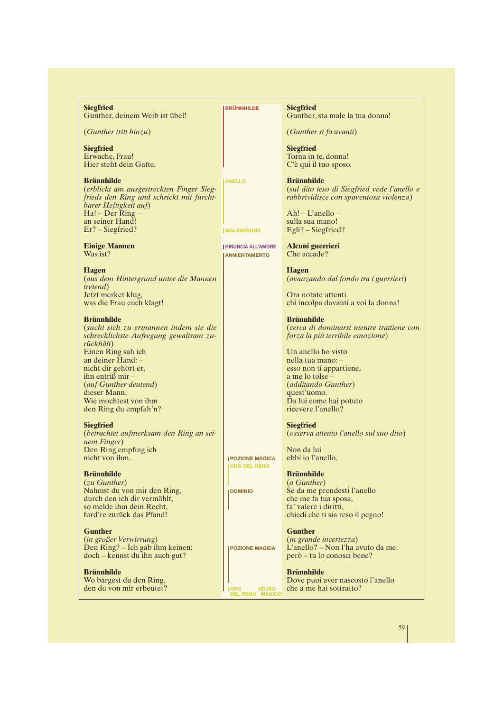**Siegfried** Gunther, deinem Weib ist übel!

(*Gunther tritt hinzu*)

**Siegfried** Erwache, Frau! Hier steht dein Gatte.

**Brünnhilde** (*erblickt am ausgestreckten Finger Siegfrieds den Ring und schrickt mit furchtbarer Heftigkeit auf*) Ha! – Der Ring – an seiner Hand! Er? – Siegfried?

**Einige Mannen** Was ist?

**Hagen** (*aus dem Hintergrund unter die Mannen tretend*) Jetzt merket klug, was die Frau euch klagt!

#### **Brünnhilde**

(*sucht sich zu ermannen indem sie die schrecklichste Aufregung gewaltsam zurückhält*) Einen Ring sah ich an deiner Hand: – nicht dir gehört er, ihn entriß mir – (*auf Gunther deutend*) dieser Mann. Wie mochtest von ihm den Ring du empfah'n?

#### **Siegfried**

(*betrachtet aufmerksam den Ring an seinem Finger*) Den Ring empfing ich nicht von ihm.

## **Brünnhilde**

(*zu Gunther*) Nahmst du von mir den Ring, durch den ich dir vermählt, so melde ihm dein Recht, ford're zurück das Pfand!

#### **Gunther**

(*in großer Verwirrung*) Den Ring? – Ich gab ihm keinen: doch – kennst du ihn auch gut?

**Brünnhilde** Wo bärgest du den Ring, den du von mir erbeutet? **BRÜNNHILDE**

**ANELLO**

**MALEDIZIONE**

**RINUNCIA ALL'AMORE ANNIENTAMENTO**

**Siegfried** Gunther, sta male la tua donna!

(*Gunther si fa avanti*)

**Siegfried** Torna in te, donna! C'è qui il tuo sposo.

**Brünnhilde** (*sul dito teso di Siegfried vede l'anello e rabbrividisce con spaventosa violenza*)

Ah! – L'anello – sulla sua mano! Egli? – Siegfried?

**Alcuni guerrieri** Che accade?

**Hagen** (*avanzando dal fondo tra i guerrieri*)

Ora notate attenti chi incolpa davanti a voi la donna!

**Brünnhilde** (*cerca di dominarsi mentre trattiene con forza la più terribile emozione*)

Un anello ho visto nella tua mano: – esso non ti appartiene, a me lo tolse (*additando Gunther*) quest'uomo. Da lui come hai potuto ricevere l'anello?

**Siegfried** (*osserva attento l'anello sul suo dito*)

Non da lui ebbi io l'anello.

# **Brünnhilde**

(*a Gunther*) Se da me prendesti l'anello che me fa tua sposa, fa' valere i diritti, chiedi che ti sia reso il pegno!

**Gunther**

(*in grande incertezza*) L'anello? – Non l'ha avuto da me: però – tu lo conosci bene?

**Brünnhilde** Dove puoi aver nascosto l'anello che a me hai sottratto?

59

# **POZIONE MAGICA DOMINIO**

**POZIONE MAGICA**

**ORO DEL RENO**

**ORO DEL RENO ELMO MAGICO**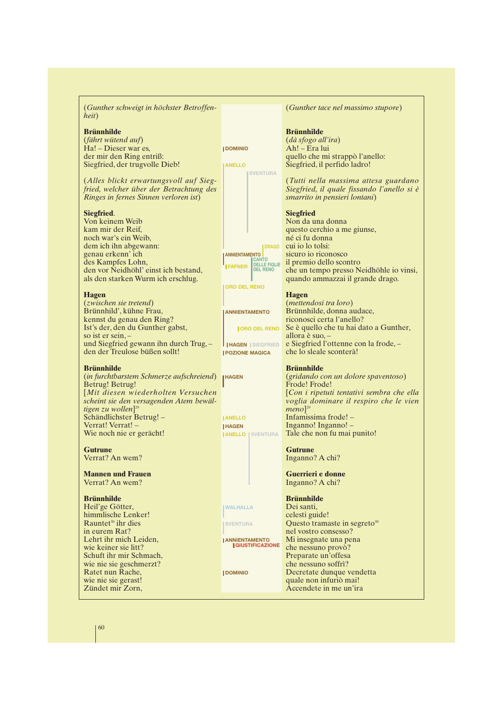| (Gunther schweigt in höchster Betroffen-<br>heit) |                                  | (Gunther tace nel massimo stupore)                  |
|---------------------------------------------------|----------------------------------|-----------------------------------------------------|
| <b>Brünnhilde</b>                                 |                                  | <b>Brünnhilde</b>                                   |
| (fährt wütend auf)                                |                                  | (dà sfogo all'ira)                                  |
| Ha! - Dieser war es,                              | <b>IDOMINIO</b>                  | Ah! - Era lui                                       |
| der mir den Ring entriß:                          |                                  | quello che mi strappò l'anello:                     |
|                                                   |                                  |                                                     |
| Siegfried, der trugvolle Dieb!                    | <b>ANELLO</b><br><b>SVENTURA</b> | Siegfried, il perfido ladro!                        |
| (Alles blickt erwartungsvoll auf Sieg-            |                                  | (Tutti nella massima attesa guardano                |
| fried, welcher über der Betrachtung des           |                                  | Siegfried, il quale fissando l'anello si è          |
| Ringes in fernes Sinnen verloren ist)             |                                  | smarrito in pensieri lontani)                       |
|                                                   |                                  |                                                     |
| Siegfried.                                        |                                  | <b>Siegfried</b>                                    |
| Von keinem Weib                                   |                                  | Non da una donna                                    |
| kam mir der Reif,                                 |                                  | questo cerchio a me giunse,                         |
| noch war's ein Weib,                              |                                  | né ci fu donna                                      |
| dem ich ihn abgewann:                             | <b>IDRAGO</b>                    | cui io lo tolsi:                                    |
| genau erkenn' ich                                 | <b>ANNIENTAMENTO</b>             | sicuro io riconosco                                 |
| des Kampfes Lohn,                                 | <b>CANTO</b>                     | il premio dello scontro                             |
|                                                   | <b>FAFNER</b> DELLE FIGLIE       |                                                     |
| den vor Neidhöhl' einst ich bestand,              |                                  | che un tempo presso Neidhöhle io vinsi,             |
| als den starken Wurm ich erschlug.                |                                  | quando ammazzai il grande drago.                    |
|                                                   | <b>ORO DEL RENO</b>              |                                                     |
| <b>Hagen</b>                                      |                                  | <b>Hagen</b>                                        |
| (zwischen sie tretend)                            |                                  | (mettendosi tra loro)                               |
| Brünnhild', kühne Frau,                           | <b>ANNIENTAMENTO</b>             | Brünnhilde, donna audace,                           |
| kennst du genau den Ring?                         |                                  | riconosci certa l'anello?                           |
| Ist's der, den du Gunther gabst,                  | <b>JORO DEL RENO</b>             | Se è quello che tu hai dato a Gunther,              |
| so ist er sein, $-$                               |                                  | allora è suo, $-$                                   |
| und Siegfried gewann ihn durch Trug, -            | <b>HAGEN SIEGFRIED</b>           | e Siegfried l'ottenne con la frode, -               |
| den der Treulose büßen sollt!                     | <b>POZIONE MAGICA</b>            | che lo sleale sconterà!                             |
| <b>Brünnhilde</b>                                 |                                  | <b>Brünnhilde</b>                                   |
| (in furchtbarstem Schmerze aufschreiend)          |                                  | (gridando con un dolore spaventoso)                 |
|                                                   | <b>IHAGEN</b>                    | Frode! Frode!                                       |
| Betrug! Betrug!                                   |                                  |                                                     |
| [Mit diesen wiederholten Versuchen                |                                  | [Con i ripetuti tentativi sembra che ella           |
| scheint sie den versagenden Atem bewäl-           |                                  | voglia dominare il respiro che le vien              |
| tigen zu wollen] <sup>29</sup>                    |                                  | $meno$ <sup>29</sup>                                |
| Schändlichster Betrug!-                           | <b>ANELLO</b>                    | Infamissima frode! -                                |
| Verrat! Verrat! -                                 | <b>HAGEN</b>                     | Inganno! Inganno! -                                 |
| Wie noch nie er gerächt!                          | <b>JANELLO   SVENTURA</b>        | Tale che non fu mai punito!                         |
| <b>Gutrune</b>                                    |                                  | <b>Gutrune</b>                                      |
| Verrat? An wem?                                   |                                  | Inganno? A chi?                                     |
|                                                   |                                  |                                                     |
| <b>Mannen und Frauen</b>                          |                                  | Guerrieri e donne                                   |
| Verrat? An wem?                                   |                                  | Inganno? A chi?                                     |
| <b>Brünnhilde</b>                                 |                                  | <b>Brünnhilde</b>                                   |
| Heil'ge Götter,                                   | <b>WALHALLA</b>                  | Dei santi.                                          |
| himmlische Lenker!                                |                                  |                                                     |
|                                                   |                                  | celesti guide!                                      |
| Rauntet <sup>30</sup> ihr dies                    | <b>SVENTURA</b>                  | Questo tramaste in segreto <sup>30</sup>            |
| in eurem Rat?                                     |                                  | nel vostro consesso?                                |
| Lehrt ihr mich Leiden,                            | <b>JANNIENTAMENTO</b>            | Mi insegnate una pena                               |
| wie keiner sie litt?                              | <b>I GIUSTIFICAZIONE</b>         | che nessuno provò?                                  |
| Schuft ihr mir Schmach,                           |                                  | Preparate un'offesa                                 |
|                                                   |                                  | che nessuno soffrì?                                 |
| wie nie sie geschmerzt?                           |                                  |                                                     |
|                                                   | <b>I DOMINIO</b>                 |                                                     |
| Ratet nun Rache,<br>wie nie sie gerast!           |                                  | Decretate dunque vendetta<br>quale non infuriò mai! |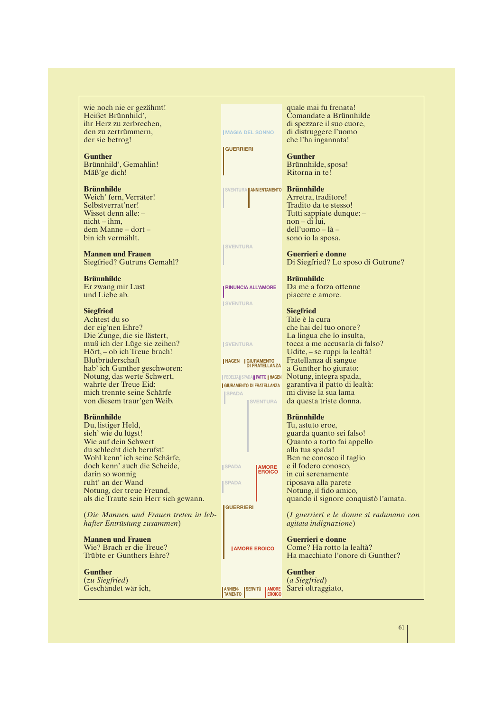wie noch nie er gezähmt! Heißet Brünnhild', ihr Herz zu zerbrechen, den zu zertrümmern, der sie betrog!

**Gunther** Brünnhild', Gemahlin! Mäß'ge dich!

**Brünnhilde** Weich' fern, Verräter! Selbstverrat'ner! Wisset denn alle: – nicht – ihm, dem Manne – dort – bin ich vermählt.

**Mannen und Frauen** Siegfried? Gutruns Gemahl?

**Brünnhilde** Er zwang mir Lust und Liebe ab.

# **Siegfried**

Achtest du so der eig'nen Ehre? Die Zunge, die sie lästert, muß ich der Lüge sie zeihen? Hört, – ob ich Treue brach! Blutbrüderschaft hab' ich Gunther geschworen: Notung, das werte Schwert, wahrte der Treue Eid: mich trennte seine Schärfe von diesem traur'gen Weib.

#### **Brünnhilde**

Du, listiger Held, sieh' wie du lügst! Wie auf dein Schwert du schlecht dich berufst! Wohl kenn' ich seine Schärfe, doch kenn' auch die Scheide, darin so wonnig ruht' an der Wand Notung, der treue Freund, als die Traute sein Herr sich gewann.

(*Die Mannen und Frauen treten in lebhafter Entrüstung zusammen*)

**Mannen und Frauen** Wie? Brach er die Treue? Trübte er Gunthers Ehre?

**Gunther** (*zu Siegfried*) Geschändet wär ich,

|                                                                      | quale mai fu frenata!                                       |
|----------------------------------------------------------------------|-------------------------------------------------------------|
|                                                                      | Comandate a Brünnhilde                                      |
| <b>IMAGIA DEL SONNO</b>                                              | di spezzare il suo cuore,<br>di distruggere l'uomo          |
|                                                                      | che l'ha ingannata!                                         |
| <b>GUERRIERI</b>                                                     |                                                             |
|                                                                      | <b>Gunther</b>                                              |
|                                                                      | Brünnhilde, sposa!<br>Ritorna in te!                        |
|                                                                      |                                                             |
| SVENTURA   ANNIENTAMENTO                                             | <b>Brünnhilde</b>                                           |
|                                                                      | Arretra, traditore!                                         |
|                                                                      | Tradito da te stesso!                                       |
|                                                                      | Tutti sappiate dunque: -<br>non – di lui,                   |
|                                                                      | $d$ ell'uomo – là –                                         |
|                                                                      | sono io la sposa.                                           |
| <b>SVENTURA</b>                                                      |                                                             |
|                                                                      | Guerrieri e donne<br>Di Siegfried? Lo sposo di Gutrune?     |
|                                                                      |                                                             |
|                                                                      | <b>Brünnhilde</b>                                           |
| <b>RINUNCIA ALL'AMORE</b>                                            | Da me a forza ottenne                                       |
| <b>SVENTURA</b>                                                      | piacere e amore.                                            |
|                                                                      | <b>Siegfried</b>                                            |
|                                                                      | Tale è la cura                                              |
|                                                                      | che hai del tuo onore?                                      |
| <b>SVENTURA</b>                                                      | La lingua che lo insulta,<br>tocca a me accusarla di falso? |
|                                                                      | Udite, - se ruppi la lealtà!                                |
| <b>HAGEN GIURAMENTO</b>                                              | Fratellanza di sangue                                       |
| <b>DI FRATELLANZA</b>                                                | a Gunther ho giurato:                                       |
| <b>FEDELTA SPADA PATTO HAGEN</b><br><b>GIURAMENTO DI FRATELLANZA</b> | Notung, integra spada,<br>garantiva il patto di lealtà:     |
| <b>SPADA</b>                                                         | mi divise la sua lama                                       |
| <b>ISVENTURA</b>                                                     | da questa triste donna.                                     |
|                                                                      |                                                             |
|                                                                      | <b>Brünnhilde</b><br>Tu, astuto eroe,                       |
|                                                                      | guarda quanto sei falso!                                    |
|                                                                      | Quanto a torto fai appello                                  |
|                                                                      | alla tua spada!                                             |
| <b>AMORE</b><br><b>ISPADA</b>                                        | Ben ne conosco il taglio<br>e il fodero conosco,            |
| ERUICC                                                               | in cui serenamente                                          |
| <b>SPADA</b>                                                         | riposava alla parete                                        |
|                                                                      | Notung, il fido amico,                                      |
| GUERRIERI                                                            | quando il signore conquistò l'amata.                        |
|                                                                      | (I guerrieri e le donne si radunano con                     |
|                                                                      | <i>agitata indignazione</i> )                               |
|                                                                      |                                                             |
|                                                                      | Guerrieri e donne<br>Come? Ha rotto la lealtà?              |
| <b>JAMORE EROICO</b>                                                 | Ha macchiato l'onore di Gunther?                            |
|                                                                      |                                                             |
|                                                                      |                                                             |
|                                                                      | Gunther                                                     |
| <b>SERVITÚ</b><br><b>ANNIEN-</b><br><b>AMORE</b>                     | (a Siegfried)<br>Sarei oltraggiato,                         |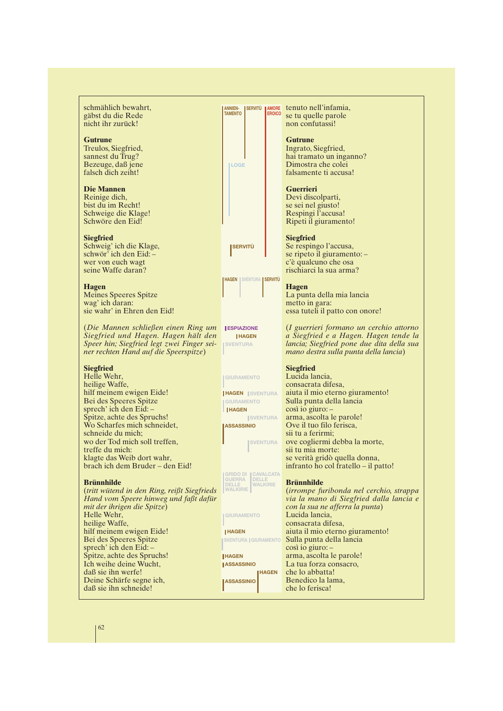schmählich bewahrt, gäbst du die Rede nicht ihr zurück!

#### **Gutrune**

Treulos, Siegfried, sannest du Trug? Bezeuge, daß jene falsch dich zeiht!

#### **Die Mannen**

Reinige dich, bist du im Recht! Schweige die Klage! Schwöre den Eid!

#### **Siegfried**

Schweig' ich die Klage, schwör' ich den Eid: – wer von euch wagt seine Waffe daran?

#### **Hagen**

Meines Speeres Spitze wag' ich daran: sie wahr' in Ehren den Eid!

(*Die Mannen schließen einen Ring um* **ESPIAZIONE** *Siegfried und Hagen. Hagen hält den Speer hin; Siegfried legt zwei Finger seiner rechten Hand auf die Speerspitze*)

#### **Siegfried**

Helle Wehr, heilige Waffe, hilf meinem ewigen Eide! Bei des Speeres Spitze sprech' ich den Eid: – Spitze, achte des Spruchs! Wo Scharfes mich schneidet, schneide du mich; wo der Tod mich soll treffen, treffe du mich: klagte das Weib dort wahr, brach ich dem Bruder – den Eid!

#### **Brünnhilde**

(*tritt wütend in den Ring, reißt Siegfrieds Hand vom Speere hinweg und faßt dafür mit der ihrigen die Spitze*) Helle Wehr, heilige Waffe, hilf meinem ewigen Eide! Bei des Speeres Spitze sprech' ich den Eid: – Spitze, achte des Spruchs! Ich weihe deine Wucht, daß sie ihn werfe! Deine Schärfe segne ich, daß sie ihn schneide!

**LOGE**

**SERVITÙ**



**HAGEN SVENTURA**

#### **GIURAMENTO**

**HAGEN SVENTURA HAGEN GIURAMENTO**

**ISVENTURA ASSASSINIO**

**SVENTURA**

**GRIDO DI CAVALCATA DELLE WALKIRIE GUERRA DELLE WALKIRIE**

**GIURAMENTO**

#### **HAGEN**

**HAGEN**

**HAGEN IASSASSINIO ASSASSINIO**

**ERNITÙ EROICO COLUITAT EN EROICO**<br> **EROICO** COLUITANTE PORTE se tu quelle parole non confutassi!

#### **Gutrune**

Ingrato, Siegfried, hai tramato un inganno? Dimostra che colei falsamente ti accusa!

#### **Guerrieri**

Devi discolparti, se sei nel giusto! Respingi l'accusa! Ripeti il giuramento!

#### **Siegfried**

Se respingo l'accusa, se ripeto il giuramento: – c'è qualcuno che osa rischiarci la sua arma?

#### **Hagen**

La punta della mia lancia metto in gara: essa tuteli il patto con onore!

(*I guerrieri formano un cerchio attorno a Siegfried e a Hagen. Hagen tende la lancia; Siegfried pone due dita della sua mano destra sulla punta della lancia*)

#### **Siegfried**

Lucida lancia, consacrata difesa, aiuta il mio eterno giuramento! Sulla punta della lancia così io giuro: – arma, ascolta le parole! Ove il tuo filo ferisca, sii tu a ferirmi; ove cogliermi debba la morte, sii tu mia morte: se verità gridò quella donna, infranto ho col fratello – il patto!

#### **Brünnhilde**

(*irrompe furibonda nel cerchio, strappa via la mano di Siegfried dalla lancia e con la sua ne afferra la punta*) Lucida lancia, consacrata difesa, aiuta il mio eterno giuramento! Sulla punta della lancia così io giuro: – arma, ascolta le parole! La tua forza consacro, che lo abbatta! Benedico la lama, che lo ferisca!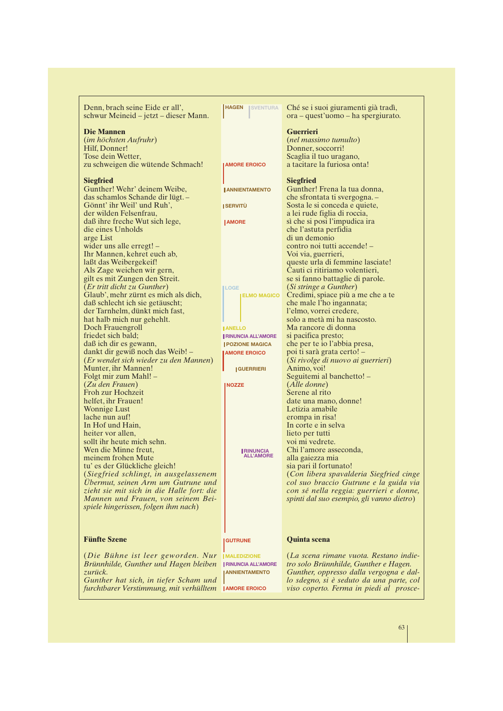| Denn, brach seine Eide er all',<br>schwur Meineid – jetzt – dieser Mann.    | <b>HAGEN</b><br><b>ISVENTURA</b>     | Ché se i suoi giuramenti già tradì,<br>ora – quest'uomo – ha spergiurato.         |
|-----------------------------------------------------------------------------|--------------------------------------|-----------------------------------------------------------------------------------|
|                                                                             |                                      |                                                                                   |
| <b>Die Mannen</b>                                                           |                                      | <b>Guerrieri</b>                                                                  |
| (im höchsten Aufruhr)                                                       |                                      | (nel massimo tumulto)                                                             |
| Hilf, Donner!                                                               |                                      | Donner, soccorri!                                                                 |
| Tose dein Wetter,                                                           |                                      | Scaglia il tuo uragano,                                                           |
| zu schweigen die wütende Schmach!                                           | <b>AMORE EROICO</b>                  | a tacitare la furiosa onta!                                                       |
| <b>Siegfried</b>                                                            |                                      | <b>Siegfried</b>                                                                  |
| Gunther! Wehr' deinem Weibe,                                                | <b>I ANNIENTAMENTO</b>               | Gunther! Frena la tua donna,                                                      |
| das schamlos Schande dir lügt. -                                            |                                      | che sfrontata ti svergogna. -                                                     |
| Gönnt' ihr Weil' und Ruh',                                                  | <b>ISERVITÙ</b>                      | Sosta le si conceda e quiete,                                                     |
| der wilden Felsenfrau,                                                      |                                      | a lei rude figlia di roccia,                                                      |
| daß ihre freche Wut sich lege,                                              | <b>JAMORE</b>                        | sì che si posi l'impudica ira                                                     |
| die eines Unholds                                                           |                                      | che l'astuta perfidia                                                             |
| arge List                                                                   |                                      | di un demonio                                                                     |
| wider uns alle erregt! -                                                    |                                      | contro noi tutti accende! -                                                       |
| Ihr Mannen, kehret euch ab,                                                 |                                      | Voi via, guerrieri,                                                               |
| laßt das Weibergekeif!                                                      |                                      | queste urla di femmine lasciate!                                                  |
| Als Zage weichen wir gern,                                                  |                                      | Cauti ci ritiriamo volentieri,                                                    |
| gilt es mit Zungen den Streit.                                              |                                      | se si fanno battaglie di parole.                                                  |
| (Er tritt dicht zu Gunther)                                                 | <b>LOGE</b>                          | (Si stringe a Gunther)                                                            |
| Glaub', mehr zürnt es mich als dich,                                        | <b>ELMO MAGICO</b>                   | Credimi, spiace più a me che a te                                                 |
| daß schlecht ich sie getäuscht;                                             |                                      | che male l'ho ingannata;                                                          |
| der Tarnhelm, dünkt mich fast,                                              |                                      | l'elmo, vorrei credere,                                                           |
| hat halb mich nur gehehlt.                                                  |                                      | solo a metà mi ha nascosto.                                                       |
| Doch Frauengroll                                                            | <b>JANELLO</b>                       | Ma rancore di donna                                                               |
| friedet sich bald;                                                          | <b>RINUNCIA ALL'AMORE</b>            | si pacifica presto;                                                               |
| daß ich dir es gewann,                                                      | <b>POZIONE MAGICA</b>                | che per te io l'abbia presa,                                                      |
| dankt dir gewiß noch das Weib! -                                            | <b>JAMORE EROICO</b>                 | poi ti sarà grata certo! –                                                        |
| (Er wendet sich wieder zu den Mannen)                                       |                                      | (Si rivolge di nuovo ai guerrieri)                                                |
| Munter, ihr Mannen!                                                         | <b>GUERRIERI</b>                     | Animo, voi!                                                                       |
| Folgt mir zum Mahl! -                                                       |                                      | Seguitemi al banchetto! -                                                         |
| (Zu den Frauen)                                                             | <b>NOZZE</b>                         | ( <i>Alle donne</i> )                                                             |
| Froh zur Hochzeit                                                           |                                      | Serene al rito                                                                    |
| helfet, ihr Frauen!                                                         |                                      | date una mano, donne!                                                             |
| <b>Wonnige Lust</b>                                                         |                                      | Letizia amabile                                                                   |
| lache nun auf!                                                              |                                      | erompa in risa!                                                                   |
| In Hof und Hain,                                                            |                                      | In corte e in selva                                                               |
| heiter vor allen,                                                           |                                      | lieto per tutti                                                                   |
| sollt ihr heute mich sehn.                                                  |                                      | voi mi vedrete.                                                                   |
| Wen die Minne freut.                                                        | <b>IRINUNCIA</b><br><b>ALL'AMORE</b> | Chi l'amore asseconda,                                                            |
| meinem frohen Mute                                                          |                                      | alla gaiezza mia                                                                  |
| tu' es der Glückliche gleich!                                               |                                      | sia pari il fortunato!                                                            |
| (Siegfried schlingt, in ausgelassenem<br>Ubermut, seinen Arm um Gutrune und |                                      | (Con libera spavalderia Siegfried cinge<br>col suo braccio Gutrune e la guida via |
| zieht sie mit sich in die Halle fort: die                                   |                                      | con sé nella reggia: guerrieri e donne,                                           |
| Mannen und Frauen, von seinem Bei-                                          |                                      | spinti dal suo esempio, gli vanno dietro)                                         |
| spiele hingerissen, folgen ihm nach)                                        |                                      |                                                                                   |
|                                                                             |                                      |                                                                                   |
|                                                                             |                                      |                                                                                   |
| <b>Fünfte Szene</b>                                                         | <b>GUTRUNE</b>                       | <b>Quinta scena</b>                                                               |
|                                                                             |                                      |                                                                                   |
| (Die Bühne ist leer geworden. Nur                                           | <b>IMALEDIZIONE</b>                  | (La scena rimane vuota. Restano indie-                                            |
| Brünnhilde, Gunther und Hagen bleiben                                       | <b>I RINUNCIA ALL'AMORE</b>          | tro solo Brünnhilde, Gunther e Hagen.                                             |
| zurück.                                                                     | <b>ANNIENTAMENTO</b>                 | Gunther, oppresso dalla vergogna e dal-                                           |
| Gunther hat sich, in tiefer Scham und                                       |                                      | lo sdegno, si è seduto da una parte, col                                          |
| furchtbarer Verstimmung, mit verhülltem                                     | <b>JAMORE EROICO</b>                 | viso coperto. Ferma in piedi al prosce-                                           |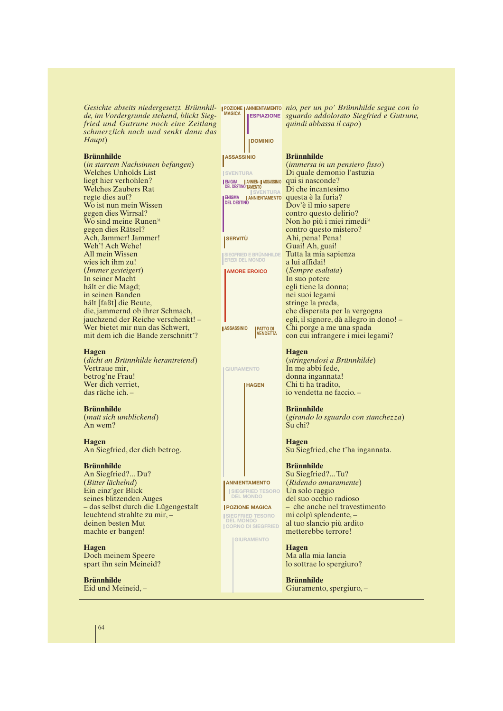*de, im Vordergrunde stehend, blickt Siegfried und Gutrune noch eine Zeitlang schmerzlich nach und senkt dann das Haupt*)

#### **Brünnhilde**

(*in starrem Nachsinnen befangen*) Welches Unholds List liegt hier verhohlen? Welches Zaubers Rat regte dies auf? Wo ist nun mein Wissen gegen dies Wirrsal? Wo sind meine Runen<sup>31</sup> gegen dies Rätsel? Ach, Jammer! Jammer! Weh'! Ach Wehe! All mein Wissen wies ich ihm zu! (*Immer gesteigert*) In seiner Macht hält er die Magd; in seinen Banden hält [faßt] die Beute, die, jammernd ob ihrer Schmach, jauchzend der Reiche verschenkt! – Wer bietet mir nun das Schwert, mit dem ich die Bande zerschnitt'?

#### **Hagen**

(*dicht an Brünnhilde herantretend*) Vertraue mir, betrog'ne Frau! Wer dich verriet. das räche ich. –

#### **Brünnhilde**

(*matt sich umblickend*) An wem?

#### **Hagen**

An Siegfried, der dich betrog.

#### **Brünnhilde**

An Siegfried?... Du? (*Bitter lächelnd*) Ein einz'ger Blick seines blitzenden Auges – das selbst durch die Lügengestalt leuchtend strahlte zu mir, – deinen besten Mut machte er bangen!

**Hagen** Doch meinem Speere spart ihn sein Meineid?

**Brünnhilde** Eid und Meineid, –

Gesichte abseits niedergesetzt. Brünnhil- **pozione annientamento nio, per un po' Brünnhilde segue con lo**<br>de im Vordergrunde stehend, bliekt Sieg – <sup>MAGICA</sup> Frontzione, squardo addolorato Siegfried e Gutrune *sguardo addolorato Siegfried e Gutrune,* **ESPIAZIONE** *quindi abbassa il capo*)

#### **Brünnhilde**

**DOMINIO**

| <b>SSASSINIO</b>                            |                                                        | Brünnhilde                                                                                                                           |
|---------------------------------------------|--------------------------------------------------------|--------------------------------------------------------------------------------------------------------------------------------------|
|                                             |                                                        | (immersa in un pensiero fisso)                                                                                                       |
| <b>ISVENTURA</b>                            |                                                        | Di quale demonio l'astuzia                                                                                                           |
| <b>ENIGMA</b>                               | ENIGMA    ANNIEN-    ASSASSINIO<br>DEL DESTINO TAMENTO | qui si nasconde?                                                                                                                     |
|                                             | <b>SVENTURA</b>                                        | Di che incantesimo                                                                                                                   |
|                                             | ENIGMA <b>  ANNIENTAMENTO</b>                          | questa è la furia?                                                                                                                   |
| <b>DEL DESTINO</b>                          |                                                        | Dov'è il mio sapere                                                                                                                  |
|                                             |                                                        | contro questo delirio?                                                                                                               |
|                                             |                                                        | Non ho più i miei rimedi <sup>31</sup>                                                                                               |
|                                             |                                                        | contro questo mistero?                                                                                                               |
| <b>SERVITÙ</b>                              |                                                        | Ahi, pena! Pena!                                                                                                                     |
|                                             |                                                        | Guai! Ah, guai!                                                                                                                      |
|                                             | <b>SIEGFRIED E BRÜNNHILDE</b>                          | Tutta la mia sapienza                                                                                                                |
|                                             | <b>EREDI DEL MONDO</b>                                 | a lui affidai!                                                                                                                       |
|                                             | <b>AMORE EROICO</b>                                    | <i>(Sempre esaltata)</i>                                                                                                             |
|                                             |                                                        | In suo potere                                                                                                                        |
|                                             |                                                        | egli tiene la donna;                                                                                                                 |
|                                             |                                                        | nei suoi legami                                                                                                                      |
|                                             |                                                        | stringe la preda,                                                                                                                    |
|                                             |                                                        | che disperata per la vergogna                                                                                                        |
|                                             |                                                        | egli, il signore, dà allegro in dono! -                                                                                              |
| <b>ASSASSINIO</b>                           | <b>PATTO DI</b>                                        | Chi porge a me una spada                                                                                                             |
|                                             | <b>VENDETTA</b>                                        | con cui infrangere i miei legami?                                                                                                    |
| <b>GIURAMENTO</b>                           | <b>HAGEN</b>                                           | <b>Hagen</b><br>(stringendosi a Brünnhilde)<br>In me abbi fede,<br>donna ingannata!<br>Chi ti ha tradito,<br>io vendetta ne faccio.- |
|                                             |                                                        | <b>Brünnhilde</b>                                                                                                                    |
|                                             |                                                        | (girando lo sguardo con stanchezza)<br>Su chi?                                                                                       |
|                                             |                                                        | <b>Hagen</b>                                                                                                                         |
|                                             |                                                        | Su Siegfried, che t'ha ingannata.                                                                                                    |
|                                             |                                                        |                                                                                                                                      |
|                                             |                                                        | <b>Brünnhilde</b>                                                                                                                    |
|                                             |                                                        | Su Siegfried?Tu?                                                                                                                     |
|                                             | <b>ANNIENTAMENTO</b>                                   | (Ridendo amaramente)                                                                                                                 |
|                                             | <b>SIEGFRIED TESORO</b>                                | Un solo raggio                                                                                                                       |
|                                             | <b>DEL MONDO</b>                                       | del suo occhio radioso                                                                                                               |
|                                             | <b>POZIONE MAGICA</b>                                  | - che anche nel travestimento                                                                                                        |
| <b>SIEGFRIED TESORO</b><br><b>DEL MONDO</b> |                                                        | mi colpì splendente, -                                                                                                               |
|                                             | <b>CORNO DI SIEGFRIED</b>                              | al tuo slancio più ardito<br>metterebbe terrore!                                                                                     |
|                                             | <b>I GIURAMENTO</b>                                    |                                                                                                                                      |
|                                             |                                                        | <b>Hagen</b>                                                                                                                         |
|                                             |                                                        | Ma alla mia lancia                                                                                                                   |
|                                             |                                                        | lo sottrae lo spergiuro?                                                                                                             |
|                                             |                                                        |                                                                                                                                      |

**Brünnhilde** Giuramento, spergiuro, –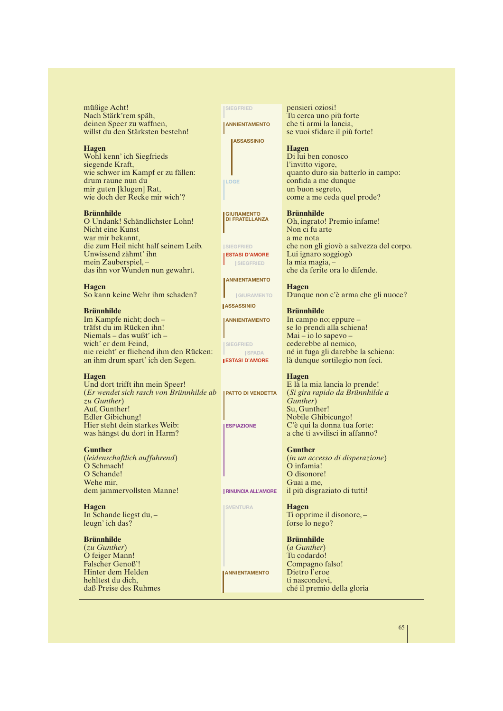müßige Acht! Nach Stärk'rem späh, deinen Speer zu waffnen, willst du den Stärksten bestehn!

#### **Hagen**

Wohl kenn' ich Siegfrieds siegende Kraft, wie schwer im Kampf er zu fällen: drum raune nun du mir guten [klugen] Rat, wie doch der Recke mir wich'?

#### **Brünnhilde**

O Undank! Schändlichster Lohn! Nicht eine Kunst war mir bekannt, die zum Heil nicht half seinem Leib. Unwissend zähmt' ihn mein Zauberspiel, – das ihn vor Wunden nun gewahrt.

**Hagen** So kann keine Wehr ihm schaden?

#### **Brünnhilde**

Im Kampfe nicht; doch – träfst du im Rücken ihn! Niemals – das wußt' ich – wich' er dem Feind, nie reicht' er fliehend ihm den Rücken: an ihm drum spart' ich den Segen.

#### **Hagen**

Und dort trifft ihn mein Speer! (*Er wendet sich rasch von Brünnhilde ab zu Gunther*) Auf, Gunther! Edler Gibichung! Hier steht dein starkes Weib: was hängst du dort in Harm?

#### **Gunther**

(*leidenschaftlich auffahrend*) O Schmach! O Schande! Wehe mir dem jammervollsten Manne!

**Hagen** In Schande liegst du, – leugn' ich das?

#### **Brünnhilde**

(*zu Gunther*) O feiger Mann! Falscher Genoß'! Hinter dem Helden hehltest du dich, daß Preise des Ruhmes **SIEGFRIED** *ANNIENTAMENTO* 

**ASSASSINIO**

**LOGE**

**GIURAMENTO DI FRATELLANZA**

**SIEGFRIED ESTASI D'AMORE**

**SIEGFRIED**

**ANNIENTAMENTO** 

**GIURAMENTO ASSASSINIO**

**ANNIENTAMENTO**

**SIEGFRIED**

**SPADA ESTASI D'AMORE**

**PATTO DI VENDETTA**

**ESPIAZIONE**

**RINUNCIA ALL'AMORE**

**SVENTURA**

**ANNIENTAMENTO**

pensieri oziosi! Tu cerca uno più forte che ti armi la lancia, se vuoi sfidare il più forte!

#### **Hagen**

Di lui ben conosco l'invitto vigore, quanto duro sia batterlo in campo: confida a me dunque un buon segreto, come a me ceda quel prode?

**Brünnhilde**

Oh, ingrato! Premio infame! Non ci fu arte a me nota che non gli giovò a salvezza del corpo. Lui ignaro soggiogò la mia magia, – che da ferite ora lo difende.

**Hagen**

Dunque non c'è arma che gli nuoce?

**Brünnhilde** In campo no; eppure –

se lo prendi alla schiena! Mai – io lo sapevo – cederebbe al nemico, né in fuga gli darebbe la schiena: là dunque sortilegio non feci.

#### **Hagen**

E là la mia lancia lo prende! (*Si gira rapido da Brünnhilde a Gunther*) Su, Gunther! Nobile Ghibicungo! C'è qui la donna tua forte: a che ti avvilisci in affanno?

#### **Gunther**

(*in un accesso di disperazione*) O infamia! O disonore! Guai a me, il più disgraziato di tutti!

**Hagen** Ti opprime il disonore, – forse lo nego?

**Brünnhilde** (*a Gunther*) Tu codardo! Compagno falso! Dietro l'eroe ti nascondevi, ché il premio della gloria

65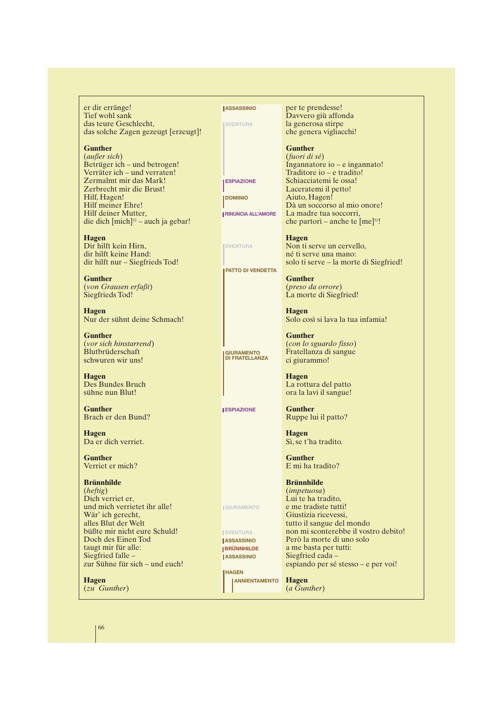er dir erränge! Tief wohl sank das teure Geschlecht, das solche Zagen gezeugt [erzeugt]!

#### **Gunther**

(*außer sich*) Betrüger ich – und betrogen! Verräter ich – und verraten! Zermalmt mir das Mark! Zerbrecht mir die Brust! Hilf, Hagen! Hilf meiner Ehre! Hilf deiner Mutter, die dich  ${\rm [mich]^{32}}$  – auch ja gebar!

**Hagen** Dir hilft kein Hirn, dir hilft keine Hand: dir hilft nur – Siegfrieds Tod!

**Gunther** (*von Grausen erfaßt*) Siegfrieds Tod!

**Hagen** Nur der sühnt deine Schmach!

**Gunther** (*vor sich hinstarrend*) Blutbrüderschaft schwuren wir uns!

**Hagen** Des Bundes Bruch sühne nun Blut!

**Gunther** Brach er den Bund?

**Hagen** Da er dich verriet.

**Gunther** Verriet er mich?

#### **Brünnhilde**

(*heftig*) Dich verriet er, und mich verrietet ihr alle! Wär' ich gerecht. alles Blut der Welt büßte mir nicht eure Schuld! Doch des Einen Tod taugt mir für alle: Siegfried falle – zur Sühne für sich – und euch!

**Hagen** (*zu Gunther*) **LASSASSINIO SVENTURA**

**ESPIAZIONE**

**RINUNCIA ALL'AMORE**

**PATTO DI VENDETTA**

**GIURAMENTO DI FRATELLANZA**

**ESPIAZIONE**

**GIURAMENTO**

**ISVENTURA ASSASSINIO LASSASSINIO BRÜNNHILDE**

**HAGEN**

**DOMINIO**

**SVENTURA**

per te prendesse! Davvero giù affonda la generosa stirpe che genera vigliacchi!

## **Gunther**

(*fuori di sé*) Ingannatore io – e ingannato! Traditore io – e tradito! Schiacciatemi le ossa! Laceratemi il petto! Aiuto, Hagen! Dà un soccorso al mio onore! La madre tua soccorri, che partorì – anche te  $[me]^{32}!$ 

**Hagen** Non ti serve un cervello, né ti serve una mano: solo ti serve – la morte di Siegfried!

**Gunther** (*preso da orrore*) La morte di Siegfried!

**Hagen** Solo così si lava la tua infamia!

**Gunther** (*con lo sguardo fisso*) Fratellanza di sangue ci giurammo!

**Hagen** La rottura del patto ora la lavi il sangue!

**Gunther** Ruppe lui il patto?

**Hagen** Sì, se t'ha tradito.

**Gunther** E mi ha tradito?

#### **Brünnhilde**

(*impetuosa*) Lui te ha tradito, e me tradiste tutti! Giustizia ricevessi, tutto il sangue del mondo non mi sconterebbe il vostro debito! Però la morte di uno solo a me basta per tutti: Siegfried cada – espiando per sé stesso – e per voi!

**Hagen** (*a Gunther*) **ANNIENTAMENTO**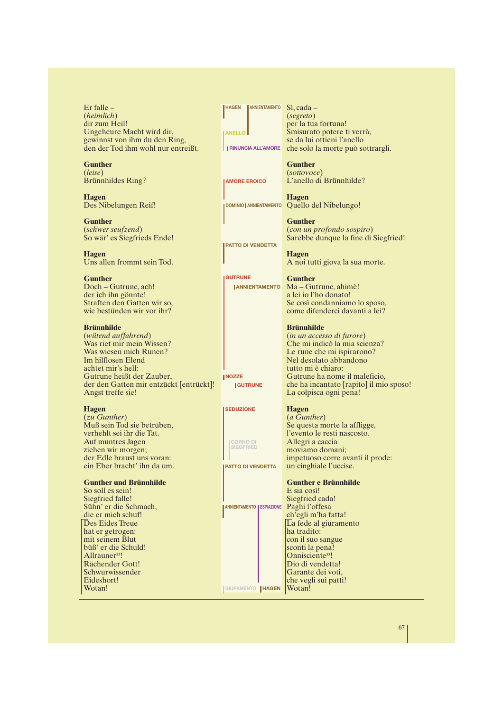Er falle – (*heimlich*) dir zum Heil! Ungeheure Macht wird dir, gewinnst von ihm du den Ring, den der Tod ihm wohl nur entreißt.

**Gunther** (*leise*) Brünnhildes Ring?

**Hagen** Des Nibelungen Reif!

**Gunther** (*schwer seufzend*) So wär' es Siegfrieds Ende!

**Hagen** Uns allen frommt sein Tod.

# **Gunther**

Doch – Gutrune, ach! der ich ihn gönnte! Straften den Gatten wir so, wie bestünden wir vor ihr?

## **Brünnhilde**

(*wütend auffahrend*) Was riet mir mein Wissen? Was wiesen mich Runen? Im hilflosen Elend achtet mir's hell: Gutrune heißt der Zauber, der den Gatten mir entzückt [entrückt]! Angst treffe sie!

#### **Hagen**

(*zu Gunther*) Muß sein Tod sie betrüben, verhehlt sei ihr die Tat. Auf muntres Jagen ziehen wir morgen; der Edle braust uns voran: ein Eber bracht' ihn da um.

#### **Gunther und Brünnhilde**

So soll es sein! Siegfried falle! Sühn' er die Schmach, die er mich schuf! Des Eides Treue hat er getrogen: mit seinem Blut büß' er die Schuld! Allrauner<sup>33</sup>! Rächender Gott! Schwurwissender Eideshort! Wotan!

Sì, cada – **HAGEN ANNIENTAMENTO** (*segreto*) per la tua fortuna! Smisurato potere ti verrà, se da lui ottieni l'anello RINUNCIA ALL'AMORE che solo la morte può sottrargli. **Gunther** (*sottovoce*) L'anello di Brünnhilde? **Hagen DOMINIO | ANNIENTAMENTO** Quello del Nibelungo! **Gunther** (*con un profondo sospiro*) Sarebbe dunque la fine di Siegfried! **Hagen** A noi tutti giova la sua morte. **Gunther** Ma – Gutrune, ahimè! a lei io l'ho donato! Se così condanniamo lo sposo, come difenderci davanti a lei? **Brünnhilde** (*in un accesso di furore*) Che mi indicò la mia scienza? Le rune che mi ispirarono? Nel desolato abbandono tutto mi è chiaro: Gutrune ha nome il maleficio, che ha incantato [rapito] il mio sposo! La colpisca ogni pena! **Hagen** (*a Gunther*) Se questa morte la affligge, l'evento le resti nascosto. Allegri a caccia moviamo domani; impetuoso corre avanti il prode: un cinghiale l'uccise. **Gunther e Brünnhilde** E sia così! Siegfried cada! Paghi l'offesa ch'egli m'ha fatta! La fede al giuramento ha tradito: con il suo sangue sconti la pena! Onnisciente<sup>33</sup>! Dio di vendetta! Garante dei voti, che vegli sui patti! Wotan! **ANELLO AMORE EROICO PATTO DI VENDETTA GUTRUNE GUTRUNE ANNIENTAMENTO NOZZE SEDUZIONE CORNO DI PATTO DI VENDETTA ANNIENTAMENTO ESPIAZIONE GIURAMENTO HAGEN**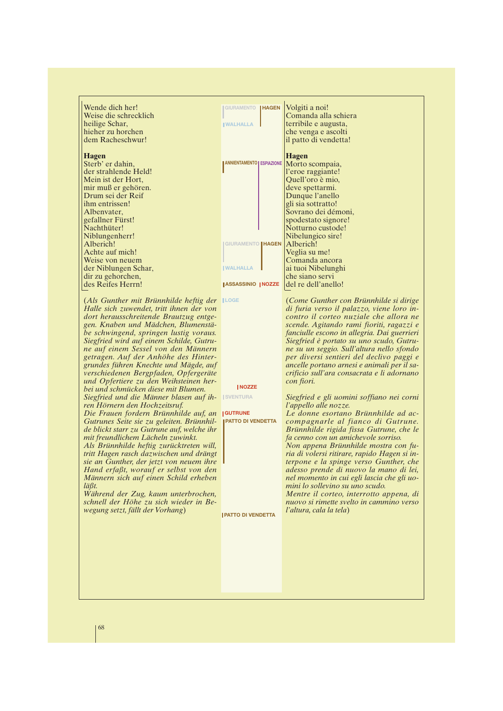Wende dich her! Weise die schrecklich heilige Schar, hieher zu horchen dem Racheschwur!

#### **Hagen**

Sterb' er dahin, der strahlende Held! Mein ist der Hort, mir muß er gehören. Drum sei der Reif ihm entrissen! Albenvater, gefallner Fürst! Nachthüter! Niblungenherr! Alberich! Achte auf mich! Weise von neuem der Niblungen Schar, dir zu gehorchen, des Reifes Herrn!

Volgiti a noi! Comanda alla schiera terribile e augusta, che venga e ascolti il patto di vendetta! **Hagen** Morto scompaia. l'eroe raggiante! Quell'oro è mio, deve spettarmi. Dunque l'anello gli sia sottratto! Sovrano dei démoni, spodestato signore! Notturno custode! Nibelungico sire! Alberich! Veglia su me! Comanda ancora ai tuoi Nibelunghi che siano servi del re dell'anello! **GIURAMENTO HAGEN WALHALLA WALHALLA ANNIENTAMENTO ESPIAZIONE GIURAMENTO HAGEN ASSASSINIO NOZZE**

(*Als Gunther mit Brünnhilde heftig der* **LOGE** *Halle sich zuwendet, tritt ihnen der von dort herausschreitende Brautzug entgegen. Knaben und Mädchen, Blumenstäbe schwingend, springen lustig voraus. Siegfried wird auf einem Schilde, Gutrune auf einem Sessel von den Männern getragen. Auf der Anhöhe des Hintergrundes führen Knechte und Mägde, auf verschiedenen Bergpfaden, Opfergeräte und Opfertiere zu den Weihsteinen herbei und schmücken diese mit Blumen.* **NOZZE**

*Siegfried und die Männer blasen auf ih-* **ISVENTURA** *ren Hörnern den Hochzeitsruf.*

*Die Frauen fordern Brünnhilde auf, an* **GUTRUNE** *Gutrunes Seite sie zu geleiten. Brünnhilde blickt starr zu Gutrune auf, welche ihr mit freundlichem Lächeln zuwinkt.*

*Als Brünnhilde heftig zurücktreten will, tritt Hagen rasch dazwischen und drängt sie an Gunther, der jetzt von neuem ihre Hand erfaßt, worauf er selbst von den Männern sich auf einen Schild erheben läßt.*

*Während der Zug, kaum unterbrochen, schnell der Höhe zu sich wieder in Bewegung setzt, fällt der Vorhang*)

(*Come Gunther con Brünnhilde si dirige di furia verso il palazzo, viene loro incontro il corteo nuziale che allora ne scende. Agitando rami fioriti, ragazzi e fanciulle escono in allegria. Dai guerrieri Siegfried è portato su uno scudo, Gutrune su un seggio. Sull'altura nello sfondo per diversi sentieri del declivo paggi e ancelle portano arnesi e animali per il sacrificio sull'ara consacrata e li adornano con fiori.*

*Siegfried e gli uomini soffiano nei corni l'appello alle nozze.*

*Le donne esortano Brünnhilde ad accompagnarle al fianco di Gutrune. Brünnhilde rigida fissa Gutrune, che le fa cenno con un amichevole sorriso. Non appena Brünnhilde mostra con furia di volersi ritirare, rapido Hagen si interpone e la spinge verso Gunther, che adesso prende di nuovo la mano di lei, nel momento in cui egli lascia che gli uomini lo sollevino su uno scudo. Mentre il corteo, interrotto appena, di nuovo si rimette svelto in cammino verso* **PATTO DI VENDETTA**

*l'altura, cala la tela*)

**PATTO DI VENDETTA**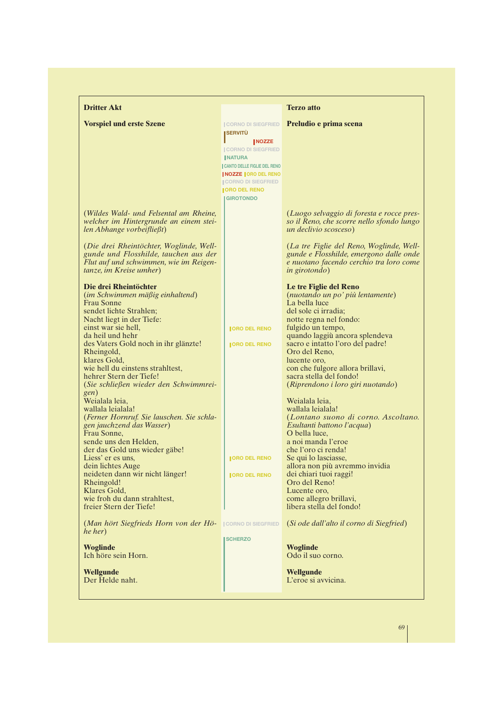| <b>Dritter Akt</b>                                                                                                                                                                                                                                                                                                                                             |                                                                                                                                           | <b>Terzo atto</b>                                                                                                                                                                                                                                                                                                                                             |
|----------------------------------------------------------------------------------------------------------------------------------------------------------------------------------------------------------------------------------------------------------------------------------------------------------------------------------------------------------------|-------------------------------------------------------------------------------------------------------------------------------------------|---------------------------------------------------------------------------------------------------------------------------------------------------------------------------------------------------------------------------------------------------------------------------------------------------------------------------------------------------------------|
| <b>Vorspiel und erste Szene</b>                                                                                                                                                                                                                                                                                                                                | <b>CORNO DI SIEGFRIED</b><br><b>SERVITÙ</b><br><b>NOZZE</b><br><b>CORNO DI SIEGFRIED</b><br><b>INATURA</b><br>CANTO DELLE FIGLIE DEL RENO | Preludio e prima scena                                                                                                                                                                                                                                                                                                                                        |
| (Wildes Wald- und Felsental am Rheine,<br>welcher im Hintergrunde an einem stei-                                                                                                                                                                                                                                                                               | <b>NOZZE ORO DEL RENO</b><br><b>CORNO DI SIEGFRIED</b><br><b>JORO DEL RENO</b><br><b>GIROTONDO</b>                                        | (Luogo selvaggio di foresta e rocce pres-<br>so il Reno, che scorre nello sfondo lungo                                                                                                                                                                                                                                                                        |
| len Abhange vorbeifließt)<br>(Die drei Rheintöchter, Woglinde, Well-<br>gunde und Flosshilde, tauchen aus der<br>Flut auf und schwimmen, wie im Reigen-<br>tanze, im Kreise umher)                                                                                                                                                                             |                                                                                                                                           | un declivio scosceso)<br>(La tre Figlie del Reno, Woglinde, Well-<br>gunde e Flosshilde, emergono dalle onde<br>e nuotano facendo cerchio tra loro come<br><i>in girotondo</i> )                                                                                                                                                                              |
| Die drei Rheintöchter<br>(im Schwimmen mäßig einhaltend)<br><b>Frau Sonne</b><br>sendet lichte Strahlen;<br>Nacht liegt in der Tiefe:<br>einst war sie hell,<br>da heil und hehr<br>des Vaters Gold noch in ihr glänzte!<br>Rheingold,<br>klares Gold,<br>wie hell du einstens strahltest,<br>hehrer Stern der Tiefe!<br>(Sie schließen wieder den Schwimmrei- | <b>IORO DEL RENO</b><br><b>JORO DEL RENO</b>                                                                                              | Le tre Figlie del Reno<br>(nuotando un po' più lentamente)<br>La bella luce<br>del sole ci irradia;<br>notte regna nel fondo:<br>fulgido un tempo,<br>quando laggiù ancora splendeva<br>sacro e intatto l'oro del padre!<br>Oro del Reno,<br>lucente oro,<br>con che fulgore allora brillavi,<br>sacra stella del fondo!<br>(Riprendono i loro giri nuotando) |
| gen)<br>Weialala leia,<br>wallala leialala!<br>(Ferner Hornruf. Sie lauschen. Sie schla-<br>gen jauchzend das Wasser)<br>Frau Sonne.<br>sende uns den Helden,<br>der das Gold uns wieder gäbe!<br>Liess' er es uns,<br>dein lichtes Auge<br>neideten dann wir nicht länger!<br>Rheingold!                                                                      | <b>JORO DEL RENO</b><br><b>JORO DEL RENO</b>                                                                                              | Weialala leia,<br>wallala leialala!<br>(Lontano suono di corno. Ascoltano.<br>Esultanti battono l'acqua)<br>O bella luce,<br>a noi manda l'eroe<br>che l'oro ci renda!<br>Se qui lo lasciasse,<br>allora non più avremmo invidia<br>dei chiari tuoi raggi!<br>Oro del Reno!                                                                                   |
| Klares Gold,<br>wie froh du dann strahltest,<br>freier Stern der Tiefe!<br>(Man hört Siegfrieds Horn von der Hö-<br>he her)                                                                                                                                                                                                                                    | <b>CORNO DI SIEGFRIED</b>                                                                                                                 | Lucente oro,<br>come allegro brillavi,<br>libera stella del fondo!<br>(Si ode dall'alto il corno di Siegfried)                                                                                                                                                                                                                                                |
| <b>Woglinde</b><br>Ich höre sein Horn.                                                                                                                                                                                                                                                                                                                         | <b>SCHERZO</b>                                                                                                                            | <b>Woglinde</b><br>Odo il suo corno.                                                                                                                                                                                                                                                                                                                          |
| <b>Wellgunde</b><br>Der Helde naht.                                                                                                                                                                                                                                                                                                                            |                                                                                                                                           | <b>Wellgunde</b><br>L'eroe si avvicina.                                                                                                                                                                                                                                                                                                                       |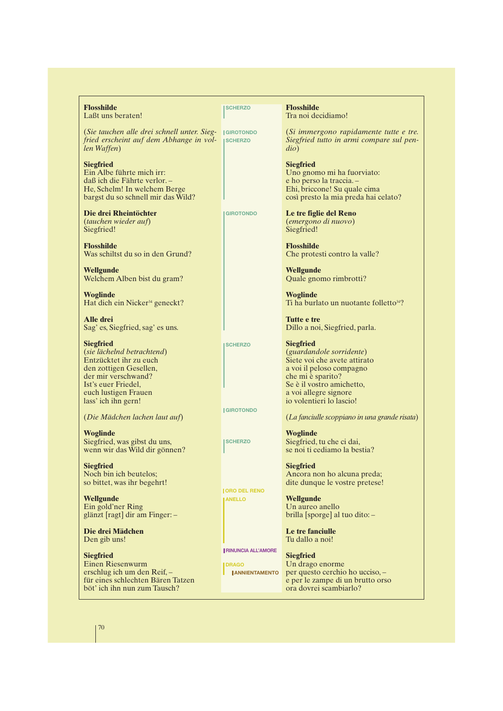| eraten!                                                                                      | <b>SCHERZO</b>                                                       | <b>Flosshilde</b><br>Tra noi decidiamo!                                                                                                                                                                                |
|----------------------------------------------------------------------------------------------|----------------------------------------------------------------------|------------------------------------------------------------------------------------------------------------------------------------------------------------------------------------------------------------------------|
| n alle drei schnell unter. Sieg-<br>eint auf dem Abhange in vol-                             | <b>IGIROTONDO</b><br><b>SCHERZO</b>                                  | (Si immergono rapidamente tutte e tre.<br>Siegfried tutto in armi compare sul pen-<br>$di\sigma$                                                                                                                       |
| ührte mich irr:<br>Fährte verlor. -<br>In welchem Berge<br>o schnell mir das Wild?           |                                                                      | <b>Siegfried</b><br>Uno gnomo mi ha fuorviato:<br>e ho perso la traccia.-<br>Ehi, briccone! Su quale cima<br>così presto la mia preda hai celato?                                                                      |
| heintöchter<br><i>ieder auf</i> )                                                            | <b>GIROTONDO</b>                                                     | Le tre figlie del Reno<br><i>(emergono di nuovo)</i><br>Siegfried!                                                                                                                                                     |
| t du so in den Grund?                                                                        |                                                                      | <b>Flosshilde</b><br>Che protesti contro la valle?                                                                                                                                                                     |
| Alben bist du gram?                                                                          |                                                                      | Wellgunde<br>Quale gnomo rimbrotti?                                                                                                                                                                                    |
| in Nicker <sup>34</sup> geneckt?                                                             |                                                                      | <b>Woglinde</b><br>Ti ha burlato un nuotante folletto <sup>34</sup> ?                                                                                                                                                  |
| gfried, sag' es uns.                                                                         |                                                                      | Tutte e tre<br>Dillo a noi, Siegfried, parla.                                                                                                                                                                          |
| d betrachtend)<br>ihr zu euch<br>n Gesellen,<br>:schwand?<br>riedel,<br>en Frauen<br>n gern! | <b>SCHERZO</b>                                                       | <b>Siegfried</b><br><i>(guardandole sorridente)</i><br>Siete voi che avete attirato<br>a voi il peloso compagno<br>che mi è sparito?<br>Se è il vostro amichetto,<br>a voi allegre signore<br>io volentieri lo lascio! |
| hen lachen laut auf)                                                                         | <b>GIROTONDO</b>                                                     | (La fanciulle scoppiano in una grande risata)                                                                                                                                                                          |
| vas gibst du uns,<br>las Wild dir gönnen?                                                    | <b>ISCHERZO</b>                                                      | <b>Woglinde</b><br>Siegfried, tu che ci dai,<br>se noi ti cediamo la bestia?                                                                                                                                           |
| ch beutelos;<br>as ihr begehrt!                                                              | <b>JORO DEL RENO</b>                                                 | <b>Siegfried</b><br>Ancora non ho alcuna preda;<br>dite dunque le vostre pretese!                                                                                                                                      |
| er Ring<br>t] dir am Finger: -                                                               | <b>ANELLO</b>                                                        | <b>Wellgunde</b><br>Un aureo anello<br>brilla [sporge] al tuo dito: -                                                                                                                                                  |
| ädchen<br>ıs!                                                                                |                                                                      | Le tre fanciulle<br>Tu dallo a noi!                                                                                                                                                                                    |
| senwurm<br>h um den Reif, –<br>chlechten Bären Tatzen<br>n nun zum Tausch?                   | <b>I RINUNCIA ALL'AMORE</b><br><b>DRAGO</b><br><b>JANNIENTAMENTO</b> | <b>Siegfried</b><br>Un drago enorme<br>per questo cerchio ho ucciso, -<br>e per le zampe di un brutto orso<br>ora dovrei scambiarlo?                                                                                   |

**Flosshilde** Laßt uns be

(*Sie tauchen alle drei schnell unter. Sieg-* $\hat{f}$ *ried ersche len Waffen*)

**Siegfried** Ein Albe fü daß ich die Fährte verlor. – He, Schelm! In welchem Berge bargst du s

Die drei Rh (*tauchen wieder auf*) Siegfried!

**Flosshilde** Was schilts

**Wellgunde** Welchem  $A$ 

**Woglinde** Hat dich ei

**Alle drei** Sag' es, Sie

**Siegfried** (*sie lächelnd betrachtend*) Entzücktet den zottigen der mir ver Ist's euer Friedel, euch lustigen Frauen lass' ich ihr

(*Die Mädchen lachen laut auf*)

**Woglinde** Siegfried, was gibst du uns, wenn wir das Wild dir gönnen?

**Siegfried** Noch bin ich beutelos; so bittet, was ihr begehrt!

**Wellgunde** Ein gold'ner Ring glänzt [ragt] dir am Finger: –

**Die drei Mädchen** Den gib uns!

**Siegfried** Einen Riesenwurm erschlug ich um den Reif, – für eines sc böt' ich ihn nun zum Tausch?

70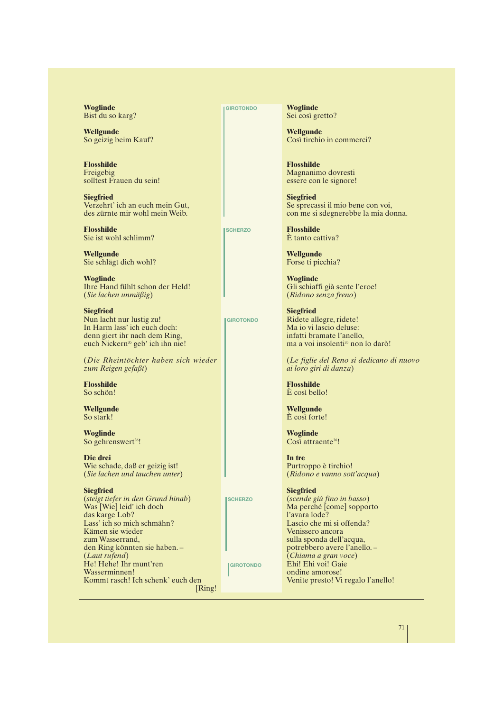**Woglinde** Bist du so karg?

**Wellgunde** So geizig beim Kauf?

**Flosshilde** Freigebig solltest Frauen du sein!

**Siegfried** Verzehrt' ich an euch mein Gut, des zürnte mir wohl mein Weib.

**Flosshilde** Sie ist wohl schlimm?

**Wellgunde** Sie schlägt dich wohl?

**Woglinde** Ihre Hand fühlt schon der Held! (*Sie lachen unmäßig*)

**Siegfried** Nun lacht nur lustig zu! In Harm lass' ich euch doch: denn giert ihr nach dem Ring, euch Nickern<sup>35</sup> geb' ich ihn nie!

(*Die Rheintöchter haben sich wieder zum Reigen gefaßt*)

**Flosshilde** So schön!

**Wellgunde** So stark!

**Woglinde** So gehrenswert<sup>36</sup>!

**Die drei** Wie schade, daß er geizig ist! (*Sie lachen und tauchen unter*)

**Siegfried** (*steigt tiefer in den Grund hinab*) Was [Wie] leid' ich doch das karge Lob? Lass' ich so mich schmähn? Kämen sie wieder zum Wasserrand, den Ring könnten sie haben. – (*Laut rufend*) He! Hehe! Ihr munt'ren Wasserminnen! Kommt rasch! Ich schenk' euch den [Ring! **GIROTONDO**

**SCHERZO**

**GIROTONDO**

**SCHERZO**

**GIROTONDO**

**Woglinde** Sei così gretto?

**Wellgunde** Così tirchio in commerci?

**Flosshilde** Magnanimo dovresti essere con le signore!

**Siegfried** Se sprecassi il mio bene con voi, con me si sdegnerebbe la mia donna.

**Flosshilde** È tanto cattiva?

**Wellgunde** Forse ti picchia?

**Woglinde** Gli schiaffi già sente l'eroe! (*Ridono senza freno*)

**Siegfried** Ridete allegre, ridete! Ma io vi lascio deluse: infatti bramate l'anello, ma a voi insolenti<sup>35</sup> non lo darò!

(*Le figlie del Reno si dedicano di nuovo ai loro giri di danza*)

**Flosshilde** È così bello!

**Wellgunde** È così forte! **Woglinde**

Così attraente<sup>36</sup>!

**In tre** Purtroppo è tirchio! (*Ridono e vanno sott'acqua*)

**Siegfried** (*scende giù fino in basso*) Ma perché [come] sopporto l'avara lode? Lascio che mi si offenda? Venissero ancora sulla sponda dell'acqua, potrebbero avere l'anello. – (*Chiama a gran voce*) Ehi! Ehi voi! Gaie ondine amorose! Venite presto! Vi regalo l'anello!

71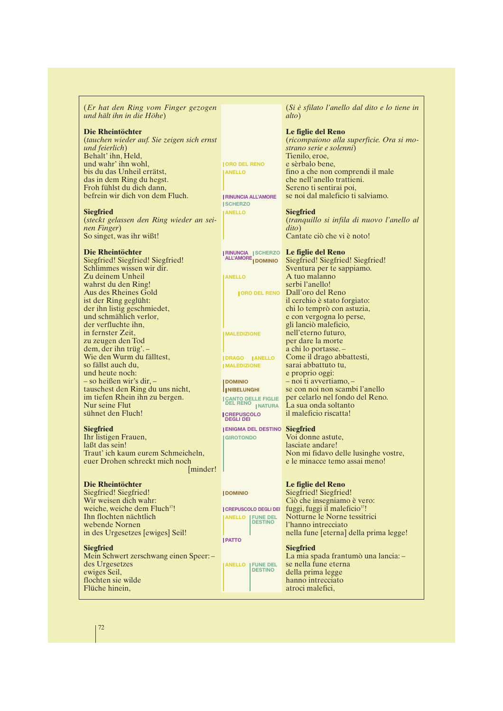(*Er hat den Ring vom Finger gezogen und hält ihn in die Höhe*)

#### **Die Rheintöchter**

(*tauchen wieder auf. Sie zeigen sich ernst und feierlich*) Behalt' ihn, Held, und wahr' ihn wohl, bis du das Unheil errätst, das in dem Ring du hegst. Froh fühlst du dich dann, befrein wir dich von dem Fluch.

#### **Siegfried**

(*steckt gelassen den Ring wieder an seinen Finger*) So singet, was ihr wißt!

#### **Die Rheintöchter**

Siegfried! Siegfried! Siegfried! Schlimmes wissen wir dir. Zu deinem Unheil wahrst du den Ring! Aus des Rheines Gold ist der Ring geglüht: der ihn listig geschmiedet, und schmählich verlor, der verfluchte ihn, in fernster Zeit, zu zeugen den Tod dem, der ihn trüg'. – Wie den Wurm du fälltest, so fällst auch du, und heute noch: – so heißen wir's dir, – tauschest den Ring du uns nicht, im tiefen Rhein ihn zu bergen. Nur seine Flut sühnet den Fluch!

#### **Siegfried**

Ihr listigen Frauen, laßt das sein! Traut' ich kaum eurem Schmeicheln, euer Drohen schreckt mich noch [minder!]

## **Die Rheintöchter**

Siegfried! Siegfried! Wir weisen dich wahr: weiche, weiche dem Fluch<sup>37</sup>! Ihn flochten nächtlich webende Nornen in des Urgesetzes [ewiges] Seil!

#### **Siegfried**

Mein Schwert zerschwang einen Speer: – des Urgesetzes ewiges Seil, flochten sie wilde Flüche hinein,

(*Si è sfilato l'anello dal dito e lo tiene in alto*)

#### **Le figlie del Reno** (*ricompaiono alla superficie. Ora si mostrano serie e solenni*) Tienilo, eroe, e sèrbalo bene, fino a che non comprendi il male che nell'anello trattieni. Sereno ti sentirai poi, se noi dal maleficio ti salviamo.

#### **Siegfried**

**ORO DEL RENO ANELLO**

**RINUNCIA ALL'AMORE SCHERZO ANELLO**

**ANELLO**

**MALEDIZIONE**

**DOMINIO NIBELUNGHI** 

**CREPUSCOLO DEGLI DEI**

**GIROTONDO**

**DOMINIO**

**PATTO**

**CREPUSCOLO DEGLI DEI ANELLO FUNE DEL DESTINO**

**ANELLO FUNE DEL DESTINO**

**DRAGO ANELLO MALEDIZIONE**

**DOMINIO**

(*tranquillo si infila di nuovo l'anello al dito*) Cantate ciò che vi è noto!

#### **Le figlie del Reno RINUNCIA ALL'AMORE SCHERZO**

Siegfried! Siegfried! Siegfried! Sventura per te sappiamo. A tuo malanno serbi l'anello! Dall'oro del Reno il cerchio è stato forgiato: chi lo temprò con astuzia, e con vergogna lo perse, gli lanciò maleficio, nell'eterno futuro, per dare la morte a chi lo portasse. – Come il drago abbattesti, sarai abbattuto tu, e proprio oggi: – noi ti avvertiamo, – se con noi non scambi l'anello per celarlo nel fondo del Reno. La sua onda soltanto il maleficio riscatta! **ORO DEL RENO CANTO DELLE FIGLIE DEL RENO NATURA**

#### **Siegfried ENIGMA DEL DESTINO**

Voi donne astute, lasciate andare! Non mi fidavo delle lusinghe vostre, e le minacce temo assai meno!

#### **Le figlie del Reno**

Siegfried! Siegfried! Ciò che insegniamo è vero: fuggi, fuggi il maleficio<sup>37</sup>! Notturne le Norne tessitrici l'hanno intrecciato nella fune [eterna] della prima legge!

#### **Siegfried**

La mia spada frantumò una lancia: – se nella fune eterna della prima legge hanno intrecciato atroci malefici,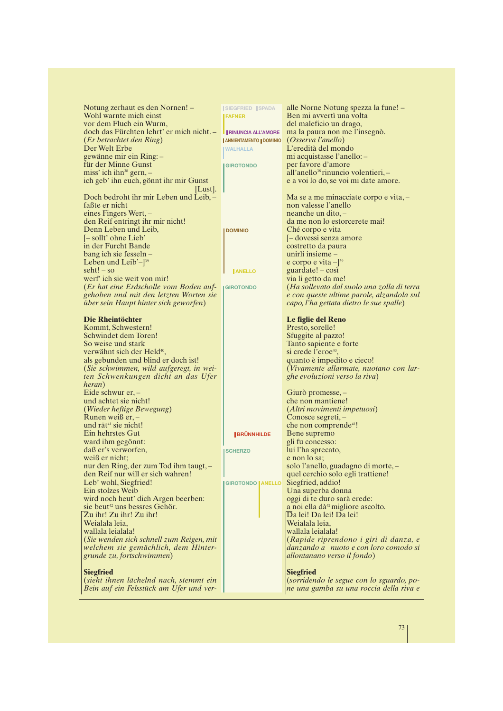| Notung zerhaut es den Nornen! -            | <b>ISIEGFRIED ISPADA</b>       | alle Norne Notung spezza la fune! -             |
|--------------------------------------------|--------------------------------|-------------------------------------------------|
| Wohl warnte mich einst                     | <b>FAFNER</b>                  | Ben mi avvertì una volta                        |
| vor dem Fluch ein Wurm,                    |                                | del maleficio un drago,                         |
| doch das Fürchten lehrt' er mich nicht. -  | <b>I RINUNCIA ALL'AMORE</b>    | ma la paura non me l'insegnò.                   |
| (Er betrachtet den Ring)                   | <b>ANNIENTAMENTO   DOMINIO</b> | <i>(Osserva l'anello)</i>                       |
| Der Welt Erbe                              |                                | L'eredità del mondo                             |
|                                            | <b>WALHALLA</b>                |                                                 |
| gewänne mir ein Ring:-                     |                                | mi acquistasse l'anello: -                      |
| für der Minne Gunst                        | <b>GIROTONDO</b>               | per favore d'amore                              |
| miss' ich ihn $38$ gern, -                 |                                | all'anello <sup>38</sup> rinuncio volentieri, - |
| ich geb' ihn euch, gönnt ihr mir Gunst     |                                | e a voi lo do, se voi mi date amore.            |
| $ $ Lust.                                  |                                |                                                 |
| Doch bedroht ihr mir Leben und Leib, -     |                                | Ma se a me minacciate corpo e vita, -           |
| faßte er nicht                             |                                | non valesse l'anello                            |
| eines Fingers Wert, -                      |                                | neanche un dito, -                              |
| den Reif entringt ihr mir nicht!           |                                | da me non lo estorcerete mai!                   |
| Denn Leben und Leib,                       | <b>DOMINIO</b>                 | Ché corpo e vita                                |
| [-sollt' ohne Lieb'                        |                                | - dovessi senza amore                           |
| in der Furcht Bande                        |                                | costretto da paura                              |
| bang ich sie fesseln –                     |                                | unirli insieme -                                |
| Leben und Leib' $-$ ] <sup>39</sup>        |                                | e corpo e vita $-$ ] <sup>39</sup>              |
| $seht! - so$                               | <b>JANELLO</b>                 | $guardate! - cosi$                              |
| werf' ich sie weit von mir!                |                                | via li getto da me!                             |
| (Er hat eine Erdscholle vom Boden auf-     | <b>IGIROTONDO</b>              | (Ha sollevato dal suolo una zolla di terra      |
| gehoben und mit den letzten Worten sie     |                                | e con queste ultime parole, alzandola sul       |
| über sein Haupt hinter sich geworfen)      |                                | capo, l'ha gettata dietro le sue spalle)        |
|                                            |                                |                                                 |
| <b>Die Rheintöchter</b>                    |                                | Le figlie del Reno                              |
|                                            |                                |                                                 |
| Kommt, Schwestern!<br>Schwindet dem Toren! |                                | Presto, sorelle!                                |
|                                            |                                | Sfuggite al pazzo!                              |
| So weise und stark                         |                                | Tanto sapiente e forte                          |
| verwähnt sich der Held <sup>40</sup> ,     |                                | si crede l'eroe <sup>40</sup> ,                 |
| als gebunden und blind er doch ist!        |                                | quanto è impedito e cieco!                      |
| (Sie schwimmen, wild aufgeregt, in wei-    |                                | (Vivamente allarmate, nuotano con lar-          |
| ten Schwenkungen dicht an das Ufer         |                                | ghe evoluzioni verso la riva)                   |
| heran)                                     |                                |                                                 |
| Eide schwur er, $-$                        |                                | Giurò promesse, –                               |
| und achtet sie nicht!                      |                                | che non mantiene!                               |
| (Wieder heftige Bewegung)                  |                                | (Altri movimenti impetuosi)                     |
| Runen weiß er, $-$                         |                                | Conosce segreti, -                              |
| und rät <sup>41</sup> sie nicht!           |                                | che non comprende <sup>41</sup> !               |
| Ein hehrstes Gut                           | <b>BRÜNNHILDE</b>              | Bene supremo                                    |
| ward ihm gegönnt:                          |                                | gli fu concesso:                                |
| daß er's verworfen,                        | <b>SCHERZO</b>                 | lui l'ha sprecato,                              |
| weiß er nicht;                             |                                | e non lo sa:                                    |
| nur den Ring, der zum Tod ihm taugt, -     |                                | solo l'anello, guadagno di morte, -             |
| den Reif nur will er sich wahren!          |                                | quel cerchio solo egli trattiene!               |
| Leb' wohl, Siegfried!                      | <b>GIROTONDO   ANELLO</b>      | Siegfried, addio!                               |
| Ein stolzes Weib                           |                                | Una superba donna                               |
| wird noch heut' dich Argen beerben:        |                                | oggi di te duro sarà erede:                     |
| sie beut <sup>42</sup> uns bessres Gehör.  |                                | a noi ella dà <sup>42</sup> migliore ascolto.   |
| Zu ihr! Zu ihr! Zu ihr!                    |                                | Da lei! Da lei! Da lei!                         |
| Weialala leia,                             |                                | Weialala leia,                                  |
| wallala leialala!                          |                                | wallala leialala!                               |
| (Sie wenden sich schnell zum Reigen, mit   |                                | (Rapide riprendono i giri di danza, e           |
| welchem sie gemächlich, dem Hinter-        |                                | danzando a nuoto e con loro comodo si           |
| grunde zu, fortschwimmen)                  |                                | allontanano verso il fondo)                     |
|                                            |                                |                                                 |
| <b>Siegfried</b>                           |                                | <b>Siegfried</b>                                |
| (sieht ihnen lächelnd nach, stemmt ein     |                                | (sorridendo le segue con lo sguardo, po-        |
| Bein auf ein Felsstück am Ufer und ver-    |                                | ne una gamba su una roccia della riva e         |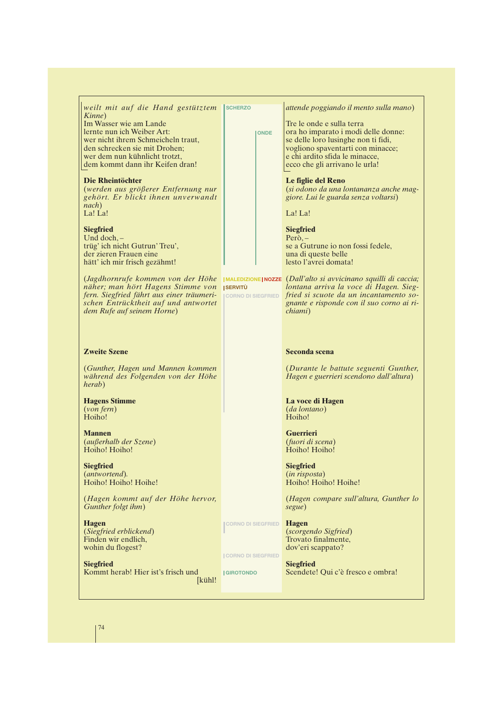| weilt mit auf die Hand gestütztem<br>Kinne)                                                                                                                                                     | <b>SCHERZO</b>                                 |             | attende poggiando il mento sulla mano)                                                                                                                                                                                  |
|-------------------------------------------------------------------------------------------------------------------------------------------------------------------------------------------------|------------------------------------------------|-------------|-------------------------------------------------------------------------------------------------------------------------------------------------------------------------------------------------------------------------|
| Im Wasser wie am Lande<br>lernte nun ich Weiber Art:<br>wer nicht ihrem Schmeicheln traut,<br>den schrecken sie mit Drohen;<br>wer dem nun kühnlicht trotzt,<br>dem kommt dann ihr Keifen dran! |                                                | <b>ONDE</b> | Tre le onde e sulla terra<br>ora ho imparato i modi delle donne:<br>se delle loro lusinghe non ti fidi,<br>vogliono spaventarti con minacce;<br>e chi ardito sfida le minacce,<br>ecco che gli arrivano le urla!        |
| Die Rheintöchter<br>(werden aus größerer Entfernung nur<br>gehört. Er blickt ihnen unverwandt<br>nach)                                                                                          |                                                |             | Le figlie del Reno<br>(si odono da una lontananza anche mag-<br>giore. Lui le guarda senza voltarsi)                                                                                                                    |
| La! La!                                                                                                                                                                                         |                                                |             | La! La!                                                                                                                                                                                                                 |
| <b>Siegfried</b><br>Und doch, $-$<br>trüg' ich nicht Gutrun' Treu',<br>der zieren Frauen eine<br>hätt' ich mir frisch gezähmt!                                                                  |                                                |             | <b>Siegfried</b><br>$Per\delta$ .<br>se a Gutrune io non fossi fedele,<br>una di queste belle<br>lesto l'avrei domata!                                                                                                  |
| (Jagdhornrufe kommen von der Höhe<br>näher; man hört Hagens Stimme von<br>fern. Siegfried fährt aus einer träumeri-<br>schen Entrücktheit auf und antwortet<br>dem Rufe auf seinem Horne)       | <b>ISERVITÙ</b><br><b>CORNO DI SIEGFRIED</b>   |             | $\mu$ MALEDIZIONE NOZZE (Dall'alto si avvicinano squilli di caccia;<br>lontana arriva la voce di Hagen. Sieg-<br>fried si scuote da un incantamento so-<br>gnante e risponde con il suo corno ai ri-<br><i>chiami</i> ) |
| <b>Zweite Szene</b>                                                                                                                                                                             |                                                |             | Seconda scena                                                                                                                                                                                                           |
| (Gunther, Hagen und Mannen kommen<br>während des Folgenden von der Höhe<br>herab)                                                                                                               |                                                |             | (Durante le battute seguenti Gunther,<br>Hagen e guerrieri scendono dall'altura)                                                                                                                                        |
| <b>Hagens Stimme</b><br>(von fern)<br>Hoiho!                                                                                                                                                    |                                                |             | La voce di Hagen<br><i>(da lontano)</i><br>Hoiho!                                                                                                                                                                       |
| <b>Mannen</b><br>(außerhalb der Szene)<br>Hoiho! Hoiho!                                                                                                                                         |                                                |             | <b>Guerrieri</b><br>(fuori di scena)<br>Hoiho! Hoiho!                                                                                                                                                                   |
| <b>Siegfried</b><br>(antwortend).<br>Hoiho! Hoiho! Hoihe!                                                                                                                                       |                                                |             | <b>Siegfried</b><br>(in risposta)<br>Hoiho! Hoiho! Hoihe!                                                                                                                                                               |
| (Hagen kommt auf der Höhe hervor,<br>Gunther folgt ihm)                                                                                                                                         |                                                |             | (Hagen compare sull'altura, Gunther lo<br>segue)                                                                                                                                                                        |
| <b>Hagen</b><br>(Siegfried erblickend)<br>Finden wir endlich,<br>wohin du flogest?                                                                                                              | <b>CORNO DI SIEGFRIED</b>                      |             | <b>Hagen</b><br>(scorgendo Sigfried)<br>Trovato finalmente,<br>dov'eri scappato?                                                                                                                                        |
| <b>Siegfried</b><br>Kommt herab! Hier ist's frisch und<br>[k <sub>üh</sub> ]                                                                                                                    | <b>CORNO DI SIEGFRIED</b><br><b>IGIROTONDO</b> |             | <b>Siegfried</b><br>Scendete! Qui c'è fresco e ombra!                                                                                                                                                                   |

74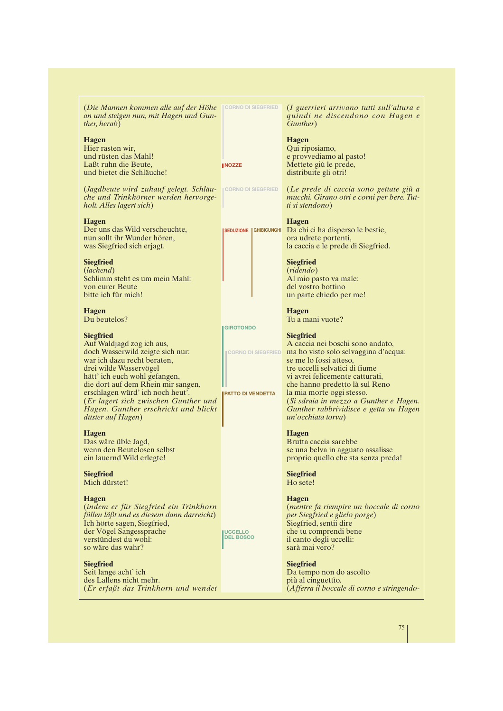$(Die$  Mannen kommen alle auf der Höhe Moorno di siegfried *an und steigen nun, mit Hagen und Gunther, herab*)

#### **Hagen**

Hier rasten wir, und rüsten das Mahl! Laßt ruhn die Beute, und bietet die Schläuche!

(*Jagdbeute wird zuhauf gelegt. Schläuche und Trinkhörner werden hervorgeholt. Alles lagert sich*)

#### **Hagen**

Der uns das Wild verscheuchte, nun sollt ihr Wunder hören, was Siegfried sich erjagt.

## **Siegfried**

(*lachend*) Schlimm steht es um mein Mahl: von eurer Beute bitte ich für mich!

# **Hagen**

Du beutelos?

#### **Siegfried**

Auf Waldjagd zog ich aus, doch Wasserwild zeigte sich nur: war ich dazu recht beraten, drei wilde Wasservögel hätt' ich euch wohl gefangen, die dort auf dem Rhein mir sangen, erschlagen würd' ich noch heut'. (*Er lagert sich zwischen Gunther und Hagen. Gunther erschrickt und blickt düster auf Hagen*)

#### **Hagen**

Das wäre üble Jagd, wenn den Beutelosen selbst ein lauernd Wild erlegte!

#### **Siegfried** Mich dürstet!

#### **Hagen**

(*indem er für Siegfried ein Trinkhorn füllen läßt und es diesem dann darreicht*) Ich hörte sagen, Siegfried, der Vögel Sangessprache verstündest du wohl: so wäre das wahr?

#### **Siegfried**

Seit lange acht' ich des Lallens nicht mehr. (*Er erfaßt das Trinkhorn und wendet* (*I guerrieri arrivano tutti sull'altura e quindi ne discendono con Hagen e Gunther*)

**Hagen** Qui riposiamo, e provvediamo al pasto! Mettete giù le prede, distribuite gli otri!

(*Le prede di caccia sono gettate giù a mucchi. Girano otri e corni per bere. Tutti si stendono*)

#### **Hagen**

Da chi ci ha disperso le bestie, ora udrete portenti, la caccia e le prede di Siegfried.

#### **Siegfried**

(*ridendo*) Al mio pasto va male: del vostro bottino un parte chiedo per me!

**Hagen** Tu a mani vuote?

#### **Siegfried**

A caccia nei boschi sono andato, ma ho visto solo selvaggina d'acqua: se me lo fossi atteso, tre uccelli selvatici di fiume vi avrei felicemente catturati, che hanno predetto là sul Reno la mia morte oggi stesso. (*Si sdraia in mezzo a Gunther e Hagen. Gunther rabbrividisce e getta su Hagen un'occhiata torva*)

#### **Hagen**

Brutta caccia sarebbe se una belva in agguato assalisse proprio quello che sta senza preda!

# **Siegfried**

Ho sete!

#### **Hagen**

(*mentre fa riempire un boccale di corno per Siegfried e glielo porge*) Siegfried, sentii dire che tu comprendi bene il canto degli uccelli: sarà mai vero?

#### **Siegfried**

Da tempo non do ascolto più al cinguettìo. (*Afferra il boccale di corno e stringendo-*

75

**CORNO DI SIEGFRIED**

**GIROTONDO**

**CORNO DI SIEGFRIED**

**SEDUZIONE GHIBICUNGHI**

**NOZZE**

**PATTO DI VENDETTA**

**UCCELLO DEL BOSCO**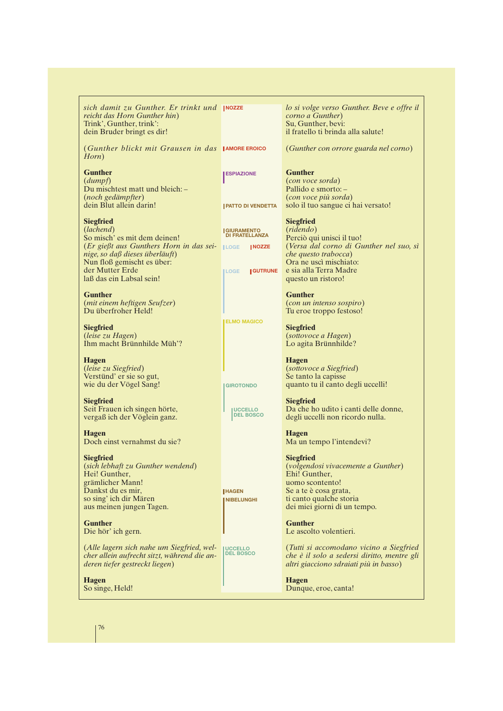| sich damit zu Gunther. Er trinkt und INOZZE<br>reicht das Horn Gunther hin)<br>Trink', Gunther, trink':<br>dein Bruder bringt es dir!                                                                                                     |                                                 | lo si volge verso Gunther. Beve e offre il<br>corno a Gunther)<br>Su, Gunther, bevi:<br>il fratello ti brinda alla salute!                |
|-------------------------------------------------------------------------------------------------------------------------------------------------------------------------------------------------------------------------------------------|-------------------------------------------------|-------------------------------------------------------------------------------------------------------------------------------------------|
| (Gunther blickt mit Grausen in das JAMORE EROICO<br>Horn)                                                                                                                                                                                 |                                                 | (Gunther con orrore guarda nel corno)                                                                                                     |
| <b>Gunther</b><br>(dumpf)                                                                                                                                                                                                                 | <b>ESPIAZIONE</b>                               | <b>Gunther</b><br><i>(con voce sorda)</i>                                                                                                 |
| Du mischtest matt und bleich: -<br>(noch gedämpfter)<br>dein Blut allein darin!                                                                                                                                                           | <b>JPATTO DI VENDETTA</b>                       | Pallido e smorto: -<br>(con voce più sorda)<br>solo il tuo sangue ci hai versato!                                                         |
| <b>Siegfried</b><br>(lachend)<br>So misch' es mit dem deinen!                                                                                                                                                                             | <b>GIURAMENTO<br/>DI FRATELLANZA</b>            | <b>Siegfried</b><br>(ridendo)<br>Perciò qui unisci il tuo!                                                                                |
| $(Er\,\mathrm{gie}\beta t\,\mathrm{aus}\,\mathrm{Gunthers}\,\mathrm{Horn}\,\mathrm{in}\,\mathrm{das}\,\mathrm{sei}$ $\Box$<br>nige, so daß dieses überläuft)<br>Nun floß gemischt es über:<br>der Mutter Erde<br>laß das ein Labsal sein! | <b>NOZZE</b><br><b>I GUTRUNE</b><br><b>LOGE</b> | (Versa dal corno di Gunther nel suo, sì<br>che questo trabocca)<br>Ora ne uscì mischiato:<br>e sia alla Terra Madre<br>questo un ristoro! |
| <b>Gunther</b><br>(mit einem heftigen Seufzer)<br>Du überfroher Held!                                                                                                                                                                     |                                                 | <b>Gunther</b><br>(con un intenso sospiro)<br>Tu eroe troppo festoso!                                                                     |
| <b>Siegfried</b><br>(leise zu Hagen)<br>Ihm macht Brünnhilde Müh'?                                                                                                                                                                        | <b>ELMO MAGICO</b>                              | <b>Siegfried</b><br><i>(sottovoce a Hagen)</i><br>Lo agita Brünnhilde?                                                                    |
| <b>Hagen</b><br>(leise zu Siegfried)<br>Verstünd' er sie so gut,<br>wie du der Vögel Sang!                                                                                                                                                | <b>GIROTONDO</b>                                | <b>Hagen</b><br><i>(sottovoce a Siegfried)</i><br>Se tanto la capisse<br>quanto tu il canto degli uccelli!                                |
| <b>Siegfried</b><br>Seit Frauen ich singen hörte,<br>vergaß ich der Vöglein ganz.                                                                                                                                                         | <b>UCCELLO</b><br><b>DEL BOSCO</b>              | <b>Siegfried</b><br>Da che ho udito i canti delle donne,<br>degli uccelli non ricordo nulla.                                              |
| <b>Hagen</b><br>Doch einst vernahmst du sie?                                                                                                                                                                                              |                                                 | <b>Hagen</b><br>Ma un tempo l'intendevi?                                                                                                  |
| <b>Siegfried</b><br>(sich lebhaft zu Gunther wendend)<br>Hei! Gunther,<br>grämlicher Mann!                                                                                                                                                |                                                 | <b>Siegfried</b><br>(volgendosi vivacemente a Gunther)<br>Ehi! Gunther,<br>uomo scontento!                                                |
| Dankst du es mir,<br>so sing' ich dir Mären<br>aus meinen jungen Tagen.                                                                                                                                                                   | <b>HAGEN</b><br><b>NIBELUNGHI</b>               | Se a te è cosa grata,<br>ti canto qualche storia<br>dei miei giorni di un tempo.                                                          |
| <b>Gunther</b><br>Die hör' ich gern.                                                                                                                                                                                                      |                                                 | <b>Gunther</b><br>Le ascolto volentieri.                                                                                                  |
| (Alle lagern sich nahe um Siegfried, wel-<br>cher allein aufrecht sitzt, während die an-<br>deren tiefer gestreckt liegen)                                                                                                                | <b>UCCELLO</b><br><b>DEL BOSCO</b>              | (Tutti si accomodano vicino a Siegfried<br>che è il solo a sedersi diritto, mentre gli<br>altri giacciono sdraiati più in basso)          |
| <b>Hagen</b><br>So singe, Held!                                                                                                                                                                                                           |                                                 | <b>Hagen</b><br>Dunque, eroe, canta!                                                                                                      |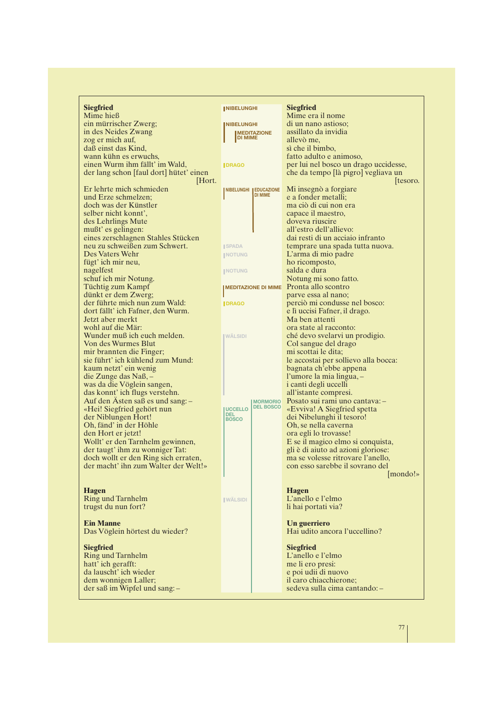| <b>Siegfried</b>                        | <b>INIBELUNGHI</b>           |                                     | <b>Siegfried</b>                      |
|-----------------------------------------|------------------------------|-------------------------------------|---------------------------------------|
| Mime hieß                               |                              |                                     | Mime era il nome                      |
| ein mürrischer Zwerg;                   | <b>NIBELUNGHI</b>            |                                     | di un nano astioso;                   |
| in des Neides Zwang                     |                              | <b>MEDITAZIONE</b>                  | assillato da invidia                  |
| zog er mich auf,                        | <b>DI MIME</b>               |                                     | allevò me,                            |
| daß einst das Kind,                     |                              |                                     | sì che il bimbo,                      |
| wann kühn es erwuchs,                   |                              |                                     | fatto adulto e animoso,               |
| einen Wurm ihm fällt' im Wald,          | <b>IDRAGO</b>                |                                     | per lui nel bosco un drago uccidesse, |
| der lang schon [faul dort] hütet' einen |                              |                                     | che da tempo [là pigro] vegliava un   |
| Hort.                                   |                              |                                     | tesoro.                               |
| Er lehrte mich schmieden                |                              |                                     |                                       |
|                                         | NIBELUNGHI   EDUCAZIONE      | <b>DI MIME</b>                      | Mi insegnò a forgiare                 |
| und Erze schmelzen;                     |                              |                                     | e a fonder metalli;                   |
| doch was der Künstler                   |                              |                                     | ma ciò di cui non era                 |
| selber nicht konnt',                    |                              |                                     | capace il maestro,                    |
| des Lehrlings Mute                      |                              |                                     | doveva riuscire                       |
| mußt' es gelingen:                      |                              |                                     | all'estro dell'allievo:               |
| eines zerschlagnen Stahles Stücken      |                              |                                     | dai resti di un acciaio infranto      |
| neu zu schweißen zum Schwert.           | <b>SPADA</b>                 |                                     | temprare una spada tutta nuova.       |
| Des Vaters Wehr                         | <b>NOTUNG</b>                |                                     | L'arma di mio padre                   |
| fügt' ich mir neu,                      |                              |                                     | ho ricomposto,                        |
| nagelfest                               | <b>INOTUNG</b>               |                                     | salda e dura                          |
| schuf ich mir Notung.                   |                              |                                     | Notung mi sono fatto.                 |
|                                         |                              | <b>MEDITAZIONE DI MIME</b>          | Pronta allo scontro                   |
| Tüchtig zum Kampf                       |                              |                                     |                                       |
| dünkt er dem Zwerg;                     |                              |                                     | parve essa al nano;                   |
| der führte mich nun zum Wald:           | <b>IDRAGO</b>                |                                     | perciò mi condusse nel bosco:         |
| dort fällt' ich Fafner, den Wurm.       |                              |                                     | e lì uccisi Fafner, il drago.         |
| Jetzt aber merkt                        |                              |                                     | Ma ben attenti                        |
| wohl auf die Mär:                       |                              |                                     | ora state al racconto:                |
| Wunder muß ich euch melden.             | <b>IWÄLSIDI</b>              |                                     | ché devo svelarvi un prodigio.        |
| Von des Wurmes Blut                     |                              |                                     | Col sangue del drago                  |
| mir brannten die Finger;                |                              |                                     | mi scottai le dita;                   |
| sie führt' ich kühlend zum Mund:        |                              |                                     | le accostai per sollievo alla bocca:  |
| kaum netzt' ein wenig                   |                              |                                     | bagnata ch'ebbe appena                |
| die Zunge das Naß,-                     |                              |                                     | l'umore la mia lingua, -              |
| was da die Vöglein sangen,              |                              |                                     | i canti degli uccelli                 |
| das konnt' ich flugs verstehn.          |                              |                                     | all'istante compresi.                 |
|                                         |                              |                                     |                                       |
| Auf den Asten saß es und sang: -        |                              | <b>MORMORIO</b><br><b>DEL BOSCO</b> | Posato sui rami uno cantava: -        |
| «Hei! Siegfried gehört nun              | <b>UCCELLO</b><br><b>DEL</b> |                                     | «Evviva! A Siegfried spetta           |
| der Niblungen Hort!                     | <b>BOSCO</b>                 |                                     | dei Nibelunghi il tesoro!             |
| Oh, fänd' in der Höhle                  |                              |                                     | Oh, se nella caverna                  |
| den Hort er jetzt!                      |                              |                                     | ora egli lo trovasse!                 |
| Wollt' er den Tarnhelm gewinnen,        |                              |                                     | E se il magico elmo si conquista,     |
| der taugt' ihm zu wonniger Tat:         |                              |                                     | gli è di aiuto ad azioni gloriose:    |
| doch wollt er den Ring sich erraten,    |                              |                                     | ma se volesse ritrovare l'anello,     |
| der macht' ihn zum Walter der Welt!»    |                              |                                     | con esso sarebbe il sovrano del       |
|                                         |                              |                                     | [mondo!»                              |
|                                         |                              |                                     |                                       |
| <b>Hagen</b>                            |                              |                                     | <b>Hagen</b>                          |
| <b>Ring und Tarnhelm</b>                | <b>WÄLSIDI</b>               |                                     | L'anello e l'elmo                     |
| trugst du nun fort?                     |                              |                                     | li hai portati via?                   |
|                                         |                              |                                     |                                       |
| <b>Ein Manne</b>                        |                              |                                     |                                       |
|                                         |                              |                                     | Un guerriero                          |
| Das Vöglein hörtest du wieder?          |                              |                                     | Hai udito ancora l'uccellino?         |
|                                         |                              |                                     |                                       |
| <b>Siegfried</b>                        |                              |                                     | <b>Siegfried</b>                      |
| <b>Ring und Tarnhelm</b>                |                              |                                     | L'anello e l'elmo                     |
| hatt' ich gerafft:                      |                              |                                     | me li ero presi:                      |
| da lauscht' ich wieder                  |                              |                                     | e poi udii di nuovo                   |
| dem wonnigen Laller;                    |                              |                                     | il caro chiacchierone;                |
| der saß im Wipfel und sang: -           |                              |                                     | sedeva sulla cima cantando: -         |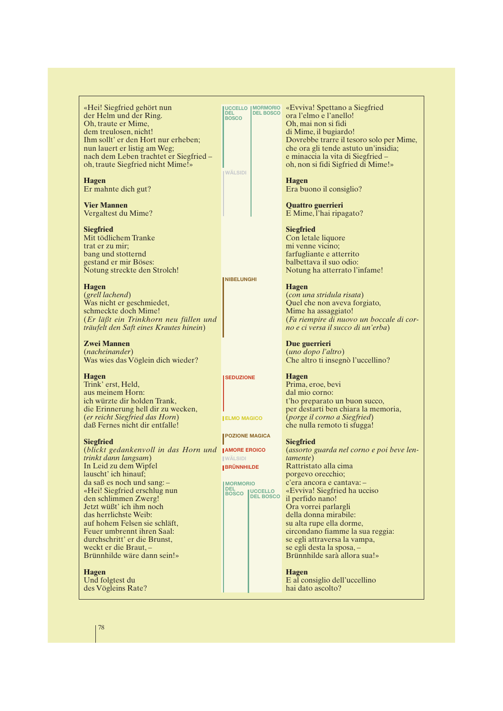«Hei! Siegfried gehört nun der Helm und der Ring. Oh, traute er Mime, dem treulosen, nicht! Ihm sollt' er den Hort nur erheben; nun lauert er listig am Weg; nach dem Leben trachtet er Siegfried – oh, traute Siegfried nicht Mime!»

**Hagen** Er mahnte dich gut?

**Vier Mannen** Vergaltest du Mime?

**Siegfried**

Mit tödlichem Tranke trat er zu mir; bang und stotternd gestand er mir Böses: Notung streckte den Strolch!

**Hagen**

(*grell lachend*) Was nicht er geschmiedet, schmeckte doch Mime! (*Er läßt ein Trinkhorn neu füllen und träufelt den Saft eines Krautes hinein*)

**Zwei Mannen** (*nacheinander*) Was wies das Vöglein dich wieder?

**Hagen** Trink' erst, Held, aus meinem Horn: ich würzte dir holden Trank, die Erinnerung hell dir zu wecken, (*er reicht Siegfried das Horn*) daß Fernes nicht dir entfalle!

## **Siegfried**

(*blickt gedankenvoll in das Horn und* AMORE EROICO *trinkt dann langsam*) In Leid zu dem Wipfel lauscht' ich hinauf; da saß es noch und sang: – «Hei! Siegfried erschlug nun den schlimmen Zwerg! Jetzt wüßt' ich ihm noch das herrlichste Weib: auf hohem Felsen sie schläft, Feuer umbrennt ihren Saal: durchschritt' er die Brunst, weckt er die Braut, – Brünnhilde wäre dann sein!»

**Hagen**

Und folgtest du des Vögleins Rate?

«Evviva! Spettano a Siegfried **MORMORIO DEL BOSCO UCCELLO DEL BOSCO** 

**WÄLSIDI**

**NIBELUNGHI**

**SEDUZIONE**

**ELMO MAGICO**

**WÄLSIDI BRÜNNHILDE**

**MORMORIO DEL BOSCO UCCELLO DEL BOSCO**

**POZIONE MAGICA**

Oh, mai non si fidi di Mime, il bugiardo! Dovrebbe trarre il tesoro solo per Mime, che ora gli tende astuto un'insidia; e minaccia la vita di Siegfried – oh, non si fidi Sigfried di Mime!»

**Hagen** Era buono il consiglio?

ora l'elmo e l'anello!

**Quattro guerrieri** E Mime, l'hai ripagato?

#### **Siegfried**

Con letale liquore mi venne vicino; farfugliante e atterrito balbettava il suo odio: Notung ha atterrato l'infame!

**Hagen**

(*con una stridula risata*) Quel che non aveva forgiato, Mime ha assaggiato! (*Fa riempire di nuovo un boccale di corno e ci versa il succo di un'erba*)

**Due guerrieri** (*uno dopo l'altro*) Che altro ti insegnò l'uccellino?

#### **Hagen**

Prima, eroe, bevi dal mio corno: t'ho preparato un buon succo, per destarti ben chiara la memoria, (*porge il corno a Siegfried*) che nulla remoto ti sfugga!

#### **Siegfried**

(*assorto guarda nel corno e poi beve lentamente*) Rattristato alla cima porgevo orecchio; c'era ancora e cantava: – «Evviva! Siegfried ha ucciso il perfido nano! Ora vorrei parlargli della donna mirabile: su alta rupe ella dorme, circondano fiamme la sua reggia: se egli attraversa la vampa, se egli desta la sposa, – Brünnhilde sarà allora sua!»

#### **Hagen**

E al consiglio dell'uccellino hai dato ascolto?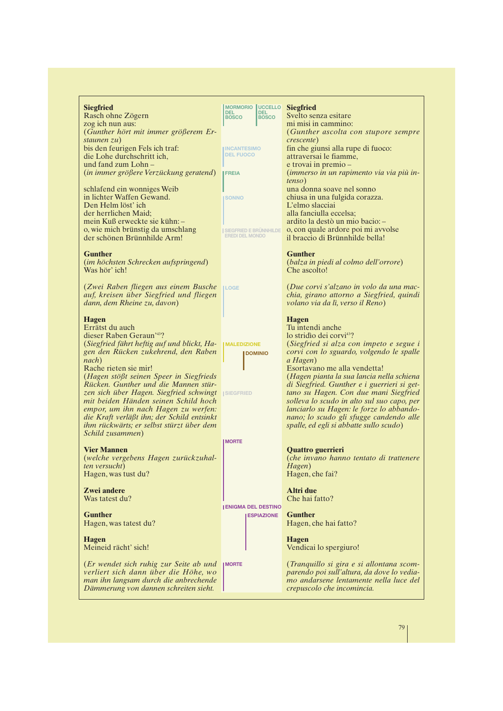| <b>Siegfried</b><br>Rasch ohne Zögern<br>zog ich nun aus:<br>(Gunther hört mit immer größerem Er-<br>staunen $zu$ )<br>bis den feurigen Fels ich traf:<br>die Lohe durchschritt ich,<br>und fand zum Lohn-<br>(in immer größere Verzückung geratend)<br>schlafend ein wonniges Weib<br>in lichter Waffen Gewand.<br>Den Helm löst' ich<br>der herrlichen Maid;<br>mein Kuß erweckte sie kühn: -<br>o, wie mich brünstig da umschlang<br>der schönen Brünnhilde Arm!                                                        | MORMORIO UCCELLO<br><b>DEL</b><br><b>DEL</b><br><b>BOSCO</b><br><b>BOSCO</b><br><b>INCANTESIMO</b><br><b>DEL FUOCO</b><br><b>FREIA</b><br><b>SONNO</b><br><b>SIEGFRIED E BRÜNNHILDE</b><br><b>EREDI DEL MONDO</b> | <b>Siegfried</b><br>Svelto senza esitare<br>mi misi in cammino:<br>(Gunther ascolta con stupore sempre<br><i>crescente</i> )<br>fin che giunsi alla rupe di fuoco:<br>attraversai le fiamme,<br>e trovai in premio –<br>(immerso in un rapimento via via più in-<br><i>tenso</i> )<br>una donna soave nel sonno<br>chiusa in una fulgida corazza.<br>L'elmo slacciai<br>alla fanciulla eccelsa:<br>ardito la destò un mio bacio:-<br>o, con quale ardore poi mi avvolse<br>il braccio di Brünnhilde bella!                       |
|----------------------------------------------------------------------------------------------------------------------------------------------------------------------------------------------------------------------------------------------------------------------------------------------------------------------------------------------------------------------------------------------------------------------------------------------------------------------------------------------------------------------------|-------------------------------------------------------------------------------------------------------------------------------------------------------------------------------------------------------------------|----------------------------------------------------------------------------------------------------------------------------------------------------------------------------------------------------------------------------------------------------------------------------------------------------------------------------------------------------------------------------------------------------------------------------------------------------------------------------------------------------------------------------------|
| <b>Gunther</b><br>(im höchsten Schrecken aufspringend)<br>Was hör' ich!                                                                                                                                                                                                                                                                                                                                                                                                                                                    |                                                                                                                                                                                                                   | <b>Gunther</b><br>(balza in piedi al colmo dell'orrore)<br>Che ascolto!                                                                                                                                                                                                                                                                                                                                                                                                                                                          |
| (Zwei Raben fliegen aus einem Busche<br>auf, kreisen über Siegfried und fliegen<br>dann, dem Rheine zu, davon)                                                                                                                                                                                                                                                                                                                                                                                                             | <b>ILOGE</b>                                                                                                                                                                                                      | (Due corvi s'alzano in volo da una mac-<br>chia, girano attorno a Siegfried, quindi<br>volano via da lì, verso il Reno)                                                                                                                                                                                                                                                                                                                                                                                                          |
| <b>Hagen</b><br>Errätst du auch<br>dieser Raben Geraun <sup>'43</sup> ?<br>(Siegfried fährt heftig auf und blickt, Ha-<br>gen den Rücken zukehrend, den Raben<br>nach)<br>Rache rieten sie mir!<br>(Hagen stößt seinen Speer in Siegfrieds<br>Rücken. Gunther und die Mannen stür-<br>zen sich über Hagen. Siegfried schwingt<br>mit beiden Händen seinen Schild hoch<br>empor, um ihn nach Hagen zu werfen:<br>die Kraft verläßt ihn; der Schild entsinkt<br>ihm rückwärts; er selbst stürzt über dem<br>Schild zusammen) | <b>IMALEDIZIONE</b><br><b>DOMINIO</b><br><b>SIEGFRIED</b>                                                                                                                                                         | <b>Hagen</b><br>Tu intendi anche<br>lo stridìo dei corvi <sup>43</sup> ?<br>(Siegfried si alza con impeto e segue i<br>corvi con lo sguardo, volgendo le spalle<br>a Hagen)<br>Esortavano me alla vendetta!<br>(Hagen pianta la sua lancia nella schiena<br>di Siegfried. Gunther e i guerrieri si get-<br>tano su Hagen. Con due mani Siegfried<br>solleva lo scudo in alto sul suo capo, per<br>lanciarlo su Hagen: le forze lo abbando-<br>nano; lo scudo gli sfugge candendo alle<br>spalle, ed egli si abbatte sullo scudo) |
| <b>Vier Mannen</b><br>(welche vergebens Hagen zurückzuhal-<br><i>ten versucht</i> )<br>Hagen, was tust du?                                                                                                                                                                                                                                                                                                                                                                                                                 | <b>IMORTE</b>                                                                                                                                                                                                     | Quattro guerrieri<br>(che invano hanno tentato di trattenere<br>Hagen)<br>Hagen, che fai?                                                                                                                                                                                                                                                                                                                                                                                                                                        |
| Zwei andere<br>Was tatest du?<br><b>Gunther</b>                                                                                                                                                                                                                                                                                                                                                                                                                                                                            | <b>ENIGMA DEL DESTINO</b><br><b>ESPIAZIONE</b>                                                                                                                                                                    | Altri due<br>Che hai fatto?<br><b>Gunther</b>                                                                                                                                                                                                                                                                                                                                                                                                                                                                                    |
| Hagen, was tatest du?<br><b>Hagen</b><br>Meineid rächt' sich!                                                                                                                                                                                                                                                                                                                                                                                                                                                              |                                                                                                                                                                                                                   | Hagen, che hai fatto?<br><b>Hagen</b><br>Vendicai lo spergiuro!                                                                                                                                                                                                                                                                                                                                                                                                                                                                  |
| (Er wendet sich ruhig zur Seite ab und<br>verliert sich dann über die Höhe, wo<br>man ihn langsam durch die anbrechende<br>Dämmerung von dannen schreiten sieht.                                                                                                                                                                                                                                                                                                                                                           | <b>IMORTE</b>                                                                                                                                                                                                     | (Tranquillo si gira e si allontana scom-<br>parendo poi sull'altura, da dove lo vedia-<br>mo andarsene lentamente nella luce del<br>crepuscolo che incomincia.                                                                                                                                                                                                                                                                                                                                                                   |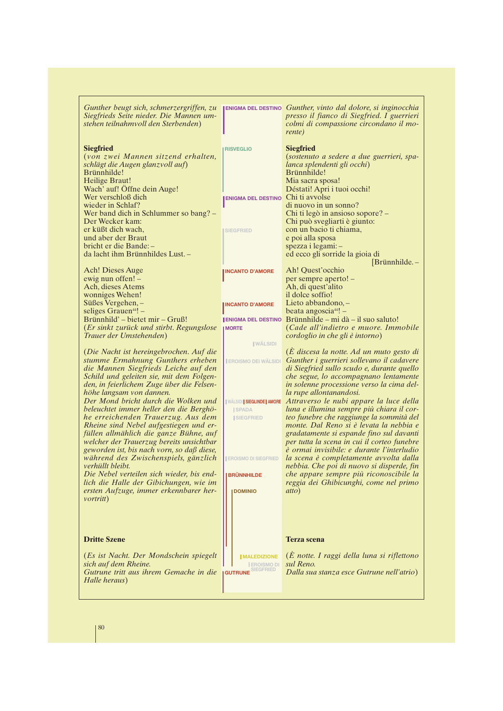| Gunther beugt sich, schmerzergriffen, zu                            |                                   | <b>ENIGMA DEL DESTINO</b> Gunther, vinto dal dolore, si inginocchia                       |
|---------------------------------------------------------------------|-----------------------------------|-------------------------------------------------------------------------------------------|
| Siegfrieds Seite nieder. Die Mannen um-                             |                                   | presso il fianco di Siegfried. I guerrieri                                                |
| stehen teilnahmvoll den Sterbenden)                                 |                                   | colmi di compassione circondano il mo-                                                    |
|                                                                     |                                   | rente)                                                                                    |
|                                                                     |                                   |                                                                                           |
| <b>Siegfried</b>                                                    | <b>RISVEGLIO</b>                  | <b>Siegfried</b>                                                                          |
| (von zwei Mannen sitzend erhalten,                                  |                                   | (sostenuto a sedere a due guerrieri, spa-                                                 |
| schlägt die Augen glanzvoll auf)<br>Brünnhilde!                     |                                   | lanca splendenti gli occhi)<br>Brünnhilde!                                                |
| Heilige Braut!                                                      |                                   | Mia sacra sposa!                                                                          |
| Wach' auf! Öffne dein Auge!                                         |                                   | Déstati! Apri i tuoi occhi!                                                               |
| Wer verschloß dich                                                  | ENIGMA DEL DESTINO Chi ti avvolse |                                                                                           |
| wieder in Schlaf?                                                   |                                   | di nuovo in un sonno?                                                                     |
| Wer band dich in Schlummer so bang? -                               |                                   | Chi ti legò in ansioso sopore? –                                                          |
| Der Wecker kam:                                                     |                                   | Chi può svegliarti è giunto:                                                              |
| er küßt dich wach,                                                  | <b>SIEGFRIED</b>                  | con un bacio ti chiama,                                                                   |
| und aber der Braut                                                  |                                   | e poi alla sposa                                                                          |
| bricht er die Bande:-                                               |                                   | spezza i legami: -                                                                        |
| da lacht ihm Brünnhildes Lust. -                                    |                                   | ed ecco gli sorride la gioia di                                                           |
|                                                                     |                                   | $[Brunnhilde. -$                                                                          |
| Ach! Dieses Auge                                                    | <b>INCANTO D'AMORE</b>            | Ah! Quest'occhio                                                                          |
| ewig nun offen! -                                                   |                                   | per sempre aperto! -                                                                      |
| Ach, dieses Atems                                                   |                                   | Ah, di quest'alito                                                                        |
| wonniges Wehen!                                                     |                                   | il dolce soffio!                                                                          |
| Süßes Vergehen,-                                                    | <b>INCANTO D'AMORE</b>            | Lieto abbandono, -                                                                        |
| seliges Grauen <sup>44</sup> ! $-$                                  |                                   | beata angoscia $44!$ –                                                                    |
| Brünnhild' – bietet mir – Gruß!                                     |                                   | $I$ ENIGMA DEL DESTINO Brünnhilde – mi dà – il suo saluto!                                |
| (Er sinkt zurück und stirbt. Regungslose<br>Trauer der Umstehenden) | <b>IMORTE</b>                     | (Cade all'indietro e muore. Immobile<br>cordoglio in che gli è intorno)                   |
|                                                                     | <b>WÄLSIDI</b>                    |                                                                                           |
| (Die Nacht ist hereingebrochen. Auf die                             |                                   | (E discesa la notte. Ad un muto gesto di                                                  |
| stumme Ermahnung Gunthers erheben                                   | <b>EROISMO DEI WÄLSIDI</b>        | Gunther i guerrieri sollevano il cadavere                                                 |
| die Mannen Siegfrieds Leiche auf den                                |                                   | di Siegfried sullo scudo e, durante quello                                                |
| Schild und geleiten sie, mit dem Folgen-                            |                                   | che segue, lo accompagnano lentamente                                                     |
| den, in feierlichem Zuge über die Felsen-                           |                                   | in solenne processione verso la cima del-                                                 |
| höhe langsam von dannen.                                            |                                   | la rupe allontanandosi.                                                                   |
| Der Mond bricht durch die Wolken und                                |                                   | <b>IWÄLSIDISIEGLINDE AMORE</b> Attraverso le nubi appare la luce della                    |
| beleuchtet immer heller den die Berghö-                             | <b>ISPADA</b>                     | luna e illumina sempre più chiara il cor-                                                 |
| he erreichenden Trauerzug. Aus dem                                  | <b>SIEGFRIED</b>                  | teo funebre che raggiunge la sommità del                                                  |
| Rheine sind Nebel aufgestiegen und er-                              |                                   | monte. Dal Reno si è levata la nebbia e                                                   |
| füllen allmählich die ganze Bühne, auf                              |                                   | gradatamente si espande fino sul davanti                                                  |
| welcher der Trauerzug bereits unsichtbar                            |                                   | per tutta la scena in cui il corteo funebre<br>è ormai invisibile: e durante l'interludio |
| geworden ist, bis nach vorn, so daß diese,                          | <b>EROISMO DI SIEGFRIED</b>       | la scena è completamente avvolta dalla                                                    |
| während des Zwischenspiels, gänzlich<br>verhüllt bleibt.            |                                   | nebbia. Che poi di nuovo si disperde, fin                                                 |
| Die Nebel verteilen sich wieder, bis end-                           | <b>BRÜNNHILDE</b>                 | che appare sempre più riconoscibile la                                                    |
| lich die Halle der Gibichungen, wie im                              |                                   | reggia dei Ghibicunghi, come nel primo                                                    |
| ersten Aufzuge, immer erkennbarer her-                              | <b>DOMINIO</b>                    | atto)                                                                                     |
| <i>vortritt</i> )                                                   |                                   |                                                                                           |
|                                                                     |                                   |                                                                                           |
|                                                                     |                                   |                                                                                           |
|                                                                     |                                   |                                                                                           |
| <b>Dritte Szene</b>                                                 |                                   |                                                                                           |
|                                                                     |                                   | <b>Terza</b> scena                                                                        |
| (Es ist Nacht. Der Mondschein spiegelt                              | <b>IMALEDIZIONE</b>               | $(\hat{E}$ notte. I raggi della luna si riflettono                                        |
| sich auf dem Rheine.                                                | <b>EROISMO DI</b>                 | sul Reno.                                                                                 |
| Gutrune tritt aus ihrem Gemache in die                              | <b>GUTRUNE</b> SIEGFRIED          | Dalla sua stanza esce Gutrune nell'atrio)                                                 |
| Halle heraus)                                                       |                                   |                                                                                           |
|                                                                     |                                   |                                                                                           |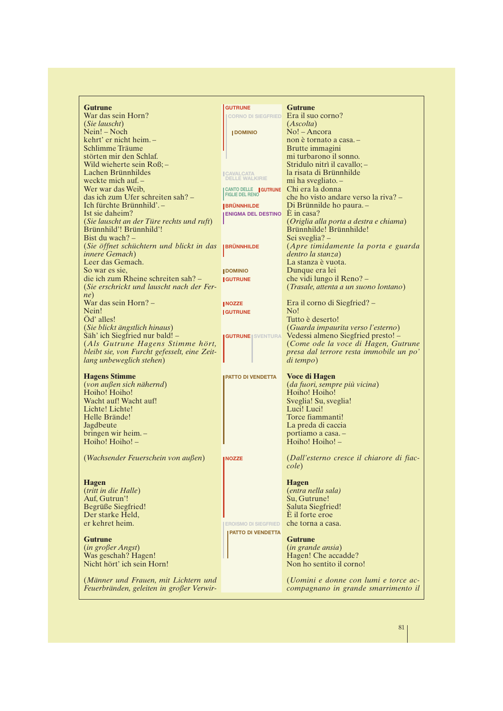| <b>Gutrune</b>                                                                   | <b>GUTRUNE</b>                  | <b>Gutrune</b>                            |
|----------------------------------------------------------------------------------|---------------------------------|-------------------------------------------|
| War das sein Horn?                                                               | <b>CORNO DI SIEGFRIED</b>       | Era il suo corno?                         |
| (Sie lauscht)                                                                    |                                 | (Ascolta)                                 |
| Nein! – Noch                                                                     | <b>IDOMINIO</b>                 | $No!$ – Ancora                            |
| kehrt' er nicht heim. -                                                          |                                 | non è tornato a casa. -                   |
| Schlimme Träume                                                                  |                                 | Brutte immagini                           |
| störten mir den Schlaf.                                                          |                                 | mi turbarono il sonno.                    |
| Wild wieherte sein Roß;-                                                         |                                 | Stridulo nitrì il cavallo; -              |
| Lachen Brünnhildes                                                               | <b>CAVALCATA</b>                | la risata di Brünnhilde                   |
| weckte mich auf. -                                                               | <b>DELLE WALKIRIE</b>           | mi ha svegliato. -                        |
| Wer war das Weib,                                                                | CANTO DELLE   GUTRUNE           | Chi era la donna                          |
| das ich zum Ufer schreiten sah? -                                                | <b>FIGLIE DEL RENO</b>          | che ho visto andare verso la riva? –      |
| Ich fürchte Brünnhild'. -                                                        | <b>BRÜNNHILDE</b>               | Di Brünnilde ho paura. -                  |
| Ist sie daheim?                                                                  | ENIGMA DEL DESTINO $E$ in casa? |                                           |
| (Sie lauscht an der Türe rechts und ruft)                                        |                                 | (Origlia alla porta a destra e chiama)    |
| Brünnhild'! Brünnhild'!                                                          |                                 | Brünnhilde! Brünnhilde!                   |
|                                                                                  |                                 |                                           |
| Bist du wach? $-$                                                                |                                 | Sei sveglia? –                            |
| (Sie öffnet schüchtern und blickt in das                                         | <b>BRÜNNHILDE</b>               | (Apre timidamente la porta e guarda       |
| <i>innere Gemach</i> )                                                           |                                 | dentro la stanza)                         |
| Leer das Gemach.                                                                 |                                 | La stanza è vuota.                        |
| So war es sie.                                                                   | <b>JDOMINIO</b>                 | Dunque era lei                            |
| die ich zum Rheine schreiten sah? –                                              | <b>IGUTRUNE</b>                 | che vidi lungo il Reno? -                 |
| (Sie erschrickt und lauscht nach der Fer-                                        |                                 | (Trasale, attenta a un suono lontano)     |
| ne)                                                                              |                                 |                                           |
| War das sein Horn? -                                                             | <b>INOZZE</b>                   | Era il corno di Siegfried? -              |
| Nein!                                                                            | <b>IGUTRUNE</b>                 | No!                                       |
| Od' alles!                                                                       |                                 | Tutto è deserto!                          |
| (Sie blickt ängstlich hinaus)                                                    |                                 | (Guarda impaurita verso l'esterno)        |
| Säh' ich Siegfried nur bald! -                                                   | <b>GUTRUNE   SVENTURA</b>       | Vedessi almeno Siegfried presto! –        |
| (Als Gutrune Hagens Stimme hört,                                                 |                                 | (Come ode la voce di Hagen, Gutrune       |
| bleibt sie, von Furcht gefesselt, eine Zeit-                                     |                                 | presa dal terrore resta immobile un po'   |
| lang unbeweglich stehen)                                                         |                                 | di tempo)                                 |
|                                                                                  |                                 |                                           |
| <b>Hagens Stimme</b>                                                             | <b>PATTO DI VENDETTA</b>        | <b>Voce di Hagen</b>                      |
| (von außen sich nähernd)                                                         |                                 | (da fuori, sempre più vicina)             |
| Hoiho! Hoiho!                                                                    |                                 | Hoiho! Hoiho!                             |
| Wacht auf! Wacht auf!                                                            |                                 | Sveglia! Su, sveglia!                     |
| Lichte! Lichte!                                                                  |                                 | Luci! Luci!                               |
| Helle Brände!                                                                    |                                 | Torce fiammanti!                          |
| Jagdbeute                                                                        |                                 | La preda di caccia                        |
| bringen wir heim. -                                                              |                                 |                                           |
| Hoiho! Hoiho! -                                                                  |                                 | portiamo a casa. -                        |
|                                                                                  |                                 | Hoiho! Hoiho! -                           |
| (Wachsender Feuerschein von außen)                                               |                                 | (Dall'esterno cresce il chiarore di fiac- |
|                                                                                  | <b>NOZZE</b>                    | cole)                                     |
|                                                                                  |                                 |                                           |
| <b>Hagen</b>                                                                     |                                 | <b>Hagen</b>                              |
| (tritt in die Halle)                                                             |                                 | (entra nella sala)                        |
| Auf, Gutrun'!                                                                    |                                 | Su, Gutrune!                              |
|                                                                                  |                                 | Saluta Siegfried!                         |
| Begrüße Siegfried!                                                               |                                 | È il forte eroe                           |
| Der starke Held,                                                                 |                                 |                                           |
| er kehret heim.                                                                  | <b>EROISMO DI SIEGFRIED</b>     | che torna a casa.                         |
|                                                                                  | <b>PATTO DI VENDETTA</b>        |                                           |
| <b>Gutrune</b>                                                                   |                                 | <b>Gutrune</b>                            |
| (in großer Angst)                                                                |                                 | (in grande ansia)                         |
| Was geschah? Hagen!                                                              |                                 | Hagen! Che accadde?                       |
| Nicht hört' ich sein Horn!                                                       |                                 | Non ho sentito il corno!                  |
|                                                                                  |                                 |                                           |
|                                                                                  |                                 | (Uomini e donne con lumi e torce ac-      |
| (Männer und Frauen, mit Lichtern und<br>Feuerbränden, geleiten in großer Verwir- |                                 | compagnano in grande smarrimento il       |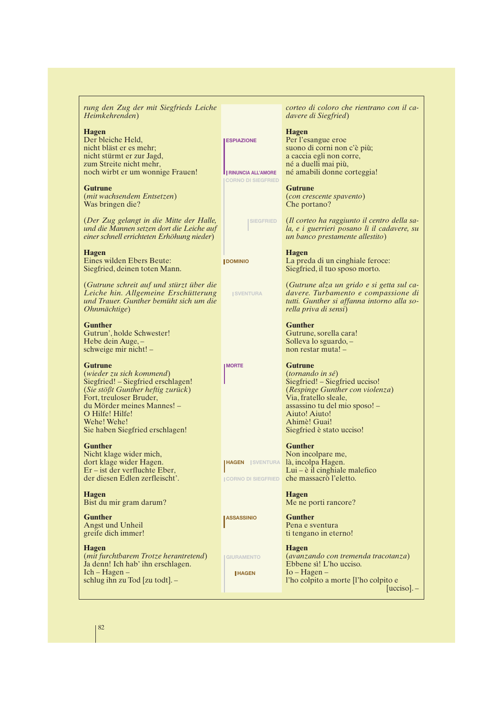*rung den Zug der mit Siegfrieds Leiche Heimkehrenden*)

#### **Hagen**

Der bleiche Held, nicht bläst er es mehr; nicht stürmt er zur Jagd, zum Streite nicht mehr, noch wirbt er um wonnige Frauen!

**Gutrune** (*mit wachsendem Entsetzen*) Was bringen die?

(*Der Zug gelangt in die Mitte der Halle, und die Mannen setzen dort die Leiche auf einer schnell errichteten Erhöhung nieder*)

**Hagen**

Eines wilden Ebers Beute: Siegfried, deinen toten Mann.

(*Gutrune schreit auf und stürzt über die Leiche hin. Allgemeine Erschütterung und Trauer. Gunther bemüht sich um die Ohnmächtige*)

**Gunther** Gutrun', holde Schwester! Hebe dein Auge, – schweige mir nicht! –

#### **Gutrune**

(*wieder zu sich kommend*) Siegfried! – Siegfried erschlagen! (*Sie stößt Gunther heftig zurück*) Fort, treuloser Bruder, du Mörder meines Mannes! – O Hilfe! Hilfe! Wehe! Wehe! Sie haben Siegfried erschlagen!

#### **Gunther**

Nicht klage wider mich, dort klage wider Hagen. Er – ist der verfluchte Eber, der diesen Edlen zerfleischt'.

**Hagen** Bist du mir gram darum?

**Gunther** Angst und Unheil greife dich immer!

**Hagen** (*mit furchtbarem Trotze herantretend*) Ja denn! Ich hab' ihn erschlagen. Ich – Hagen – schlug ihn zu Tod [zu todt]. –

*corteo di coloro che rientrano con il cadavere di Siegfried*)

**Hagen** Per l'esangue eroe suono di corni non c'è più; a caccia egli non corre, né a duelli mai più, né amabili donne corteggia!

**Gutrune** (*con crescente spavento*) Che portano?

(*Il corteo ha raggiunto il centro della sala, e i guerrieri posano lì il cadavere, su un banco prestamente allestito*) **SIEGFRIED**

**Hagen**

**ESPIAZIONE**

**DOMINIO**

**MORTE**

**HAGEN SVENTURA**

**LASSASSINIO** 

**GIURAMENTO HAGEN**

**SVENTURA** 

**RINUNCIA ALL'AMORE CORNO DI SIEGFRIED**

> La preda di un cinghiale feroce: Siegfried, il tuo sposo morto.

(*Gutrune alza un grido e si getta sul cadavere. Turbamento e compassione di tutti. Gunther si affanna intorno alla sorella priva di sensi*)

**Gunther** Gutrune, sorella cara! Solleva lo sguardo, – non restar muta! –

**Gutrune** (*tornando in sé*) Siegfried! – Siegfried ucciso! (*Respinge Gunther con violenza*) Via, fratello sleale, assassino tu del mio sposo! – Aiuto! Aiuto! Ahimè! Guai! Siegfried è stato ucciso!

**Gunther**

Non incolpare me, là, incolpa Hagen. Lui – è il cinghiale malefico che massacrò l'eletto. **CORNO DI SIEGFRIED**

> **Hagen** Me ne porti rancore?

**Gunther** Pena e sventura ti tengano in eterno!

**Hagen** (*avanzando con tremenda tracotanza*) Ebbene sì! L'ho ucciso. Io – Hagen – l'ho colpito a morte [l'ho colpito e [ucciso]. -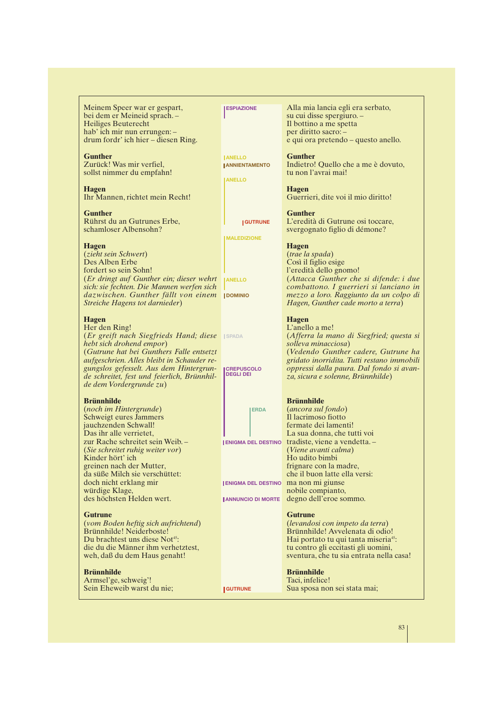Meinem Speer war er gespart, bei dem er Meineid sprach. – Heiliges Beuterecht hab' ich mir nun errungen: – drum fordr' ich hier – diesen Ring.

**Gunther** Zurück! Was mir verfiel, sollst nimmer du empfahn!

**Hagen** Ihr Mannen, richtet mein Recht!

**Gunther** Rührst du an Gutrunes Erbe, schamloser Albensohn?

#### **Hagen**

(*zieht sein Schwert*) Des Alben Erbe fordert so sein Sohn! (*Er dringt auf Gunther ein; dieser wehrt sich: sie fechten. Die Mannen werfen sich dazwischen. Gunther fällt von einem* **DOMINIO** *Streiche Hagens tot darnieder*)

#### **Hagen**

Her den Ring! (*Er greift nach Siegfrieds Hand; diese* **SPADA** *hebt sich drohend empor*) (*Gutrune hat bei Gunthers Falle entsetzt aufgeschrien. Alles bleibt in Schauder regungslos gefesselt. Aus dem Hintergrunde schreitet, fest und feierlich, Brünnhilde dem Vordergrunde zu*)

#### **Brünnhilde**

(*noch im Hintergrunde*) Schweigt eures Jammers jauchzenden Schwall! Das ihr alle verrietet, zur Rache schreitet sein Weib. – (*Sie schreitet ruhig weiter vor*) Kinder hört' ich greinen nach der Mutter, da süße Milch sie verschüttet: doch nicht erklang mir würdige Klage, des höchsten Helden wert.

#### **Gutrune**

(*vom Boden heftig sich aufrichtend*) Brünnhilde! Neiderboste! Du brachtest uns diese Not<sup>45</sup>: die du die Männer ihm verhetztest, weh, daß du dem Haus genaht!

#### **Brünnhilde**

Armsel'ge, schweig'! Sein Eheweib warst du nie; **ESPIAZIONE**

**ANELLO** *ANNIENTAMENTO* 

**ANELLO**

**GUTRUNE**

**MALEDIZIONE**

*ANELLO* 

**CREPUSCOLO DEGLI DEI**

**ERDA**

(*Viene avanti calma*) Ho udito bimbi frignare con la madre, **ENIGMA DEL DESTINO**

**ENIGMA DEL DESTINO**

**ANNUNCIO DI MORTE**

**GUTRUNE**

#### **Gutrune**

(*levandosi con impeto da terra*) Brünnhilde! Avvelenata di odio! Hai portato tu qui tanta miseria<sup>45</sup>: tu contro gli eccitasti gli uomini, sventura, che tu sia entrata nella casa!

## **Brünnhilde**

Taci, infelice! Sua sposa non sei stata mai;

che il buon latte ella versi:

Alla mia lancia egli era serbato, su cui disse spergiuro. – Il bottino a me spetta per diritto sacro: – e qui ora pretendo – questo anello.

#### **Gunther**

Indietro! Quello che a me è dovuto, tu non l'avrai mai!

**Hagen** Guerrieri, dite voi il mio diritto!

**Gunther** L'eredità di Gutrune osi toccare, svergognato figlio di démone?

#### **Hagen**

(*trae la spada*) Così il figlio esige l'eredità dello gnomo! (*Attacca Gunther che si difende: i due combattono. I guerrieri si lanciano in mezzo a loro. Raggiunto da un colpo di Hagen, Gunther cade morto a terra*)

#### **Hagen**

L'anello a me! (*Afferra la mano di Siegfried; questa si solleva minacciosa*) (*Vedendo Gunther cadere, Gutrune ha gridato inorridita. Tutti restano immobili oppressi dalla paura. Dal fondo si avanza, sicura e solenne, Brünnhilde*)

#### **Brünnhilde**

(*ancora sul fondo*) Il lacrimoso fiotto fermate dei lamenti! La sua donna, che tutti voi tradiste, viene a vendetta. –

ma non mi giunse nobile compianto, degno dell'eroe sommo.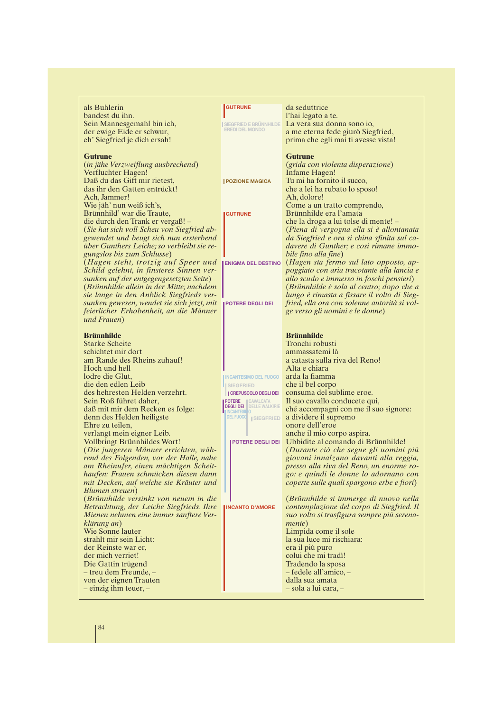| als Buhlerin                                                                         | <b>GUTRUNE</b>                                             | da seduttrice                                                                           |
|--------------------------------------------------------------------------------------|------------------------------------------------------------|-----------------------------------------------------------------------------------------|
| bandest du ihn.                                                                      |                                                            | l'hai legato a te.                                                                      |
| Sein Mannesgemahl bin ich,                                                           |                                                            | La vera sua donna sono io,                                                              |
| der ewige Eide er schwur,                                                            | SIEGFRIED E BRÜNNHILDE                                     | a me eterna fede giurò Siegfried,                                                       |
| eh' Siegfried je dich ersah!                                                         |                                                            | prima che egli mai ti avesse vista!                                                     |
|                                                                                      |                                                            |                                                                                         |
| Gutrune                                                                              |                                                            | Gutrune                                                                                 |
| (in jähe Verzweiflung ausbrechend)                                                   |                                                            | (grida con violenta disperazione)                                                       |
| Verfluchter Hagen!                                                                   |                                                            | Infame Hagen!                                                                           |
| Daß du das Gift mir rietest,                                                         | <b>I POZIONE MAGICA</b>                                    | Tu mi ha fornito il succo,                                                              |
| das ihr den Gatten entrückt!                                                         |                                                            | che a lei ha rubato lo sposo!                                                           |
| Ach, Jammer!                                                                         |                                                            | Ah, dolore!                                                                             |
| Wie jäh' nun weiß ich's,                                                             |                                                            | Come a un tratto comprendo,                                                             |
| Brünnhild' war die Traute,                                                           | <b>GUTRUNE</b>                                             | Brünnhilde era l'amata                                                                  |
| die durch den Trank er vergaß! –                                                     |                                                            | che la droga a lui tolse di mente! –                                                    |
|                                                                                      |                                                            |                                                                                         |
| (Sie hat sich voll Scheu von Siegfried ab-<br>gewendet und beugt sich nun ersterbend |                                                            | (Piena di vergogna ella si è allontanata<br>da Siegfried e ora si china sfinita sul ca- |
| über Gunthers Leiche; so verbleibt sie re-                                           |                                                            | davere di Gunther; e così rimane immo-                                                  |
|                                                                                      |                                                            |                                                                                         |
| gungslos bis zum Schlusse)                                                           |                                                            | bile fino alla fine)                                                                    |
| (Hagen steht, trotzig auf Speer und                                                  | <b>ENIGMA DEL DESTINO</b>                                  | (Hagen sta fermo sul lato opposto, ap-                                                  |
| Schild gelehnt, in finsteres Sinnen ver-                                             |                                                            | poggiato con aria tracotante alla lancia e<br>allo scudo e immerso in foschi pensieri)  |
| sunken auf der entgegengesetzten Seite)                                              |                                                            |                                                                                         |
| (Brünnhilde allein in der Mitte; nachdem                                             |                                                            | (Brünnhilde è sola al centro; dopo che a                                                |
| sie lange in den Anblick Siegfrieds ver-                                             |                                                            | lungo è rimasta a fissare il volto di Sieg-                                             |
| sunken gewesen, wendet sie sich jetzt, mit                                           | <b>POTERE DEGLI DEI</b>                                    | fried, ella ora con solenne autorità si vol-                                            |
| feierlicher Erhobenheit, an die Männer                                               |                                                            | ge verso gli uomini e le donne)                                                         |
| und Frauen)                                                                          |                                                            |                                                                                         |
| <b>Brünnhilde</b>                                                                    |                                                            | <b>Brünnhilde</b>                                                                       |
| <b>Starke Scheite</b>                                                                |                                                            | Tronchi robusti                                                                         |
| schichtet mir dort                                                                   |                                                            | ammassatemi là                                                                          |
| am Rande des Rheins zuhauf!                                                          |                                                            | a catasta sulla riva del Reno!                                                          |
| Hoch und hell                                                                        |                                                            | Alta e chiara                                                                           |
| lodre die Glut.                                                                      | <b>INCANTESIMO DEL FUOCO</b>                               | arda la fiamma                                                                          |
| die den edlen Leib                                                                   |                                                            | che il bel corpo                                                                        |
| des hehresten Helden verzehrt.                                                       | <b>ISIEGFRIED</b>                                          | consuma del sublime eroe.                                                               |
| Sein Roß führet daher,                                                               | <b>CREPUSCOLO DEGLI DEI</b>                                | Il suo cavallo conducete qui,                                                           |
| daß mit mir dem Recken es folge:                                                     | <b>POTERE</b> CAVALCATA<br><b>DEGLI DEI</b> DELLE WALKIRIE | ché accompagni con me il suo signore:                                                   |
| denn des Helden heiligste                                                            | <b>INCANTESINO</b><br>DEL FUOCO   SIEGFRIED                | a dividere il supremo                                                                   |
| Ehre zu teilen,                                                                      |                                                            | onore dell'eroe                                                                         |
| verlangt mein eigner Leib.                                                           |                                                            | anche il mio corpo aspira.                                                              |
| Vollbringt Brünnhildes Wort!                                                         | POTERE DEGLI DEI                                           | Ubbidite al comando di Brünnhilde!                                                      |
| (Die jungeren Männer errichten, wäh-                                                 |                                                            | (Durante ciò che segue gli uomini più                                                   |
| rend des Folgenden, vor der Halle, nahe                                              |                                                            | giovani innalzano davanti alla reggia,                                                  |
| am Rheinufer, einen mächtigen Scheit-                                                |                                                            | presso alla riva del Reno, un enorme ro-                                                |
| haufen: Frauen schmücken diesen dann                                                 |                                                            | go: e quindi le donne lo adornano con                                                   |
| mit Decken, auf welche sie Kräuter und                                               |                                                            | coperte sulle quali spargono erbe e fiori)                                              |
| Blumen streuen)                                                                      |                                                            |                                                                                         |
| (Brünnhilde versinkt von neuem in die                                                |                                                            | (Brünnhilde si immerge di nuovo nella                                                   |
| Betrachtung, der Leiche Siegfrieds. Ihre                                             | <b>INCANTO D'AMORE</b>                                     | contemplazione del corpo di Siegfried. Il                                               |
| Mienen nehmen eine immer sanftere Ver-                                               |                                                            | suo volto si trasfigura sempre più serena-                                              |
| klärung an)                                                                          |                                                            | <i>mente</i> )                                                                          |
| Wie Sonne lauter                                                                     |                                                            | Limpida come il sole                                                                    |
| strahlt mir sein Licht:                                                              |                                                            | la sua luce mi rischiara:                                                               |
| der Reinste war er,                                                                  |                                                            | era il più puro                                                                         |
| der mich verriet!                                                                    |                                                            | colui che mi tradì!                                                                     |
|                                                                                      |                                                            |                                                                                         |
| Die Gattin trügend                                                                   |                                                            | Tradendo la sposa<br>- fedele all'amico, -                                              |
| - treu dem Freunde, -                                                                |                                                            | dalla sua amata                                                                         |
| von der eignen Trauten                                                               |                                                            |                                                                                         |
| $-$ einzig ihm teuer, $-$                                                            |                                                            | $-$ sola a lui cara, $-$                                                                |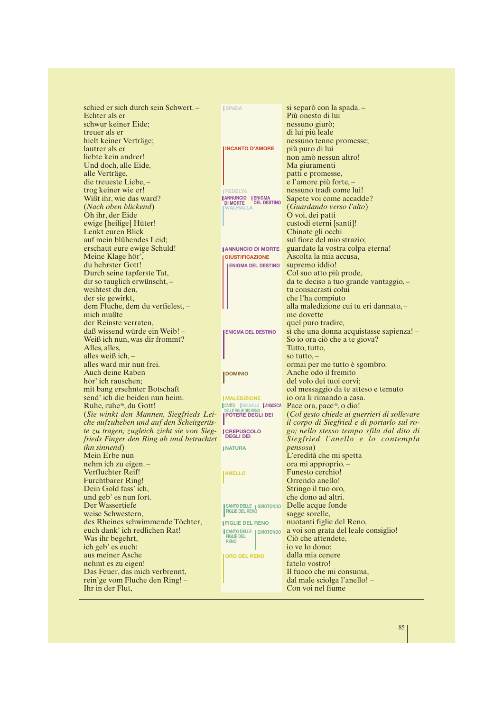| schied er sich durch sein Schwert. -                  | <b>ISPADA</b>                                      | si separò con la spada. -                   |
|-------------------------------------------------------|----------------------------------------------------|---------------------------------------------|
| Echter als er                                         |                                                    | Più onesto di lui                           |
| schwur keiner Eide;                                   |                                                    | nessuno giurò;                              |
| treuer als er                                         |                                                    | di lui più leale                            |
| hielt keiner Verträge;                                |                                                    | nessuno tenne promesse;                     |
| lautrer als er                                        | <b>INCANTO D'AMORE</b>                             | più puro di lui                             |
| liebte kein andrer!                                   |                                                    | non amò nessun altro!                       |
| Und doch, alle Eide,                                  |                                                    | Ma giuramenti                               |
| alle Verträge,                                        |                                                    | patti e promesse,                           |
| die treueste Liebe, -                                 |                                                    | e l'amore più forte, –                      |
| trog keiner wie er!                                   | <b>FEDELTA</b>                                     | nessuno tradì come lui!                     |
| Wißt ihr, wie das ward?                               | ANNUNCIO ENIGMA<br>DI MORTE DEL DESTINO            | Sapete voi come accadde?                    |
| (Nach oben blickend)                                  | <b>WALHALLA</b>                                    | <i>(Guardando verso l'alto)</i>             |
| Oh ihr, der Eide                                      |                                                    | O voi, dei patti                            |
| ewige [heilige] Hüter!                                |                                                    | custodi eterni [santi]!                     |
| Lenkt euren Blick                                     |                                                    | Chinate gli occhi                           |
| auf mein blühendes Leid;                              |                                                    | sul fiore del mio strazio;                  |
| erschaut eure ewige Schuld!                           | <b>JANNUNCIO DI MORTE</b>                          | guardate la vostra colpa eterna!            |
| Meine Klage hör',                                     | <b>GIUSTIFICAZIONE</b>                             | Ascolta la mia accusa,                      |
| du hehrster Gott!                                     | <b>ENIGMA DEL DESTINO</b>                          | supremo iddio!                              |
| Durch seine tapferste Tat,                            |                                                    | Col suo atto più prode,                     |
| dir so tauglich erwünscht, -                          |                                                    | da te deciso a tuo grande vantaggio, -      |
| weihtest du den,<br>der sie gewirkt,                  |                                                    | tu consacrasti colui<br>che l'ha compiuto   |
| dem Fluche, dem du verfielest, -                      |                                                    | alla maledizione cui tu eri dannato, -      |
| mich mußte                                            |                                                    | me dovette                                  |
| der Reinste verraten,                                 |                                                    | quel puro tradire,                          |
| daß wissend würde ein Weib! –                         | <b>ENIGMA DEL DESTINO</b>                          | sì che una donna acquistasse sapienza! –    |
| Weiß ich nun, was dir frommt?                         |                                                    | So io ora ciò che a te giova?               |
| Alles, alles,                                         |                                                    | Tutto, tutto,                               |
| alles weiß ich, $-$                                   |                                                    | so tutto, $-$                               |
| alles ward mir nun frei.                              |                                                    | ormai per me tutto è sgombro.               |
| Auch deine Raben                                      | <b>J</b> DOMINIO                                   | Anche odo il fremito                        |
| hör' ich rauschen;                                    |                                                    | del volo dei tuoi corvi;                    |
| mit bang ersehnter Botschaft                          |                                                    | col messaggio da te atteso e temuto         |
| send' ich die beiden nun heim.                        | <b>IMALEDIZIONE</b>                                | io ora li rimando a casa.                   |
| Ruhe, ruhe <sup>46</sup> , du Gott!                   | CANTO WALHALLA ANGOSCIA                            | Pace ora, pace <sup>46</sup> , o dio!       |
| (Sie winkt den Mannen, Siegfrieds Lei-                | DELLE FIGLIE DEL RENO<br><b>  POTERE DEGLI DEI</b> | (Col gesto chiede ai guerrieri di sollevare |
| che aufzuheben und auf den Scheitgerüs-               |                                                    | il corpo di Siegfried e di portarlo sul ro- |
| te zu tragen; zugleich zieht sie von Sieg-            | <b>ICREPUSCOLO</b>                                 | go; nello stesso tempo sfila dal dito di    |
| frieds Finger den Ring ab und betrachtet              | <b>DEGLI DEI</b>                                   | Siegfried l'anello e lo contempla           |
| <i>ihn sinnend</i> )                                  | <b>NATURA</b>                                      | <i>pensosa</i> )                            |
| Mein Erbe nun                                         |                                                    | L'eredità che mi spetta                     |
| nehm ich zu eigen. -                                  |                                                    | ora mi approprio. -                         |
| Verfluchter Reif!                                     | <b>JANELLO</b>                                     | Funesto cerchio!                            |
| <b>Furchtbarer Ring!</b>                              |                                                    | Orrendo anello!                             |
| Dein Gold fass' ich,                                  |                                                    | Stringo il tuo oro,                         |
| und geb' es nun fort.                                 |                                                    | che dono ad altri.                          |
| Der Wassertiefe                                       | CANTO DELLE   GIROTONDO<br><b>FIGLIE DEL RENO</b>  | Delle acque fonde                           |
| weise Schwestern,<br>des Rheines schwimmende Töchter, |                                                    | sagge sorelle,                              |
| euch dank' ich redlichen Rat!                         | <b>IFIGLIE DEL RENO</b>                            | nuotanti figlie del Reno,                   |
|                                                       | CANTO DELLE   GIROTONDO<br><b>FIGLIE DEL</b>       | a voi son grata del leale consiglio!        |
| Was ihr begehrt,<br>ich geb' es euch:                 | <b>RENO</b>                                        | Ciò che attendete,<br>io ve lo dono:        |
| aus meiner Asche                                      | <b>ORO DEL RENO</b>                                | dalla mia cenere                            |
| nehmt es zu eigen!                                    |                                                    | fatelo vostro!                              |
| Das Feuer, das mich verbrennt,                        |                                                    | Il fuoco che mi consuma,                    |
| rein'ge vom Fluche den Ring! -                        |                                                    | dal male sciolga l'anello! -                |
| Ihr in der Flut,                                      |                                                    | Con voi nel fiume                           |
|                                                       |                                                    |                                             |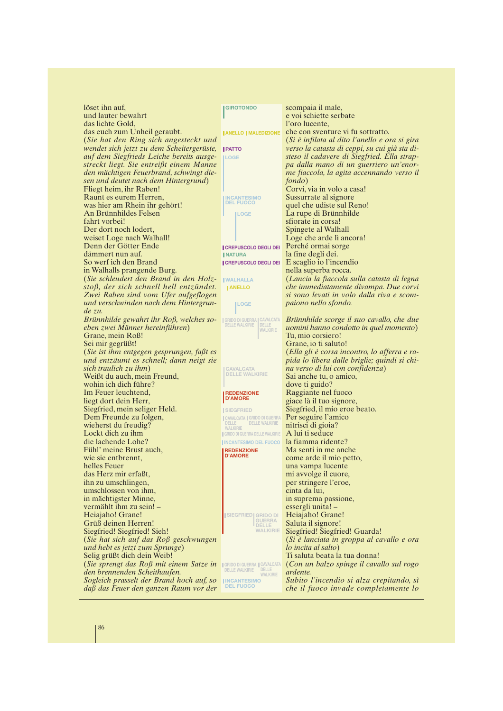| löset ihn auf,<br>und lauter bewahrt                                          | <b>GIROTONDO</b>                                                            | scompaia il male,<br>e voi schiette serbate                                        |
|-------------------------------------------------------------------------------|-----------------------------------------------------------------------------|------------------------------------------------------------------------------------|
| das lichte Gold,                                                              |                                                                             | l'oro lucente,                                                                     |
| das euch zum Unheil geraubt.                                                  | <b>JANELLO   MALEDIZIONE</b>                                                | che con sventure vi fu sottratto.                                                  |
| (Sie hat den Ring sich angesteckt und                                         |                                                                             | (Si è infilata al dito l'anello e ora si gira                                      |
| wendet sich jetzt zu dem Scheitergerüste,                                     | <b>PATTO</b>                                                                | verso la catasta di ceppi, su cui già sta di-                                      |
| auf dem Siegfrieds Leiche bereits ausge-                                      | <b>ILOGE</b>                                                                | steso il cadavere di Siegfried. Ella strap-                                        |
| streckt liegt. Sie entreißt einem Manne                                       |                                                                             | pa dalla mano di un guerriero un'enor-                                             |
| den mächtigen Feuerbrand, schwingt die-                                       |                                                                             | me fiaccola, la agita accennando verso il                                          |
| sen und deutet nach dem Hintergrund)                                          |                                                                             | <i>fondo</i> )                                                                     |
| Fliegt heim, ihr Raben!                                                       |                                                                             | Corvi, via in volo a casa!                                                         |
| Raunt es eurem Herren,                                                        | <b>INCANTESIMO</b>                                                          | Sussurrate al signore                                                              |
| was hier am Rhein ihr gehört!                                                 | <b>DEL FUOCO</b>                                                            | quel che udiste sul Reno!                                                          |
| An Brünnhildes Felsen                                                         | <b>ILOGE</b>                                                                | La rupe di Brünnhilde                                                              |
| fahrt vorbei!                                                                 |                                                                             | sfiorate in corsa!                                                                 |
| Der dort noch lodert,                                                         |                                                                             | Spingete al Walhall                                                                |
| weiset Loge nach Walhall!                                                     |                                                                             | Loge che arde lì ancora!                                                           |
| Denn der Götter Ende                                                          | <b>CREPUSCOLO DEGLI DEI</b>                                                 | Perché ormai sorge                                                                 |
| dämmert nun auf.                                                              | <b>INATURA</b>                                                              | la fine degli dei.                                                                 |
| So werf ich den Brand                                                         | <b>CREPUSCOLO DEGLI DEI</b>                                                 | E scaglio io l'incendio                                                            |
| in Walhalls prangende Burg.                                                   |                                                                             | nella superba rocca.                                                               |
| (Sie schleudert den Brand in den Holz-                                        | <b>IWALHALLA</b>                                                            | (Lancia la fiaccola sulla catasta di legna                                         |
| stoß, der sich schnell hell entzündet.                                        | <b>JANELLO</b>                                                              | che immediatamente divampa. Due corvi<br>si sono levati in volo dalla riva e scom- |
| Zwei Raben sind vom Ufer aufgeflogen<br>und verschwinden nach dem Hintergrun- |                                                                             | paiono nello sfondo.                                                               |
| $de\ zu.$                                                                     | <b>ILOGE</b>                                                                |                                                                                    |
| Brünnhilde gewahrt ihr $Ro\beta$ , welches so-                                | GRIDO DI GUERRA CAVALCATA                                                   | Brünnhilde scorge il suo cavallo, che due                                          |
| eben zwei Männer hereinführen)                                                | <b>DELLE WALKIRIE</b><br><b>DELLE</b>                                       | uomini hanno condotto in quel momento)                                             |
| Grane, mein Roß!                                                              | <b>WALKIRIE</b>                                                             | Tu, mio corsiero!                                                                  |
| Sei mir gegrüßt!                                                              |                                                                             | Grane, io ti saluto!                                                               |
| (Sie ist ihm entgegen gesprungen, fa $\beta t$ es                             |                                                                             | (Ella gli è corsa incontro, lo afferra e ra-                                       |
| und entzäumt es schnell; dann neigt sie                                       |                                                                             | pida lo libera dalle briglie; quindi si chi-                                       |
| sich traulich zu ihm)                                                         | <b>CAVALCATA</b>                                                            | na verso di lui con confidenza)                                                    |
| Weißt du auch, mein Freund,                                                   | <b>DELLE WALKIRIE</b>                                                       | Sai anche tu, o amico,                                                             |
| wohin ich dich führe?                                                         |                                                                             | dove ti guido?                                                                     |
| Im Feuer leuchtend,                                                           | <b>REDENZIONE</b><br><b>D'AMORE</b>                                         | Raggiante nel fuoco                                                                |
| liegt dort dein Herr,                                                         |                                                                             | giace là il tuo signore,                                                           |
| Siegfried, mein seliger Held.                                                 | <b>SIEGFRIED</b>                                                            | Siegfried, il mio eroe beato.                                                      |
| Dem Freunde zu folgen,<br>wieherst du freudig?                                | CAVALCATA   GRIDO DI GUERRA<br>  DELLE   DELLE WALKIRIE                     | Per seguire l'amico<br>nitrisci di gioia?                                          |
| Lockt dich zu ihm                                                             | <b>WALKIRIE</b><br>GRIDO DI GUERRA DELLE WALKIRIE                           | A lui ti seduce                                                                    |
| die lachende Lohe?                                                            | <b>INCANTESIMO DEL FUOCO</b>                                                | la fiamma ridente?                                                                 |
| Fühl' meine Brust auch,                                                       | <b>REDENZIONE</b>                                                           | Ma senti in me anche                                                               |
| wie sie entbrennt,                                                            | <b>D'AMORE</b>                                                              | come arde il mio petto,                                                            |
| helles Feuer                                                                  |                                                                             | una vampa lucente                                                                  |
| das Herz mir erfaßt,                                                          |                                                                             | mi avvolge il cuore,                                                               |
| ihn zu umschlingen,                                                           |                                                                             | per stringere l'eroe,                                                              |
| umschlossen von ihm,                                                          |                                                                             | cinta da lui,                                                                      |
| in mächtigster Minne,                                                         |                                                                             | in suprema passione,                                                               |
| vermählt ihm zu sein! -                                                       |                                                                             | essergli unita! –                                                                  |
| Heiajaho! Grane!                                                              | <b>SIEGFRIED GRIDO DI</b><br><b>GUERRA</b>                                  | Heiajaho! Grane!                                                                   |
| Grüß deinen Herren!                                                           | <b>DELLE</b>                                                                | Saluta il signore!                                                                 |
| Siegfried! Siegfried! Sieh!                                                   | <b>WALKIRIE</b>                                                             | Siegfried! Siegfried! Guarda!                                                      |
| (Sie hat sich auf das $R \circ \beta$ geschwungen                             |                                                                             | (Si è lanciata in groppa al cavallo e ora                                          |
| und hebt es jetzt zum Sprunge)                                                |                                                                             | <i>lo incita al salto</i> )                                                        |
| Selig grüßt dich dein Weib!                                                   |                                                                             | Ti saluta beata la tua donna!                                                      |
| (Sie sprengt das Roß mit einem Satze in<br>den brennenden Scheithaufen.       | <b>GRIDO DI GUERRA   CAVALCATA</b><br><b>DELLE WALKIRIE</b><br><b>DELLE</b> | (Con un balzo spinge il cavallo sul rogo<br><i>ardente.</i>                        |
| Sogleich prasselt der Brand hoch auf, so                                      | <b>WALKIRIE</b><br><b>INCANTESIMO</b>                                       | Subito l'incendio si alza crepitando, sì                                           |
| daß das Feuer den ganzen Raum vor der                                         | <b>DEL FUOCO</b>                                                            | che il fuoco invade completamente lo                                               |
|                                                                               |                                                                             |                                                                                    |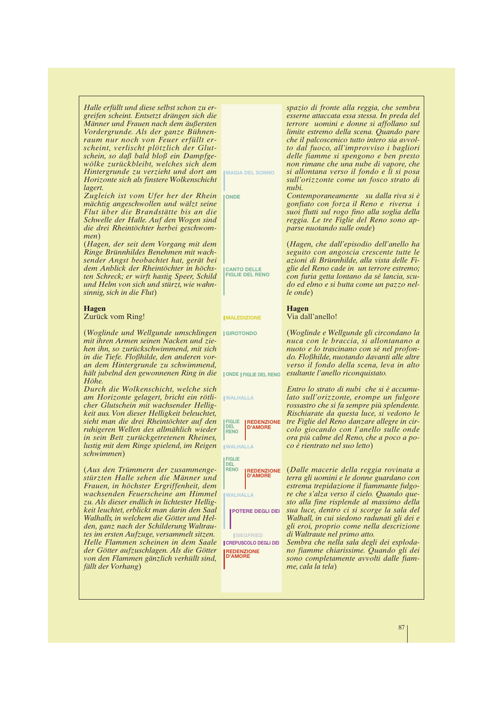| Halle erfüllt und diese selbst schon zu er-<br>greifen scheint. Entsetzt drängen sich die<br>Männer und Frauen nach dem äußersten<br>Vordergrunde. Als der ganze Bühnen-<br>raum nur noch von Feuer erfüllt er-<br>scheint, verlischt plötzlich der Glut-<br>schein, so daß bald bloß ein Dampfge-<br>wölke zurückbleibt, welches sich dem<br>Hintergrunde zu verzieht und dort am<br>Horizonte sich als finstere Wolkenschicht<br>lagert.<br>Zugleich ist vom Ufer her der Rhein<br>mächtig angeschwollen und wälzt seine<br>Flut über die Brandstätte bis an die<br>Schwelle der Halle. Auf den Wogen sind<br>die drei Rheintöchter herbei geschwom-<br>men)<br>(Hagen, der seit dem Vorgang mit dem<br>Ringe Brünnhildes Benehmen mit wach-<br>sender Angst beobachtet hat, gerät bei | <b>IMAGIA DEL SONNO</b><br><b>ONDE</b>                                                                                                                                                                             | spazio di fronte alla reggia, che sembra<br>esserne attaccata essa stessa. In preda del<br>terrore uomini e donne si affollano sul<br>limite estremo della scena. Quando pare<br>che il palcoscenico tutto intero sia avvol-<br>to dal fuoco, all'improvviso i bagliori<br>delle fiamme si spengono e ben presto<br>non rimane che una nube di vapore, che<br>si allontana verso il fondo e lì si posa<br>sull'orizzonte come un fosco strato di<br>nubi.<br>Contemporaneamente su dalla riva si è<br>gonfiato con forza il Reno e riversa i<br>suoi flutti sul rogo fino alla soglia della<br>reggia. Le tre Figlie del Reno sono ap-<br>parse nuotando sulle onde)<br>(Hagen, che dall'episodio dell'anello ha<br>seguito con angoscia crescente tutte le<br>azioni di Brünnhilde, alla vista delle Fi- |
|------------------------------------------------------------------------------------------------------------------------------------------------------------------------------------------------------------------------------------------------------------------------------------------------------------------------------------------------------------------------------------------------------------------------------------------------------------------------------------------------------------------------------------------------------------------------------------------------------------------------------------------------------------------------------------------------------------------------------------------------------------------------------------------|--------------------------------------------------------------------------------------------------------------------------------------------------------------------------------------------------------------------|-----------------------------------------------------------------------------------------------------------------------------------------------------------------------------------------------------------------------------------------------------------------------------------------------------------------------------------------------------------------------------------------------------------------------------------------------------------------------------------------------------------------------------------------------------------------------------------------------------------------------------------------------------------------------------------------------------------------------------------------------------------------------------------------------------------|
| dem Anblick der Rheintöchter in höchs-<br>ten Schreck; er wirft hastig Speer, Schild<br>und Helm von sich und stürzt, wie wahn-<br>sinnig, sich in die Flut)                                                                                                                                                                                                                                                                                                                                                                                                                                                                                                                                                                                                                             | <b>CANTO DELLE</b><br><b>FIGLIE DEL RENO</b>                                                                                                                                                                       | glie del Reno cade in un terrore estremo;<br>con furia getta lontano da sé lancia, scu-<br>do ed elmo e si butta come un pazzo nel-<br>le onde)                                                                                                                                                                                                                                                                                                                                                                                                                                                                                                                                                                                                                                                           |
| <b>Hagen</b><br>Zurück vom Ring!                                                                                                                                                                                                                                                                                                                                                                                                                                                                                                                                                                                                                                                                                                                                                         | <b>MALEDIZIONE</b>                                                                                                                                                                                                 | <b>Hagen</b><br>Via dall'anello!                                                                                                                                                                                                                                                                                                                                                                                                                                                                                                                                                                                                                                                                                                                                                                          |
| (Woglinde und Wellgunde umschlingen)<br>mit ihren Armen seinen Nacken und zie-<br>hen ihn, so zurückschwimmend, mit sich<br>in die Tiefe. Floßhilde, den anderen vor-<br>an dem Hintergrunde zu schwimmend,<br>hält jubelnd den gewonnenen Ring in die                                                                                                                                                                                                                                                                                                                                                                                                                                                                                                                                   | <b>GIROTONDO</b><br><b>JONDE   FIGLIE DEL RENO</b>                                                                                                                                                                 | (Woglinde e Wellgunde gli circondano la<br>nuca con le braccia, si allontanano a<br>nuoto e lo trascinano con sé nel profon-<br>do. Floßhilde, nuotando davanti alle altre<br>verso il fondo della scena, leva in alto<br>esultante l'anello riconquistato.                                                                                                                                                                                                                                                                                                                                                                                                                                                                                                                                               |
| Höhe.<br>Durch die Wolkenschicht, welche sich<br>am Horizonte gelagert, bricht ein rötli-<br>cher Glutschein mit wachsender Hellig-<br>keit aus. Von dieser Helligkeit beleuchtet,<br>sieht man die drei Rheintöchter auf den<br>ruhigeren Wellen des allmählich wieder<br>in sein Bett zurückgetretenen Rheines,<br>lustig mit dem Ringe spielend, im Reigen                                                                                                                                                                                                                                                                                                                                                                                                                            | <b>WALHALLA</b><br><b>FIGLIE</b><br><b>REDENZIONE</b><br><b>DEL</b><br><b>D'AMORE</b><br><b>RENO</b><br><b>WALHALLA</b>                                                                                            | Entro lo strato di nubi che si è accumu-<br>lato sull'orizzonte, erompe un fulgore<br>rossastro che si fa sempre più splendente.<br>Rischiarate da questa luce, si vedono le<br>tre Figlie del Reno danzare allegre in cir-<br>colo giocando con l'anello sulle onde<br>ora più calme del Reno, che a poco a po-<br>co è rientrato nel suo letto)                                                                                                                                                                                                                                                                                                                                                                                                                                                         |
| schwimmen)<br>(Aus den Trümmern der zusammenge-<br>stürzten Halle sehen die Männer und<br>Frauen, in höchster Ergriffenheit, dem<br>wachsenden Feuerscheine am Himmel<br>zu. Als dieser endlich in lichtester Hellig-<br>keit leuchtet, erblickt man darin den Saal<br>Walhalls, in welchem die Götter und Hel-<br>den, ganz nach der Schilderung Waltrau-<br>tes im ersten Aufzuge, versammelt sitzen.<br>Helle Flammen scheinen in dem Saale<br>der Götter aufzuschlagen. Als die Götter<br>von den Flammen gänzlich verhüllt sind,<br>fällt der Vorhang)                                                                                                                                                                                                                              | <b>FIGLIE</b><br><b>DEL</b><br><b>RENO</b><br><b>REDENZIONE</b><br><b>D'AMORF</b><br><b>WALHALLA</b><br>POTERE DEGLI DEI<br><b>SIEGFRIED</b><br><b>CREPUSCOLO DEGLI DEI</b><br><b>REDENZIONE</b><br><b>D'AMORE</b> | (Dalle macerie della reggia rovinata a<br>terra gli uomini e le donne guardano con<br>estrema trepidazione il fiammante fulgo-<br>re che s'alza verso il cielo. Quando que-<br>sto alla fine risplende al massimo della<br>sua luce, dentro ci si scorge la sala del<br>Walhall, in cui siedono radunati gli dei e<br>gli eroi, proprio come nella descrizione<br>di Waltraute nel primo atto.<br>Sembra che nella sala degli dei esploda-<br>no fiamme chiarissime. Quando gli dei<br>sono completamente avvolti dalle fiam-<br>me, cala la tela)                                                                                                                                                                                                                                                        |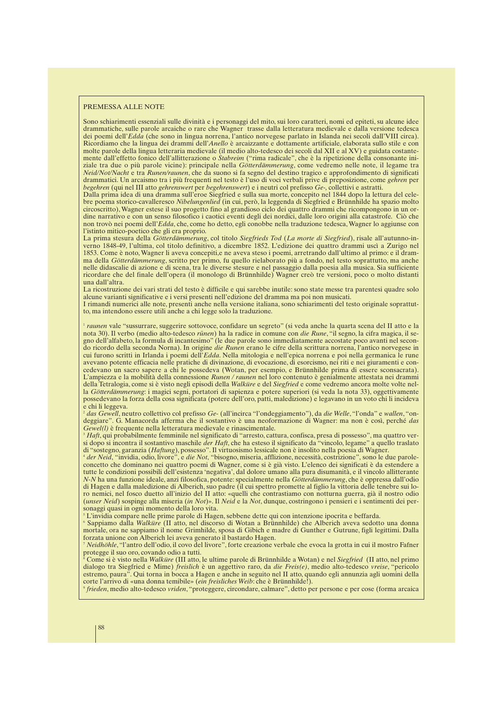#### PREMESSA ALLE NOTE

Sono schiarimenti essenziali sulle divinità e i personaggi del mito, sui loro caratteri, nomi ed epiteti, su alcune idee drammatiche, sulle parole arcaiche o rare che Wagner trasse dalla letteratura medievale e dalla versione tedesca dei poemi dell'*Edda* (che sono in lingua norrena, l'antico norvegese parlato in Islanda nei secoli dall'VIII circa). Ricordiamo che la lingua dei drammi dell'*Anello* è arcaizzante e dottamente artificiale, elaborata sullo stile e con molte parole della lingua letteraria medievale (il medio alto-tedesco dei secoli dal XII e al XV) e guidata costantemente dall'effetto fonico dell'allitterazione o *Stabreim* ("rima radicale", che è la ripetizione della consonante iniziale tra due o più parole vicine): principale nella *Götterdämmerung*, come vedremo nelle note, il legame tra *Neid/Not/Nacht* e tra *Runen/raunen*, che da suono si fa segno del destino tragico e approfondimento di significati drammatici. Un arcaismo tra i più frequenti nel testo è l'uso di voci verbali prive di preposizione, come *gehren* per *begehren* (qui nel III atto *gehrenswert* per *begehrenswert*) e i neutri col prefisso *Ge-,* collettivi e astratti.

Dalla prima idea di una dramma sull'eroe Siegfried e sulla sua morte, concepito nel 1844 dopo la lettura del celebre poema storico-cavalleresco *Nibelungenlied* (in cui, però, la leggenda di Siegfried e Brünnhilde ha spazio molto circoscritto), Wagner estese il suo progetto fino al grandioso ciclo dei quattro drammi che ricompongono in un ordine narrativo e con un senso filosofico i caotici eventi degli dei nordici, dalle loro origini alla catastrofe. Ciò che non trovò nei poemi dell'*Edda*, che, come ho detto, egli conobbe nella traduzione tedesca, Wagner lo aggiunse con l'istinto mitico-poetico che gli era proprio.

La prima stesura della *Götterdämmerung*, col titolo *Siegfrieds Tod* (*La morte di Siegfried*), risale all'autunno-inverno 1848-49, l'ultima, col titolo definitivo, a dicembre 1852. L'edizione dei quattro drammi uscì a Zurigo nel 1853. Come è noto, Wagner li aveva concepiti,e ne aveva steso i poemi, arretrando dall'ultimo al primo: e il dramma della *Götterdämmerung*, scritto per primo, fu quello rielaborato più a fondo, nel testo soprattutto, ma anche nelle didascalie di azione e di scena, tra le diverse stesure e nel passaggio dalla poesia alla musica. Sia sufficiente ricordare che del finale dell'opera (il monologo di Brünnhilde) Wagner creò tre versioni, poco o molto distanti una dall'altra.

La ricostruzione dei vari strati del testo è difficile e qui sarebbe inutile: sono state messe tra parentesi quadre solo alcune varianti significative e i versi presenti nell'edizione del dramma ma poi non musicati.

I rimandi numerici alle note, presenti anche nella versione italiana, sono schiarimenti del testo originale soprattutto, ma intendono essere utili anche a chi legge solo la traduzione.

1 *raunen* vale "sussurrare, suggerire sottovoce, confidare un segreto" (si veda anche la quarta scena del II atto e la nota 30). Il verbo (medio alto-tedesco *rūnen*) ha la radice in comune con *die Rune*, "il segno, la cifra magica, il segno dell'alfabeto, la formula di incantesimo" (le due parole sono immediatamente accostate poco avanti nel secondo ricordo della seconda Norna). In origine *die Runen* erano le cifre della scrittura norrena, l'antico norvegese in cui furono scritti in Irlanda i poemi dell'*Edda*. Nella mitologia e nell'epica norrena e poi nella germanica le rune avevano potente efficacia nelle pratiche di divinazione, di evocazione, di esorcismo, nei riti e nei giuramenti e concedevano un sacro sapere a chi le possedeva (Wotan, per esempio, e Brünnhilde prima di essere sconsacrata). L'ampiezza e la mobilità della connessione *Runen / raunen* nel loro contenuto è genialmente attestata nei drammi della Tetralogia, come si è visto negli episodi della *Walküre* e del *Siegfried* e come vedremo ancora molte volte nella *Götterdämmerung*: i magici segni, portatori di sapienza e potere superiori (si veda la nota 33), oggettivamente possedevano la forza della cosa significata (potere dell'oro, patti, maledizione) e legavano in un voto chi li incideva e chi li leggeva.

<sup>2</sup> *das Gewell*, neutro collettivo col prefisso *Ge-* (all'incirca "l'ondeggiamento"), da *die Welle*, "l'onda" e *wallen*, "ondeggiare". G. Manacorda afferma che il sostantivo è una neoformazione di Wagner: ma non è così, perché *das Gewel(l)* è frequente nella letteratura medievale e rinascimentale.

<sup>3</sup> *Haft*, qui probabilmente femminile nel significato di "arresto, cattura, confisca, presa di possesso", ma quattro versi dopo si incontra il sostantivo maschile *der Haft*, che ha esteso il significato da "vincolo, legame" a quello traslato di "sostegno, garanzia (*Haftung*), possesso". Il virtuosismo lessicale non è insolito nella poesia di Wagner.

<sup>4</sup> *der Neid*, "invidia, odio, livore", e *die Not*, "bisogno, miseria, afflizione, necessità, costrizione", sono le due paroleconcetto che dominano nei quattro poemi di Wagner, come si è già visto. L'elenco dei significati è da estendere a tutte le condizioni possibili dell'esistenza 'negativa', dal dolore umano alla pura disumanità, e il vincolo allitterante *N-N* ha una funzione ideale, anzi filosofica, potente: specialmente nella *Götterdämmerung*, che è oppressa dall'odio di Hagen e dalla maledizione di Alberich, suo padre (il cui spettro promette al figlio la vittoria delle tenebre sui loro nemici, nel fosco duetto all'inizio del II atto: «quelli che contrastiamo con notturna guerra, già il nostro odio (*unser Neid*) sospinge alla miseria (*in Not*)». Il *Neid* e la *Not*, dunque, costringono i pensieri e i sentimenti dei personaggi quasi in ogni momento della loro vita.

<sup>5</sup> L'invidia compare nelle prime parole di Hagen, sebbene dette qui con intenzione ipocrita e beffarda.

<sup>6</sup> Sappiamo dalla *Walküre* (II atto, nel discorso di Wotan a Brünnhilde) che Alberich aveva sedotto una donna mortale, ora ne sappiamo il nome Grimhilde, sposa di Gibich e madre di Gunther e Gutrune, figli legittimi. Dalla forzata unione con Alberich lei aveva generato il bastardo Hagen.

<sup>7</sup> *Neidhöhle*, "l'antro dell'odio, il covo del livore", forte creazione verbale che evoca la grotta in cui il mostro Fafner protegge il suo oro, covando odio a tutti.

<sup>8</sup> Come si è visto nella *Walküre* (III atto, le ultime parole di Brünnhilde a Wotan) e nel *Siegfried* (II atto, nel primo dialogo tra Siegfried e Mime) *freislich* è un aggettivo raro, da *die Freis(e)*, medio alto-tedesco *vreise*, "pericolo estremo, paura". Qui torna in bocca a Hagen e anche in seguito nel II atto, quando egli annunzia agli uomini della corte l'arrivo di «una donna temibile» (*ein freisliches Weib*: che è Brünnhilde!).

9 *frieden*, medio alto-tedesco *vriden*, "proteggere, circondare, calmare", detto per persone e per cose (forma arcaica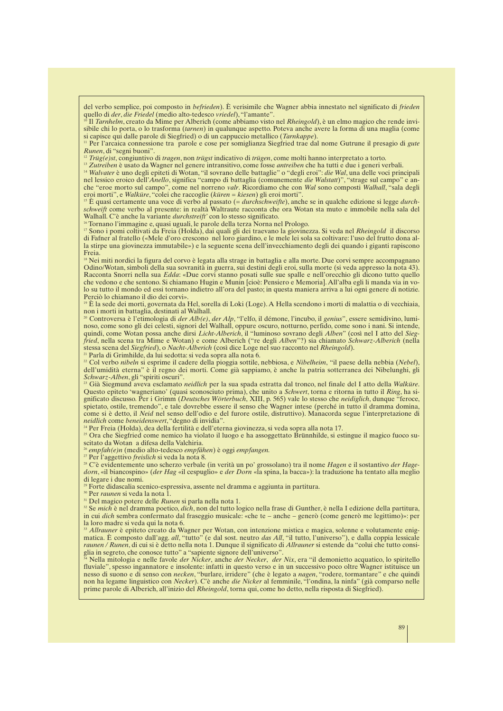del verbo semplice, poi composto in *befrieden*). È verisimile che Wagner abbia innestato nel significato di *frieden* quello di *der*, *die Friedel* (medio alto-tedesco *vriedel*), "l'amante".

<sup>10</sup> Il *Tarnhelm*, creato da Mime per Alberich (come abbiamo visto nel *Rheingold*), è un elmo magico che rende invisibile chi lo porta, o lo trasforma (*tarnen*) in qualunque aspetto. Poteva anche avere la forma di una maglia (come si capisce qui dalle parole di Siegfried) o di un cappuccio metallico (*Tarnkappe*).

<sup>11</sup> Per l'arcaica connessione tra parole e cose per somiglianza Siegfried trae dal nome Gutrune il presagio di *gute Runen*, di "segni buoni".

<sup>12</sup> *Trüg(e)st*, congiuntivo di *tragen*, non *trügst* indicativo di *trügen*, come molti hanno interpretato a torto.

<sup>13</sup> *Zutreiben* è usato da Wagner nel genere intransitivo, come fosse *antreiben* che ha tutti e due i generi verbali.

<sup>14</sup> *Walvater* è uno degli epiteti di Wotan, "il sovrano delle battaglie" o "degli eroi": *die Wal*, una delle voci principali nel lessico eroico dell'*Anello*, significa "campo di battaglia (comunemente *die Walstatt*)", "strage sul campo" e anche "eroe morto sul campo", come nel norreno *valr*. Ricordiamo che con *Wal* sono composti *Walhall*, "sala degli eroi morti", e *Walküre*, "colei che raccoglie (*küren = kiesen*) gli eroi morti".

<sup>15</sup> È quasi certamente una voce di verbo al passato (= *durchschweifte*), anche se in qualche edizione si legge *durchschweift* come verbo al presente: in realtà Waltraute racconta che ora Wotan sta muto e immobile nella sala del Walhall. C'è anche la variante *durchstreift'* con lo stesso significato.

<sup>16</sup> Tornano l'immagine e, quasi uguali, le parole della terza Norna nel Prologo.

<sup>17</sup> Sono i pomi coltivati da Freia (Holda), dai quali gli dei traevano la giovinezza. Si veda nel *Rheingold* il discorso di Fafner al fratello («Mele d'oro crescono nel loro giardino, e le mele lei sola sa coltivare: l'uso del frutto dona alla stirpe una giovinezza immutabile») e la seguente scena dell'invecchiamento degli dei quando i giganti rapiscono Freia.

<sup>18</sup> Nei miti nordici la figura del corvo è legata alla strage in battaglia e alla morte. Due corvi sempre accompagnano Odino/Wotan, simboli della sua sovranità in guerra, sui destini degli eroi, sulla morte (si veda appresso la nota 43). Racconta Snorri nella sua *Edda*: «Due corvi stanno posati sulle sue spalle e nell'orecchio gli dicono tutto quello che vedono e che sentono. Si chiamano Hugin e Munin [cioè: Pensiero e Memoria]. All'alba egli li manda via in volo su tutto il mondo ed essi tornano indietro all'ora del pasto; in questa maniera arriva a lui ogni genere di notizie. Perciò lo chiamano il dio dei corvi».

<sup>9</sup> È la sede dei morti, governata da Hel, sorella di Loki (Loge). A Hella scendono i morti di malattia o di vecchiaia, non i morti in battaglia, destinati al Walhall.

<sup>20</sup> Controversa è l'etimologia di *der Alb(e)*, *der Alp*, "l'elfo, il démone, l'incubo, il *genius*", essere semidivino, luminoso, come sono gli dei celesti, signori del Walhall, oppure oscuro, notturno, perfido, come sono i nani. Si intende, quindi, come Wotan possa anche dirsi *Licht-Alberich*, il "luminoso sovrano degli *Alben*" (così nel I atto del *Siegfried*, nella scena tra Mime e Wotan) e come Alberich ("re degli *Alben*"?) sia chiamato *Schwarz-Alberich* (nella stessa scena del *Siegfried*), o *Nacht-Alberich* (così dice Loge nel suo racconto nel *Rheingold*).

<sup>21</sup> Parla di Grimhilde, da lui sedotta: si veda sopra alla nota 6.

<sup>22</sup> Col verbo *nibeln* si esprime il cadere della pioggia sottile, nebbiosa, e *Nibelheim*, "il paese della nebbia (*Nebel*), dell'umidità eterna" è il regno dei morti. Come già sappiamo, è anche la patria sotterranea dei Nibelunghi, gli *Schwarz-Alben*, gli "spiriti oscuri".

<sup>23</sup> Già Siegmund aveva esclamato *neidlich* per la sua spada estratta dal tronco, nel finale del I atto della *Walküre*. Questo epiteto 'wagneriano' (quasi sconosciuto prima), che unito a *Schwert*, torna e ritorna in tutto il *Ring*, ha significato discusso. Per i Grimm (*Deutsches Wörterbuch*, XIII, p. 565) vale lo stesso che *neidiglich*, dunque "feroce, spietato, ostile, tremendo", e tale dovrebbe essere il senso che Wagner intese (perché in tutto il dramma domina, come si è detto, il *Neid* nel senso dell'odio e del furore ostile, distruttivo). Manacorda segue l'interpretazione di *neidlich* come *beneidenswert*, "degno di invidia".

<sup>24</sup> Per Freia (Holda), dea della fertilità e dell'eterna giovinezza, si veda sopra alla nota 17.

<sup>25</sup> Ora che Siegfried come nemico ha violato il luogo e ha assoggettato Brünnhilde, si estingue il magico fuoco suscitato da Wotan a difesa della Valchiria.

<sup>26</sup> *empfah(e)n* (medio alto-tedesco *empfāhen*) è oggi *empfangen.*

<sup>27</sup> Per l'aggettivo *freislich* si veda la nota 8.

<sup>28</sup> C'è evidentemente uno scherzo verbale (in verità un po' grossolano) tra il nome *Hagen* e il sostantivo *der Hagedorn*, «il biancospino» (*der Hag* «il cespuglio» e *der Dorn* «la spina, la bacca»): la traduzione ha tentato alla meglio di legare i due nomi.

<sup>29</sup> Forte didascalia scenico-espressiva, assente nel dramma e aggiunta in partitura.

<sup>30</sup> Per *raunen* si veda la nota 1.

<sup>31</sup> Del magico potere delle *Runen* si parla nella nota 1.

<sup>32</sup> Se *mich* è nel dramma poetico, *dich*, non del tutto logico nella frase di Gunther, è nella I edizione della partitura, in cui *dich* sembra confermato dal fraseggio musicale: «che te – anche – generò (come generò me legittimo)»: per la loro madre si veda qui la nota 6.

<sup>33</sup> Allrauner è epiteto creato da Wagner per Wotan, con intenzione mistica e magica, solenne e volutamente enigmatica. È composto dall'agg. *all*, "tutto" (e dal sost. neutro *das All*, "il tutto, l'universo"), e dalla coppia lessicale *raunen / Runen*, di cui si è detto nella nota 1. Dunque il significato di *Allrauner* si estende da "colui che tutto consiglia in segreto, che conosce tutto" a "sapiente signore dell'universo".

<sup>34</sup> Nella mitologia e nelle favole *der Nicker*, anche *der Necker*, *der Nix*, era "il demonietto acquatico, lo spiritello fluviale", spesso ingannatore e insolente: infatti in questo verso e in un successivo poco oltre Wagner istituisce un nesso di suono e di senso con *necken*, "burlare, irridere" (che è legato a *nagen*, "rodere, tormantare" e che quindi non ha legame linguistico con *Necker*). C'è anche *die Nicker* al femminile, "l'ondina, la ninfa" (già comparso nelle prime parole di Alberich, all'inizio del *Rheingold*, torna qui, come ho detto, nella risposta di Siegfried).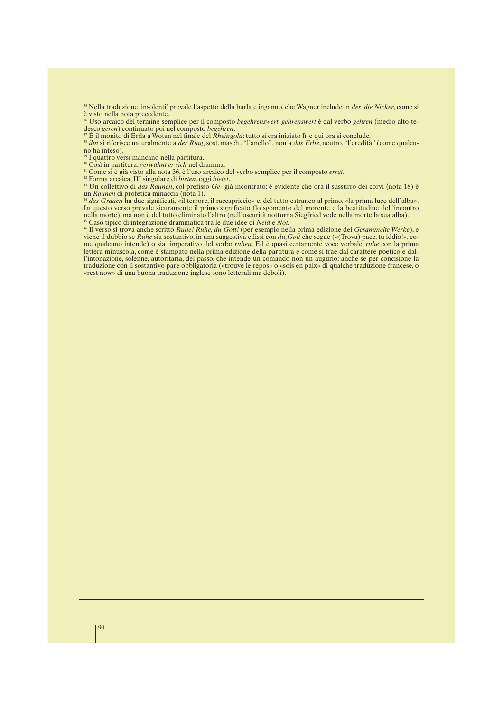<sup>35</sup> Nella traduzione 'insolenti' prevale l'aspetto della burla e inganno, che Wagner include in *der*, *die Nicker*, come si è visto nella nota precedente.

<sup>37</sup> È il monito di Erda a Wotan nel finale del *Rheingold*: tutto si era iniziato lì, e qui ora si conclude.

<sup>38</sup> *ihn* si riferisce naturalmente a *der Ring*, sost. masch., "l'anello", non a *das Erbe*, neutro, "l'eredità" (come qualcuno ha inteso).

<sup>39</sup> I quattro versi mancano nella partitura.

<sup>40</sup> Così in partitura, *verwähnt er sich* nel dramma.

<sup>41</sup> Come si è già visto alla nota 36, è l'uso arcaico del verbo semplice per il composto *errät*.

<sup>42</sup> Forma arcaica, III singolare di *bieten*, oggi *bietet*.

<sup>43</sup> Un collettivo di *das Raunen*, col prefisso *Ge-* già incontrato: è evidente che ora il sussurro dei corvi (nota 18) è un *Raunen* di profetica minaccia (nota 1).

<sup>44</sup> *das Grauen* ha due significati, «il terrore, il raccapriccio» e, del tutto estraneo al primo, «la prima luce dell'alba». In questo verso prevale sicuramente il primo significato (lo sgomento del morente e la beatitudine dell'incontro nella morte), ma non è del tutto eliminato l'altro (nell'oscurità notturna Siegfried vede nella morte la sua alba). <sup>45</sup> Caso tipico di integrazione drammatica tra le due idee di *Neid* e *Not.*

<sup>46</sup> Il verso si trova anche scritto *Ruhe! Ruhe, du Gott!* (per esempio nella prima edizione dei *Gesammelte Werke*), e viene il dubbio se *Ruhe* sia sostantivo, in una suggestiva ellissi con *du,Gott* che segue («(Trova) pace, tu iddio!», come qualcuno intende) o sia imperativo del verbo *ruhen*. Ed è quasi certamente voce verbale, *ruhe* con la prima lettera minuscola, come è stampato nella prima edizione della partitura e come si trae dal carattere poetico e dall'intonazione, solenne, autoritaria, del passo, che intende un comando non un augurio: anche se per concisione la traduzione con il sostantivo pare obbligatoria («trouve le repos» o «sois en paix» di qualche traduzione francese, o «rest now» di una buona traduzione inglese sono letterali ma deboli).

<sup>36</sup> Uso arcaico del termine semplice per il composto *begehrenswert*: *gehrenswert* è dal verbo *gehren* (medio alto-tedesco *geren*) continuato poi nel composto *begehren*.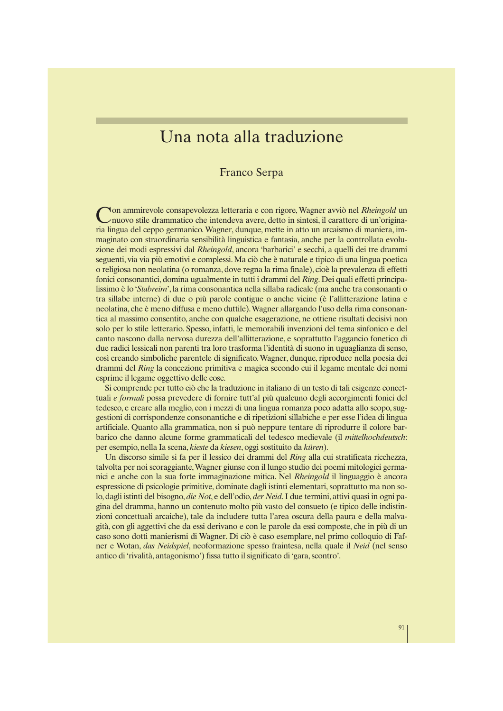# Una nota alla traduzione

## Franco Serpa

C on ammirevole consapevolezza letteraria e con rigore, Wagner avviò nel *Rheingold* un nuovo stile drammatico che intendeva avere, detto in sintesi, il carattere di un'originaria lingua del ceppo germanico. Wagner, dunque, mette in atto un arcaismo di maniera, immaginato con straordinaria sensibilità linguistica e fantasia, anche per la controllata evoluzione dei modi espressivi dal *Rheingold*, ancora 'barbarici' e secchi, a quelli dei tre drammi seguenti, via via più emotivi e complessi. Ma ciò che è naturale e tipico di una lingua poetica o religiosa non neolatina (o romanza, dove regna la rima finale), cioè la prevalenza di effetti fonici consonantici, domina ugualmente in tutti i drammi del *Ring*. Dei quali effetti principalissimo è lo '*Stabreim*', la rima consonantica nella sillaba radicale (ma anche tra consonanti o tra sillabe interne) di due o più parole contigue o anche vicine (è l'allitterazione latina e neolatina, che è meno diffusa e meno duttile).Wagner allargando l'uso della rima consonantica al massimo consentito, anche con qualche esagerazione, ne ottiene risultati decisivi non solo per lo stile letterario. Spesso, infatti, le memorabili invenzioni del tema sinfonico e del canto nascono dalla nervosa durezza dell'allitterazione, e soprattutto l'aggancio fonetico di due radici lessicali non parenti tra loro trasforma l'identità di suono in uguaglianza di senso, così creando simboliche parentele di significato.Wagner, dunque, riproduce nella poesia dei drammi del *Ring* la concezione primitiva e magica secondo cui il legame mentale dei nomi esprime il legame oggettivo delle cose.

Si comprende per tutto ciò che la traduzione in italiano di un testo di tali esigenze concettuali *e formali* possa prevedere di fornire tutt'al più qualcuno degli accorgimenti fonici del tedesco, e creare alla meglio, con i mezzi di una lingua romanza poco adatta allo scopo, suggestioni di corrispondenze consonantiche e di ripetizioni sillabiche e per esse l'idea di lingua artificiale. Quanto alla grammatica, non si può neppure tentare di riprodurre il colore barbarico che danno alcune forme grammaticali del tedesco medievale (il *mittelhochdeutsch*: per esempio, nella Ia scena, *kieste* da *kiesen*, oggi sostituito da *küren*).

Un discorso simile si fa per il lessico dei drammi del *Ring* alla cui stratificata ricchezza, talvolta per noi scoraggiante,Wagner giunse con il lungo studio dei poemi mitologici germanici e anche con la sua forte immaginazione mitica. Nel *Rheingold* il linguaggio è ancora espressione di psicologie primitive, dominate dagli istinti elementari, soprattutto ma non solo, dagli istinti del bisogno, *die Not*, e dell'odio, *der Neid*. I due termini, attivi quasi in ogni pagina del dramma, hanno un contenuto molto più vasto del consueto (e tipico delle indistinzioni concettuali arcaiche), tale da includere tutta l'area oscura della paura e della malvagità, con gli aggettivi che da essi derivano e con le parole da essi composte, che in più di un caso sono dotti manierismi di Wagner. Di ciò è caso esemplare, nel primo colloquio di Fafner e Wotan, *das Neidspiel*, neoformazione spesso fraintesa, nella quale il *Neid* (nel senso antico di 'rivalità, antagonismo') fissa tutto il significato di 'gara, scontro'.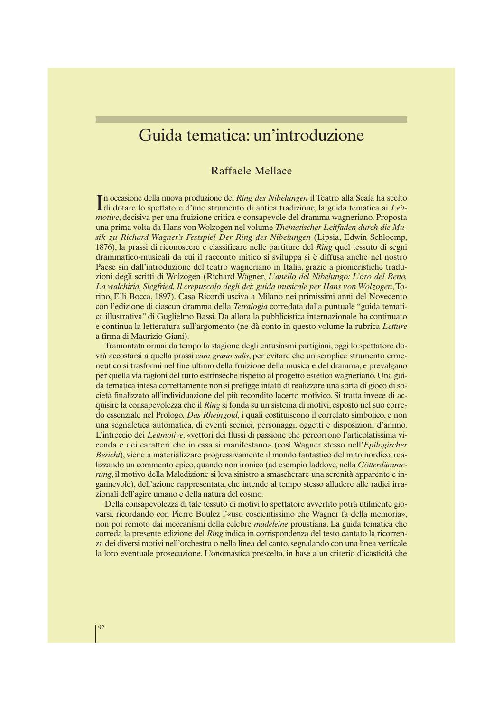## Guida tematica: un'introduzione

## Raffaele Mellace

In occasione della nuova produzione del Ring des Nibelungen il Teatro alla Scala ha scelto di dotare lo spettatore d'uno strumento di antica tradizione, la guida tematica ai Leitn occasione della nuova produzione del *Ring des Nibelungen* il Teatro alla Scala ha scelto *motive*, decisiva per una fruizione critica e consapevole del dramma wagneriano. Proposta una prima volta da Hans von Wolzogen nel volume *Thematischer Leitfaden durch die Musik zu Richard Wagner's Festspiel Der Ring des Nibelungen* (Lipsia, Edwin Schloemp, 1876), la prassi di riconoscere e classificare nelle partiture del *Ring* quel tessuto di segni drammatico-musicali da cui il racconto mitico si sviluppa si è diffusa anche nel nostro Paese sin dall'introduzione del teatro wagneriano in Italia, grazie a pionieristiche traduzioni degli scritti di Wolzogen (Richard Wagner, *L'anello del Nibelungo: L'oro del Reno, La walchiria, Siegfried, Il crepuscolo degli dei*: *guida musicale per Hans von Wolzogen*, Torino, F.lli Bocca, 1897). Casa Ricordi usciva a Milano nei primissimi anni del Novecento con l'edizione di ciascun dramma della *Tetralogia* corredata dalla puntuale "guida tematica illustrativa" di Guglielmo Bassi. Da allora la pubblicistica internazionale ha continuato e continua la letteratura sull'argomento (ne dà conto in questo volume la rubrica *Letture* a firma di Maurizio Giani).

Tramontata ormai da tempo la stagione degli entusiasmi partigiani, oggi lo spettatore dovrà accostarsi a quella prassi *cum grano salis*, per evitare che un semplice strumento ermeneutico si trasformi nel fine ultimo della fruizione della musica e del dramma, e prevalgano per quella via ragioni del tutto estrinseche rispetto al progetto estetico wagneriano. Una guida tematica intesa correttamente non si prefigge infatti di realizzare una sorta di gioco di società finalizzato all'individuazione del più recondito lacerto motivico. Si tratta invece di acquisire la consapevolezza che il *Ring* si fonda su un sistema di motivi, esposto nel suo corredo essenziale nel Prologo, *Das Rheingold,* i quali costituiscono il correlato simbolico, e non una segnaletica automatica, di eventi scenici, personaggi, oggetti e disposizioni d'animo. L'intreccio dei *Leitmotive*, «vettori dei flussi di passione che percorrono l'articolatissima vicenda e dei caratteri che in essa si manifestano» (così Wagner stesso nell'*Epilogischer Bericht*), viene a materializzare progressivamente il mondo fantastico del mito nordico, realizzando un commento epico, quando non ironico (ad esempio laddove, nella *Götterdämmerung*, il motivo della Maledizione si leva sinistro a smascherare una serenità apparente e ingannevole), dell'azione rappresentata, che intende al tempo stesso alludere alle radici irrazionali dell'agire umano e della natura del cosmo.

Della consapevolezza di tale tessuto di motivi lo spettatore avvertito potrà utilmente giovarsi, ricordando con Pierre Boulez l'«uso coscientissimo che Wagner fa della memoria», non poi remoto dai meccanismi della celebre *madeleine* proustiana. La guida tematica che correda la presente edizione del *Ring* indica in corrispondenza del testo cantato la ricorrenza dei diversi motivi nell'orchestra o nella linea del canto, segnalando con una linea verticale la loro eventuale prosecuzione. L'onomastica prescelta, in base a un criterio d'icasticità che